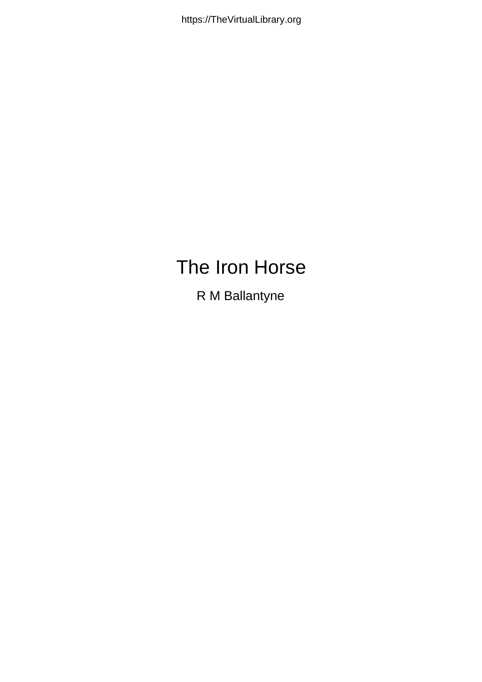# $V\otimes \mathcal{L}$   $\mathcal{L}$   $\mathcal{L}$   $\mathcal{L}$   $\mathcal{L}$   $\mathcal{L}$   $\mathcal{L}$

 $U$ Á Ábatalanty $c$ }^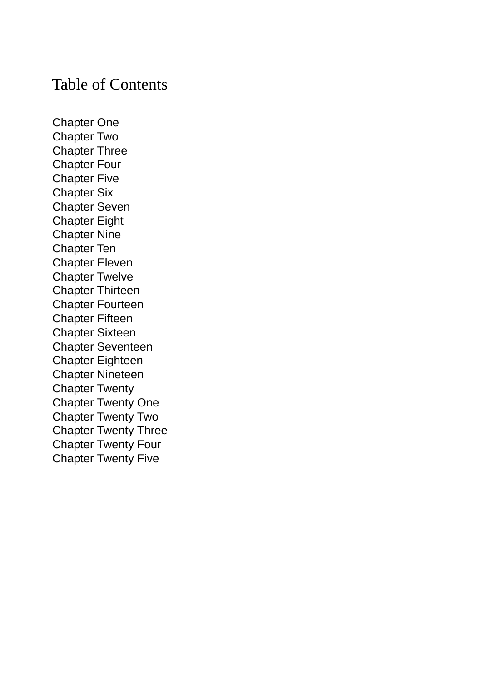### Table of Contents

[Chapter](#page-2-0) One [Chapter](#page-8-0) Two [Chapter](#page-17-0) Three [Chapter](#page-23-0) Four [Chapter](#page-27-0) Five [Chapter](#page-34-0) Six [Chapter](#page-48-0) Seven [Chapter](#page-53-0) Eight [Chapter](#page-65-0) Nine [Chapter](#page-72-0) Ten [Chapter](#page-78-0) Eleven [Chapter](#page-85-0) Twelve Chapter [Thirteen](#page-89-0) Chapter [Fourteen](#page-96-0) [Chapter](#page-106-0) Fifteen [Chapter](#page-109-0) Sixteen Chapter [Seventeen](#page-117-0) Chapter [Eighteen](#page-126-0) Chapter [Nineteen](#page-133-0) [Chapter](#page-137-0) Twenty [Chapter](#page-143-0) Twenty One [Chapter](#page-148-0) Twenty Two [Chapter](#page-154-0) Twenty Three [Chapter](#page-161-0) Twenty Four [Chapter](#page-165-0) Twenty Five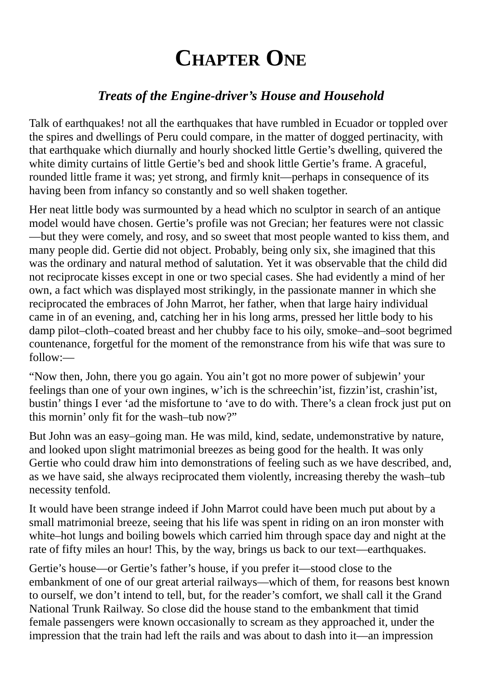### **CHAPTER ONE**

#### *Treats of the Engine-driver's House and Household*

<span id="page-2-0"></span>Talk of earthquakes! not all the earthquakes that have rumbled in Ecuador or toppled over the spires and dwellings of Peru could compare, in the matter of dogged pertinacity, with that earthquake which diurnally and hourly shocked little Gertie's dwelling, quivered the white dimity curtains of little Gertie's bed and shook little Gertie's frame. A graceful, rounded little frame it was; yet strong, and firmly knit—perhaps in consequence of its having been from infancy so constantly and so well shaken together.

Her neat little body was surmounted by a head which no sculptor in search of an antique model would have chosen. Gertie's profile was not Grecian; her features were not classic —but they were comely, and rosy, and so sweet that most people wanted to kiss them, and many people did. Gertie did not object. Probably, being only six, she imagined that this was the ordinary and natural method of salutation. Yet it was observable that the child did not reciprocate kisses except in one or two special cases. She had evidently a mind of her own, a fact which was displayed most strikingly, in the passionate manner in which she reciprocated the embraces of John Marrot, her father, when that large hairy individual came in of an evening, and, catching her in his long arms, pressed her little body to his damp pilot–cloth–coated breast and her chubby face to his oily, smoke–and–soot begrimed countenance, forgetful for the moment of the remonstrance from his wife that was sure to follow:—

"Now then, John, there you go again. You ain't got no more power of subjewin' your feelings than one of your own ingines, w'ich is the schreechin'ist, fizzin'ist, crashin'ist, bustin' things I ever 'ad the misfortune to 'ave to do with. There's a clean frock just put on this mornin' only fit for the wash–tub now?"

But John was an easy–going man. He was mild, kind, sedate, undemonstrative by nature, and looked upon slight matrimonial breezes as being good for the health. It was only Gertie who could draw him into demonstrations of feeling such as we have described, and, as we have said, she always reciprocated them violently, increasing thereby the wash–tub necessity tenfold.

It would have been strange indeed if John Marrot could have been much put about by a small matrimonial breeze, seeing that his life was spent in riding on an iron monster with white–hot lungs and boiling bowels which carried him through space day and night at the rate of fifty miles an hour! This, by the way, brings us back to our text—earthquakes.

Gertie's house—or Gertie's father's house, if you prefer it—stood close to the embankment of one of our great arterial railways—which of them, for reasons best known to ourself, we don't intend to tell, but, for the reader's comfort, we shall call it the Grand National Trunk Railway. So close did the house stand to the embankment that timid female passengers were known occasionally to scream as they approached it, under the impression that the train had left the rails and was about to dash into it—an impression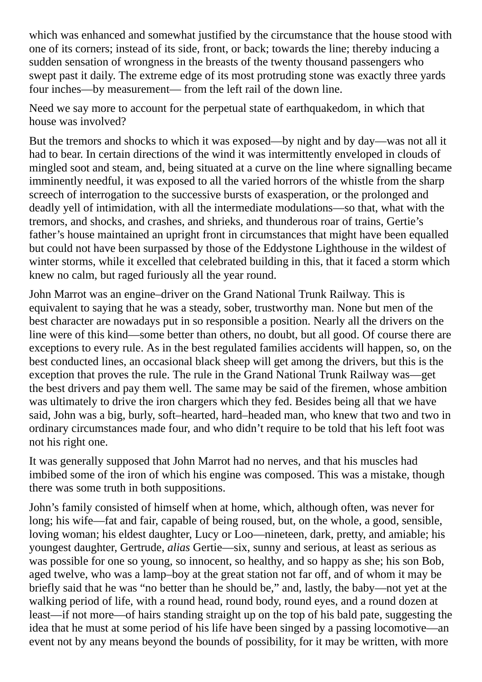which was enhanced and somewhat justified by the circumstance that the house stood with one of its corners; instead of its side, front, or back; towards the line; thereby inducing a sudden sensation of wrongness in the breasts of the twenty thousand passengers who swept past it daily. The extreme edge of its most protruding stone was exactly three yards four inches—by measurement— from the left rail of the down line.

Need we say more to account for the perpetual state of earthquakedom, in which that house was involved?

But the tremors and shocks to which it was exposed—by night and by day—was not all it had to bear. In certain directions of the wind it was intermittently enveloped in clouds of mingled soot and steam, and, being situated at a curve on the line where signalling became imminently needful, it was exposed to all the varied horrors of the whistle from the sharp screech of interrogation to the successive bursts of exasperation, or the prolonged and deadly yell of intimidation, with all the intermediate modulations—so that, what with the tremors, and shocks, and crashes, and shrieks, and thunderous roar of trains, Gertie's father's house maintained an upright front in circumstances that might have been equalled but could not have been surpassed by those of the Eddystone Lighthouse in the wildest of winter storms, while it excelled that celebrated building in this, that it faced a storm which knew no calm, but raged furiously all the year round.

John Marrot was an engine–driver on the Grand National Trunk Railway. This is equivalent to saying that he was a steady, sober, trustworthy man. None but men of the best character are nowadays put in so responsible a position. Nearly all the drivers on the line were of this kind—some better than others, no doubt, but all good. Of course there are exceptions to every rule. As in the best regulated families accidents will happen, so, on the best conducted lines, an occasional black sheep will get among the drivers, but this is the exception that proves the rule. The rule in the Grand National Trunk Railway was—get the best drivers and pay them well. The same may be said of the firemen, whose ambition was ultimately to drive the iron chargers which they fed. Besides being all that we have said, John was a big, burly, soft–hearted, hard–headed man, who knew that two and two in ordinary circumstances made four, and who didn't require to be told that his left foot was not his right one.

It was generally supposed that John Marrot had no nerves, and that his muscles had imbibed some of the iron of which his engine was composed. This was a mistake, though there was some truth in both suppositions.

John's family consisted of himself when at home, which, although often, was never for long; his wife—fat and fair, capable of being roused, but, on the whole, a good, sensible, loving woman; his eldest daughter, Lucy or Loo—nineteen, dark, pretty, and amiable; his youngest daughter, Gertrude, *alias* Gertie—six, sunny and serious, at least as serious as was possible for one so young, so innocent, so healthy, and so happy as she; his son Bob, aged twelve, who was a lamp–boy at the great station not far off, and of whom it may be briefly said that he was "no better than he should be," and, lastly, the baby—not yet at the walking period of life, with a round head, round body, round eyes, and a round dozen at least—if not more—of hairs standing straight up on the top of his bald pate, suggesting the idea that he must at some period of his life have been singed by a passing locomotive—an event not by any means beyond the bounds of possibility, for it may be written, with more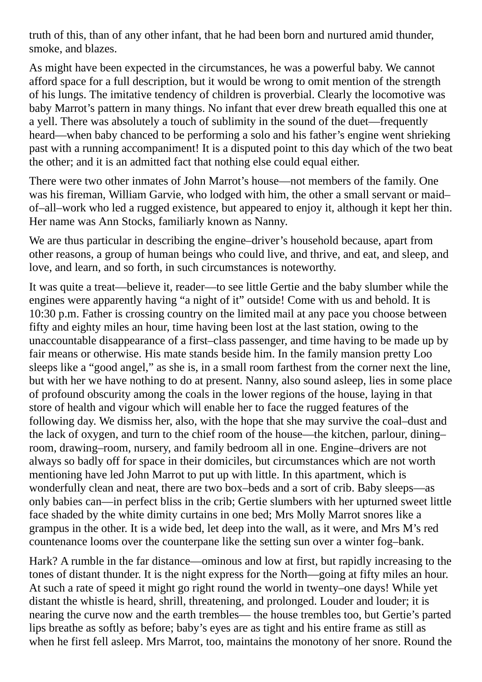truth of this, than of any other infant, that he had been born and nurtured amid thunder, smoke, and blazes.

As might have been expected in the circumstances, he was a powerful baby. We cannot afford space for a full description, but it would be wrong to omit mention of the strength of his lungs. The imitative tendency of children is proverbial. Clearly the locomotive was baby Marrot's pattern in many things. No infant that ever drew breath equalled this one at a yell. There was absolutely a touch of sublimity in the sound of the duet—frequently heard—when baby chanced to be performing a solo and his father's engine went shrieking past with a running accompaniment! It is a disputed point to this day which of the two beat the other; and it is an admitted fact that nothing else could equal either.

There were two other inmates of John Marrot's house—not members of the family. One was his fireman, William Garvie, who lodged with him, the other a small servant or maid– of–all–work who led a rugged existence, but appeared to enjoy it, although it kept her thin. Her name was Ann Stocks, familiarly known as Nanny.

We are thus particular in describing the engine–driver's household because, apart from other reasons, a group of human beings who could live, and thrive, and eat, and sleep, and love, and learn, and so forth, in such circumstances is noteworthy.

It was quite a treat—believe it, reader—to see little Gertie and the baby slumber while the engines were apparently having "a night of it" outside! Come with us and behold. It is 10:30 p.m. Father is crossing country on the limited mail at any pace you choose between fifty and eighty miles an hour, time having been lost at the last station, owing to the unaccountable disappearance of a first–class passenger, and time having to be made up by fair means or otherwise. His mate stands beside him. In the family mansion pretty Loo sleeps like a "good angel," as she is, in a small room farthest from the corner next the line, but with her we have nothing to do at present. Nanny, also sound asleep, lies in some place of profound obscurity among the coals in the lower regions of the house, laying in that store of health and vigour which will enable her to face the rugged features of the following day. We dismiss her, also, with the hope that she may survive the coal–dust and the lack of oxygen, and turn to the chief room of the house—the kitchen, parlour, dining– room, drawing–room, nursery, and family bedroom all in one. Engine–drivers are not always so badly off for space in their domiciles, but circumstances which are not worth mentioning have led John Marrot to put up with little. In this apartment, which is wonderfully clean and neat, there are two box–beds and a sort of crib. Baby sleeps—as only babies can—in perfect bliss in the crib; Gertie slumbers with her upturned sweet little face shaded by the white dimity curtains in one bed; Mrs Molly Marrot snores like a grampus in the other. It is a wide bed, let deep into the wall, as it were, and Mrs M's red countenance looms over the counterpane like the setting sun over a winter fog–bank.

Hark? A rumble in the far distance—ominous and low at first, but rapidly increasing to the tones of distant thunder. It is the night express for the North—going at fifty miles an hour. At such a rate of speed it might go right round the world in twenty–one days! While yet distant the whistle is heard, shrill, threatening, and prolonged. Louder and louder; it is nearing the curve now and the earth trembles— the house trembles too, but Gertie's parted lips breathe as softly as before; baby's eyes are as tight and his entire frame as still as when he first fell asleep. Mrs Marrot, too, maintains the monotony of her snore. Round the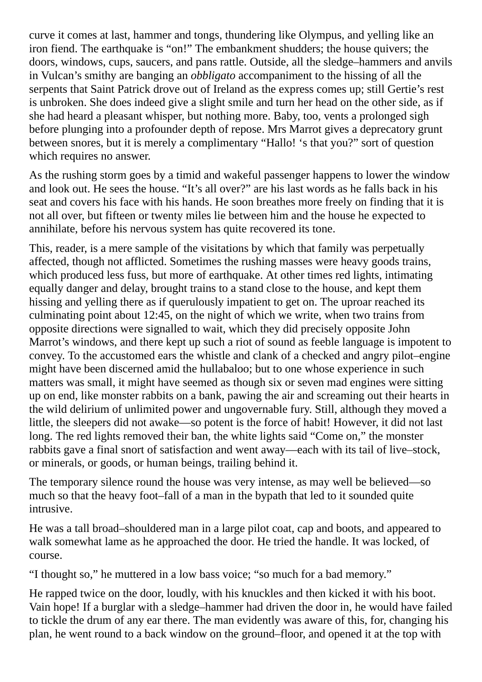curve it comes at last, hammer and tongs, thundering like Olympus, and yelling like an iron fiend. The earthquake is "on!" The embankment shudders; the house quivers; the doors, windows, cups, saucers, and pans rattle. Outside, all the sledge–hammers and anvils in Vulcan's smithy are banging an *obbligato* accompaniment to the hissing of all the serpents that Saint Patrick drove out of Ireland as the express comes up; still Gertie's rest is unbroken. She does indeed give a slight smile and turn her head on the other side, as if she had heard a pleasant whisper, but nothing more. Baby, too, vents a prolonged sigh before plunging into a profounder depth of repose. Mrs Marrot gives a deprecatory grunt between snores, but it is merely a complimentary "Hallo! 's that you?" sort of question which requires no answer.

As the rushing storm goes by a timid and wakeful passenger happens to lower the window and look out. He sees the house. "It's all over?" are his last words as he falls back in his seat and covers his face with his hands. He soon breathes more freely on finding that it is not all over, but fifteen or twenty miles lie between him and the house he expected to annihilate, before his nervous system has quite recovered its tone.

This, reader, is a mere sample of the visitations by which that family was perpetually affected, though not afflicted. Sometimes the rushing masses were heavy goods trains, which produced less fuss, but more of earthquake. At other times red lights, intimating equally danger and delay, brought trains to a stand close to the house, and kept them hissing and yelling there as if querulously impatient to get on. The uproar reached its culminating point about 12:45, on the night of which we write, when two trains from opposite directions were signalled to wait, which they did precisely opposite John Marrot's windows, and there kept up such a riot of sound as feeble language is impotent to convey. To the accustomed ears the whistle and clank of a checked and angry pilot–engine might have been discerned amid the hullabaloo; but to one whose experience in such matters was small, it might have seemed as though six or seven mad engines were sitting up on end, like monster rabbits on a bank, pawing the air and screaming out their hearts in the wild delirium of unlimited power and ungovernable fury. Still, although they moved a little, the sleepers did not awake—so potent is the force of habit! However, it did not last long. The red lights removed their ban, the white lights said "Come on," the monster rabbits gave a final snort of satisfaction and went away—each with its tail of live–stock, or minerals, or goods, or human beings, trailing behind it.

The temporary silence round the house was very intense, as may well be believed—so much so that the heavy foot–fall of a man in the bypath that led to it sounded quite intrusive.

He was a tall broad–shouldered man in a large pilot coat, cap and boots, and appeared to walk somewhat lame as he approached the door. He tried the handle. It was locked, of course.

"I thought so," he muttered in a low bass voice; "so much for a bad memory."

He rapped twice on the door, loudly, with his knuckles and then kicked it with his boot. Vain hope! If a burglar with a sledge–hammer had driven the door in, he would have failed to tickle the drum of any ear there. The man evidently was aware of this, for, changing his plan, he went round to a back window on the ground–floor, and opened it at the top with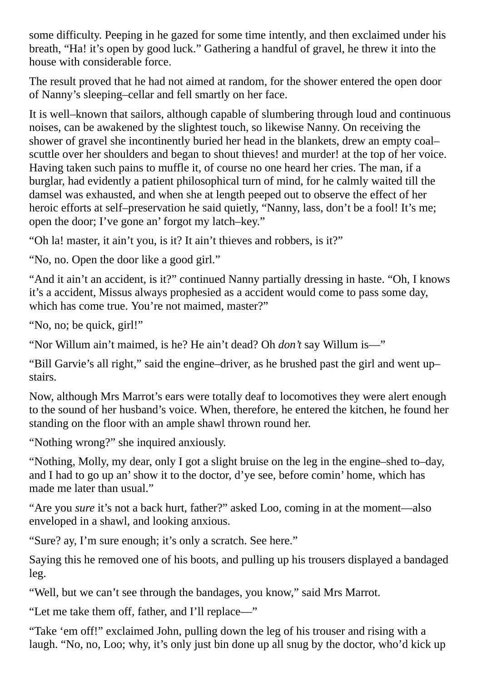some difficulty. Peeping in he gazed for some time intently, and then exclaimed under his breath, "Ha! it's open by good luck." Gathering a handful of gravel, he threw it into the house with considerable force.

The result proved that he had not aimed at random, for the shower entered the open door of Nanny's sleeping–cellar and fell smartly on her face.

It is well–known that sailors, although capable of slumbering through loud and continuous noises, can be awakened by the slightest touch, so likewise Nanny. On receiving the shower of gravel she incontinently buried her head in the blankets, drew an empty coal– scuttle over her shoulders and began to shout thieves! and murder! at the top of her voice. Having taken such pains to muffle it, of course no one heard her cries. The man, if a burglar, had evidently a patient philosophical turn of mind, for he calmly waited till the damsel was exhausted, and when she at length peeped out to observe the effect of her heroic efforts at self-preservation he said quietly, "Nanny, lass, don't be a fool! It's me; open the door; I've gone an' forgot my latch–key."

"Oh la! master, it ain't you, is it? It ain't thieves and robbers, is it?"

"No, no. Open the door like a good girl."

"And it ain't an accident, is it?" continued Nanny partially dressing in haste. "Oh, I knows it's a accident, Missus always prophesied as a accident would come to pass some day, which has come true. You're not maimed, master?"

"No, no; be quick, girl!"

"Nor Willum ain't maimed, is he? He ain't dead? Oh *don't* say Willum is—"

"Bill Garvie's all right," said the engine–driver, as he brushed past the girl and went up– stairs.

Now, although Mrs Marrot's ears were totally deaf to locomotives they were alert enough to the sound of her husband's voice. When, therefore, he entered the kitchen, he found her standing on the floor with an ample shawl thrown round her.

"Nothing wrong?" she inquired anxiously.

"Nothing, Molly, my dear, only I got a slight bruise on the leg in the engine–shed to–day, and I had to go up an'show it to the doctor, d'ye see, before comin' home, which has made me later than usual."

"Are you *sure* it's not a back hurt, father?" asked Loo, coming in at the moment—also enveloped in a shawl, and looking anxious.

"Sure? ay, I'm sure enough; it's only a scratch. See here."

Saying this he removed one of his boots, and pulling up his trousers displayed a bandaged leg.

"Well, but we can't see through the bandages, you know," said Mrs Marrot.

"Let me take them off, father, and I'll replace—"

"Take 'em off!" exclaimed John, pulling down the leg of his trouser and rising with a laugh. "No, no, Loo; why, it's only just bin done up all snug by the doctor, who'd kick up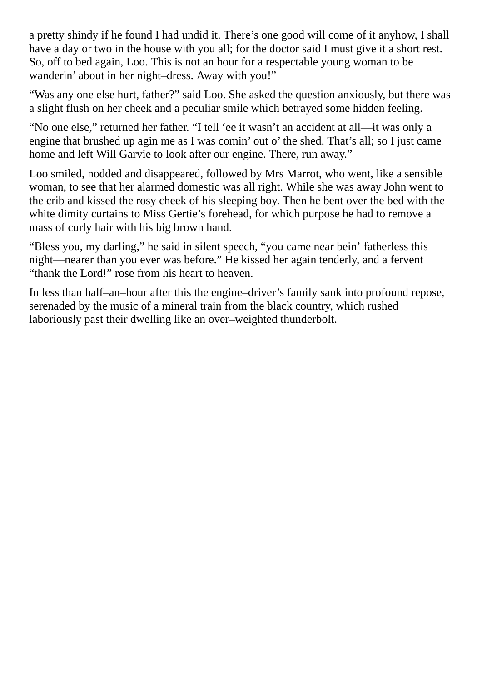a pretty shindy if he found I had undid it. There's one good will come of it anyhow, I shall have a day or two in the house with you all; for the doctor said I must give it a short rest. So, off to bed again, Loo. This is not an hour for a respectable young woman to be wanderin' about in her night–dress. Away with you!"

"Was any one else hurt, father?" said Loo. She asked the question anxiously, but there was a slight flush on her cheek and a peculiar smile which betrayed some hidden feeling.

"No one else," returned her father. "I tell 'ee it wasn't an accident at all—it was only a engine that brushed up agin me as I was comin' out o' the shed. That's all; so I just came home and left Will Garvie to look after our engine. There, run away."

Loo smiled, nodded and disappeared, followed by Mrs Marrot, who went, like a sensible woman, to see that her alarmed domestic was all right. While she was away John went to the crib and kissed the rosy cheek of his sleeping boy. Then he bent over the bed with the white dimity curtains to Miss Gertie's forehead, for which purpose he had to remove a mass of curly hair with his big brown hand.

"Bless you, my darling," he said in silent speech, "you came near bein' fatherless this night—nearer than you ever was before." He kissed her again tenderly, and a fervent "thank the Lord!" rose from his heart to heaven.

In less than half–an–hour after this the engine–driver's family sank into profound repose, serenaded by the music of a mineral train from the black country, which rushed laboriously past their dwelling like an over–weighted thunderbolt.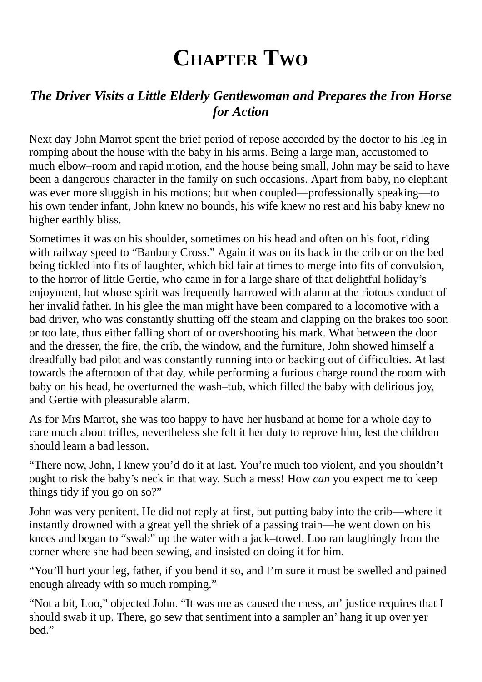### **CHAPTER TWO**

#### <span id="page-8-0"></span>*The Driver Visits a Little Elderly Gentlewoman and Prepares the Iron Horse for Action*

Next day John Marrot spent the brief period of repose accorded by the doctor to his leg in romping about the house with the baby in his arms. Being a large man, accustomed to much elbow–room and rapid motion, and the house being small, John may be said to have been a dangerous character in the family on such occasions. Apart from baby, no elephant was ever more sluggish in his motions; but when coupled—professionally speaking—to his own tender infant, John knew no bounds, his wife knew no rest and his baby knew no higher earthly bliss.

Sometimes it was on his shoulder, sometimes on his head and often on his foot, riding with railway speed to "Banbury Cross." Again it was on its back in the crib or on the bed being tickled into fits of laughter, which bid fair at times to merge into fits of convulsion, to the horror of little Gertie, who came in for a large share of that delightful holiday's enjoyment, but whose spirit was frequently harrowed with alarm at the riotous conduct of her invalid father. In his glee the man might have been compared to a locomotive with a bad driver, who was constantly shutting off the steam and clapping on the brakes too soon or too late, thus either falling short of or overshooting his mark. What between the door and the dresser, the fire, the crib, the window, and the furniture, John showed himself a dreadfully bad pilot and was constantly running into or backing out of difficulties. At last towards the afternoon of that day, while performing a furious charge round the room with baby on his head, he overturned the wash–tub, which filled the baby with delirious joy, and Gertie with pleasurable alarm.

As for Mrs Marrot, she was too happy to have her husband at home for a whole day to care much about trifles, nevertheless she felt it her duty to reprove him, lest the children should learn a bad lesson.

"There now, John, I knew you'd do it at last. You're much too violent, and you shouldn't ought to risk the baby's neck in that way. Such a mess! How *can* you expect me to keep things tidy if you go on so?"

John was very penitent. He did not reply at first, but putting baby into the crib—where it instantly drowned with a great yell the shriek of a passing train—he went down on his knees and began to "swab" up the water with a jack–towel. Loo ran laughingly from the corner where she had been sewing, and insisted on doing it for him.

"You'll hurt your leg, father, if you bend it so, and I'm sure it must be swelled and pained enough already with so much romping."

"Not a bit, Loo," objected John. "It was me as caused the mess, an' justice requires that I should swab it up. There, go sew that sentiment into a sampler an' hang it up over yer bed."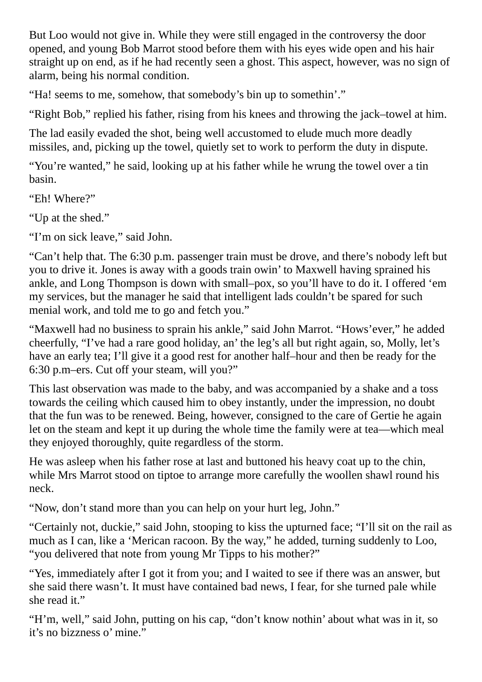But Loo would not give in. While they were still engaged in the controversy the door opened, and young Bob Marrot stood before them with his eyes wide open and his hair straight up on end, as if he had recently seen a ghost. This aspect, however, was no sign of alarm, being his normal condition.

"Ha! seems to me, somehow, that somebody's bin up to somethin'."

"Right Bob," replied his father, rising from his knees and throwing the jack–towel at him.

The lad easily evaded the shot, being well accustomed to elude much more deadly missiles, and, picking up the towel, quietly set to work to perform the duty in dispute.

"You're wanted," he said, looking up at his father while he wrung the towel over a tin basin.

"Eh! Where?"

"Up at the shed."

"I'm on sick leave," said John.

"Can't help that. The 6:30 p.m. passenger train must be drove, and there's nobody left but you to drive it. Jones is away with a goods train owin' to Maxwell having sprained his ankle, and Long Thompson is down with small–pox, so you'll have to do it. I offered 'em my services, but the manager he said that intelligent lads couldn't be spared for such menial work, and told me to go and fetch you."

"Maxwell had no business to sprain his ankle," said John Marrot. "Hows'ever," he added cheerfully, "I've had a rare good holiday, an' the leg's all but right again, so, Molly, let's have an early tea; I'll give it a good rest for another half–hour and then be ready for the 6:30 p.m–ers. Cut off your steam, will you?"

This last observation was made to the baby, and was accompanied by a shake and a toss towards the ceiling which caused him to obey instantly, under the impression, no doubt that the fun was to be renewed. Being, however, consigned to the care of Gertie he again let on the steam and kept it up during the whole time the family were at tea—which meal they enjoyed thoroughly, quite regardless of the storm.

He was asleep when his father rose at last and buttoned his heavy coat up to the chin, while Mrs Marrot stood on tiptoe to arrange more carefully the woollen shawl round his neck.

"Now, don't stand more than you can help on your hurt leg, John."

"Certainly not, duckie," said John, stooping to kiss the upturned face; "I'll sit on the rail as much as I can, like a 'Merican racoon. By the way," he added, turning suddenly to Loo, "you delivered that note from young Mr Tipps to his mother?"

"Yes, immediately after I got it from you; and I waited to see if there was an answer, but she said there wasn't. It must have contained bad news, I fear, for she turned pale while she read it."

"H'm, well," said John, putting on his cap, "don't know nothin' about what was in it, so it's no bizzness o' mine."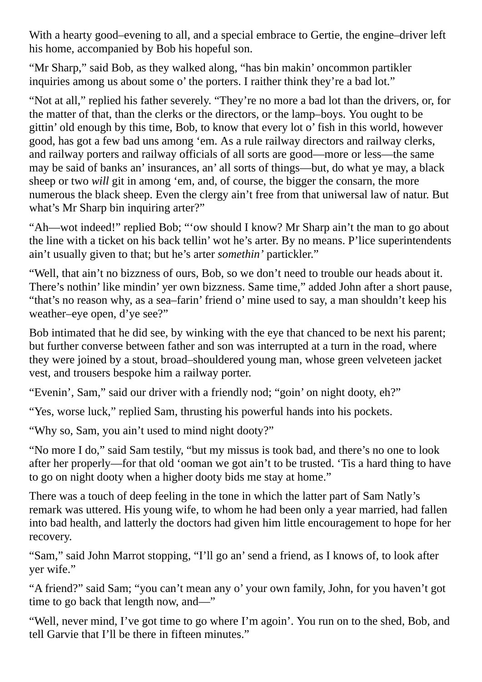With a hearty good–evening to all, and a special embrace to Gertie, the engine–driver left his home, accompanied by Bob his hopeful son.

"Mr Sharp," said Bob, as they walked along, "has bin makin' oncommon partikler inquiries among us about some o' the porters. I raither think they're a bad lot."

"Not at all," replied his father severely. "They're no more a bad lot than the drivers, or, for the matter of that, than the clerks or the directors, or the lamp–boys. You ought to be gittin' old enough by this time, Bob, to know that every lot o' fish in this world, however good, has got a few bad uns among 'em. As a rule railway directors and railway clerks, and railway porters and railway officials of all sorts are good—more or less—the same may be said of banks an' insurances, an' all sorts of things—but, do what ye may, a black sheep or two *will* git in among 'em, and, of course, the bigger the consarn, the more numerous the black sheep. Even the clergy ain't free from that uniwersal law of natur. But what's Mr Sharp bin inquiring arter?"

"Ah—wot indeed!" replied Bob; "'ow should I know? Mr Sharp ain't the man to go about the line with a ticket on his back tellin' wot he's arter. By no means. P'lice superintendents ain't usually given to that; but he's arter *somethin'* partickler."

"Well, that ain't no bizzness of ours, Bob, so we don't need to trouble our heads about it. There's nothin' like mindin' yer own bizzness. Same time," added John after a short pause, "that's no reason why, as a sea–farin' friend o' mine used to say, a man shouldn't keep his weather–eye open, d'ye see?"

Bob intimated that he did see, by winking with the eye that chanced to be next his parent; but further converse between father and son was interrupted at a turn in the road, where they were joined by a stout, broad–shouldered young man, whose green velveteen jacket vest, and trousers bespoke him a railway porter.

"Evenin', Sam," said our driver with a friendly nod; "goin' on night dooty, eh?"

"Yes, worse luck," replied Sam, thrusting his powerful hands into his pockets.

"Why so, Sam, you ain't used to mind night dooty?"

"No more I do," said Sam testily, "but my missus is took bad, and there's no one to look after her properly—for that old 'ooman we got ain't to be trusted. 'Tis a hard thing to have to go on night dooty when a higher dooty bids me stay at home."

There was a touch of deep feeling in the tone in which the latter part of Sam Natly's remark was uttered. His young wife, to whom he had been only a year married, had fallen into bad health, and latterly the doctors had given him little encouragement to hope for her recovery.

"Sam," said John Marrot stopping, "I'll go an'send a friend, as I knows of, to look after yer wife."

"A friend?" said Sam; "you can't mean any o' your own family, John, for you haven't got time to go back that length now, and—"

"Well, never mind, I've got time to go where I'm agoin'. You run on to the shed, Bob, and tell Garvie that I'll be there in fifteen minutes."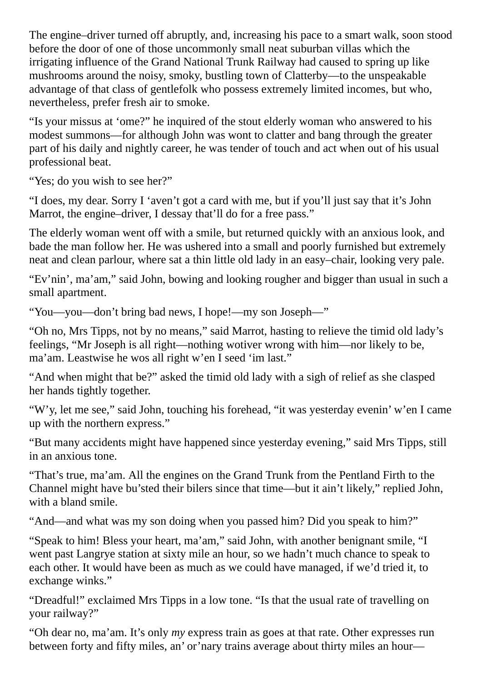The engine–driver turned off abruptly, and, increasing his pace to a smart walk, soon stood before the door of one of those uncommonly small neat suburban villas which the irrigating influence of the Grand National Trunk Railway had caused to spring up like mushrooms around the noisy, smoky, bustling town of Clatterby—to the unspeakable advantage of that class of gentlefolk who possess extremely limited incomes, but who, nevertheless, prefer fresh air to smoke.

"Is your missus at 'ome?" he inquired of the stout elderly woman who answered to his modest summons—for although John was wont to clatter and bang through the greater part of his daily and nightly career, he was tender of touch and act when out of his usual professional beat.

"Yes; do you wish to see her?"

"I does, my dear. Sorry I 'aven't got a card with me, but if you'll just say that it's John Marrot, the engine–driver, I dessay that'll do for a free pass."

The elderly woman went off with a smile, but returned quickly with an anxious look, and bade the man follow her. He was ushered into a small and poorly furnished but extremely neat and clean parlour, where sat a thin little old lady in an easy–chair, looking very pale.

"Ev'nin', ma'am," said John, bowing and looking rougher and bigger than usual in such a small apartment.

"You—you—don't bring bad news, I hope!—my son Joseph—"

"Oh no, Mrs Tipps, not by no means," said Marrot, hasting to relieve the timid old lady's feelings, "Mr Joseph is all right—nothing wotiver wrong with him—nor likely to be, ma'am. Leastwise he wos all right w'en I seed 'im last."

"And when might that be?" asked the timid old lady with a sigh of relief as she clasped her hands tightly together.

"W'y, let me see," said John, touching his forehead, "it was yesterday evenin' w'en I came up with the northern express."

"But many accidents might have happened since yesterday evening," said Mrs Tipps, still in an anxious tone.

"That's true, ma'am. All the engines on the Grand Trunk from the Pentland Firth to the Channel might have bu'sted their bilers since that time—but it ain't likely," replied John, with a bland smile.

"And—and what was my son doing when you passed him? Did you speak to him?"

"Speak to him! Bless your heart, ma'am," said John, with another benignant smile, "I went past Langrye station at sixty mile an hour, so we hadn't much chance to speak to each other. It would have been as much as we could have managed, if we'd tried it, to exchange winks."

"Dreadful!" exclaimed Mrs Tipps in a low tone. "Is that the usual rate of travelling on your railway?"

"Oh dear no, ma'am. It's only *my* express train as goes at that rate. Other expresses run between forty and fifty miles, an' or'nary trains average about thirty miles an hour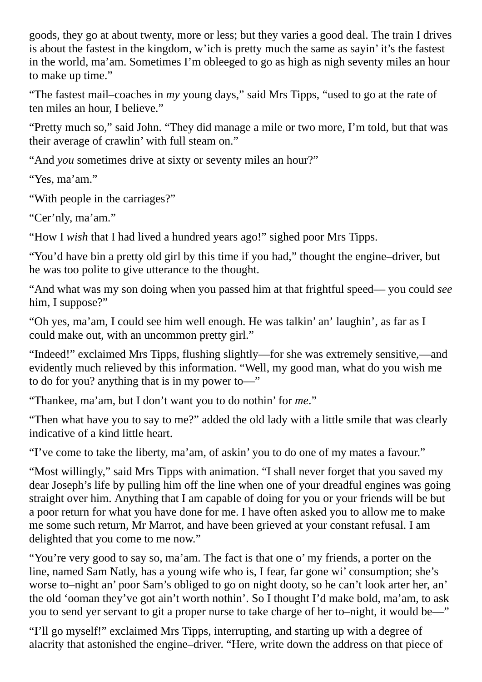goods, they go at about twenty, more or less; but they varies a good deal. The train I drives is about the fastest in the kingdom, w'ich is pretty much the same as sayin' it's the fastest in the world, ma'am. Sometimes I'm obleeged to go as high as nigh seventy miles an hour to make up time."

"The fastest mail–coaches in *my* young days," said Mrs Tipps, "used to go at the rate of ten miles an hour, I believe."

"Pretty much so," said John. "They did manage a mile or two more, I'm told, but that was their average of crawlin' with full steam on."

"And *you* sometimes drive at sixty or seventy miles an hour?"

"Yes, ma'am."

"With people in the carriages?"

"Cer'nly, ma'am."

"How I *wish* that I had lived a hundred years ago!" sighed poor Mrs Tipps.

"You'd have bin a pretty old girl by this time if you had," thought the engine–driver, but he was too polite to give utterance to the thought.

"And what was my son doing when you passed him at that frightful speed— you could *see* him, I suppose?"

"Oh yes, ma'am, I could see him well enough. He was talkin' an' laughin', as far as I could make out, with an uncommon pretty girl."

"Indeed!" exclaimed Mrs Tipps, flushing slightly—for she was extremely sensitive,—and evidently much relieved by this information. "Well, my good man, what do you wish me to do for you? anything that is in my power to—"

"Thankee, ma'am, but I don't want you to do nothin' for *me*."

"Then what have you to say to me?" added the old lady with a little smile that was clearly indicative of a kind little heart.

"I've come to take the liberty, ma'am, of askin' you to do one of my mates a favour."

"Most willingly," said Mrs Tipps with animation. "I shall never forget that you saved my dear Joseph's life by pulling him off the line when one of your dreadful engines was going straight over him. Anything that I am capable of doing for you or your friends will be but a poor return for what you have done for me. I have often asked you to allow me to make me some such return, Mr Marrot, and have been grieved at your constant refusal. I am delighted that you come to me now."

"You're very good to say so, ma'am. The fact is that one o' my friends, a porter on the line, named Sam Natly, has a young wife who is, I fear, far gone wi' consumption; she's worse to–night an' poor Sam's obliged to go on night dooty, so he can't look arter her, an' the old 'ooman they've got ain't worth nothin'. So I thought I'd make bold, ma'am, to ask you to send yer servant to git a proper nurse to take charge of her to–night, it would be—"

"I'll go myself!" exclaimed Mrs Tipps, interrupting, and starting up with a degree of alacrity that astonished the engine–driver. "Here, write down the address on that piece of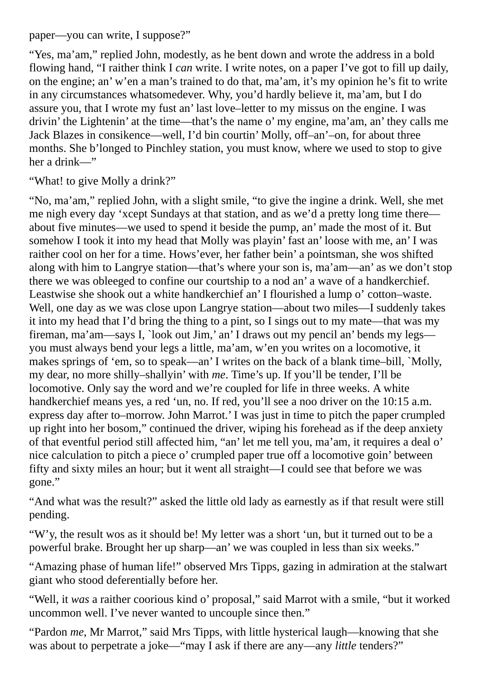#### paper—you can write, I suppose?"

"Yes, ma'am," replied John, modestly, as he bent down and wrote the address in a bold flowing hand, "I raither think I *can* write. I write notes, on a paper I've got to fill up daily, on the engine; an' w'en a man's trained to do that, ma'am, it's my opinion he's fit to write in any circumstances whatsomedever. Why, you'd hardly believe it, ma'am, but I do assure you, that I wrote my fust an' last love–letter to my missus on the engine. I was drivin' the Lightenin' at the time—that's the name o' my engine, ma'am, an' they calls me Jack Blazes in consikence—well, I'd bin courtin' Molly, off–an'–on, for about three months. She b'longed to Pinchley station, you must know, where we used to stop to give her a drink—"

"What! to give Molly a drink?"

"No, ma'am," replied John, with a slight smile, "to give the ingine a drink. Well, she met me nigh every day 'xcept Sundays at that station, and as we'd a pretty long time there about five minutes—we used to spend it beside the pump, an' made the most of it. But somehow I took it into my head that Molly was playin' fast an' loose with me, an' I was raither cool on her for a time. Hows'ever, her father bein' a pointsman, she wos shifted along with him to Langrye station—that's where your son is, ma'am—an' as we don't stop there we was obleeged to confine our courtship to a nod an' a wave of a handkerchief. Leastwise she shook out a white handkerchief an' I flourished a lump o' cotton–waste. Well, one day as we was close upon Langrye station—about two miles—I suddenly takes it into my head that I'd bring the thing to a pint, so I sings out to my mate—that was my fireman, ma'am—says I, `look out Jim,' an' I draws out my pencil an' bends my legs you must always bend your legs a little, ma'am, w'en you writes on a locomotive, it makes springs of 'em, so to speak—an' I writes on the back of a blank time–bill, `Molly, my dear, no more shilly–shallyin' with *me*. Time's up. If you'll be tender, I'll be locomotive. Only say the word and we're coupled for life in three weeks. A white handkerchief means yes, a red 'un, no. If red, you'll see a noo driver on the 10:15 a.m. express day after to–morrow. John Marrot.' I was just in time to pitch the paper crumpled up right into her bosom," continued the driver, wiping his forehead as if the deep anxiety of that eventful period still affected him, "an' let me tell you, ma'am, it requires a deal o' nice calculation to pitch a piece o' crumpled paper true off a locomotive goin' between fifty and sixty miles an hour; but it went all straight—I could see that before we was gone."

"And what was the result?" asked the little old lady as earnestly as if that result were still pending.

"W'y, the result wos as it should be! My letter was a short 'un, but it turned out to be a powerful brake. Brought her up sharp—an' we was coupled in less than six weeks."

"Amazing phase of human life!" observed Mrs Tipps, gazing in admiration at the stalwart giant who stood deferentially before her.

"Well, it *was* a raither coorious kind o' proposal," said Marrot with a smile, "but it worked uncommon well. I've never wanted to uncouple since then."

"Pardon *me*, Mr Marrot," said Mrs Tipps, with little hysterical laugh—knowing that she was about to perpetrate a joke—"may I ask if there are any—any *little* tenders?"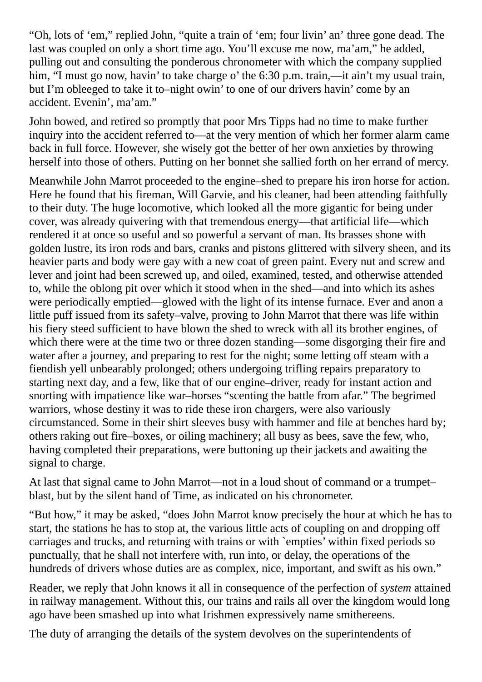"Oh, lots of 'em," replied John, "quite a train of 'em; four livin' an' three gone dead. The last was coupled on only a short time ago. You'll excuse me now, ma'am," he added, pulling out and consulting the ponderous chronometer with which the company supplied him, "I must go now, havin' to take charge o' the 6:30 p.m. train,—it ain't my usual train, but I'm obleeged to take it to–night owin' to one of our drivers havin' come by an accident. Evenin', ma'am."

John bowed, and retired so promptly that poor Mrs Tipps had no time to make further inquiry into the accident referred to—at the very mention of which her former alarm came back in full force. However, she wisely got the better of her own anxieties by throwing herself into those of others. Putting on her bonnet she sallied forth on her errand of mercy.

Meanwhile John Marrot proceeded to the engine–shed to prepare his iron horse for action. Here he found that his fireman, Will Garvie, and his cleaner, had been attending faithfully to their duty. The huge locomotive, which looked all the more gigantic for being under cover, was already quivering with that tremendous energy—that artificial life—which rendered it at once so useful and so powerful a servant of man. Its brasses shone with golden lustre, its iron rods and bars, cranks and pistons glittered with silvery sheen, and its heavier parts and body were gay with a new coat of green paint. Every nut and screw and lever and joint had been screwed up, and oiled, examined, tested, and otherwise attended to, while the oblong pit over which it stood when in the shed—and into which its ashes were periodically emptied—glowed with the light of its intense furnace. Ever and anon a little puff issued from its safety–valve, proving to John Marrot that there was life within his fiery steed sufficient to have blown the shed to wreck with all its brother engines, of which there were at the time two or three dozen standing—some disgorging their fire and water after a journey, and preparing to rest for the night; some letting off steam with a fiendish yell unbearably prolonged; others undergoing trifling repairs preparatory to starting next day, and a few, like that of our engine–driver, ready for instant action and snorting with impatience like war–horses "scenting the battle from afar." The begrimed warriors, whose destiny it was to ride these iron chargers, were also variously circumstanced. Some in their shirt sleeves busy with hammer and file at benches hard by; others raking out fire–boxes, or oiling machinery; all busy as bees, save the few, who, having completed their preparations, were buttoning up their jackets and awaiting the signal to charge.

At last that signal came to John Marrot—not in a loud shout of command or a trumpet– blast, but by the silent hand of Time, as indicated on his chronometer.

"But how," it may be asked, "does John Marrot know precisely the hour at which he has to start, the stations he has to stop at, the various little acts of coupling on and dropping off carriages and trucks, and returning with trains or with `empties' within fixed periods so punctually, that he shall not interfere with, run into, or delay, the operations of the hundreds of drivers whose duties are as complex, nice, important, and swift as his own."

Reader, we reply that John knows it all in consequence of the perfection of *system* attained in railway management. Without this, our trains and rails all over the kingdom would long ago have been smashed up into what Irishmen expressively name smithereens.

The duty of arranging the details of the system devolves on the superintendents of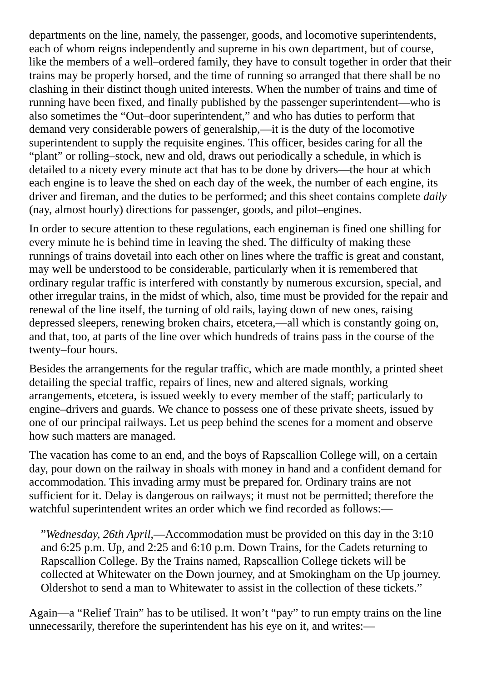departments on the line, namely, the passenger, goods, and locomotive superintendents, each of whom reigns independently and supreme in his own department, but of course, like the members of a well–ordered family, they have to consult together in order that their trains may be properly horsed, and the time of running so arranged that there shall be no clashing in their distinct though united interests. When the number of trains and time of running have been fixed, and finally published by the passenger superintendent—who is also sometimes the "Out–door superintendent," and who has duties to perform that demand very considerable powers of generalship,—it is the duty of the locomotive superintendent to supply the requisite engines. This officer, besides caring for all the "plant" or rolling–stock, new and old, draws out periodically a schedule, in which is detailed to a nicety every minute act that has to be done by drivers—the hour at which each engine is to leave the shed on each day of the week, the number of each engine, its driver and fireman, and the duties to be performed; and this sheet contains complete *daily* (nay, almost hourly) directions for passenger, goods, and pilot–engines.

In order to secure attention to these regulations, each engineman is fined one shilling for every minute he is behind time in leaving the shed. The difficulty of making these runnings of trains dovetail into each other on lines where the traffic is great and constant, may well be understood to be considerable, particularly when it is remembered that ordinary regular traffic is interfered with constantly by numerous excursion, special, and other irregular trains, in the midst of which, also, time must be provided for the repair and renewal of the line itself, the turning of old rails, laying down of new ones, raising depressed sleepers, renewing broken chairs, etcetera,—all which is constantly going on, and that, too, at parts of the line over which hundreds of trains pass in the course of the twenty–four hours.

Besides the arrangements for the regular traffic, which are made monthly, a printed sheet detailing the special traffic, repairs of lines, new and altered signals, working arrangements, etcetera, is issued weekly to every member of the staff; particularly to engine–drivers and guards. We chance to possess one of these private sheets, issued by one of our principal railways. Let us peep behind the scenes for a moment and observe how such matters are managed.

The vacation has come to an end, and the boys of Rapscallion College will, on a certain day, pour down on the railway in shoals with money in hand and a confident demand for accommodation. This invading army must be prepared for. Ordinary trains are not sufficient for it. Delay is dangerous on railways; it must not be permitted; therefore the watchful superintendent writes an order which we find recorded as follows:—

"*Wednesday, 26th April*,—Accommodation must be provided on this day in the 3:10 and 6:25 p.m. Up, and 2:25 and 6:10 p.m. Down Trains, for the Cadets returning to Rapscallion College. By the Trains named, Rapscallion College tickets will be collected at Whitewater on the Down journey, and at Smokingham on the Up journey. Oldershot to send a man to Whitewater to assist in the collection of these tickets."

Again—a "Relief Train" has to be utilised. It won't "pay" to run empty trains on the line unnecessarily, therefore the superintendent has his eye on it, and writes:—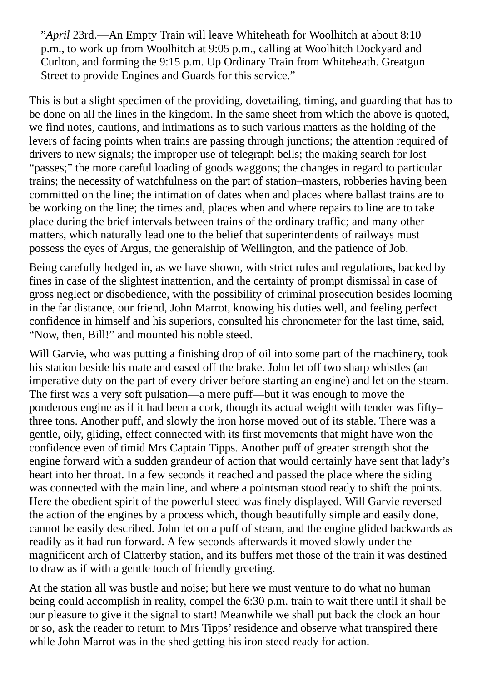"*April* 23rd.—An Empty Train will leave Whiteheath for Woolhitch at about 8:10 p.m., to work up from Woolhitch at 9:05 p.m., calling at Woolhitch Dockyard and Curlton, and forming the 9:15 p.m. Up Ordinary Train from Whiteheath. Greatgun Street to provide Engines and Guards for this service."

This is but a slight specimen of the providing, dovetailing, timing, and guarding that has to be done on all the lines in the kingdom. In the same sheet from which the above is quoted, we find notes, cautions, and intimations as to such various matters as the holding of the levers of facing points when trains are passing through junctions; the attention required of drivers to new signals; the improper use of telegraph bells; the making search for lost "passes;" the more careful loading of goods waggons; the changes in regard to particular trains; the necessity of watchfulness on the part of station–masters, robberies having been committed on the line; the intimation of dates when and places where ballast trains are to be working on the line; the times and, places when and where repairs to line are to take place during the brief intervals between trains of the ordinary traffic; and many other matters, which naturally lead one to the belief that superintendents of railways must possess the eyes of Argus, the generalship of Wellington, and the patience of Job.

Being carefully hedged in, as we have shown, with strict rules and regulations, backed by fines in case of the slightest inattention, and the certainty of prompt dismissal in case of gross neglect or disobedience, with the possibility of criminal prosecution besides looming in the far distance, our friend, John Marrot, knowing his duties well, and feeling perfect confidence in himself and his superiors, consulted his chronometer for the last time, said, "Now, then, Bill!" and mounted his noble steed.

Will Garvie, who was putting a finishing drop of oil into some part of the machinery, took his station beside his mate and eased off the brake. John let off two sharp whistles (an imperative duty on the part of every driver before starting an engine) and let on the steam. The first was a very soft pulsation—a mere puff—but it was enough to move the ponderous engine as if it had been a cork, though its actual weight with tender was fifty– three tons. Another puff, and slowly the iron horse moved out of its stable. There was a gentle, oily, gliding, effect connected with its first movements that might have won the confidence even of timid Mrs Captain Tipps. Another puff of greater strength shot the engine forward with a sudden grandeur of action that would certainly have sent that lady's heart into her throat. In a few seconds it reached and passed the place where the siding was connected with the main line, and where a pointsman stood ready to shift the points. Here the obedient spirit of the powerful steed was finely displayed. Will Garvie reversed the action of the engines by a process which, though beautifully simple and easily done, cannot be easily described. John let on a puff of steam, and the engine glided backwards as readily as it had run forward. A few seconds afterwards it moved slowly under the magnificent arch of Clatterby station, and its buffers met those of the train it was destined to draw as if with a gentle touch of friendly greeting.

At the station all was bustle and noise; but here we must venture to do what no human being could accomplish in reality, compel the 6:30 p.m. train to wait there until it shall be our pleasure to give it the signal to start! Meanwhile we shall put back the clock an hour or so, ask the reader to return to Mrs Tipps' residence and observe what transpired there while John Marrot was in the shed getting his iron steed ready for action.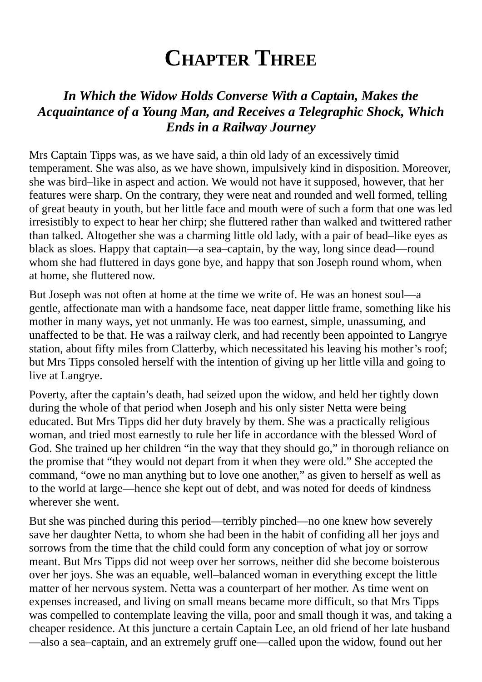### **CHAPTER THREE**

#### <span id="page-17-0"></span>*In Which the Widow Holds Converse With a Captain, Makes the Acquaintance of a Young Man, and Receives a Telegraphic Shock, Which Ends in a Railway Journey*

Mrs Captain Tipps was, as we have said, a thin old lady of an excessively timid temperament. She was also, as we have shown, impulsively kind in disposition. Moreover, she was bird–like in aspect and action. We would not have it supposed, however, that her features were sharp. On the contrary, they were neat and rounded and well formed, telling of great beauty in youth, but her little face and mouth were of such a form that one was led irresistibly to expect to hear her chirp; she fluttered rather than walked and twittered rather than talked. Altogether she was a charming little old lady, with a pair of bead–like eyes as black as sloes. Happy that captain—a sea–captain, by the way, long since dead—round whom she had fluttered in days gone bye, and happy that son Joseph round whom, when at home, she fluttered now.

But Joseph was not often at home at the time we write of. He was an honest soul—a gentle, affectionate man with a handsome face, neat dapper little frame, something like his mother in many ways, yet not unmanly. He was too earnest, simple, unassuming, and unaffected to be that. He was a railway clerk, and had recently been appointed to Langrye station, about fifty miles from Clatterby, which necessitated his leaving his mother's roof; but Mrs Tipps consoled herself with the intention of giving up her little villa and going to live at Langrye.

Poverty, after the captain's death, had seized upon the widow, and held her tightly down during the whole of that period when Joseph and his only sister Netta were being educated. But Mrs Tipps did her duty bravely by them. She was a practically religious woman, and tried most earnestly to rule her life in accordance with the blessed Word of God. She trained up her children "in the way that they should go," in thorough reliance on the promise that "they would not depart from it when they were old." She accepted the command, "owe no man anything but to love one another," as given to herself as well as to the world at large—hence she kept out of debt, and was noted for deeds of kindness wherever she went.

But she was pinched during this period—terribly pinched—no one knew how severely save her daughter Netta, to whom she had been in the habit of confiding all her joys and sorrows from the time that the child could form any conception of what joy or sorrow meant. But Mrs Tipps did not weep over her sorrows, neither did she become boisterous over her joys. She was an equable, well–balanced woman in everything except the little matter of her nervous system. Netta was a counterpart of her mother. As time went on expenses increased, and living on small means became more difficult, so that Mrs Tipps was compelled to contemplate leaving the villa, poor and small though it was, and taking a cheaper residence. At this juncture a certain Captain Lee, an old friend of her late husband —also a sea–captain, and an extremely gruff one—called upon the widow, found out her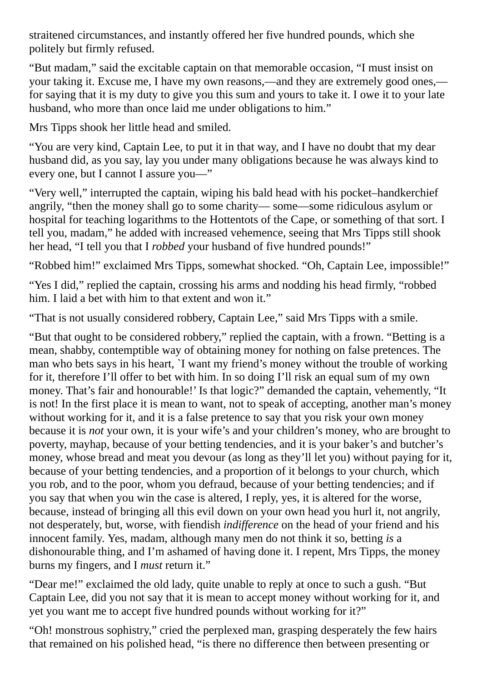straitened circumstances, and instantly offered her five hundred pounds, which she politely but firmly refused.

"But madam," said the excitable captain on that memorable occasion, "I must insist on your taking it. Excuse me, I have my own reasons,—and they are extremely good ones, for saying that it is my duty to give you this sum and yours to take it. I owe it to your late husband, who more than once laid me under obligations to him."

Mrs Tipps shook her little head and smiled.

"You are very kind, Captain Lee, to put it in that way, and I have no doubt that my dear husband did, as you say, lay you under many obligations because he was always kind to every one, but I cannot I assure you—"

"Very well," interrupted the captain, wiping his bald head with his pocket–handkerchief angrily, "then the money shall go to some charity— some—some ridiculous asylum or hospital for teaching logarithms to the Hottentots of the Cape, or something of that sort. I tell you, madam," he added with increased vehemence, seeing that Mrs Tipps still shook her head, "I tell you that I *robbed* your husband of five hundred pounds!"

"Robbed him!" exclaimed Mrs Tipps, somewhat shocked. "Oh, Captain Lee, impossible!"

"Yes I did," replied the captain, crossing his arms and nodding his head firmly, "robbed him. I laid a bet with him to that extent and won it."

"That is not usually considered robbery, Captain Lee," said Mrs Tipps with a smile.

"But that ought to be considered robbery," replied the captain, with a frown. "Betting is a mean, shabby, contemptible way of obtaining money for nothing on false pretences. The man who bets says in his heart, `I want my friend's money without the trouble of working for it, therefore I'll offer to bet with him. In so doing I'll risk an equal sum of my own money. That's fair and honourable!' Is that logic?" demanded the captain, vehemently, "It is not! In the first place it is mean to want, not to speak of accepting, another man's money without working for it, and it is a false pretence to say that you risk your own money because it is *not* your own, it is your wife's and your children's money, who are brought to poverty, mayhap, because of your betting tendencies, and it is your baker's and butcher's money, whose bread and meat you devour (as long as they'll let you) without paying for it, because of your betting tendencies, and a proportion of it belongs to your church, which you rob, and to the poor, whom you defraud, because of your betting tendencies; and if you say that when you win the case is altered, I reply, yes, it is altered for the worse, because, instead of bringing all this evil down on your own head you hurl it, not angrily, not desperately, but, worse, with fiendish *indifference* on the head of your friend and his innocent family. Yes, madam, although many men do not think it so, betting *is* a dishonourable thing, and I'm ashamed of having done it. I repent, Mrs Tipps, the money burns my fingers, and I *must* return it."

"Dear me!" exclaimed the old lady, quite unable to reply at once to such a gush. "But Captain Lee, did you not say that it is mean to accept money without working for it, and yet you want me to accept five hundred pounds without working for it?"

"Oh! monstrous sophistry," cried the perplexed man, grasping desperately the few hairs that remained on his polished head, "is there no difference then between presenting or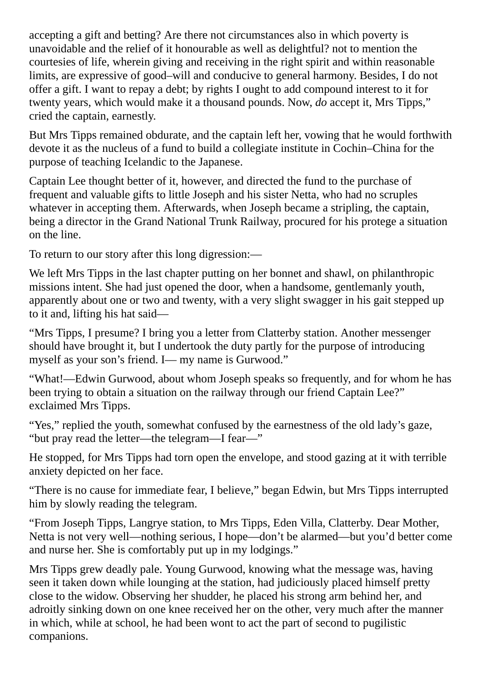accepting a gift and betting? Are there not circumstances also in which poverty is unavoidable and the relief of it honourable as well as delightful? not to mention the courtesies of life, wherein giving and receiving in the right spirit and within reasonable limits, are expressive of good–will and conducive to general harmony. Besides, I do not offer a gift. I want to repay a debt; by rights I ought to add compound interest to it for twenty years, which would make it a thousand pounds. Now, *do* accept it, Mrs Tipps," cried the captain, earnestly.

But Mrs Tipps remained obdurate, and the captain left her, vowing that he would forthwith devote it as the nucleus of a fund to build a collegiate institute in Cochin–China for the purpose of teaching Icelandic to the Japanese.

Captain Lee thought better of it, however, and directed the fund to the purchase of frequent and valuable gifts to little Joseph and his sister Netta, who had no scruples whatever in accepting them. Afterwards, when Joseph became a stripling, the captain, being a director in the Grand National Trunk Railway, procured for his protege a situation on the line.

To return to our story after this long digression:—

We left Mrs Tipps in the last chapter putting on her bonnet and shawl, on philanthropic missions intent. She had just opened the door, when a handsome, gentlemanly youth, apparently about one or two and twenty, with a very slight swagger in his gait stepped up to it and, lifting his hat said—

"Mrs Tipps, I presume? I bring you a letter from Clatterby station. Another messenger should have brought it, but I undertook the duty partly for the purpose of introducing myself as your son's friend. I— my name is Gurwood."

"What!—Edwin Gurwood, about whom Joseph speaks so frequently, and for whom he has been trying to obtain a situation on the railway through our friend Captain Lee?" exclaimed Mrs Tipps.

"Yes," replied the youth, somewhat confused by the earnestness of the old lady's gaze, "but pray read the letter—the telegram—I fear—"

He stopped, for Mrs Tipps had torn open the envelope, and stood gazing at it with terrible anxiety depicted on her face.

"There is no cause for immediate fear, I believe," began Edwin, but Mrs Tipps interrupted him by slowly reading the telegram.

"From Joseph Tipps, Langrye station, to Mrs Tipps, Eden Villa, Clatterby. Dear Mother, Netta is not very well—nothing serious, I hope—don't be alarmed—but you'd better come and nurse her. She is comfortably put up in my lodgings."

Mrs Tipps grew deadly pale. Young Gurwood, knowing what the message was, having seen it taken down while lounging at the station, had judiciously placed himself pretty close to the widow. Observing her shudder, he placed his strong arm behind her, and adroitly sinking down on one knee received her on the other, very much after the manner in which, while at school, he had been wont to act the part of second to pugilistic companions.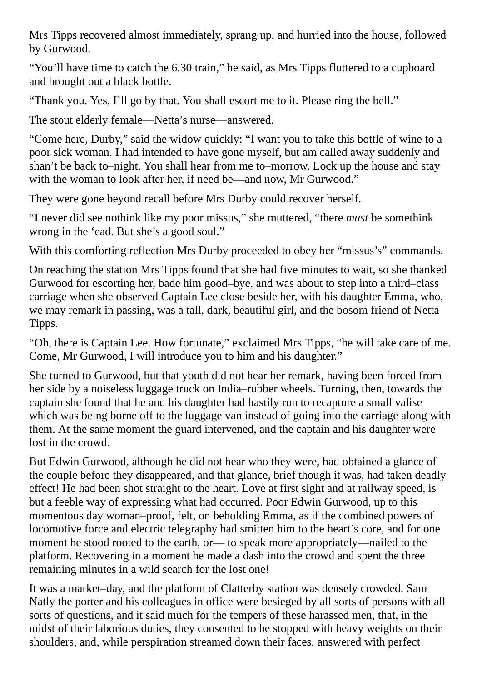Mrs Tipps recovered almost immediately, sprang up, and hurried into the house, followed by Gurwood.

"You'll have time to catch the 6.30 train," he said, as Mrs Tipps fluttered to a cupboard and brought out a black bottle.

"Thank you. Yes, I'll go by that. You shall escort me to it. Please ring the bell."

The stout elderly female—Netta's nurse—answered.

"Come here, Durby," said the widow quickly; "I want you to take this bottle of wine to a poor sick woman. I had intended to have gone myself, but am called away suddenly and shan't be back to–night. You shall hear from me to–morrow. Lock up the house and stay with the woman to look after her, if need be—and now, Mr Gurwood."

They were gone beyond recall before Mrs Durby could recover herself.

"I never did see nothink like my poor missus," she muttered, "there *must* be somethink wrong in the 'ead. But she's a good soul."

With this comforting reflection Mrs Durby proceeded to obey her "missus's" commands.

On reaching the station Mrs Tipps found that she had five minutes to wait, so she thanked Gurwood for escorting her, bade him good–bye, and was about to step into a third–class carriage when she observed Captain Lee close beside her, with his daughter Emma, who, we may remark in passing, was a tall, dark, beautiful girl, and the bosom friend of Netta Tipps.

"Oh, there is Captain Lee. How fortunate," exclaimed Mrs Tipps, "he will take care of me. Come, Mr Gurwood, I will introduce you to him and his daughter."

She turned to Gurwood, but that youth did not hear her remark, having been forced from her side by a noiseless luggage truck on India–rubber wheels. Turning, then, towards the captain she found that he and his daughter had hastily run to recapture a small valise which was being borne off to the luggage van instead of going into the carriage along with them. At the same moment the guard intervened, and the captain and his daughter were lost in the crowd.

But Edwin Gurwood, although he did not hear who they were, had obtained a glance of the couple before they disappeared, and that glance, brief though it was, had taken deadly effect! He had been shot straight to the heart. Love at first sight and at railway speed, is but a feeble way of expressing what had occurred. Poor Edwin Gurwood, up to this momentous day woman–proof, felt, on beholding Emma, as if the combined powers of locomotive force and electric telegraphy had smitten him to the heart's core, and for one moment he stood rooted to the earth, or— to speak more appropriately—nailed to the platform. Recovering in a moment he made a dash into the crowd and spent the three remaining minutes in a wild search for the lost one!

It was a market–day, and the platform of Clatterby station was densely crowded. Sam Natly the porter and his colleagues in office were besieged by all sorts of persons with all sorts of questions, and it said much for the tempers of these harassed men, that, in the midst of their laborious duties, they consented to be stopped with heavy weights on their shoulders, and, while perspiration streamed down their faces, answered with perfect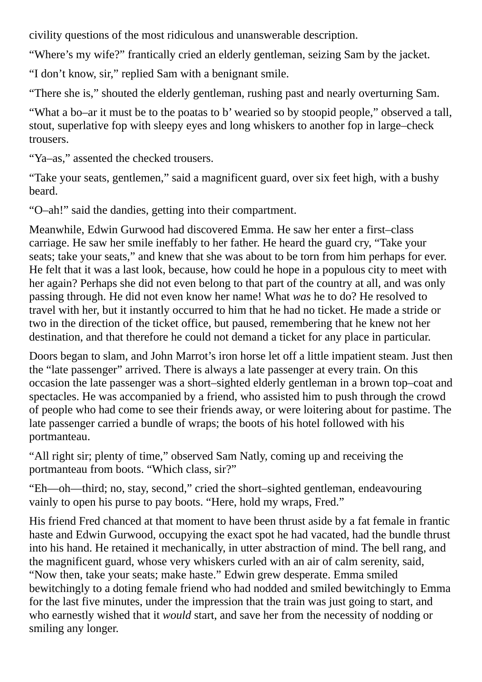civility questions of the most ridiculous and unanswerable description.

"Where's my wife?" frantically cried an elderly gentleman, seizing Sam by the jacket.

"I don't know, sir," replied Sam with a benignant smile.

"There she is," shouted the elderly gentleman, rushing past and nearly overturning Sam.

"What a bo–ar it must be to the poatas to b' wearied so by stoopid people," observed a tall, stout, superlative fop with sleepy eyes and long whiskers to another fop in large–check trousers.

"Ya–as," assented the checked trousers.

"Take your seats, gentlemen," said a magnificent guard, over six feet high, with a bushy beard.

"O–ah!" said the dandies, getting into their compartment.

Meanwhile, Edwin Gurwood had discovered Emma. He saw her enter a first–class carriage. He saw her smile ineffably to her father. He heard the guard cry, "Take your seats; take your seats," and knew that she was about to be torn from him perhaps for ever. He felt that it was a last look, because, how could he hope in a populous city to meet with her again? Perhaps she did not even belong to that part of the country at all, and was only passing through. He did not even know her name! What *was* he to do? He resolved to travel with her, but it instantly occurred to him that he had no ticket. He made a stride or two in the direction of the ticket office, but paused, remembering that he knew not her destination, and that therefore he could not demand a ticket for any place in particular.

Doors began to slam, and John Marrot's iron horse let off a little impatient steam. Just then the "late passenger" arrived. There is always a late passenger at every train. On this occasion the late passenger was a short–sighted elderly gentleman in a brown top–coat and spectacles. He was accompanied by a friend, who assisted him to push through the crowd of people who had come to see their friends away, or were loitering about for pastime. The late passenger carried a bundle of wraps; the boots of his hotel followed with his portmanteau.

"All right sir; plenty of time," observed Sam Natly, coming up and receiving the portmanteau from boots. "Which class, sir?"

"Eh—oh—third; no, stay, second," cried the short–sighted gentleman, endeavouring vainly to open his purse to pay boots. "Here, hold my wraps, Fred."

His friend Fred chanced at that moment to have been thrust aside by a fat female in frantic haste and Edwin Gurwood, occupying the exact spot he had vacated, had the bundle thrust into his hand. He retained it mechanically, in utter abstraction of mind. The bell rang, and the magnificent guard, whose very whiskers curled with an air of calm serenity, said, "Now then, take your seats; make haste." Edwin grew desperate. Emma smiled bewitchingly to a doting female friend who had nodded and smiled bewitchingly to Emma for the last five minutes, under the impression that the train was just going to start, and who earnestly wished that it *would* start, and save her from the necessity of nodding or smiling any longer.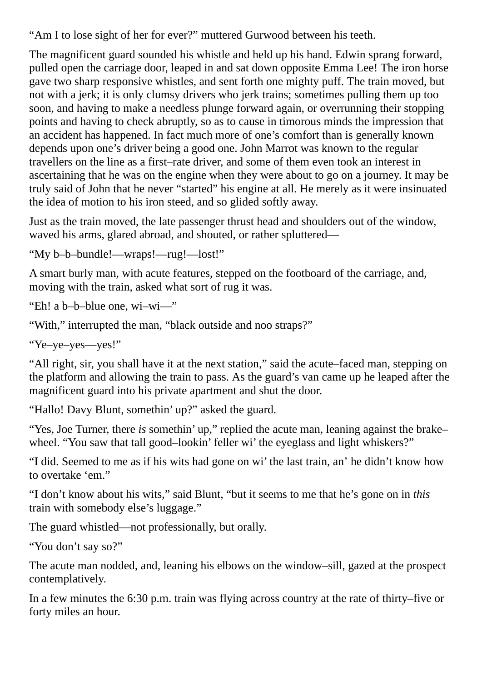"Am I to lose sight of her for ever?" muttered Gurwood between his teeth.

The magnificent guard sounded his whistle and held up his hand. Edwin sprang forward, pulled open the carriage door, leaped in and sat down opposite Emma Lee! The iron horse gave two sharp responsive whistles, and sent forth one mighty puff. The train moved, but not with a jerk; it is only clumsy drivers who jerk trains; sometimes pulling them up too soon, and having to make a needless plunge forward again, or overrunning their stopping points and having to check abruptly, so as to cause in timorous minds the impression that an accident has happened. In fact much more of one's comfort than is generally known depends upon one's driver being a good one. John Marrot was known to the regular travellers on the line as a first–rate driver, and some of them even took an interest in ascertaining that he was on the engine when they were about to go on a journey. It may be truly said of John that he never "started" his engine at all. He merely as it were insinuated the idea of motion to his iron steed, and so glided softly away.

Just as the train moved, the late passenger thrust head and shoulders out of the window, waved his arms, glared abroad, and shouted, or rather spluttered—

"My b–b–bundle!—wraps!—rug!—lost!"

A smart burly man, with acute features, stepped on the footboard of the carriage, and, moving with the train, asked what sort of rug it was.

"Eh! a b–b–blue one, wi–wi—"

"With," interrupted the man, "black outside and noo straps?"

"Ye–ye–yes—yes!"

"All right, sir, you shall have it at the next station," said the acute–faced man, stepping on the platform and allowing the train to pass. As the guard's van came up he leaped after the magnificent guard into his private apartment and shut the door.

"Hallo! Davy Blunt, somethin' up?" asked the guard.

"Yes, Joe Turner, there *is* somethin' up," replied the acute man, leaning against the brake– wheel. "You saw that tall good–lookin' feller wi' the eyeglass and light whiskers?"

"I did. Seemed to me as if his wits had gone on wi' the last train, an' he didn't know how to overtake 'em."

"I don't know about his wits," said Blunt, "but it seems to me that he's gone on in *this* train with somebody else's luggage."

The guard whistled—not professionally, but orally.

"You don't say so?"

The acute man nodded, and, leaning his elbows on the window–sill, gazed at the prospect contemplatively.

In a few minutes the 6:30 p.m. train was flying across country at the rate of thirty–five or forty miles an hour.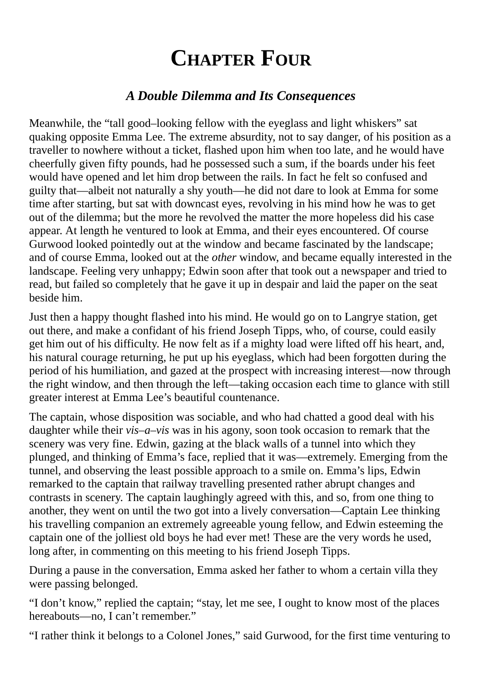### **CHAPTER FOUR**

#### *A Double Dilemma and Its Consequences*

<span id="page-23-0"></span>Meanwhile, the "tall good–looking fellow with the eyeglass and light whiskers" sat quaking opposite Emma Lee. The extreme absurdity, not to say danger, of his position as a traveller to nowhere without a ticket, flashed upon him when too late, and he would have cheerfully given fifty pounds, had he possessed such a sum, if the boards under his feet would have opened and let him drop between the rails. In fact he felt so confused and guilty that—albeit not naturally a shy youth—he did not dare to look at Emma for some time after starting, but sat with downcast eyes, revolving in his mind how he was to get out of the dilemma; but the more he revolved the matter the more hopeless did his case appear. At length he ventured to look at Emma, and their eyes encountered. Of course Gurwood looked pointedly out at the window and became fascinated by the landscape; and of course Emma, looked out at the *other* window, and became equally interested in the landscape. Feeling very unhappy; Edwin soon after that took out a newspaper and tried to read, but failed so completely that he gave it up in despair and laid the paper on the seat beside him.

Just then a happy thought flashed into his mind. He would go on to Langrye station, get out there, and make a confidant of his friend Joseph Tipps, who, of course, could easily get him out of his difficulty. He now felt as if a mighty load were lifted off his heart, and, his natural courage returning, he put up his eyeglass, which had been forgotten during the period of his humiliation, and gazed at the prospect with increasing interest—now through the right window, and then through the left—taking occasion each time to glance with still greater interest at Emma Lee's beautiful countenance.

The captain, whose disposition was sociable, and who had chatted a good deal with his daughter while their *vis–a–vis* was in his agony, soon took occasion to remark that the scenery was very fine. Edwin, gazing at the black walls of a tunnel into which they plunged, and thinking of Emma's face, replied that it was—extremely. Emerging from the tunnel, and observing the least possible approach to a smile on. Emma's lips, Edwin remarked to the captain that railway travelling presented rather abrupt changes and contrasts in scenery. The captain laughingly agreed with this, and so, from one thing to another, they went on until the two got into a lively conversation—Captain Lee thinking his travelling companion an extremely agreeable young fellow, and Edwin esteeming the captain one of the jolliest old boys he had ever met! These are the very words he used, long after, in commenting on this meeting to his friend Joseph Tipps.

During a pause in the conversation, Emma asked her father to whom a certain villa they were passing belonged.

"I don't know," replied the captain; "stay, let me see, I ought to know most of the places hereabouts—no, I can't remember."

"I rather think it belongs to a Colonel Jones," said Gurwood, for the first time venturing to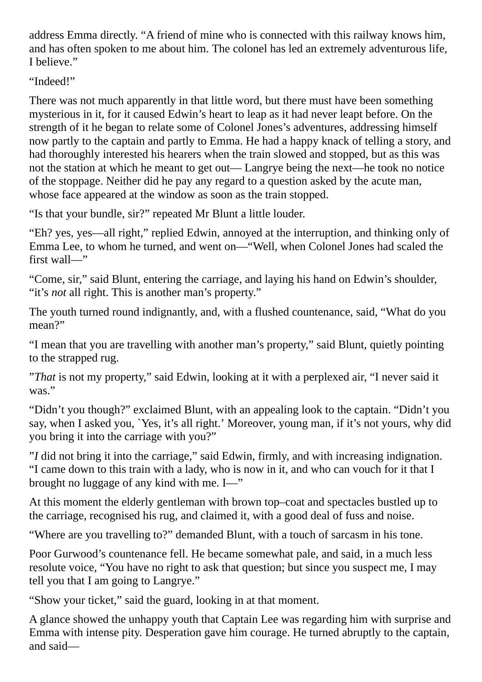address Emma directly. "A friend of mine who is connected with this railway knows him, and has often spoken to me about him. The colonel has led an extremely adventurous life, I believe."

"Indeed!"

There was not much apparently in that little word, but there must have been something mysterious in it, for it caused Edwin's heart to leap as it had never leapt before. On the strength of it he began to relate some of Colonel Jones's adventures, addressing himself now partly to the captain and partly to Emma. He had a happy knack of telling a story, and had thoroughly interested his hearers when the train slowed and stopped, but as this was not the station at which he meant to get out— Langrye being the next—he took no notice of the stoppage. Neither did he pay any regard to a question asked by the acute man, whose face appeared at the window as soon as the train stopped.

"Is that your bundle, sir?" repeated Mr Blunt a little louder.

"Eh? yes, yes—all right," replied Edwin, annoyed at the interruption, and thinking only of Emma Lee, to whom he turned, and went on—"Well, when Colonel Jones had scaled the first wall—"

"Come, sir," said Blunt, entering the carriage, and laying his hand on Edwin's shoulder, "it's *not* all right. This is another man's property."

The youth turned round indignantly, and, with a flushed countenance, said, "What do you mean?"

"I mean that you are travelling with another man's property," said Blunt, quietly pointing to the strapped rug.

"*That* is not my property," said Edwin, looking at it with a perplexed air, "I never said it was."

"Didn't you though?" exclaimed Blunt, with an appealing look to the captain. "Didn't you say, when I asked you, `Yes, it's all right.' Moreover, young man, if it's not yours, why did you bring it into the carriage with you?"

"*I* did not bring it into the carriage," said Edwin, firmly, and with increasing indignation. "I came down to this train with a lady, who is now in it, and who can vouch for it that I brought no luggage of any kind with me. I—"

At this moment the elderly gentleman with brown top–coat and spectacles bustled up to the carriage, recognised his rug, and claimed it, with a good deal of fuss and noise.

"Where are you travelling to?" demanded Blunt, with a touch of sarcasm in his tone.

Poor Gurwood's countenance fell. He became somewhat pale, and said, in a much less resolute voice, "You have no right to ask that question; but since you suspect me, I may tell you that I am going to Langrye."

"Show your ticket," said the guard, looking in at that moment.

A glance showed the unhappy youth that Captain Lee was regarding him with surprise and Emma with intense pity. Desperation gave him courage. He turned abruptly to the captain, and said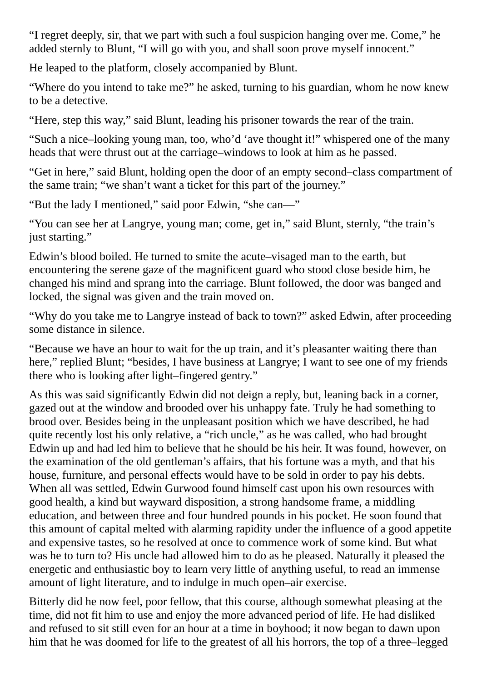"I regret deeply, sir, that we part with such a foul suspicion hanging over me. Come," he added sternly to Blunt, "I will go with you, and shall soon prove myself innocent."

He leaped to the platform, closely accompanied by Blunt.

"Where do you intend to take me?" he asked, turning to his guardian, whom he now knew to be a detective.

"Here, step this way," said Blunt, leading his prisoner towards the rear of the train.

"Such a nice–looking young man, too, who'd 'ave thought it!" whispered one of the many heads that were thrust out at the carriage–windows to look at him as he passed.

"Get in here," said Blunt, holding open the door of an empty second–class compartment of the same train; "we shan't want a ticket for this part of the journey."

"But the lady I mentioned," said poor Edwin, "she can—"

"You can see her at Langrye, young man; come, get in," said Blunt, sternly, "the train's just starting."

Edwin's blood boiled. He turned to smite the acute–visaged man to the earth, but encountering the serene gaze of the magnificent guard who stood close beside him, he changed his mind and sprang into the carriage. Blunt followed, the door was banged and locked, the signal was given and the train moved on.

"Why do you take me to Langrye instead of back to town?" asked Edwin, after proceeding some distance in silence.

"Because we have an hour to wait for the up train, and it's pleasanter waiting there than here," replied Blunt; "besides, I have business at Langrye; I want to see one of my friends there who is looking after light–fingered gentry."

As this was said significantly Edwin did not deign a reply, but, leaning back in a corner, gazed out at the window and brooded over his unhappy fate. Truly he had something to brood over. Besides being in the unpleasant position which we have described, he had quite recently lost his only relative, a "rich uncle," as he was called, who had brought Edwin up and had led him to believe that he should be his heir. It was found, however, on the examination of the old gentleman's affairs, that his fortune was a myth, and that his house, furniture, and personal effects would have to be sold in order to pay his debts. When all was settled, Edwin Gurwood found himself cast upon his own resources with good health, a kind but wayward disposition, a strong handsome frame, a middling education, and between three and four hundred pounds in his pocket. He soon found that this amount of capital melted with alarming rapidity under the influence of a good appetite and expensive tastes, so he resolved at once to commence work of some kind. But what was he to turn to? His uncle had allowed him to do as he pleased. Naturally it pleased the energetic and enthusiastic boy to learn very little of anything useful, to read an immense amount of light literature, and to indulge in much open–air exercise.

Bitterly did he now feel, poor fellow, that this course, although somewhat pleasing at the time, did not fit him to use and enjoy the more advanced period of life. He had disliked and refused to sit still even for an hour at a time in boyhood; it now began to dawn upon him that he was doomed for life to the greatest of all his horrors, the top of a three–legged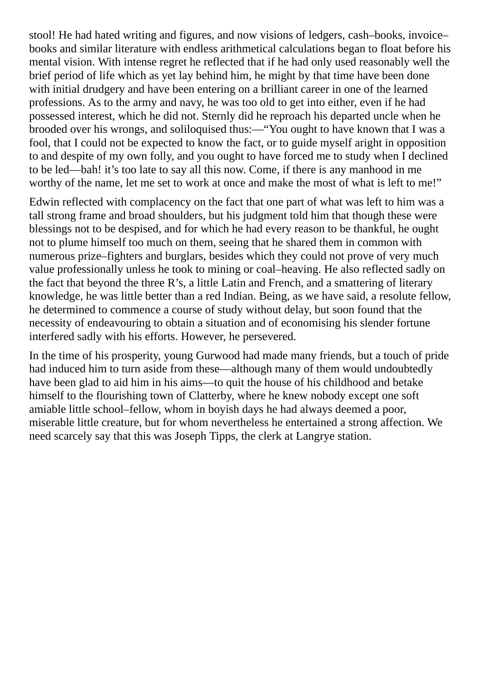stool! He had hated writing and figures, and now visions of ledgers, cash–books, invoice– books and similar literature with endless arithmetical calculations began to float before his mental vision. With intense regret he reflected that if he had only used reasonably well the brief period of life which as yet lay behind him, he might by that time have been done with initial drudgery and have been entering on a brilliant career in one of the learned professions. As to the army and navy, he was too old to get into either, even if he had possessed interest, which he did not. Sternly did he reproach his departed uncle when he brooded over his wrongs, and soliloquised thus:—"You ought to have known that I was a fool, that I could not be expected to know the fact, or to guide myself aright in opposition to and despite of my own folly, and you ought to have forced me to study when I declined to be led—bah! it's too late to say all this now. Come, if there is any manhood in me worthy of the name, let me set to work at once and make the most of what is left to me!"

Edwin reflected with complacency on the fact that one part of what was left to him was a tall strong frame and broad shoulders, but his judgment told him that though these were blessings not to be despised, and for which he had every reason to be thankful, he ought not to plume himself too much on them, seeing that he shared them in common with numerous prize–fighters and burglars, besides which they could not prove of very much value professionally unless he took to mining or coal–heaving. He also reflected sadly on the fact that beyond the three R's, a little Latin and French, and a smattering of literary knowledge, he was little better than a red Indian. Being, as we have said, a resolute fellow, he determined to commence a course of study without delay, but soon found that the necessity of endeavouring to obtain a situation and of economising his slender fortune interfered sadly with his efforts. However, he persevered.

In the time of his prosperity, young Gurwood had made many friends, but a touch of pride had induced him to turn aside from these—although many of them would undoubtedly have been glad to aid him in his aims—to quit the house of his childhood and betake himself to the flourishing town of Clatterby, where he knew nobody except one soft amiable little school–fellow, whom in boyish days he had always deemed a poor, miserable little creature, but for whom nevertheless he entertained a strong affection. We need scarcely say that this was Joseph Tipps, the clerk at Langrye station.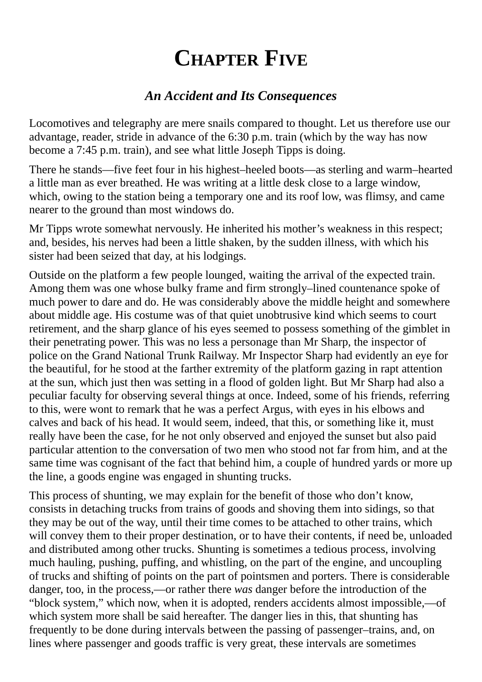## **CHAPTER FIVE**

#### *An Accident and Its Consequences*

<span id="page-27-0"></span>Locomotives and telegraphy are mere snails compared to thought. Let us therefore use our advantage, reader, stride in advance of the 6:30 p.m. train (which by the way has now become a 7:45 p.m. train), and see what little Joseph Tipps is doing.

There he stands—five feet four in his highest–heeled boots—as sterling and warm–hearted a little man as ever breathed. He was writing at a little desk close to a large window, which, owing to the station being a temporary one and its roof low, was flimsy, and came nearer to the ground than most windows do.

Mr Tipps wrote somewhat nervously. He inherited his mother's weakness in this respect; and, besides, his nerves had been a little shaken, by the sudden illness, with which his sister had been seized that day, at his lodgings.

Outside on the platform a few people lounged, waiting the arrival of the expected train. Among them was one whose bulky frame and firm strongly–lined countenance spoke of much power to dare and do. He was considerably above the middle height and somewhere about middle age. His costume was of that quiet unobtrusive kind which seems to court retirement, and the sharp glance of his eyes seemed to possess something of the gimblet in their penetrating power. This was no less a personage than Mr Sharp, the inspector of police on the Grand National Trunk Railway. Mr Inspector Sharp had evidently an eye for the beautiful, for he stood at the farther extremity of the platform gazing in rapt attention at the sun, which just then was setting in a flood of golden light. But Mr Sharp had also a peculiar faculty for observing several things at once. Indeed, some of his friends, referring to this, were wont to remark that he was a perfect Argus, with eyes in his elbows and calves and back of his head. It would seem, indeed, that this, or something like it, must really have been the case, for he not only observed and enjoyed the sunset but also paid particular attention to the conversation of two men who stood not far from him, and at the same time was cognisant of the fact that behind him, a couple of hundred yards or more up the line, a goods engine was engaged in shunting trucks.

This process of shunting, we may explain for the benefit of those who don't know, consists in detaching trucks from trains of goods and shoving them into sidings, so that they may be out of the way, until their time comes to be attached to other trains, which will convey them to their proper destination, or to have their contents, if need be, unloaded and distributed among other trucks. Shunting is sometimes a tedious process, involving much hauling, pushing, puffing, and whistling, on the part of the engine, and uncoupling of trucks and shifting of points on the part of pointsmen and porters. There is considerable danger, too, in the process,—or rather there *was* danger before the introduction of the "block system," which now, when it is adopted, renders accidents almost impossible,—of which system more shall be said hereafter. The danger lies in this, that shunting has frequently to be done during intervals between the passing of passenger–trains, and, on lines where passenger and goods traffic is very great, these intervals are sometimes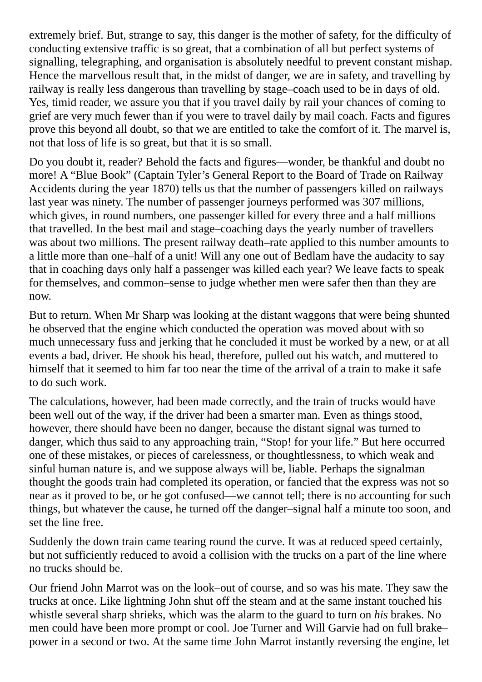extremely brief. But, strange to say, this danger is the mother of safety, for the difficulty of conducting extensive traffic is so great, that a combination of all but perfect systems of signalling, telegraphing, and organisation is absolutely needful to prevent constant mishap. Hence the marvellous result that, in the midst of danger, we are in safety, and travelling by railway is really less dangerous than travelling by stage–coach used to be in days of old. Yes, timid reader, we assure you that if you travel daily by rail your chances of coming to grief are very much fewer than if you were to travel daily by mail coach. Facts and figures prove this beyond all doubt, so that we are entitled to take the comfort of it. The marvel is, not that loss of life is so great, but that it is so small.

Do you doubt it, reader? Behold the facts and figures—wonder, be thankful and doubt no more! A "Blue Book" (Captain Tyler's General Report to the Board of Trade on Railway Accidents during the year 1870) tells us that the number of passengers killed on railways last year was ninety. The number of passenger journeys performed was 307 millions, which gives, in round numbers, one passenger killed for every three and a half millions that travelled. In the best mail and stage–coaching days the yearly number of travellers was about two millions. The present railway death–rate applied to this number amounts to a little more than one–half of a unit! Will any one out of Bedlam have the audacity to say that in coaching days only half a passenger was killed each year? We leave facts to speak for themselves, and common–sense to judge whether men were safer then than they are now.

But to return. When Mr Sharp was looking at the distant waggons that were being shunted he observed that the engine which conducted the operation was moved about with so much unnecessary fuss and jerking that he concluded it must be worked by a new, or at all events a bad, driver. He shook his head, therefore, pulled out his watch, and muttered to himself that it seemed to him far too near the time of the arrival of a train to make it safe to do such work.

The calculations, however, had been made correctly, and the train of trucks would have been well out of the way, if the driver had been a smarter man. Even as things stood, however, there should have been no danger, because the distant signal was turned to danger, which thus said to any approaching train, "Stop! for your life." But here occurred one of these mistakes, or pieces of carelessness, or thoughtlessness, to which weak and sinful human nature is, and we suppose always will be, liable. Perhaps the signalman thought the goods train had completed its operation, or fancied that the express was not so near as it proved to be, or he got confused—we cannot tell; there is no accounting for such things, but whatever the cause, he turned off the danger–signal half a minute too soon, and set the line free.

Suddenly the down train came tearing round the curve. It was at reduced speed certainly, but not sufficiently reduced to avoid a collision with the trucks on a part of the line where no trucks should be.

Our friend John Marrot was on the look–out of course, and so was his mate. They saw the trucks at once. Like lightning John shut off the steam and at the same instant touched his whistle several sharp shrieks, which was the alarm to the guard to turn on *his* brakes. No men could have been more prompt or cool. Joe Turner and Will Garvie had on full brake– power in a second or two. At the same time John Marrot instantly reversing the engine, let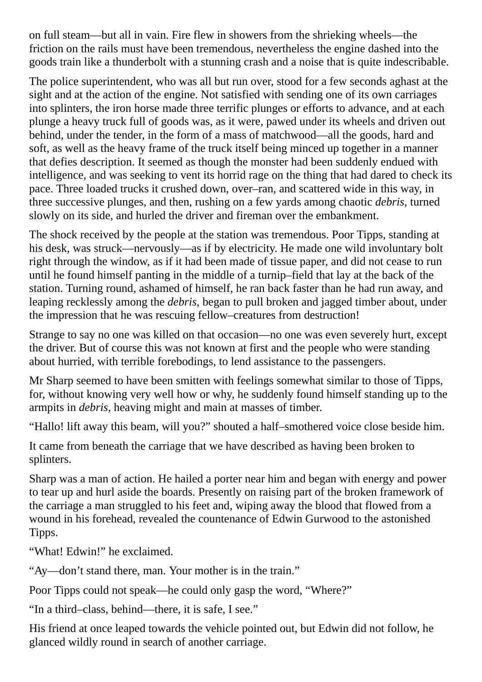on full steam—but all in vain. Fire flew in showers from the shrieking wheels—the friction on the rails must have been tremendous, nevertheless the engine dashed into the goods train like a thunderbolt with a stunning crash and a noise that is quite indescribable.

The police superintendent, who was all but run over, stood for a few seconds aghast at the sight and at the action of the engine. Not satisfied with sending one of its own carriages into splinters, the iron horse made three terrific plunges or efforts to advance, and at each plunge a heavy truck full of goods was, as it were, pawed under its wheels and driven out behind, under the tender, in the form of a mass of matchwood—all the goods, hard and soft, as well as the heavy frame of the truck itself being minced up together in a manner that defies description. It seemed as though the monster had been suddenly endued with intelligence, and was seeking to vent its horrid rage on the thing that had dared to check its pace. Three loaded trucks it crushed down, over–ran, and scattered wide in this way, in three successive plunges, and then, rushing on a few yards among chaotic *debris*, turned slowly on its side, and hurled the driver and fireman over the embankment.

The shock received by the people at the station was tremendous. Poor Tipps, standing at his desk, was struck—nervously—as if by electricity. He made one wild involuntary bolt right through the window, as if it had been made of tissue paper, and did not cease to run until he found himself panting in the middle of a turnip–field that lay at the back of the station. Turning round, ashamed of himself, he ran back faster than he had run away, and leaping recklessly among the *debris*, began to pull broken and jagged timber about, under the impression that he was rescuing fellow–creatures from destruction!

Strange to say no one was killed on that occasion—no one was even severely hurt, except the driver. But of course this was not known at first and the people who were standing about hurried, with terrible forebodings, to lend assistance to the passengers.

Mr Sharp seemed to have been smitten with feelings somewhat similar to those of Tipps, for, without knowing very well how or why, he suddenly found himself standing up to the armpits in *debris*, heaving might and main at masses of timber.

"Hallo! lift away this beam, will you?" shouted a half–smothered voice close beside him.

It came from beneath the carriage that we have described as having been broken to splinters.

Sharp was a man of action. He hailed a porter near him and began with energy and power to tear up and hurl aside the boards. Presently on raising part of the broken framework of the carriage a man struggled to his feet and, wiping away the blood that flowed from a wound in his forehead, revealed the countenance of Edwin Gurwood to the astonished Tipps.

"What! Edwin!" he exclaimed.

"Ay—don't stand there, man. Your mother is in the train."

Poor Tipps could not speak—he could only gasp the word, "Where?"

"In a third–class, behind—there, it is safe, I see."

His friend at once leaped towards the vehicle pointed out, but Edwin did not follow, he glanced wildly round in search of another carriage.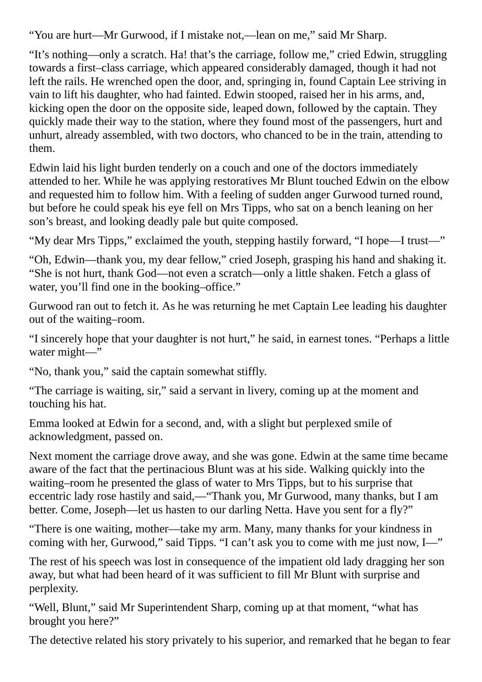"You are hurt—Mr Gurwood, if I mistake not,—lean on me," said Mr Sharp.

"It's nothing—only a scratch. Ha! that's the carriage, follow me," cried Edwin, struggling towards a first–class carriage, which appeared considerably damaged, though it had not left the rails. He wrenched open the door, and, springing in, found Captain Lee striving in vain to lift his daughter, who had fainted. Edwin stooped, raised her in his arms, and, kicking open the door on the opposite side, leaped down, followed by the captain. They quickly made their way to the station, where they found most of the passengers, hurt and unhurt, already assembled, with two doctors, who chanced to be in the train, attending to them.

Edwin laid his light burden tenderly on a couch and one of the doctors immediately attended to her. While he was applying restoratives Mr Blunt touched Edwin on the elbow and requested him to follow him. With a feeling of sudden anger Gurwood turned round, but before he could speak his eye fell on Mrs Tipps, who sat on a bench leaning on her son's breast, and looking deadly pale but quite composed.

"My dear Mrs Tipps," exclaimed the youth, stepping hastily forward, "I hope—I trust—"

"Oh, Edwin—thank you, my dear fellow," cried Joseph, grasping his hand and shaking it. "She is not hurt, thank God—not even a scratch—only a little shaken. Fetch a glass of water, you'll find one in the booking–office."

Gurwood ran out to fetch it. As he was returning he met Captain Lee leading his daughter out of the waiting–room.

"I sincerely hope that your daughter is not hurt," he said, in earnest tones. "Perhaps a little water might—"

"No, thank you," said the captain somewhat stiffly.

"The carriage is waiting, sir," said a servant in livery, coming up at the moment and touching his hat.

Emma looked at Edwin for a second, and, with a slight but perplexed smile of acknowledgment, passed on.

Next moment the carriage drove away, and she was gone. Edwin at the same time became aware of the fact that the pertinacious Blunt was at his side. Walking quickly into the waiting–room he presented the glass of water to Mrs Tipps, but to his surprise that eccentric lady rose hastily and said,—"Thank you, Mr Gurwood, many thanks, but I am better. Come, Joseph—let us hasten to our darling Netta. Have you sent for a fly?"

"There is one waiting, mother—take my arm. Many, many thanks for your kindness in coming with her, Gurwood," said Tipps. "I can't ask you to come with me just now, I—"

The rest of his speech was lost in consequence of the impatient old lady dragging her son away, but what had been heard of it was sufficient to fill Mr Blunt with surprise and perplexity.

"Well, Blunt," said Mr Superintendent Sharp, coming up at that moment, "what has brought you here?"

The detective related his story privately to his superior, and remarked that he began to fear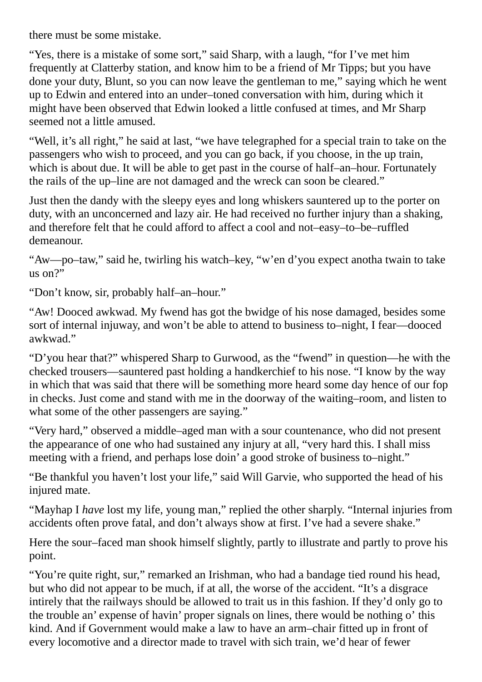there must be some mistake.

"Yes, there is a mistake of some sort," said Sharp, with a laugh, "for I've met him frequently at Clatterby station, and know him to be a friend of Mr Tipps; but you have done your duty, Blunt, so you can now leave the gentleman to me," saying which he went up to Edwin and entered into an under–toned conversation with him, during which it might have been observed that Edwin looked a little confused at times, and Mr Sharp seemed not a little amused.

"Well, it's all right," he said at last, "we have telegraphed for a special train to take on the passengers who wish to proceed, and you can go back, if you choose, in the up train, which is about due. It will be able to get past in the course of half–an–hour. Fortunately the rails of the up–line are not damaged and the wreck can soon be cleared."

Just then the dandy with the sleepy eyes and long whiskers sauntered up to the porter on duty, with an unconcerned and lazy air. He had received no further injury than a shaking, and therefore felt that he could afford to affect a cool and not–easy–to–be–ruffled demeanour.

"Aw—po–taw," said he, twirling his watch–key, "w'en d'you expect anotha twain to take  $\mu$ s on?"

"Don't know, sir, probably half–an–hour."

"Aw! Dooced awkwad. My fwend has got the bwidge of his nose damaged, besides some sort of internal injuway, and won't be able to attend to business to–night, I fear—dooced awkwad."

"D'you hear that?" whispered Sharp to Gurwood, as the "fwend" in question—he with the checked trousers—sauntered past holding a handkerchief to his nose. "I know by the way in which that was said that there will be something more heard some day hence of our fop in checks. Just come and stand with me in the doorway of the waiting–room, and listen to what some of the other passengers are saying."

"Very hard," observed a middle–aged man with a sour countenance, who did not present the appearance of one who had sustained any injury at all, "very hard this. I shall miss meeting with a friend, and perhaps lose doin' a good stroke of business to–night."

"Be thankful you haven't lost your life," said Will Garvie, who supported the head of his injured mate.

"Mayhap I *have* lost my life, young man," replied the other sharply. "Internal injuries from accidents often prove fatal, and don't always show at first. I've had a severe shake."

Here the sour–faced man shook himself slightly, partly to illustrate and partly to prove his point.

"You're quite right, sur," remarked an Irishman, who had a bandage tied round his head, but who did not appear to be much, if at all, the worse of the accident. "It's a disgrace intirely that the railways should be allowed to trait us in this fashion. If they'd only go to the trouble an' expense of havin' proper signals on lines, there would be nothing o' this kind. And if Government would make a law to have an arm–chair fitted up in front of every locomotive and a director made to travel with sich train, we'd hear of fewer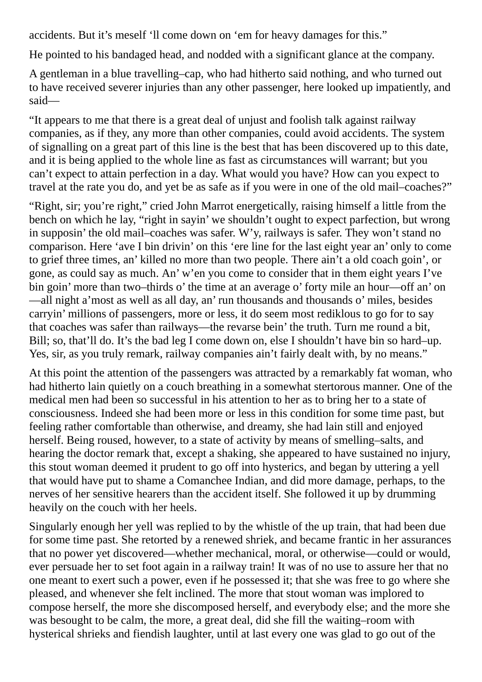accidents. But it's meself 'll come down on 'em for heavy damages for this."

He pointed to his bandaged head, and nodded with a significant glance at the company.

A gentleman in a blue travelling–cap, who had hitherto said nothing, and who turned out to have received severer injuries than any other passenger, here looked up impatiently, and said—

"It appears to me that there is a great deal of unjust and foolish talk against railway companies, as if they, any more than other companies, could avoid accidents. The system of signalling on a great part of this line is the best that has been discovered up to this date, and it is being applied to the whole line as fast as circumstances will warrant; but you can't expect to attain perfection in a day. What would you have? How can you expect to travel at the rate you do, and yet be as safe as if you were in one of the old mail–coaches?"

"Right, sir; you're right," cried John Marrot energetically, raising himself a little from the bench on which he lay, "right in sayin' we shouldn't ought to expect parfection, but wrong in supposin' the old mail–coaches was safer. W'y, railways is safer. They won't stand no comparison. Here 'ave I bin drivin' on this 'ere line for the last eight year an' only to come to grief three times, an' killed no more than two people. There ain't a old coach goin', or gone, as could say as much. An' w'en you come to consider that in them eight years I've bin goin' more than two–thirds o' the time at an average o' forty mile an hour—off an' on —all night a'most as well as all day, an' run thousands and thousands o' miles, besides carryin' millions of passengers, more or less, it do seem most rediklous to go for to say that coaches was safer than railways—the revarse bein' the truth. Turn me round a bit, Bill; so, that'll do. It's the bad leg I come down on, else I shouldn't have bin so hard–up. Yes, sir, as you truly remark, railway companies ain't fairly dealt with, by no means."

At this point the attention of the passengers was attracted by a remarkably fat woman, who had hitherto lain quietly on a couch breathing in a somewhat stertorous manner. One of the medical men had been so successful in his attention to her as to bring her to a state of consciousness. Indeed she had been more or less in this condition for some time past, but feeling rather comfortable than otherwise, and dreamy, she had lain still and enjoyed herself. Being roused, however, to a state of activity by means of smelling–salts, and hearing the doctor remark that, except a shaking, she appeared to have sustained no injury, this stout woman deemed it prudent to go off into hysterics, and began by uttering a yell that would have put to shame a Comanchee Indian, and did more damage, perhaps, to the nerves of her sensitive hearers than the accident itself. She followed it up by drumming heavily on the couch with her heels.

Singularly enough her yell was replied to by the whistle of the up train, that had been due for some time past. She retorted by a renewed shriek, and became frantic in her assurances that no power yet discovered—whether mechanical, moral, or otherwise—could or would, ever persuade her to set foot again in a railway train! It was of no use to assure her that no one meant to exert such a power, even if he possessed it; that she was free to go where she pleased, and whenever she felt inclined. The more that stout woman was implored to compose herself, the more she discomposed herself, and everybody else; and the more she was besought to be calm, the more, a great deal, did she fill the waiting–room with hysterical shrieks and fiendish laughter, until at last every one was glad to go out of the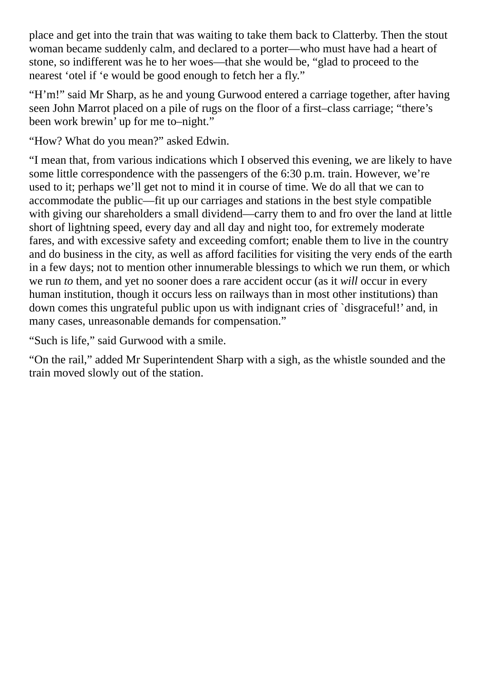place and get into the train that was waiting to take them back to Clatterby. Then the stout woman became suddenly calm, and declared to a porter—who must have had a heart of stone, so indifferent was he to her woes—that she would be, "glad to proceed to the nearest 'otel if 'e would be good enough to fetch her a fly."

"H'm!" said Mr Sharp, as he and young Gurwood entered a carriage together, after having seen John Marrot placed on a pile of rugs on the floor of a first–class carriage; "there's been work brewin' up for me to–night."

"How? What do you mean?" asked Edwin.

"I mean that, from various indications which I observed this evening, we are likely to have some little correspondence with the passengers of the 6:30 p.m. train. However, we're used to it; perhaps we'll get not to mind it in course of time. We do all that we can to accommodate the public—fit up our carriages and stations in the best style compatible with giving our shareholders a small dividend—carry them to and fro over the land at little short of lightning speed, every day and all day and night too, for extremely moderate fares, and with excessive safety and exceeding comfort; enable them to live in the country and do business in the city, as well as afford facilities for visiting the very ends of the earth in a few days; not to mention other innumerable blessings to which we run them, or which we run *to* them, and yet no sooner does a rare accident occur (as it *will* occur in every human institution, though it occurs less on railways than in most other institutions) than down comes this ungrateful public upon us with indignant cries of `disgraceful!' and, in many cases, unreasonable demands for compensation."

"Such is life," said Gurwood with a smile.

"On the rail," added Mr Superintendent Sharp with a sigh, as the whistle sounded and the train moved slowly out of the station.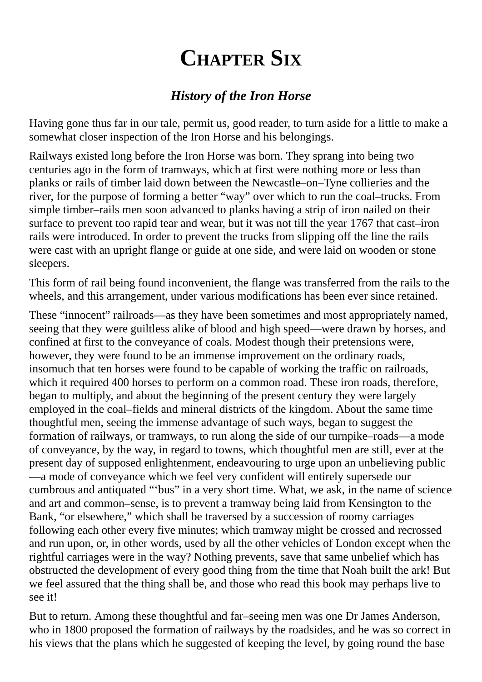## **CHAPTER SIX**

#### *History of the Iron Horse*

<span id="page-34-0"></span>Having gone thus far in our tale, permit us, good reader, to turn aside for a little to make a somewhat closer inspection of the Iron Horse and his belongings.

Railways existed long before the Iron Horse was born. They sprang into being two centuries ago in the form of tramways, which at first were nothing more or less than planks or rails of timber laid down between the Newcastle–on–Tyne collieries and the river, for the purpose of forming a better "way" over which to run the coal–trucks. From simple timber–rails men soon advanced to planks having a strip of iron nailed on their surface to prevent too rapid tear and wear, but it was not till the year 1767 that cast–iron rails were introduced. In order to prevent the trucks from slipping off the line the rails were cast with an upright flange or guide at one side, and were laid on wooden or stone sleepers.

This form of rail being found inconvenient, the flange was transferred from the rails to the wheels, and this arrangement, under various modifications has been ever since retained.

These "innocent" railroads—as they have been sometimes and most appropriately named, seeing that they were guiltless alike of blood and high speed—were drawn by horses, and confined at first to the conveyance of coals. Modest though their pretensions were, however, they were found to be an immense improvement on the ordinary roads, insomuch that ten horses were found to be capable of working the traffic on railroads, which it required 400 horses to perform on a common road. These iron roads, therefore, began to multiply, and about the beginning of the present century they were largely employed in the coal–fields and mineral districts of the kingdom. About the same time thoughtful men, seeing the immense advantage of such ways, began to suggest the formation of railways, or tramways, to run along the side of our turnpike–roads—a mode of conveyance, by the way, in regard to towns, which thoughtful men are still, ever at the present day of supposed enlightenment, endeavouring to urge upon an unbelieving public —a mode of conveyance which we feel very confident will entirely supersede our cumbrous and antiquated "'bus" in a very short time. What, we ask, in the name of science and art and common–sense, is to prevent a tramway being laid from Kensington to the Bank, "or elsewhere," which shall be traversed by a succession of roomy carriages following each other every five minutes; which tramway might be crossed and recrossed and run upon, or, in other words, used by all the other vehicles of London except when the rightful carriages were in the way? Nothing prevents, save that same unbelief which has obstructed the development of every good thing from the time that Noah built the ark! But we feel assured that the thing shall be, and those who read this book may perhaps live to see it!

But to return. Among these thoughtful and far–seeing men was one Dr James Anderson, who in 1800 proposed the formation of railways by the roadsides, and he was so correct in his views that the plans which he suggested of keeping the level, by going round the base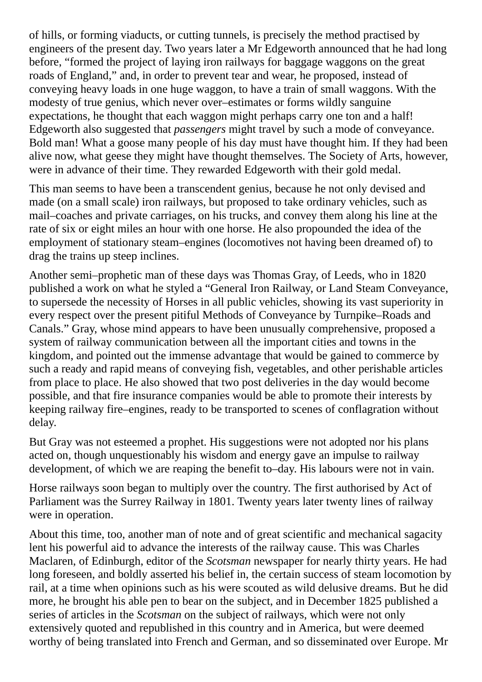of hills, or forming viaducts, or cutting tunnels, is precisely the method practised by engineers of the present day. Two years later a Mr Edgeworth announced that he had long before, "formed the project of laying iron railways for baggage waggons on the great roads of England," and, in order to prevent tear and wear, he proposed, instead of conveying heavy loads in one huge waggon, to have a train of small waggons. With the modesty of true genius, which never over–estimates or forms wildly sanguine expectations, he thought that each waggon might perhaps carry one ton and a half! Edgeworth also suggested that *passengers* might travel by such a mode of conveyance. Bold man! What a goose many people of his day must have thought him. If they had been alive now, what geese they might have thought themselves. The Society of Arts, however, were in advance of their time. They rewarded Edgeworth with their gold medal.

This man seems to have been a transcendent genius, because he not only devised and made (on a small scale) iron railways, but proposed to take ordinary vehicles, such as mail–coaches and private carriages, on his trucks, and convey them along his line at the rate of six or eight miles an hour with one horse. He also propounded the idea of the employment of stationary steam–engines (locomotives not having been dreamed of) to drag the trains up steep inclines.

Another semi–prophetic man of these days was Thomas Gray, of Leeds, who in 1820 published a work on what he styled a "General Iron Railway, or Land Steam Conveyance, to supersede the necessity of Horses in all public vehicles, showing its vast superiority in every respect over the present pitiful Methods of Conveyance by Turnpike–Roads and Canals." Gray, whose mind appears to have been unusually comprehensive, proposed a system of railway communication between all the important cities and towns in the kingdom, and pointed out the immense advantage that would be gained to commerce by such a ready and rapid means of conveying fish, vegetables, and other perishable articles from place to place. He also showed that two post deliveries in the day would become possible, and that fire insurance companies would be able to promote their interests by keeping railway fire–engines, ready to be transported to scenes of conflagration without delay.

But Gray was not esteemed a prophet. His suggestions were not adopted nor his plans acted on, though unquestionably his wisdom and energy gave an impulse to railway development, of which we are reaping the benefit to–day. His labours were not in vain.

Horse railways soon began to multiply over the country. The first authorised by Act of Parliament was the Surrey Railway in 1801. Twenty years later twenty lines of railway were in operation.

About this time, too, another man of note and of great scientific and mechanical sagacity lent his powerful aid to advance the interests of the railway cause. This was Charles Maclaren, of Edinburgh, editor of the *Scotsman* newspaper for nearly thirty years. He had long foreseen, and boldly asserted his belief in, the certain success of steam locomotion by rail, at a time when opinions such as his were scouted as wild delusive dreams. But he did more, he brought his able pen to bear on the subject, and in December 1825 published a series of articles in the *Scotsman* on the subject of railways, which were not only extensively quoted and republished in this country and in America, but were deemed worthy of being translated into French and German, and so disseminated over Europe. Mr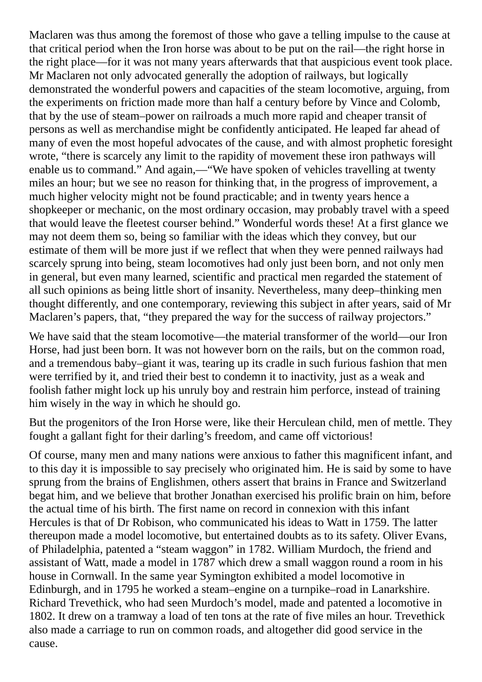Maclaren was thus among the foremost of those who gave a telling impulse to the cause at that critical period when the Iron horse was about to be put on the rail—the right horse in the right place—for it was not many years afterwards that that auspicious event took place. Mr Maclaren not only advocated generally the adoption of railways, but logically demonstrated the wonderful powers and capacities of the steam locomotive, arguing, from the experiments on friction made more than half a century before by Vince and Colomb, that by the use of steam–power on railroads a much more rapid and cheaper transit of persons as well as merchandise might be confidently anticipated. He leaped far ahead of many of even the most hopeful advocates of the cause, and with almost prophetic foresight wrote, "there is scarcely any limit to the rapidity of movement these iron pathways will enable us to command." And again,—"We have spoken of vehicles travelling at twenty miles an hour; but we see no reason for thinking that, in the progress of improvement, a much higher velocity might not be found practicable; and in twenty years hence a shopkeeper or mechanic, on the most ordinary occasion, may probably travel with a speed that would leave the fleetest courser behind." Wonderful words these! At a first glance we may not deem them so, being so familiar with the ideas which they convey, but our estimate of them will be more just if we reflect that when they were penned railways had scarcely sprung into being, steam locomotives had only just been born, and not only men in general, but even many learned, scientific and practical men regarded the statement of all such opinions as being little short of insanity. Nevertheless, many deep–thinking men thought differently, and one contemporary, reviewing this subject in after years, said of Mr Maclaren's papers, that, "they prepared the way for the success of railway projectors."

We have said that the steam locomotive—the material transformer of the world—our Iron Horse, had just been born. It was not however born on the rails, but on the common road, and a tremendous baby–giant it was, tearing up its cradle in such furious fashion that men were terrified by it, and tried their best to condemn it to inactivity, just as a weak and foolish father might lock up his unruly boy and restrain him perforce, instead of training him wisely in the way in which he should go.

But the progenitors of the Iron Horse were, like their Herculean child, men of mettle. They fought a gallant fight for their darling's freedom, and came off victorious!

Of course, many men and many nations were anxious to father this magnificent infant, and to this day it is impossible to say precisely who originated him. He is said by some to have sprung from the brains of Englishmen, others assert that brains in France and Switzerland begat him, and we believe that brother Jonathan exercised his prolific brain on him, before the actual time of his birth. The first name on record in connexion with this infant Hercules is that of Dr Robison, who communicated his ideas to Watt in 1759. The latter thereupon made a model locomotive, but entertained doubts as to its safety. Oliver Evans, of Philadelphia, patented a "steam waggon" in 1782. William Murdoch, the friend and assistant of Watt, made a model in 1787 which drew a small waggon round a room in his house in Cornwall. In the same year Symington exhibited a model locomotive in Edinburgh, and in 1795 he worked a steam–engine on a turnpike–road in Lanarkshire. Richard Trevethick, who had seen Murdoch's model, made and patented a locomotive in 1802. It drew on a tramway a load of ten tons at the rate of five miles an hour. Trevethick also made a carriage to run on common roads, and altogether did good service in the cause.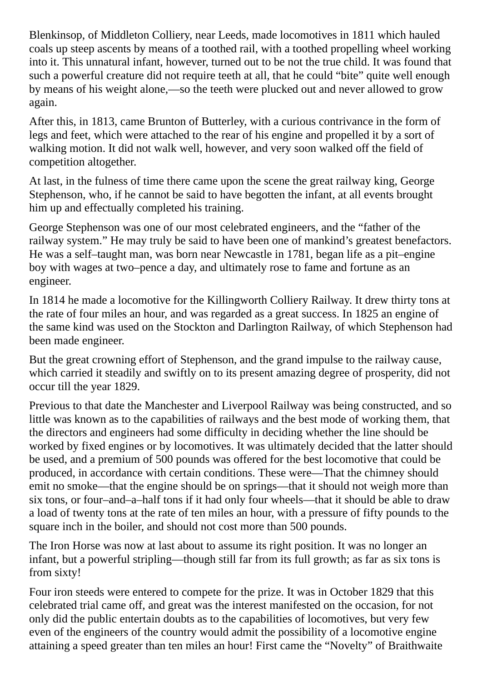Blenkinsop, of Middleton Colliery, near Leeds, made locomotives in 1811 which hauled coals up steep ascents by means of a toothed rail, with a toothed propelling wheel working into it. This unnatural infant, however, turned out to be not the true child. It was found that such a powerful creature did not require teeth at all, that he could "bite" quite well enough by means of his weight alone,—so the teeth were plucked out and never allowed to grow again.

After this, in 1813, came Brunton of Butterley, with a curious contrivance in the form of legs and feet, which were attached to the rear of his engine and propelled it by a sort of walking motion. It did not walk well, however, and very soon walked off the field of competition altogether.

At last, in the fulness of time there came upon the scene the great railway king, George Stephenson, who, if he cannot be said to have begotten the infant, at all events brought him up and effectually completed his training.

George Stephenson was one of our most celebrated engineers, and the "father of the railway system." He may truly be said to have been one of mankind's greatest benefactors. He was a self–taught man, was born near Newcastle in 1781, began life as a pit–engine boy with wages at two–pence a day, and ultimately rose to fame and fortune as an engineer.

In 1814 he made a locomotive for the Killingworth Colliery Railway. It drew thirty tons at the rate of four miles an hour, and was regarded as a great success. In 1825 an engine of the same kind was used on the Stockton and Darlington Railway, of which Stephenson had been made engineer.

But the great crowning effort of Stephenson, and the grand impulse to the railway cause, which carried it steadily and swiftly on to its present amazing degree of prosperity, did not occur till the year 1829.

Previous to that date the Manchester and Liverpool Railway was being constructed, and so little was known as to the capabilities of railways and the best mode of working them, that the directors and engineers had some difficulty in deciding whether the line should be worked by fixed engines or by locomotives. It was ultimately decided that the latter should be used, and a premium of 500 pounds was offered for the best locomotive that could be produced, in accordance with certain conditions. These were—That the chimney should emit no smoke—that the engine should be on springs—that it should not weigh more than six tons, or four–and–a–half tons if it had only four wheels—that it should be able to draw a load of twenty tons at the rate of ten miles an hour, with a pressure of fifty pounds to the square inch in the boiler, and should not cost more than 500 pounds.

The Iron Horse was now at last about to assume its right position. It was no longer an infant, but a powerful stripling—though still far from its full growth; as far as six tons is from sixty!

Four iron steeds were entered to compete for the prize. It was in October 1829 that this celebrated trial came off, and great was the interest manifested on the occasion, for not only did the public entertain doubts as to the capabilities of locomotives, but very few even of the engineers of the country would admit the possibility of a locomotive engine attaining a speed greater than ten miles an hour! First came the "Novelty" of Braithwaite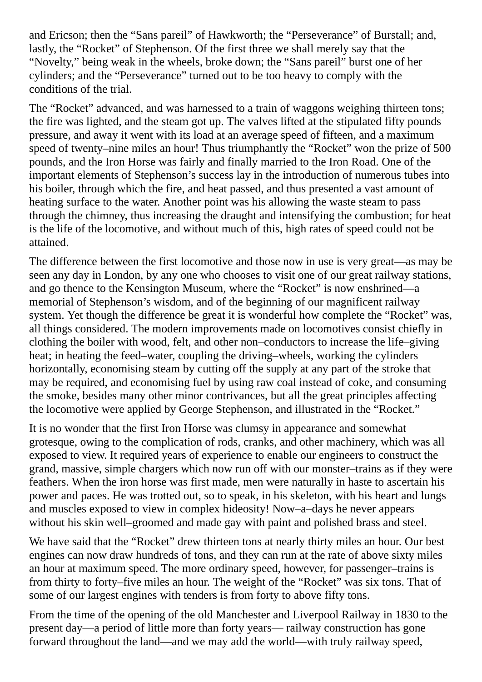and Ericson; then the "Sans pareil" of Hawkworth; the "Perseverance" of Burstall; and, lastly, the "Rocket" of Stephenson. Of the first three we shall merely say that the "Novelty," being weak in the wheels, broke down; the "Sans pareil" burst one of her cylinders; and the "Perseverance" turned out to be too heavy to comply with the conditions of the trial.

The "Rocket" advanced, and was harnessed to a train of waggons weighing thirteen tons; the fire was lighted, and the steam got up. The valves lifted at the stipulated fifty pounds pressure, and away it went with its load at an average speed of fifteen, and a maximum speed of twenty–nine miles an hour! Thus triumphantly the "Rocket" won the prize of 500 pounds, and the Iron Horse was fairly and finally married to the Iron Road. One of the important elements of Stephenson's success lay in the introduction of numerous tubes into his boiler, through which the fire, and heat passed, and thus presented a vast amount of heating surface to the water. Another point was his allowing the waste steam to pass through the chimney, thus increasing the draught and intensifying the combustion; for heat is the life of the locomotive, and without much of this, high rates of speed could not be attained.

The difference between the first locomotive and those now in use is very great—as may be seen any day in London, by any one who chooses to visit one of our great railway stations, and go thence to the Kensington Museum, where the "Rocket" is now enshrined—a memorial of Stephenson's wisdom, and of the beginning of our magnificent railway system. Yet though the difference be great it is wonderful how complete the "Rocket" was, all things considered. The modern improvements made on locomotives consist chiefly in clothing the boiler with wood, felt, and other non–conductors to increase the life–giving heat; in heating the feed–water, coupling the driving–wheels, working the cylinders horizontally, economising steam by cutting off the supply at any part of the stroke that may be required, and economising fuel by using raw coal instead of coke, and consuming the smoke, besides many other minor contrivances, but all the great principles affecting the locomotive were applied by George Stephenson, and illustrated in the "Rocket."

It is no wonder that the first Iron Horse was clumsy in appearance and somewhat grotesque, owing to the complication of rods, cranks, and other machinery, which was all exposed to view. It required years of experience to enable our engineers to construct the grand, massive, simple chargers which now run off with our monster–trains as if they were feathers. When the iron horse was first made, men were naturally in haste to ascertain his power and paces. He was trotted out, so to speak, in his skeleton, with his heart and lungs and muscles exposed to view in complex hideosity! Now–a–days he never appears without his skin well–groomed and made gay with paint and polished brass and steel.

We have said that the "Rocket" drew thirteen tons at nearly thirty miles an hour. Our best engines can now draw hundreds of tons, and they can run at the rate of above sixty miles an hour at maximum speed. The more ordinary speed, however, for passenger–trains is from thirty to forty–five miles an hour. The weight of the "Rocket" was six tons. That of some of our largest engines with tenders is from forty to above fifty tons.

From the time of the opening of the old Manchester and Liverpool Railway in 1830 to the present day—a period of little more than forty years— railway construction has gone forward throughout the land—and we may add the world—with truly railway speed,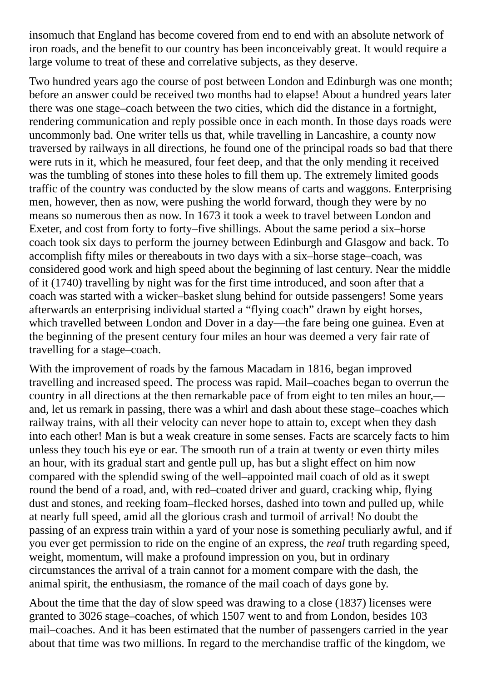insomuch that England has become covered from end to end with an absolute network of iron roads, and the benefit to our country has been inconceivably great. It would require a large volume to treat of these and correlative subjects, as they deserve.

Two hundred years ago the course of post between London and Edinburgh was one month; before an answer could be received two months had to elapse! About a hundred years later there was one stage–coach between the two cities, which did the distance in a fortnight, rendering communication and reply possible once in each month. In those days roads were uncommonly bad. One writer tells us that, while travelling in Lancashire, a county now traversed by railways in all directions, he found one of the principal roads so bad that there were ruts in it, which he measured, four feet deep, and that the only mending it received was the tumbling of stones into these holes to fill them up. The extremely limited goods traffic of the country was conducted by the slow means of carts and waggons. Enterprising men, however, then as now, were pushing the world forward, though they were by no means so numerous then as now. In 1673 it took a week to travel between London and Exeter, and cost from forty to forty–five shillings. About the same period a six–horse coach took six days to perform the journey between Edinburgh and Glasgow and back. To accomplish fifty miles or thereabouts in two days with a six–horse stage–coach, was considered good work and high speed about the beginning of last century. Near the middle of it (1740) travelling by night was for the first time introduced, and soon after that a coach was started with a wicker–basket slung behind for outside passengers! Some years afterwards an enterprising individual started a "flying coach" drawn by eight horses, which travelled between London and Dover in a day—the fare being one guinea. Even at the beginning of the present century four miles an hour was deemed a very fair rate of travelling for a stage–coach.

With the improvement of roads by the famous Macadam in 1816, began improved travelling and increased speed. The process was rapid. Mail–coaches began to overrun the country in all directions at the then remarkable pace of from eight to ten miles an hour, and, let us remark in passing, there was a whirl and dash about these stage–coaches which railway trains, with all their velocity can never hope to attain to, except when they dash into each other! Man is but a weak creature in some senses. Facts are scarcely facts to him unless they touch his eye or ear. The smooth run of a train at twenty or even thirty miles an hour, with its gradual start and gentle pull up, has but a slight effect on him now compared with the splendid swing of the well–appointed mail coach of old as it swept round the bend of a road, and, with red–coated driver and guard, cracking whip, flying dust and stones, and reeking foam–flecked horses, dashed into town and pulled up, while at nearly full speed, amid all the glorious crash and turmoil of arrival! No doubt the passing of an express train within a yard of your nose is something peculiarly awful, and if you ever get permission to ride on the engine of an express, the *real* truth regarding speed, weight, momentum, will make a profound impression on you, but in ordinary circumstances the arrival of a train cannot for a moment compare with the dash, the animal spirit, the enthusiasm, the romance of the mail coach of days gone by.

About the time that the day of slow speed was drawing to a close (1837) licenses were granted to 3026 stage–coaches, of which 1507 went to and from London, besides 103 mail–coaches. And it has been estimated that the number of passengers carried in the year about that time was two millions. In regard to the merchandise traffic of the kingdom, we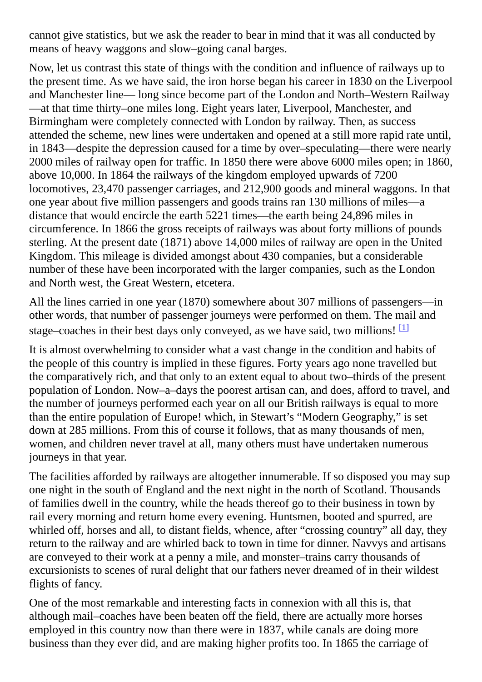cannot give statistics, but we ask the reader to bear in mind that it was all conducted by means of heavy waggons and slow–going canal barges.

Now, let us contrast this state of things with the condition and influence of railways up to the present time. As we have said, the iron horse began his career in 1830 on the Liverpool and Manchester line— long since become part of the London and North–Western Railway —at that time thirty–one miles long. Eight years later, Liverpool, Manchester, and Birmingham were completely connected with London by railway. Then, as success attended the scheme, new lines were undertaken and opened at a still more rapid rate until, in 1843—despite the depression caused for a time by over–speculating—there were nearly 2000 miles of railway open for traffic. In 1850 there were above 6000 miles open; in 1860, above 10,000. In 1864 the railways of the kingdom employed upwards of 7200 locomotives, 23,470 passenger carriages, and 212,900 goods and mineral waggons. In that one year about five million passengers and goods trains ran 130 millions of miles—a distance that would encircle the earth 5221 times—the earth being 24,896 miles in circumference. In 1866 the gross receipts of railways was about forty millions of pounds sterling. At the present date (1871) above 14,000 miles of railway are open in the United Kingdom. This mileage is divided amongst about 430 companies, but a considerable number of these have been incorporated with the larger companies, such as the London and North west, the Great Western, etcetera.

All the lines carried in one year (1870) somewhere about 307 millions of passengers—in other words, that number of passenger journeys were performed on them. The mail and stage–coaches in their best days only conveyed, as we have said, two millions!  $^{[1]}$  $^{[1]}$  $^{[1]}$ 

<span id="page-40-0"></span>It is almost overwhelming to consider what a vast change in the condition and habits of the people of this country is implied in these figures. Forty years ago none travelled but the comparatively rich, and that only to an extent equal to about two–thirds of the present population of London. Now–a–days the poorest artisan can, and does, afford to travel, and the number of journeys performed each year on all our British railways is equal to more than the entire population of Europe! which, in Stewart's "Modern Geography," is set down at 285 millions. From this of course it follows, that as many thousands of men, women, and children never travel at all, many others must have undertaken numerous journeys in that year.

The facilities afforded by railways are altogether innumerable. If so disposed you may sup one night in the south of England and the next night in the north of Scotland. Thousands of families dwell in the country, while the heads thereof go to their business in town by rail every morning and return home every evening. Huntsmen, booted and spurred, are whirled off, horses and all, to distant fields, whence, after "crossing country" all day, they return to the railway and are whirled back to town in time for dinner. Navvys and artisans are conveyed to their work at a penny a mile, and monster–trains carry thousands of excursionists to scenes of rural delight that our fathers never dreamed of in their wildest flights of fancy.

One of the most remarkable and interesting facts in connexion with all this is, that although mail–coaches have been beaten off the field, there are actually more horses employed in this country now than there were in 1837, while canals are doing more business than they ever did, and are making higher profits too. In 1865 the carriage of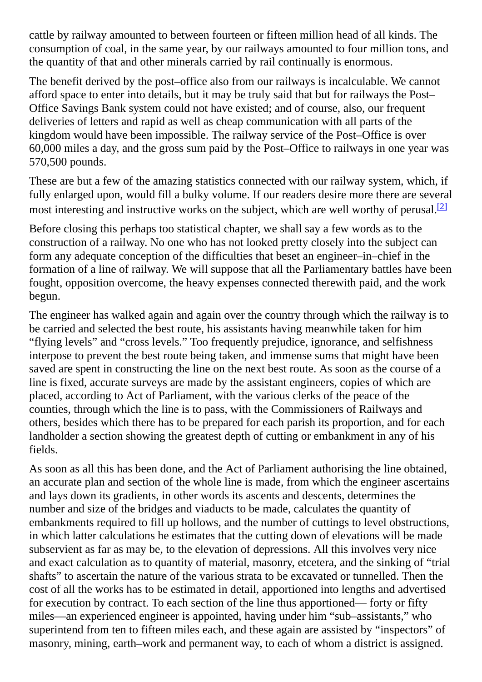cattle by railway amounted to between fourteen or fifteen million head of all kinds. The consumption of coal, in the same year, by our railways amounted to four million tons, and the quantity of that and other minerals carried by rail continually is enormous.

The benefit derived by the post–office also from our railways is incalculable. We cannot afford space to enter into details, but it may be truly said that but for railways the Post– Office Savings Bank system could not have existed; and of course, also, our frequent deliveries of letters and rapid as well as cheap communication with all parts of the kingdom would have been impossible. The railway service of the Post–Office is over 60,000 miles a day, and the gross sum paid by the Post–Office to railways in one year was 570,500 pounds.

These are but a few of the amazing statistics connected with our railway system, which, if fully enlarged upon, would fill a bulky volume. If our readers desire more there are several most interesting and instructive works on the subject, which are well worthy of perusal.<sup>[\[2\]](#page-47-1)</sup>

<span id="page-41-0"></span>Before closing this perhaps too statistical chapter, we shall say a few words as to the construction of a railway. No one who has not looked pretty closely into the subject can form any adequate conception of the difficulties that beset an engineer–in–chief in the formation of a line of railway. We will suppose that all the Parliamentary battles have been fought, opposition overcome, the heavy expenses connected therewith paid, and the work begun.

The engineer has walked again and again over the country through which the railway is to be carried and selected the best route, his assistants having meanwhile taken for him "flying levels" and "cross levels." Too frequently prejudice, ignorance, and selfishness interpose to prevent the best route being taken, and immense sums that might have been saved are spent in constructing the line on the next best route. As soon as the course of a line is fixed, accurate surveys are made by the assistant engineers, copies of which are placed, according to Act of Parliament, with the various clerks of the peace of the counties, through which the line is to pass, with the Commissioners of Railways and others, besides which there has to be prepared for each parish its proportion, and for each landholder a section showing the greatest depth of cutting or embankment in any of his fields.

As soon as all this has been done, and the Act of Parliament authorising the line obtained, an accurate plan and section of the whole line is made, from which the engineer ascertains and lays down its gradients, in other words its ascents and descents, determines the number and size of the bridges and viaducts to be made, calculates the quantity of embankments required to fill up hollows, and the number of cuttings to level obstructions, in which latter calculations he estimates that the cutting down of elevations will be made subservient as far as may be, to the elevation of depressions. All this involves very nice and exact calculation as to quantity of material, masonry, etcetera, and the sinking of "trial shafts" to ascertain the nature of the various strata to be excavated or tunnelled. Then the cost of all the works has to be estimated in detail, apportioned into lengths and advertised for execution by contract. To each section of the line thus apportioned— forty or fifty miles—an experienced engineer is appointed, having under him "sub–assistants," who superintend from ten to fifteen miles each, and these again are assisted by "inspectors" of masonry, mining, earth–work and permanent way, to each of whom a district is assigned.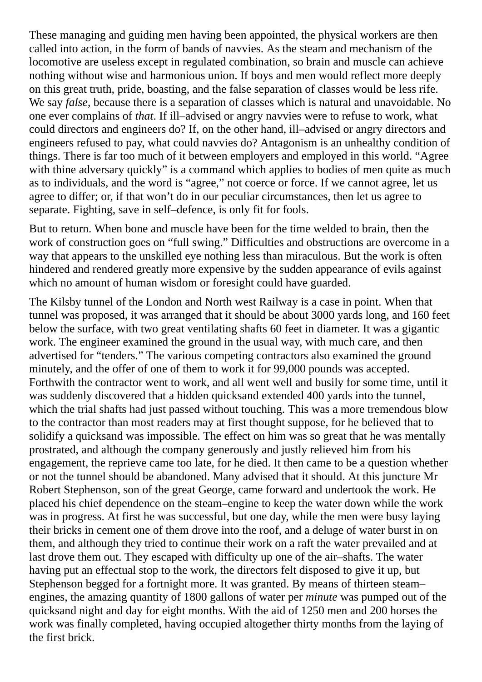These managing and guiding men having been appointed, the physical workers are then called into action, in the form of bands of navvies. As the steam and mechanism of the locomotive are useless except in regulated combination, so brain and muscle can achieve nothing without wise and harmonious union. If boys and men would reflect more deeply on this great truth, pride, boasting, and the false separation of classes would be less rife. We say *false*, because there is a separation of classes which is natural and unavoidable. No one ever complains of *that*. If ill–advised or angry navvies were to refuse to work, what could directors and engineers do? If, on the other hand, ill–advised or angry directors and engineers refused to pay, what could navvies do? Antagonism is an unhealthy condition of things. There is far too much of it between employers and employed in this world. "Agree with thine adversary quickly" is a command which applies to bodies of men quite as much as to individuals, and the word is "agree," not coerce or force. If we cannot agree, let us agree to differ; or, if that won't do in our peculiar circumstances, then let us agree to separate. Fighting, save in self–defence, is only fit for fools.

But to return. When bone and muscle have been for the time welded to brain, then the work of construction goes on "full swing." Difficulties and obstructions are overcome in a way that appears to the unskilled eye nothing less than miraculous. But the work is often hindered and rendered greatly more expensive by the sudden appearance of evils against which no amount of human wisdom or foresight could have guarded.

The Kilsby tunnel of the London and North west Railway is a case in point. When that tunnel was proposed, it was arranged that it should be about 3000 yards long, and 160 feet below the surface, with two great ventilating shafts 60 feet in diameter. It was a gigantic work. The engineer examined the ground in the usual way, with much care, and then advertised for "tenders." The various competing contractors also examined the ground minutely, and the offer of one of them to work it for 99,000 pounds was accepted. Forthwith the contractor went to work, and all went well and busily for some time, until it was suddenly discovered that a hidden quicksand extended 400 yards into the tunnel, which the trial shafts had just passed without touching. This was a more tremendous blow to the contractor than most readers may at first thought suppose, for he believed that to solidify a quicksand was impossible. The effect on him was so great that he was mentally prostrated, and although the company generously and justly relieved him from his engagement, the reprieve came too late, for he died. It then came to be a question whether or not the tunnel should be abandoned. Many advised that it should. At this juncture Mr Robert Stephenson, son of the great George, came forward and undertook the work. He placed his chief dependence on the steam–engine to keep the water down while the work was in progress. At first he was successful, but one day, while the men were busy laying their bricks in cement one of them drove into the roof, and a deluge of water burst in on them, and although they tried to continue their work on a raft the water prevailed and at last drove them out. They escaped with difficulty up one of the air–shafts. The water having put an effectual stop to the work, the directors felt disposed to give it up, but Stephenson begged for a fortnight more. It was granted. By means of thirteen steam– engines, the amazing quantity of 1800 gallons of water per *minute* was pumped out of the quicksand night and day for eight months. With the aid of 1250 men and 200 horses the work was finally completed, having occupied altogether thirty months from the laying of the first brick.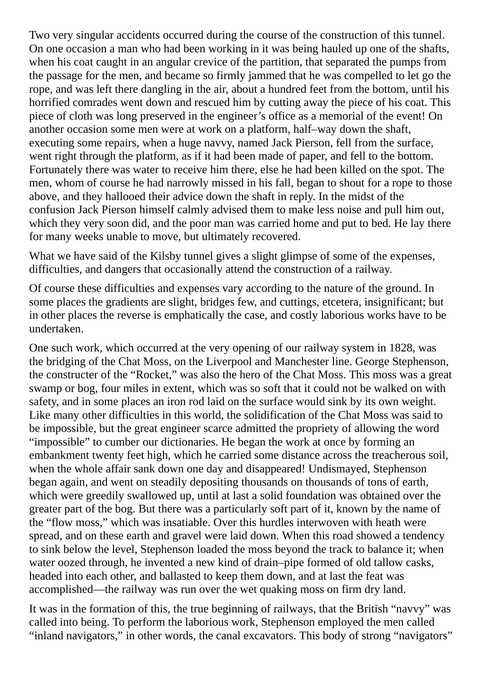Two very singular accidents occurred during the course of the construction of this tunnel. On one occasion a man who had been working in it was being hauled up one of the shafts, when his coat caught in an angular crevice of the partition, that separated the pumps from the passage for the men, and became so firmly jammed that he was compelled to let go the rope, and was left there dangling in the air, about a hundred feet from the bottom, until his horrified comrades went down and rescued him by cutting away the piece of his coat. This piece of cloth was long preserved in the engineer's office as a memorial of the event! On another occasion some men were at work on a platform, half–way down the shaft, executing some repairs, when a huge navvy, named Jack Pierson, fell from the surface, went right through the platform, as if it had been made of paper, and fell to the bottom. Fortunately there was water to receive him there, else he had been killed on the spot. The men, whom of course he had narrowly missed in his fall, began to shout for a rope to those above, and they hallooed their advice down the shaft in reply. In the midst of the confusion Jack Pierson himself calmly advised them to make less noise and pull him out, which they very soon did, and the poor man was carried home and put to bed. He lay there for many weeks unable to move, but ultimately recovered.

What we have said of the Kilsby tunnel gives a slight glimpse of some of the expenses, difficulties, and dangers that occasionally attend the construction of a railway.

Of course these difficulties and expenses vary according to the nature of the ground. In some places the gradients are slight, bridges few, and cuttings, etcetera, insignificant; but in other places the reverse is emphatically the case, and costly laborious works have to be undertaken.

One such work, which occurred at the very opening of our railway system in 1828, was the bridging of the Chat Moss, on the Liverpool and Manchester line. George Stephenson, the constructer of the "Rocket," was also the hero of the Chat Moss. This moss was a great swamp or bog, four miles in extent, which was so soft that it could not be walked on with safety, and in some places an iron rod laid on the surface would sink by its own weight. Like many other difficulties in this world, the solidification of the Chat Moss was said to be impossible, but the great engineer scarce admitted the propriety of allowing the word "impossible" to cumber our dictionaries. He began the work at once by forming an embankment twenty feet high, which he carried some distance across the treacherous soil, when the whole affair sank down one day and disappeared! Undismayed, Stephenson began again, and went on steadily depositing thousands on thousands of tons of earth, which were greedily swallowed up, until at last a solid foundation was obtained over the greater part of the bog. But there was a particularly soft part of it, known by the name of the "flow moss," which was insatiable. Over this hurdles interwoven with heath were spread, and on these earth and gravel were laid down. When this road showed a tendency to sink below the level, Stephenson loaded the moss beyond the track to balance it; when water oozed through, he invented a new kind of drain–pipe formed of old tallow casks, headed into each other, and ballasted to keep them down, and at last the feat was accomplished—the railway was run over the wet quaking moss on firm dry land.

It was in the formation of this, the true beginning of railways, that the British "navvy" was called into being. To perform the laborious work, Stephenson employed the men called "inland navigators," in other words, the canal excavators. This body of strong "navigators"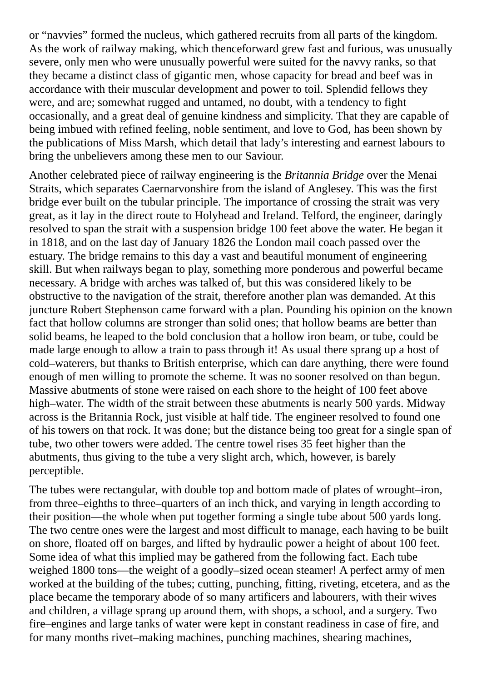or "navvies" formed the nucleus, which gathered recruits from all parts of the kingdom. As the work of railway making, which thenceforward grew fast and furious, was unusually severe, only men who were unusually powerful were suited for the navvy ranks, so that they became a distinct class of gigantic men, whose capacity for bread and beef was in accordance with their muscular development and power to toil. Splendid fellows they were, and are; somewhat rugged and untamed, no doubt, with a tendency to fight occasionally, and a great deal of genuine kindness and simplicity. That they are capable of being imbued with refined feeling, noble sentiment, and love to God, has been shown by the publications of Miss Marsh, which detail that lady's interesting and earnest labours to bring the unbelievers among these men to our Saviour.

Another celebrated piece of railway engineering is the *Britannia Bridge* over the Menai Straits, which separates Caernarvonshire from the island of Anglesey. This was the first bridge ever built on the tubular principle. The importance of crossing the strait was very great, as it lay in the direct route to Holyhead and Ireland. Telford, the engineer, daringly resolved to span the strait with a suspension bridge 100 feet above the water. He began it in 1818, and on the last day of January 1826 the London mail coach passed over the estuary. The bridge remains to this day a vast and beautiful monument of engineering skill. But when railways began to play, something more ponderous and powerful became necessary. A bridge with arches was talked of, but this was considered likely to be obstructive to the navigation of the strait, therefore another plan was demanded. At this juncture Robert Stephenson came forward with a plan. Pounding his opinion on the known fact that hollow columns are stronger than solid ones; that hollow beams are better than solid beams, he leaped to the bold conclusion that a hollow iron beam, or tube, could be made large enough to allow a train to pass through it! As usual there sprang up a host of cold–waterers, but thanks to British enterprise, which can dare anything, there were found enough of men willing to promote the scheme. It was no sooner resolved on than begun. Massive abutments of stone were raised on each shore to the height of 100 feet above high–water. The width of the strait between these abutments is nearly 500 yards. Midway across is the Britannia Rock, just visible at half tide. The engineer resolved to found one of his towers on that rock. It was done; but the distance being too great for a single span of tube, two other towers were added. The centre towel rises 35 feet higher than the abutments, thus giving to the tube a very slight arch, which, however, is barely perceptible.

The tubes were rectangular, with double top and bottom made of plates of wrought–iron, from three–eighths to three–quarters of an inch thick, and varying in length according to their position—the whole when put together forming a single tube about 500 yards long. The two centre ones were the largest and most difficult to manage, each having to be built on shore, floated off on barges, and lifted by hydraulic power a height of about 100 feet. Some idea of what this implied may be gathered from the following fact. Each tube weighed 1800 tons—the weight of a goodly–sized ocean steamer! A perfect army of men worked at the building of the tubes; cutting, punching, fitting, riveting, etcetera, and as the place became the temporary abode of so many artificers and labourers, with their wives and children, a village sprang up around them, with shops, a school, and a surgery. Two fire–engines and large tanks of water were kept in constant readiness in case of fire, and for many months rivet–making machines, punching machines, shearing machines,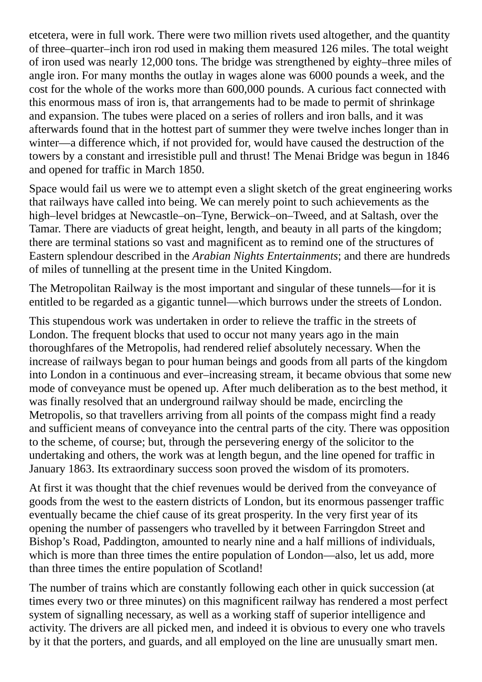etcetera, were in full work. There were two million rivets used altogether, and the quantity of three–quarter–inch iron rod used in making them measured 126 miles. The total weight of iron used was nearly 12,000 tons. The bridge was strengthened by eighty–three miles of angle iron. For many months the outlay in wages alone was 6000 pounds a week, and the cost for the whole of the works more than 600,000 pounds. A curious fact connected with this enormous mass of iron is, that arrangements had to be made to permit of shrinkage and expansion. The tubes were placed on a series of rollers and iron balls, and it was afterwards found that in the hottest part of summer they were twelve inches longer than in winter—a difference which, if not provided for, would have caused the destruction of the towers by a constant and irresistible pull and thrust! The Menai Bridge was begun in 1846 and opened for traffic in March 1850.

Space would fail us were we to attempt even a slight sketch of the great engineering works that railways have called into being. We can merely point to such achievements as the high–level bridges at Newcastle–on–Tyne, Berwick–on–Tweed, and at Saltash, over the Tamar. There are viaducts of great height, length, and beauty in all parts of the kingdom; there are terminal stations so vast and magnificent as to remind one of the structures of Eastern splendour described in the *Arabian Nights Entertainments*; and there are hundreds of miles of tunnelling at the present time in the United Kingdom.

The Metropolitan Railway is the most important and singular of these tunnels—for it is entitled to be regarded as a gigantic tunnel—which burrows under the streets of London.

This stupendous work was undertaken in order to relieve the traffic in the streets of London. The frequent blocks that used to occur not many years ago in the main thoroughfares of the Metropolis, had rendered relief absolutely necessary. When the increase of railways began to pour human beings and goods from all parts of the kingdom into London in a continuous and ever–increasing stream, it became obvious that some new mode of conveyance must be opened up. After much deliberation as to the best method, it was finally resolved that an underground railway should be made, encircling the Metropolis, so that travellers arriving from all points of the compass might find a ready and sufficient means of conveyance into the central parts of the city. There was opposition to the scheme, of course; but, through the persevering energy of the solicitor to the undertaking and others, the work was at length begun, and the line opened for traffic in January 1863. Its extraordinary success soon proved the wisdom of its promoters.

At first it was thought that the chief revenues would be derived from the conveyance of goods from the west to the eastern districts of London, but its enormous passenger traffic eventually became the chief cause of its great prosperity. In the very first year of its opening the number of passengers who travelled by it between Farringdon Street and Bishop's Road, Paddington, amounted to nearly nine and a half millions of individuals, which is more than three times the entire population of London—also, let us add, more than three times the entire population of Scotland!

The number of trains which are constantly following each other in quick succession (at times every two or three minutes) on this magnificent railway has rendered a most perfect system of signalling necessary, as well as a working staff of superior intelligence and activity. The drivers are all picked men, and indeed it is obvious to every one who travels by it that the porters, and guards, and all employed on the line are unusually smart men.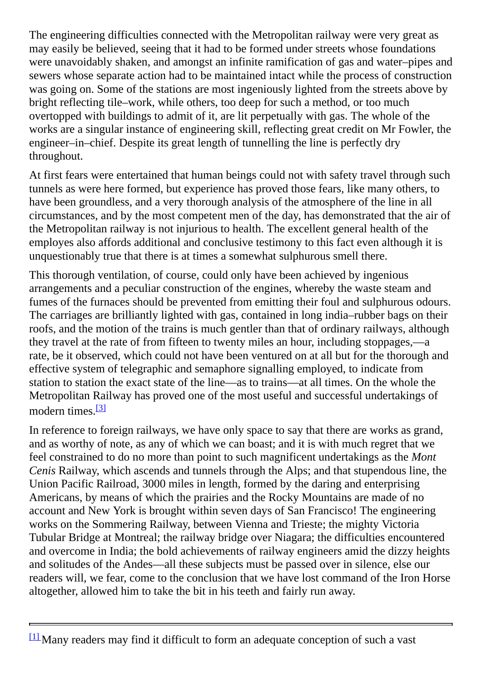The engineering difficulties connected with the Metropolitan railway were very great as may easily be believed, seeing that it had to be formed under streets whose foundations were unavoidably shaken, and amongst an infinite ramification of gas and water–pipes and sewers whose separate action had to be maintained intact while the process of construction was going on. Some of the stations are most ingeniously lighted from the streets above by bright reflecting tile–work, while others, too deep for such a method, or too much overtopped with buildings to admit of it, are lit perpetually with gas. The whole of the works are a singular instance of engineering skill, reflecting great credit on Mr Fowler, the engineer–in–chief. Despite its great length of tunnelling the line is perfectly dry throughout.

At first fears were entertained that human beings could not with safety travel through such tunnels as were here formed, but experience has proved those fears, like many others, to have been groundless, and a very thorough analysis of the atmosphere of the line in all circumstances, and by the most competent men of the day, has demonstrated that the air of the Metropolitan railway is not injurious to health. The excellent general health of the employes also affords additional and conclusive testimony to this fact even although it is unquestionably true that there is at times a somewhat sulphurous smell there.

This thorough ventilation, of course, could only have been achieved by ingenious arrangements and a peculiar construction of the engines, whereby the waste steam and fumes of the furnaces should be prevented from emitting their foul and sulphurous odours. The carriages are brilliantly lighted with gas, contained in long india–rubber bags on their roofs, and the motion of the trains is much gentler than that of ordinary railways, although they travel at the rate of from fifteen to twenty miles an hour, including stoppages,—a rate, be it observed, which could not have been ventured on at all but for the thorough and effective system of telegraphic and semaphore signalling employed, to indicate from station to station the exact state of the line—as to trains—at all times. On the whole the Metropolitan Railway has proved one of the most useful and successful undertakings of modern times.<sup>[\[3\]](#page-47-2)</sup>

<span id="page-46-0"></span>In reference to foreign railways, we have only space to say that there are works as grand, and as worthy of note, as any of which we can boast; and it is with much regret that we feel constrained to do no more than point to such magnificent undertakings as the *Mont Cenis* Railway, which ascends and tunnels through the Alps; and that stupendous line, the Union Pacific Railroad, 3000 miles in length, formed by the daring and enterprising Americans, by means of which the prairies and the Rocky Mountains are made of no account and New York is brought within seven days of San Francisco! The engineering works on the Sommering Railway, between Vienna and Trieste; the mighty Victoria Tubular Bridge at Montreal; the railway bridge over Niagara; the difficulties encountered and overcome in India; the bold achievements of railway engineers amid the dizzy heights and solitudes of the Andes—all these subjects must be passed over in silence, else our readers will, we fear, come to the conclusion that we have lost command of the Iron Horse altogether, allowed him to take the bit in his teeth and fairly run away.

[<sup>\[1\]</sup>](#page-40-0) Many readers may find it difficult to form an adequate conception of such a vast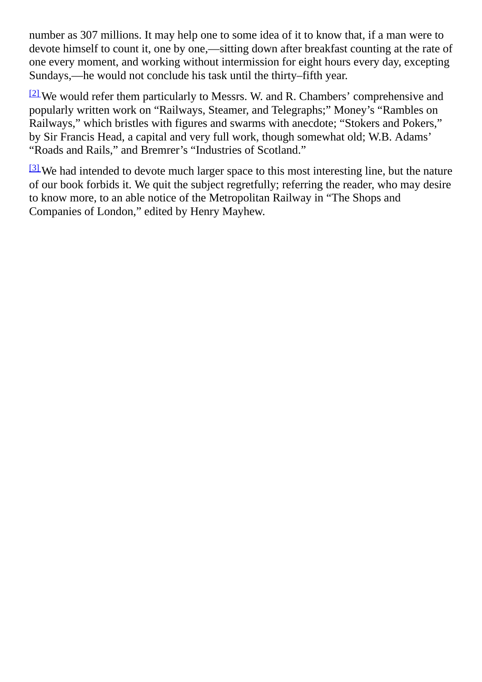<span id="page-47-0"></span>number as 307 millions. It may help one to some idea of it to know that, if a man were to devote himself to count it, one by one,—sitting down after breakfast counting at the rate of one every moment, and working without intermission for eight hours every day, excepting Sundays,—he would not conclude his task until the thirty–fifth year.

<span id="page-47-1"></span> $\frac{[2]}{[2]}$  $\frac{[2]}{[2]}$  $\frac{[2]}{[2]}$  We would refer them particularly to Messrs. W. and R. Chambers' comprehensive and popularly written work on "Railways, Steamer, and Telegraphs;" Money's "Rambles on Railways," which bristles with figures and swarms with anecdote; "Stokers and Pokers," by Sir Francis Head, a capital and very full work, though somewhat old; W.B. Adams' "Roads and Rails," and Bremrer's "Industries of Scotland."

<span id="page-47-2"></span> $[3]$ We had intended to devote much larger space to this most interesting line, but the nature of our book forbids it. We quit the subject regretfully; referring the reader, who may desire to know more, to an able notice of the Metropolitan Railway in "The Shops and Companies of London," edited by Henry Mayhew.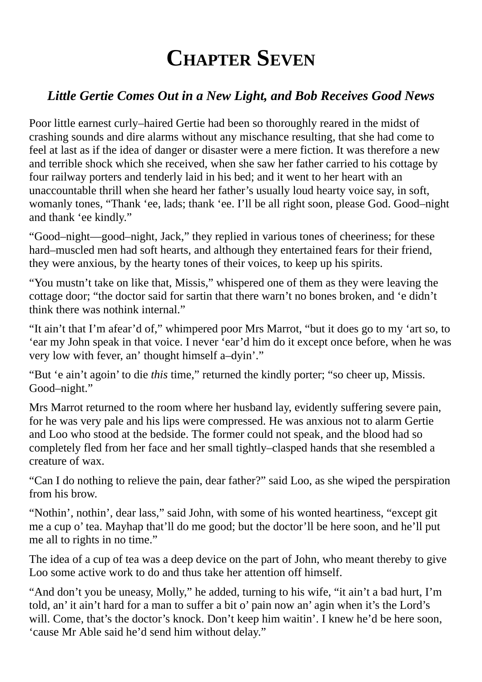# **CHAPTER SEVEN**

### *Little Gertie Comes Out in a New Light, and Bob Receives Good News*

Poor little earnest curly–haired Gertie had been so thoroughly reared in the midst of crashing sounds and dire alarms without any mischance resulting, that she had come to feel at last as if the idea of danger or disaster were a mere fiction. It was therefore a new and terrible shock which she received, when she saw her father carried to his cottage by four railway porters and tenderly laid in his bed; and it went to her heart with an unaccountable thrill when she heard her father's usually loud hearty voice say, in soft, womanly tones, "Thank 'ee, lads; thank 'ee. I'll be all right soon, please God. Good–night and thank 'ee kindly."

"Good–night—good–night, Jack," they replied in various tones of cheeriness; for these hard–muscled men had soft hearts, and although they entertained fears for their friend, they were anxious, by the hearty tones of their voices, to keep up his spirits.

"You mustn't take on like that, Missis," whispered one of them as they were leaving the cottage door; "the doctor said for sartin that there warn't no bones broken, and 'e didn't think there was nothink internal."

"It ain't that I'm afear'd of," whimpered poor Mrs Marrot, "but it does go to my 'art so, to 'ear my John speak in that voice. I never 'ear'd him do it except once before, when he was very low with fever, an' thought himself a–dyin'."

"But 'e ain't agoin' to die *this* time," returned the kindly porter; "so cheer up, Missis. Good–night."

Mrs Marrot returned to the room where her husband lay, evidently suffering severe pain, for he was very pale and his lips were compressed. He was anxious not to alarm Gertie and Loo who stood at the bedside. The former could not speak, and the blood had so completely fled from her face and her small tightly–clasped hands that she resembled a creature of wax.

"Can I do nothing to relieve the pain, dear father?" said Loo, as she wiped the perspiration from his brow.

"Nothin', nothin', dear lass," said John, with some of his wonted heartiness, "except git me a cup o' tea. Mayhap that'll do me good; but the doctor'll be here soon, and he'll put me all to rights in no time."

The idea of a cup of tea was a deep device on the part of John, who meant thereby to give Loo some active work to do and thus take her attention off himself.

"And don't you be uneasy, Molly," he added, turning to his wife, "it ain't a bad hurt, I'm told, an' it ain't hard for a man to suffer a bit o' pain now an' agin when it's the Lord's will. Come, that's the doctor's knock. Don't keep him waitin'. I knew he'd be here soon, 'cause Mr Able said he'd send him without delay."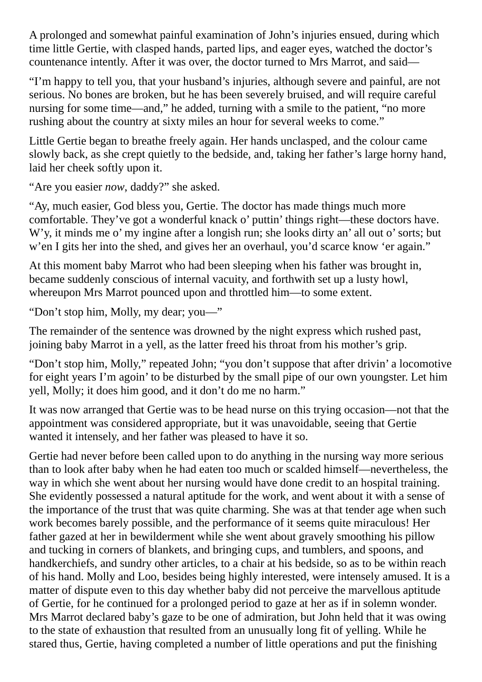A prolonged and somewhat painful examination of John's injuries ensued, during which time little Gertie, with clasped hands, parted lips, and eager eyes, watched the doctor's countenance intently. After it was over, the doctor turned to Mrs Marrot, and said—

"I'm happy to tell you, that your husband's injuries, although severe and painful, are not serious. No bones are broken, but he has been severely bruised, and will require careful nursing for some time—and," he added, turning with a smile to the patient, "no more rushing about the country at sixty miles an hour for several weeks to come."

Little Gertie began to breathe freely again. Her hands unclasped, and the colour came slowly back, as she crept quietly to the bedside, and, taking her father's large horny hand, laid her cheek softly upon it.

"Are you easier *now*, daddy?" she asked.

"Ay, much easier, God bless you, Gertie. The doctor has made things much more comfortable. They've got a wonderful knack o' puttin' things right—these doctors have. W'y, it minds me o' my ingine after a longish run; she looks dirty an' all out o' sorts; but w'en I gits her into the shed, and gives her an overhaul, you'd scarce know 'er again."

At this moment baby Marrot who had been sleeping when his father was brought in, became suddenly conscious of internal vacuity, and forthwith set up a lusty howl, whereupon Mrs Marrot pounced upon and throttled him—to some extent.

"Don't stop him, Molly, my dear; you—"

The remainder of the sentence was drowned by the night express which rushed past, joining baby Marrot in a yell, as the latter freed his throat from his mother's grip.

"Don't stop him, Molly," repeated John; "you don't suppose that after drivin' a locomotive for eight years I'm agoin' to be disturbed by the small pipe of our own youngster. Let him yell, Molly; it does him good, and it don't do me no harm."

It was now arranged that Gertie was to be head nurse on this trying occasion—not that the appointment was considered appropriate, but it was unavoidable, seeing that Gertie wanted it intensely, and her father was pleased to have it so.

Gertie had never before been called upon to do anything in the nursing way more serious than to look after baby when he had eaten too much or scalded himself—nevertheless, the way in which she went about her nursing would have done credit to an hospital training. She evidently possessed a natural aptitude for the work, and went about it with a sense of the importance of the trust that was quite charming. She was at that tender age when such work becomes barely possible, and the performance of it seems quite miraculous! Her father gazed at her in bewilderment while she went about gravely smoothing his pillow and tucking in corners of blankets, and bringing cups, and tumblers, and spoons, and handkerchiefs, and sundry other articles, to a chair at his bedside, so as to be within reach of his hand. Molly and Loo, besides being highly interested, were intensely amused. It is a matter of dispute even to this day whether baby did not perceive the marvellous aptitude of Gertie, for he continued for a prolonged period to gaze at her as if in solemn wonder. Mrs Marrot declared baby's gaze to be one of admiration, but John held that it was owing to the state of exhaustion that resulted from an unusually long fit of yelling. While he stared thus, Gertie, having completed a number of little operations and put the finishing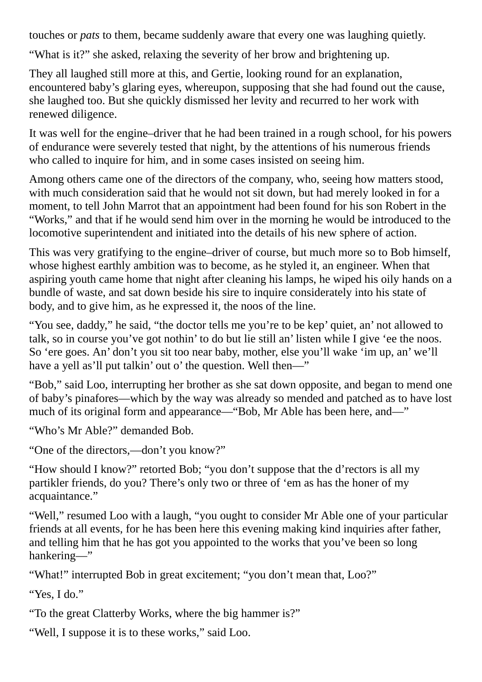touches or *pats* to them, became suddenly aware that every one was laughing quietly.

"What is it?" she asked, relaxing the severity of her brow and brightening up.

They all laughed still more at this, and Gertie, looking round for an explanation, encountered baby's glaring eyes, whereupon, supposing that she had found out the cause, she laughed too. But she quickly dismissed her levity and recurred to her work with renewed diligence.

It was well for the engine–driver that he had been trained in a rough school, for his powers of endurance were severely tested that night, by the attentions of his numerous friends who called to inquire for him, and in some cases insisted on seeing him.

Among others came one of the directors of the company, who, seeing how matters stood, with much consideration said that he would not sit down, but had merely looked in for a moment, to tell John Marrot that an appointment had been found for his son Robert in the "Works," and that if he would send him over in the morning he would be introduced to the locomotive superintendent and initiated into the details of his new sphere of action.

This was very gratifying to the engine–driver of course, but much more so to Bob himself, whose highest earthly ambition was to become, as he styled it, an engineer. When that aspiring youth came home that night after cleaning his lamps, he wiped his oily hands on a bundle of waste, and sat down beside his sire to inquire considerately into his state of body, and to give him, as he expressed it, the noos of the line.

"You see, daddy," he said, "the doctor tells me you're to be kep' quiet, an' not allowed to talk, so in course you've got nothin' to do but lie still an' listen while I give 'ee the noos. So 'ere goes. An' don't you sit too near baby, mother, else you'll wake 'im up, an' we'll have a yell as'll put talkin' out o' the question. Well then—"

"Bob," said Loo, interrupting her brother as she sat down opposite, and began to mend one of baby's pinafores—which by the way was already so mended and patched as to have lost much of its original form and appearance—"Bob, Mr Able has been here, and—"

"Who's Mr Able?" demanded Bob.

"One of the directors,—don't you know?"

"How should I know?" retorted Bob; "you don't suppose that the d'rectors is all my partikler friends, do you? There's only two or three of 'em as has the honer of my acquaintance."

"Well," resumed Loo with a laugh, "you ought to consider Mr Able one of your particular friends at all events, for he has been here this evening making kind inquiries after father, and telling him that he has got you appointed to the works that you've been so long hankering—"

"What!" interrupted Bob in great excitement; "you don't mean that, Loo?"

"Yes, I do."

"To the great Clatterby Works, where the big hammer is?"

"Well, I suppose it is to these works," said Loo.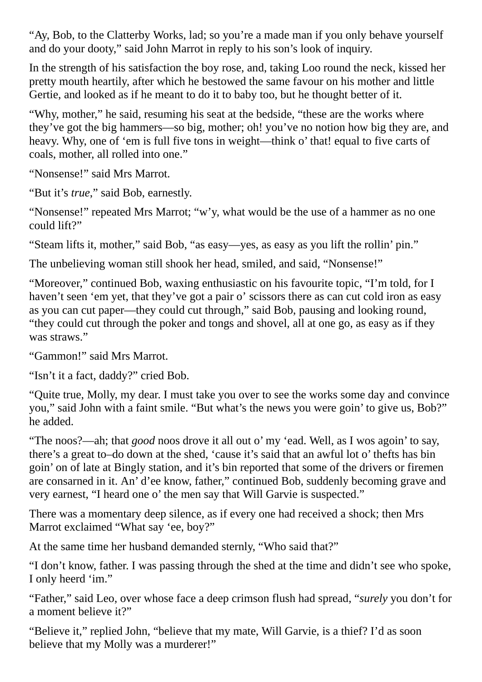"Ay, Bob, to the Clatterby Works, lad; so you're a made man if you only behave yourself and do your dooty," said John Marrot in reply to his son's look of inquiry.

In the strength of his satisfaction the boy rose, and, taking Loo round the neck, kissed her pretty mouth heartily, after which he bestowed the same favour on his mother and little Gertie, and looked as if he meant to do it to baby too, but he thought better of it.

"Why, mother," he said, resuming his seat at the bedside, "these are the works where they've got the big hammers—so big, mother; oh! you've no notion how big they are, and heavy. Why, one of 'em is full five tons in weight—think o' that! equal to five carts of coals, mother, all rolled into one."

"Nonsense!" said Mrs Marrot.

"But it's *true*," said Bob, earnestly.

"Nonsense!" repeated Mrs Marrot; "w'y, what would be the use of a hammer as no one could lift?"

"Steam lifts it, mother," said Bob, "as easy—yes, as easy as you lift the rollin' pin."

The unbelieving woman still shook her head, smiled, and said, "Nonsense!"

"Moreover," continued Bob, waxing enthusiastic on his favourite topic, "I'm told, for I haven't seen 'em yet, that they've got a pair o' scissors there as can cut cold iron as easy as you can cut paper—they could cut through," said Bob, pausing and looking round, "they could cut through the poker and tongs and shovel, all at one go, as easy as if they was straws."

"Gammon!" said Mrs Marrot.

"Isn't it a fact, daddy?" cried Bob.

"Quite true, Molly, my dear. I must take you over to see the works some day and convince you," said John with a faint smile. "But what's the news you were goin' to give us, Bob?" he added.

"The noos?—ah; that *good* noos drove it all out o' my 'ead. Well, as I wos agoin' to say, there's a great to–do down at the shed, 'cause it's said that an awful lot o' thefts has bin goin' on of late at Bingly station, and it's bin reported that some of the drivers or firemen are consarned in it. An' d'ee know, father," continued Bob, suddenly becoming grave and very earnest, "I heard one o' the men say that Will Garvie is suspected."

There was a momentary deep silence, as if every one had received a shock; then Mrs Marrot exclaimed "What say 'ee, boy?"

At the same time her husband demanded sternly, "Who said that?"

"I don't know, father. I was passing through the shed at the time and didn't see who spoke, I only heerd 'im."

"Father," said Leo, over whose face a deep crimson flush had spread, "*surely* you don't for a moment believe it?"

"Believe it," replied John, "believe that my mate, Will Garvie, is a thief? I'd as soon believe that my Molly was a murderer!"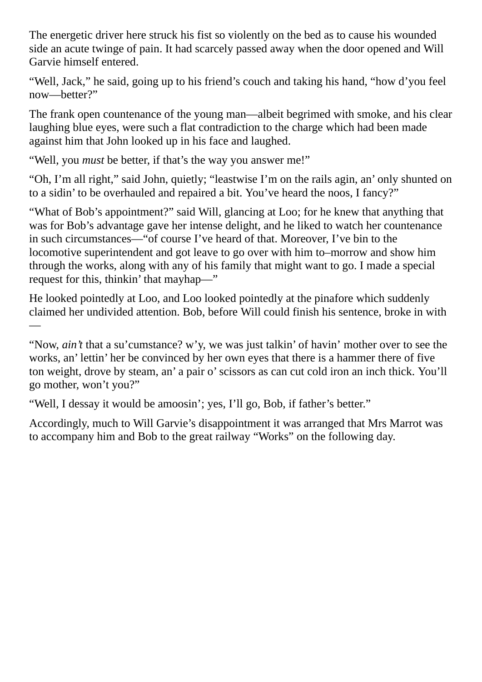The energetic driver here struck his fist so violently on the bed as to cause his wounded side an acute twinge of pain. It had scarcely passed away when the door opened and Will Garvie himself entered.

"Well, Jack," he said, going up to his friend's couch and taking his hand, "how d'you feel now—better?"

The frank open countenance of the young man—albeit begrimed with smoke, and his clear laughing blue eyes, were such a flat contradiction to the charge which had been made against him that John looked up in his face and laughed.

"Well, you *must* be better, if that's the way you answer me!"

—

"Oh, I'm all right," said John, quietly; "leastwise I'm on the rails agin, an' only shunted on to a sidin' to be overhauled and repaired a bit. You've heard the noos, I fancy?"

"What of Bob's appointment?" said Will, glancing at Loo; for he knew that anything that was for Bob's advantage gave her intense delight, and he liked to watch her countenance in such circumstances—"of course I've heard of that. Moreover, I've bin to the locomotive superintendent and got leave to go over with him to–morrow and show him through the works, along with any of his family that might want to go. I made a special request for this, thinkin' that mayhap—"

He looked pointedly at Loo, and Loo looked pointedly at the pinafore which suddenly claimed her undivided attention. Bob, before Will could finish his sentence, broke in with

"Now, *ain't* that a su'cumstance? w'y, we was just talkin' of havin' mother over to see the works, an' lettin' her be convinced by her own eyes that there is a hammer there of five ton weight, drove by steam, an' a pair o'scissors as can cut cold iron an inch thick. You'll go mother, won't you?"

"Well, I dessay it would be amoosin'; yes, I'll go, Bob, if father's better."

Accordingly, much to Will Garvie's disappointment it was arranged that Mrs Marrot was to accompany him and Bob to the great railway "Works" on the following day.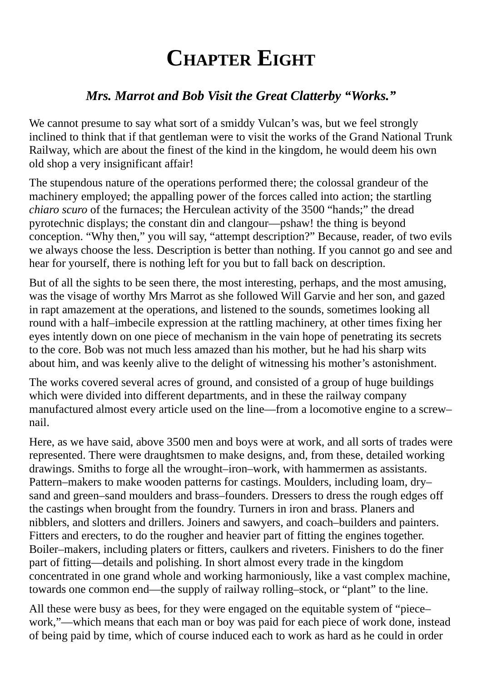## **CHAPTER EIGHT**

#### *Mrs. Marrot and Bob Visit the Great Clatterby "Works."*

We cannot presume to say what sort of a smiddy Vulcan's was, but we feel strongly inclined to think that if that gentleman were to visit the works of the Grand National Trunk Railway, which are about the finest of the kind in the kingdom, he would deem his own old shop a very insignificant affair!

The stupendous nature of the operations performed there; the colossal grandeur of the machinery employed; the appalling power of the forces called into action; the startling *chiaro scuro* of the furnaces; the Herculean activity of the 3500 "hands;" the dread pyrotechnic displays; the constant din and clangour—pshaw! the thing is beyond conception. "Why then," you will say, "attempt description?" Because, reader, of two evils we always choose the less. Description is better than nothing. If you cannot go and see and hear for yourself, there is nothing left for you but to fall back on description.

But of all the sights to be seen there, the most interesting, perhaps, and the most amusing, was the visage of worthy Mrs Marrot as she followed Will Garvie and her son, and gazed in rapt amazement at the operations, and listened to the sounds, sometimes looking all round with a half–imbecile expression at the rattling machinery, at other times fixing her eyes intently down on one piece of mechanism in the vain hope of penetrating its secrets to the core. Bob was not much less amazed than his mother, but he had his sharp wits about him, and was keenly alive to the delight of witnessing his mother's astonishment.

The works covered several acres of ground, and consisted of a group of huge buildings which were divided into different departments, and in these the railway company manufactured almost every article used on the line—from a locomotive engine to a screw– nail.

Here, as we have said, above 3500 men and boys were at work, and all sorts of trades were represented. There were draughtsmen to make designs, and, from these, detailed working drawings. Smiths to forge all the wrought–iron–work, with hammermen as assistants. Pattern–makers to make wooden patterns for castings. Moulders, including loam, dry– sand and green–sand moulders and brass–founders. Dressers to dress the rough edges off the castings when brought from the foundry. Turners in iron and brass. Planers and nibblers, and slotters and drillers. Joiners and sawyers, and coach–builders and painters. Fitters and erecters, to do the rougher and heavier part of fitting the engines together. Boiler–makers, including platers or fitters, caulkers and riveters. Finishers to do the finer part of fitting—details and polishing. In short almost every trade in the kingdom concentrated in one grand whole and working harmoniously, like a vast complex machine, towards one common end—the supply of railway rolling–stock, or "plant" to the line.

All these were busy as bees, for they were engaged on the equitable system of "piece– work,"—which means that each man or boy was paid for each piece of work done, instead of being paid by time, which of course induced each to work as hard as he could in order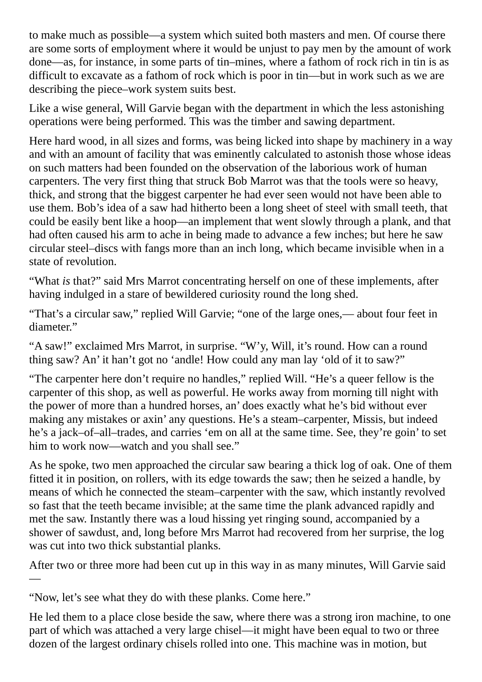to make much as possible—a system which suited both masters and men. Of course there are some sorts of employment where it would be unjust to pay men by the amount of work done—as, for instance, in some parts of tin–mines, where a fathom of rock rich in tin is as difficult to excavate as a fathom of rock which is poor in tin—but in work such as we are describing the piece–work system suits best.

Like a wise general, Will Garvie began with the department in which the less astonishing operations were being performed. This was the timber and sawing department.

Here hard wood, in all sizes and forms, was being licked into shape by machinery in a way and with an amount of facility that was eminently calculated to astonish those whose ideas on such matters had been founded on the observation of the laborious work of human carpenters. The very first thing that struck Bob Marrot was that the tools were so heavy, thick, and strong that the biggest carpenter he had ever seen would not have been able to use them. Bob's idea of a saw had hitherto been a long sheet of steel with small teeth, that could be easily bent like a hoop—an implement that went slowly through a plank, and that had often caused his arm to ache in being made to advance a few inches; but here he saw circular steel–discs with fangs more than an inch long, which became invisible when in a state of revolution.

"What *is* that?" said Mrs Marrot concentrating herself on one of these implements, after having indulged in a stare of bewildered curiosity round the long shed.

"That's a circular saw," replied Will Garvie; "one of the large ones,— about four feet in diameter."

"A saw!" exclaimed Mrs Marrot, in surprise. "W'y, Will, it's round. How can a round thing saw? An' it han't got no 'andle! How could any man lay 'old of it to saw?"

"The carpenter here don't require no handles," replied Will. "He's a queer fellow is the carpenter of this shop, as well as powerful. He works away from morning till night with the power of more than a hundred horses, an' does exactly what he's bid without ever making any mistakes or axin' any questions. He's a steam–carpenter, Missis, but indeed he's a jack–of–all–trades, and carries 'em on all at the same time. See, they're goin' to set him to work now—watch and you shall see."

As he spoke, two men approached the circular saw bearing a thick log of oak. One of them fitted it in position, on rollers, with its edge towards the saw; then he seized a handle, by means of which he connected the steam–carpenter with the saw, which instantly revolved so fast that the teeth became invisible; at the same time the plank advanced rapidly and met the saw. Instantly there was a loud hissing yet ringing sound, accompanied by a shower of sawdust, and, long before Mrs Marrot had recovered from her surprise, the log was cut into two thick substantial planks.

After two or three more had been cut up in this way in as many minutes, Will Garvie said —

"Now, let's see what they do with these planks. Come here."

He led them to a place close beside the saw, where there was a strong iron machine, to one part of which was attached a very large chisel—it might have been equal to two or three dozen of the largest ordinary chisels rolled into one. This machine was in motion, but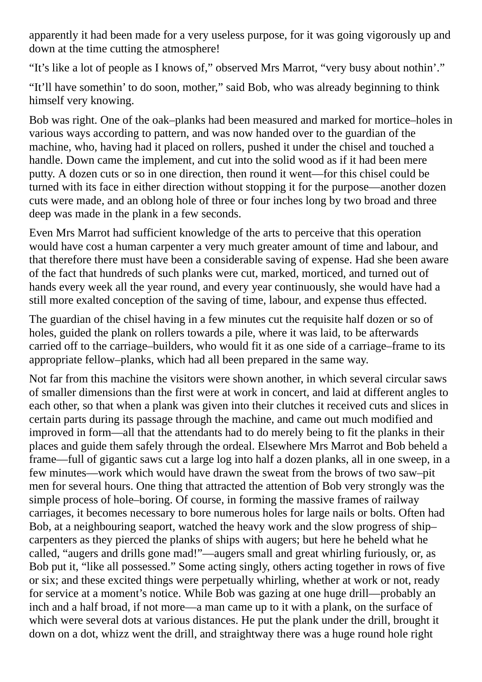apparently it had been made for a very useless purpose, for it was going vigorously up and down at the time cutting the atmosphere!

"It's like a lot of people as I knows of," observed Mrs Marrot, "very busy about nothin'."

"It'll have somethin' to do soon, mother," said Bob, who was already beginning to think himself very knowing.

Bob was right. One of the oak–planks had been measured and marked for mortice–holes in various ways according to pattern, and was now handed over to the guardian of the machine, who, having had it placed on rollers, pushed it under the chisel and touched a handle. Down came the implement, and cut into the solid wood as if it had been mere putty. A dozen cuts or so in one direction, then round it went—for this chisel could be turned with its face in either direction without stopping it for the purpose—another dozen cuts were made, and an oblong hole of three or four inches long by two broad and three deep was made in the plank in a few seconds.

Even Mrs Marrot had sufficient knowledge of the arts to perceive that this operation would have cost a human carpenter a very much greater amount of time and labour, and that therefore there must have been a considerable saving of expense. Had she been aware of the fact that hundreds of such planks were cut, marked, morticed, and turned out of hands every week all the year round, and every year continuously, she would have had a still more exalted conception of the saving of time, labour, and expense thus effected.

The guardian of the chisel having in a few minutes cut the requisite half dozen or so of holes, guided the plank on rollers towards a pile, where it was laid, to be afterwards carried off to the carriage–builders, who would fit it as one side of a carriage–frame to its appropriate fellow–planks, which had all been prepared in the same way.

Not far from this machine the visitors were shown another, in which several circular saws of smaller dimensions than the first were at work in concert, and laid at different angles to each other, so that when a plank was given into their clutches it received cuts and slices in certain parts during its passage through the machine, and came out much modified and improved in form—all that the attendants had to do merely being to fit the planks in their places and guide them safely through the ordeal. Elsewhere Mrs Marrot and Bob beheld a frame—full of gigantic saws cut a large log into half a dozen planks, all in one sweep, in a few minutes—work which would have drawn the sweat from the brows of two saw–pit men for several hours. One thing that attracted the attention of Bob very strongly was the simple process of hole–boring. Of course, in forming the massive frames of railway carriages, it becomes necessary to bore numerous holes for large nails or bolts. Often had Bob, at a neighbouring seaport, watched the heavy work and the slow progress of ship– carpenters as they pierced the planks of ships with augers; but here he beheld what he called, "augers and drills gone mad!"—augers small and great whirling furiously, or, as Bob put it, "like all possessed." Some acting singly, others acting together in rows of five or six; and these excited things were perpetually whirling, whether at work or not, ready for service at a moment's notice. While Bob was gazing at one huge drill—probably an inch and a half broad, if not more—a man came up to it with a plank, on the surface of which were several dots at various distances. He put the plank under the drill, brought it down on a dot, whizz went the drill, and straightway there was a huge round hole right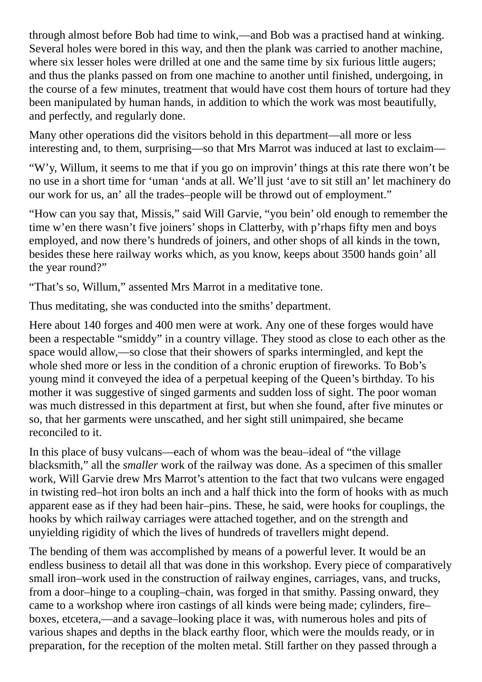through almost before Bob had time to wink,—and Bob was a practised hand at winking. Several holes were bored in this way, and then the plank was carried to another machine, where six lesser holes were drilled at one and the same time by six furious little augers; and thus the planks passed on from one machine to another until finished, undergoing, in the course of a few minutes, treatment that would have cost them hours of torture had they been manipulated by human hands, in addition to which the work was most beautifully, and perfectly, and regularly done.

Many other operations did the visitors behold in this department—all more or less interesting and, to them, surprising—so that Mrs Marrot was induced at last to exclaim—

"W'y, Willum, it seems to me that if you go on improvin' things at this rate there won't be no use in a short time for 'uman 'ands at all. We'll just 'ave to sit still an' let machinery do our work for us, an' all the trades–people will be throwd out of employment."

"How can you say that, Missis," said Will Garvie, "you bein' old enough to remember the time w'en there wasn't five joiners' shops in Clatterby, with p'rhaps fifty men and boys employed, and now there's hundreds of joiners, and other shops of all kinds in the town, besides these here railway works which, as you know, keeps about 3500 hands goin' all the year round?"

"That's so, Willum," assented Mrs Marrot in a meditative tone.

Thus meditating, she was conducted into the smiths' department.

Here about 140 forges and 400 men were at work. Any one of these forges would have been a respectable "smiddy" in a country village. They stood as close to each other as the space would allow,—so close that their showers of sparks intermingled, and kept the whole shed more or less in the condition of a chronic eruption of fireworks. To Bob's young mind it conveyed the idea of a perpetual keeping of the Queen's birthday. To his mother it was suggestive of singed garments and sudden loss of sight. The poor woman was much distressed in this department at first, but when she found, after five minutes or so, that her garments were unscathed, and her sight still unimpaired, she became reconciled to it.

In this place of busy vulcans—each of whom was the beau–ideal of "the village blacksmith," all the *smaller* work of the railway was done. As a specimen of this smaller work, Will Garvie drew Mrs Marrot's attention to the fact that two vulcans were engaged in twisting red–hot iron bolts an inch and a half thick into the form of hooks with as much apparent ease as if they had been hair–pins. These, he said, were hooks for couplings, the hooks by which railway carriages were attached together, and on the strength and unyielding rigidity of which the lives of hundreds of travellers might depend.

The bending of them was accomplished by means of a powerful lever. It would be an endless business to detail all that was done in this workshop. Every piece of comparatively small iron–work used in the construction of railway engines, carriages, vans, and trucks, from a door–hinge to a coupling–chain, was forged in that smithy. Passing onward, they came to a workshop where iron castings of all kinds were being made; cylinders, fire– boxes, etcetera,—and a savage–looking place it was, with numerous holes and pits of various shapes and depths in the black earthy floor, which were the moulds ready, or in preparation, for the reception of the molten metal. Still farther on they passed through a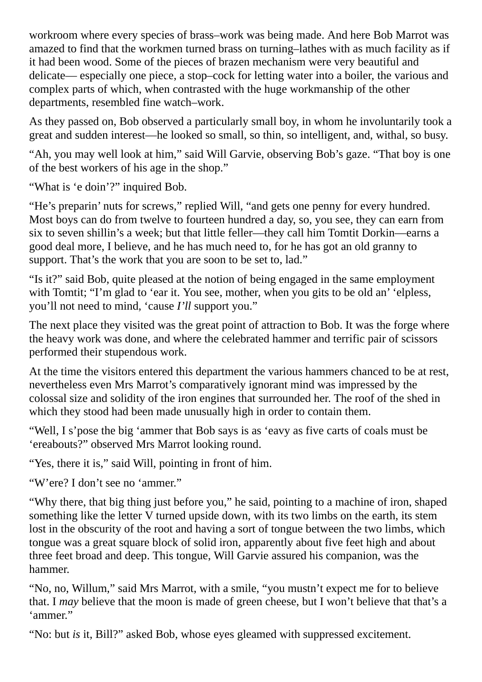workroom where every species of brass–work was being made. And here Bob Marrot was amazed to find that the workmen turned brass on turning–lathes with as much facility as if it had been wood. Some of the pieces of brazen mechanism were very beautiful and delicate— especially one piece, a stop–cock for letting water into a boiler, the various and complex parts of which, when contrasted with the huge workmanship of the other departments, resembled fine watch–work.

As they passed on, Bob observed a particularly small boy, in whom he involuntarily took a great and sudden interest—he looked so small, so thin, so intelligent, and, withal, so busy.

"Ah, you may well look at him," said Will Garvie, observing Bob's gaze. "That boy is one of the best workers of his age in the shop."

"What is 'e doin'?" inquired Bob.

"He's preparin' nuts for screws," replied Will, "and gets one penny for every hundred. Most boys can do from twelve to fourteen hundred a day, so, you see, they can earn from six to seven shillin's a week; but that little feller—they call him Tomtit Dorkin—earns a good deal more, I believe, and he has much need to, for he has got an old granny to support. That's the work that you are soon to be set to, lad."

"Is it?" said Bob, quite pleased at the notion of being engaged in the same employment with Tomtit; "I'm glad to 'ear it. You see, mother, when you gits to be old an' 'elpless, you'll not need to mind, 'cause *I'll* support you."

The next place they visited was the great point of attraction to Bob. It was the forge where the heavy work was done, and where the celebrated hammer and terrific pair of scissors performed their stupendous work.

At the time the visitors entered this department the various hammers chanced to be at rest, nevertheless even Mrs Marrot's comparatively ignorant mind was impressed by the colossal size and solidity of the iron engines that surrounded her. The roof of the shed in which they stood had been made unusually high in order to contain them.

"Well, I s'pose the big 'ammer that Bob says is as 'eavy as five carts of coals must be 'ereabouts?" observed Mrs Marrot looking round.

"Yes, there it is," said Will, pointing in front of him.

"W'ere? I don't see no 'ammer."

"Why there, that big thing just before you," he said, pointing to a machine of iron, shaped something like the letter V turned upside down, with its two limbs on the earth, its stem lost in the obscurity of the root and having a sort of tongue between the two limbs, which tongue was a great square block of solid iron, apparently about five feet high and about three feet broad and deep. This tongue, Will Garvie assured his companion, was the hammer.

"No, no, Willum," said Mrs Marrot, with a smile, "you mustn't expect me for to believe that. I *may* believe that the moon is made of green cheese, but I won't believe that that's a 'ammer."

"No: but *is* it, Bill?" asked Bob, whose eyes gleamed with suppressed excitement.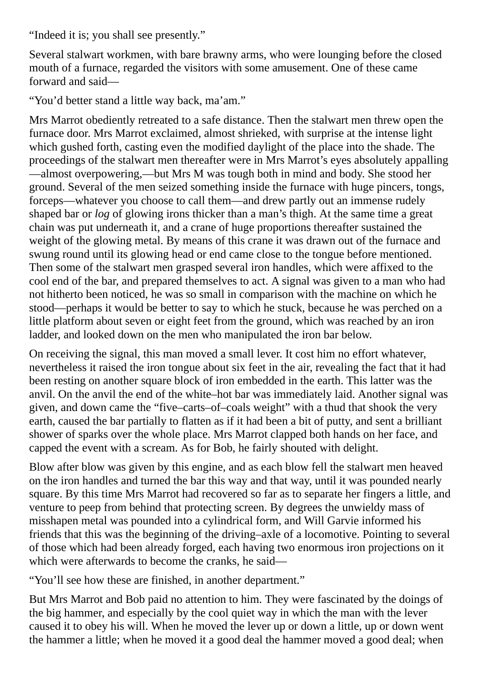"Indeed it is; you shall see presently."

Several stalwart workmen, with bare brawny arms, who were lounging before the closed mouth of a furnace, regarded the visitors with some amusement. One of these came forward and said—

"You'd better stand a little way back, ma'am."

Mrs Marrot obediently retreated to a safe distance. Then the stalwart men threw open the furnace door. Mrs Marrot exclaimed, almost shrieked, with surprise at the intense light which gushed forth, casting even the modified daylight of the place into the shade. The proceedings of the stalwart men thereafter were in Mrs Marrot's eyes absolutely appalling —almost overpowering,—but Mrs M was tough both in mind and body. She stood her ground. Several of the men seized something inside the furnace with huge pincers, tongs, forceps—whatever you choose to call them—and drew partly out an immense rudely shaped bar or *log* of glowing irons thicker than a man's thigh. At the same time a great chain was put underneath it, and a crane of huge proportions thereafter sustained the weight of the glowing metal. By means of this crane it was drawn out of the furnace and swung round until its glowing head or end came close to the tongue before mentioned. Then some of the stalwart men grasped several iron handles, which were affixed to the cool end of the bar, and prepared themselves to act. A signal was given to a man who had not hitherto been noticed, he was so small in comparison with the machine on which he stood—perhaps it would be better to say to which he stuck, because he was perched on a little platform about seven or eight feet from the ground, which was reached by an iron ladder, and looked down on the men who manipulated the iron bar below.

On receiving the signal, this man moved a small lever. It cost him no effort whatever, nevertheless it raised the iron tongue about six feet in the air, revealing the fact that it had been resting on another square block of iron embedded in the earth. This latter was the anvil. On the anvil the end of the white–hot bar was immediately laid. Another signal was given, and down came the "five–carts–of–coals weight" with a thud that shook the very earth, caused the bar partially to flatten as if it had been a bit of putty, and sent a brilliant shower of sparks over the whole place. Mrs Marrot clapped both hands on her face, and capped the event with a scream. As for Bob, he fairly shouted with delight.

Blow after blow was given by this engine, and as each blow fell the stalwart men heaved on the iron handles and turned the bar this way and that way, until it was pounded nearly square. By this time Mrs Marrot had recovered so far as to separate her fingers a little, and venture to peep from behind that protecting screen. By degrees the unwieldy mass of misshapen metal was pounded into a cylindrical form, and Will Garvie informed his friends that this was the beginning of the driving–axle of a locomotive. Pointing to several of those which had been already forged, each having two enormous iron projections on it which were afterwards to become the cranks, he said—

"You'll see how these are finished, in another department."

But Mrs Marrot and Bob paid no attention to him. They were fascinated by the doings of the big hammer, and especially by the cool quiet way in which the man with the lever caused it to obey his will. When he moved the lever up or down a little, up or down went the hammer a little; when he moved it a good deal the hammer moved a good deal; when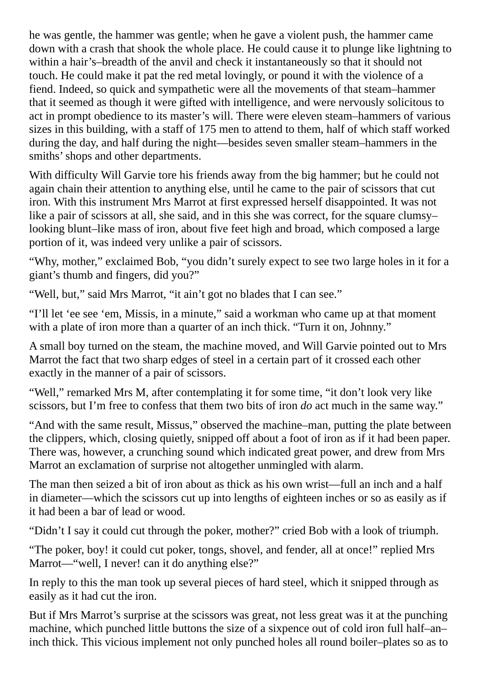he was gentle, the hammer was gentle; when he gave a violent push, the hammer came down with a crash that shook the whole place. He could cause it to plunge like lightning to within a hair's–breadth of the anvil and check it instantaneously so that it should not touch. He could make it pat the red metal lovingly, or pound it with the violence of a fiend. Indeed, so quick and sympathetic were all the movements of that steam–hammer that it seemed as though it were gifted with intelligence, and were nervously solicitous to act in prompt obedience to its master's will. There were eleven steam–hammers of various sizes in this building, with a staff of 175 men to attend to them, half of which staff worked during the day, and half during the night—besides seven smaller steam–hammers in the smiths' shops and other departments.

With difficulty Will Garvie tore his friends away from the big hammer; but he could not again chain their attention to anything else, until he came to the pair of scissors that cut iron. With this instrument Mrs Marrot at first expressed herself disappointed. It was not like a pair of scissors at all, she said, and in this she was correct, for the square clumsy– looking blunt–like mass of iron, about five feet high and broad, which composed a large portion of it, was indeed very unlike a pair of scissors.

"Why, mother," exclaimed Bob, "you didn't surely expect to see two large holes in it for a giant's thumb and fingers, did you?"

"Well, but," said Mrs Marrot, "it ain't got no blades that I can see."

"I'll let 'ee see 'em, Missis, in a minute," said a workman who came up at that moment with a plate of iron more than a quarter of an inch thick. "Turn it on, Johnny."

A small boy turned on the steam, the machine moved, and Will Garvie pointed out to Mrs Marrot the fact that two sharp edges of steel in a certain part of it crossed each other exactly in the manner of a pair of scissors.

"Well," remarked Mrs M, after contemplating it for some time, "it don't look very like scissors, but I'm free to confess that them two bits of iron *do* act much in the same way."

"And with the same result, Missus," observed the machine–man, putting the plate between the clippers, which, closing quietly, snipped off about a foot of iron as if it had been paper. There was, however, a crunching sound which indicated great power, and drew from Mrs Marrot an exclamation of surprise not altogether unmingled with alarm.

The man then seized a bit of iron about as thick as his own wrist—full an inch and a half in diameter—which the scissors cut up into lengths of eighteen inches or so as easily as if it had been a bar of lead or wood.

"Didn't I say it could cut through the poker, mother?" cried Bob with a look of triumph.

"The poker, boy! it could cut poker, tongs, shovel, and fender, all at once!" replied Mrs Marrot—"well, I never! can it do anything else?"

In reply to this the man took up several pieces of hard steel, which it snipped through as easily as it had cut the iron.

But if Mrs Marrot's surprise at the scissors was great, not less great was it at the punching machine, which punched little buttons the size of a sixpence out of cold iron full half–an– inch thick. This vicious implement not only punched holes all round boiler–plates so as to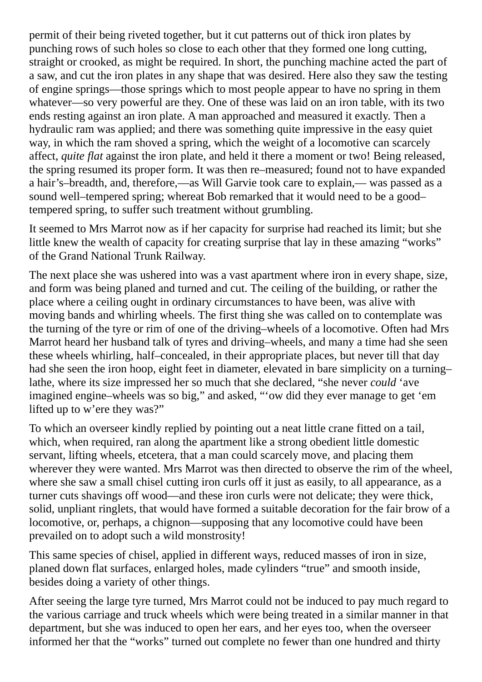permit of their being riveted together, but it cut patterns out of thick iron plates by punching rows of such holes so close to each other that they formed one long cutting, straight or crooked, as might be required. In short, the punching machine acted the part of a saw, and cut the iron plates in any shape that was desired. Here also they saw the testing of engine springs—those springs which to most people appear to have no spring in them whatever—so very powerful are they. One of these was laid on an iron table, with its two ends resting against an iron plate. A man approached and measured it exactly. Then a hydraulic ram was applied; and there was something quite impressive in the easy quiet way, in which the ram shoved a spring, which the weight of a locomotive can scarcely affect, *quite flat* against the iron plate, and held it there a moment or two! Being released, the spring resumed its proper form. It was then re–measured; found not to have expanded a hair's–breadth, and, therefore,—as Will Garvie took care to explain,— was passed as a sound well–tempered spring; whereat Bob remarked that it would need to be a good– tempered spring, to suffer such treatment without grumbling.

It seemed to Mrs Marrot now as if her capacity for surprise had reached its limit; but she little knew the wealth of capacity for creating surprise that lay in these amazing "works" of the Grand National Trunk Railway.

The next place she was ushered into was a vast apartment where iron in every shape, size, and form was being planed and turned and cut. The ceiling of the building, or rather the place where a ceiling ought in ordinary circumstances to have been, was alive with moving bands and whirling wheels. The first thing she was called on to contemplate was the turning of the tyre or rim of one of the driving–wheels of a locomotive. Often had Mrs Marrot heard her husband talk of tyres and driving–wheels, and many a time had she seen these wheels whirling, half–concealed, in their appropriate places, but never till that day had she seen the iron hoop, eight feet in diameter, elevated in bare simplicity on a turning– lathe, where its size impressed her so much that she declared, "she never *could* 'ave imagined engine–wheels was so big," and asked, "'ow did they ever manage to get 'em lifted up to w'ere they was?"

To which an overseer kindly replied by pointing out a neat little crane fitted on a tail, which, when required, ran along the apartment like a strong obedient little domestic servant, lifting wheels, etcetera, that a man could scarcely move, and placing them wherever they were wanted. Mrs Marrot was then directed to observe the rim of the wheel, where she saw a small chisel cutting iron curls off it just as easily, to all appearance, as a turner cuts shavings off wood—and these iron curls were not delicate; they were thick, solid, unpliant ringlets, that would have formed a suitable decoration for the fair brow of a locomotive, or, perhaps, a chignon—supposing that any locomotive could have been prevailed on to adopt such a wild monstrosity!

This same species of chisel, applied in different ways, reduced masses of iron in size, planed down flat surfaces, enlarged holes, made cylinders "true" and smooth inside, besides doing a variety of other things.

After seeing the large tyre turned, Mrs Marrot could not be induced to pay much regard to the various carriage and truck wheels which were being treated in a similar manner in that department, but she was induced to open her ears, and her eyes too, when the overseer informed her that the "works" turned out complete no fewer than one hundred and thirty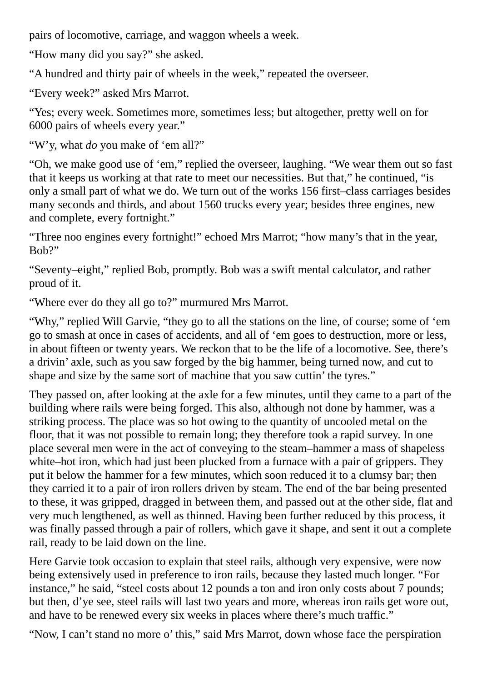pairs of locomotive, carriage, and waggon wheels a week.

"How many did you say?" she asked.

"A hundred and thirty pair of wheels in the week," repeated the overseer.

"Every week?" asked Mrs Marrot.

"Yes; every week. Sometimes more, sometimes less; but altogether, pretty well on for 6000 pairs of wheels every year."

"W'y, what *do* you make of 'em all?"

"Oh, we make good use of 'em," replied the overseer, laughing. "We wear them out so fast that it keeps us working at that rate to meet our necessities. But that," he continued, "is only a small part of what we do. We turn out of the works 156 first–class carriages besides many seconds and thirds, and about 1560 trucks every year; besides three engines, new and complete, every fortnight."

"Three noo engines every fortnight!" echoed Mrs Marrot; "how many's that in the year, Bob?"

"Seventy–eight," replied Bob, promptly. Bob was a swift mental calculator, and rather proud of it.

"Where ever do they all go to?" murmured Mrs Marrot.

"Why," replied Will Garvie, "they go to all the stations on the line, of course; some of 'em go to smash at once in cases of accidents, and all of 'em goes to destruction, more or less, in about fifteen or twenty years. We reckon that to be the life of a locomotive. See, there's a drivin' axle, such as you saw forged by the big hammer, being turned now, and cut to shape and size by the same sort of machine that you saw cuttin' the tyres."

They passed on, after looking at the axle for a few minutes, until they came to a part of the building where rails were being forged. This also, although not done by hammer, was a striking process. The place was so hot owing to the quantity of uncooled metal on the floor, that it was not possible to remain long; they therefore took a rapid survey. In one place several men were in the act of conveying to the steam–hammer a mass of shapeless white–hot iron, which had just been plucked from a furnace with a pair of grippers. They put it below the hammer for a few minutes, which soon reduced it to a clumsy bar; then they carried it to a pair of iron rollers driven by steam. The end of the bar being presented to these, it was gripped, dragged in between them, and passed out at the other side, flat and very much lengthened, as well as thinned. Having been further reduced by this process, it was finally passed through a pair of rollers, which gave it shape, and sent it out a complete rail, ready to be laid down on the line.

Here Garvie took occasion to explain that steel rails, although very expensive, were now being extensively used in preference to iron rails, because they lasted much longer. "For instance," he said, "steel costs about 12 pounds a ton and iron only costs about 7 pounds; but then, d'ye see, steel rails will last two years and more, whereas iron rails get wore out, and have to be renewed every six weeks in places where there's much traffic."

"Now, I can't stand no more o' this," said Mrs Marrot, down whose face the perspiration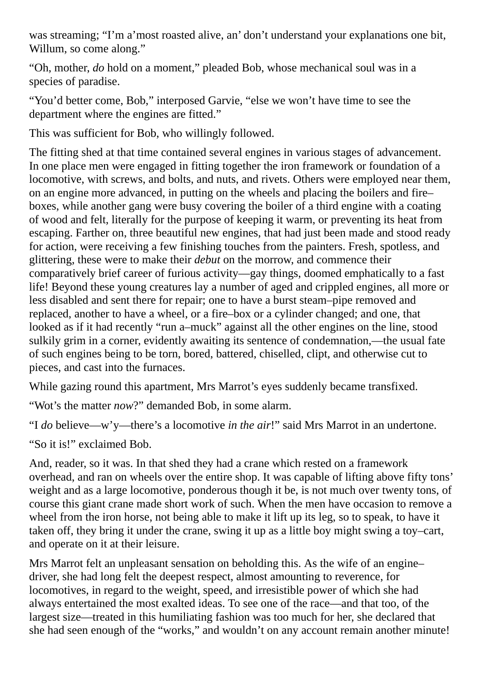was streaming; "I'm a'most roasted alive, an' don't understand your explanations one bit, Willum, so come along."

"Oh, mother, *do* hold on a moment," pleaded Bob, whose mechanical soul was in a species of paradise.

"You'd better come, Bob," interposed Garvie, "else we won't have time to see the department where the engines are fitted."

This was sufficient for Bob, who willingly followed.

The fitting shed at that time contained several engines in various stages of advancement. In one place men were engaged in fitting together the iron framework or foundation of a locomotive, with screws, and bolts, and nuts, and rivets. Others were employed near them, on an engine more advanced, in putting on the wheels and placing the boilers and fire– boxes, while another gang were busy covering the boiler of a third engine with a coating of wood and felt, literally for the purpose of keeping it warm, or preventing its heat from escaping. Farther on, three beautiful new engines, that had just been made and stood ready for action, were receiving a few finishing touches from the painters. Fresh, spotless, and glittering, these were to make their *debut* on the morrow, and commence their comparatively brief career of furious activity—gay things, doomed emphatically to a fast life! Beyond these young creatures lay a number of aged and crippled engines, all more or less disabled and sent there for repair; one to have a burst steam–pipe removed and replaced, another to have a wheel, or a fire–box or a cylinder changed; and one, that looked as if it had recently "run a–muck" against all the other engines on the line, stood sulkily grim in a corner, evidently awaiting its sentence of condemnation,—the usual fate of such engines being to be torn, bored, battered, chiselled, clipt, and otherwise cut to pieces, and cast into the furnaces.

While gazing round this apartment, Mrs Marrot's eyes suddenly became transfixed.

"Wot's the matter *now*?" demanded Bob, in some alarm.

"I *do* believe—w'y—there's a locomotive *in the air*!" said Mrs Marrot in an undertone.

"So it is!" exclaimed Bob.

And, reader, so it was. In that shed they had a crane which rested on a framework overhead, and ran on wheels over the entire shop. It was capable of lifting above fifty tons' weight and as a large locomotive, ponderous though it be, is not much over twenty tons, of course this giant crane made short work of such. When the men have occasion to remove a wheel from the iron horse, not being able to make it lift up its leg, so to speak, to have it taken off, they bring it under the crane, swing it up as a little boy might swing a toy–cart, and operate on it at their leisure.

Mrs Marrot felt an unpleasant sensation on beholding this. As the wife of an engine– driver, she had long felt the deepest respect, almost amounting to reverence, for locomotives, in regard to the weight, speed, and irresistible power of which she had always entertained the most exalted ideas. To see one of the race—and that too, of the largest size—treated in this humiliating fashion was too much for her, she declared that she had seen enough of the "works," and wouldn't on any account remain another minute!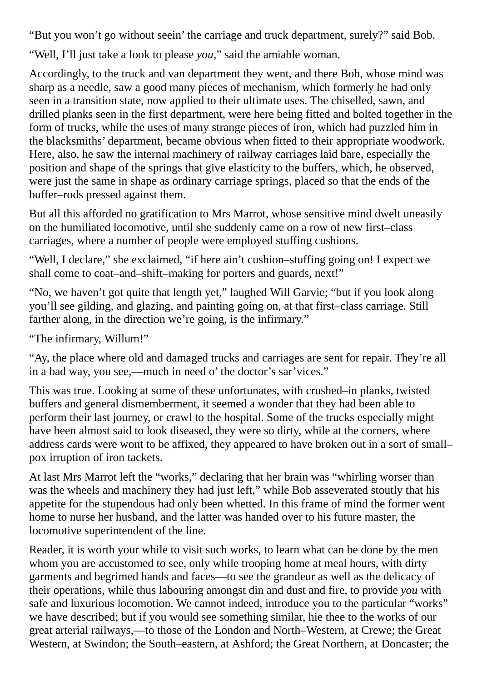"But you won't go without seein' the carriage and truck department, surely?" said Bob.

"Well, I'll just take a look to please *you*," said the amiable woman.

Accordingly, to the truck and van department they went, and there Bob, whose mind was sharp as a needle, saw a good many pieces of mechanism, which formerly he had only seen in a transition state, now applied to their ultimate uses. The chiselled, sawn, and drilled planks seen in the first department, were here being fitted and bolted together in the form of trucks, while the uses of many strange pieces of iron, which had puzzled him in the blacksmiths' department, became obvious when fitted to their appropriate woodwork. Here, also, he saw the internal machinery of railway carriages laid bare, especially the position and shape of the springs that give elasticity to the buffers, which, he observed, were just the same in shape as ordinary carriage springs, placed so that the ends of the buffer–rods pressed against them.

But all this afforded no gratification to Mrs Marrot, whose sensitive mind dwelt uneasily on the humiliated locomotive, until she suddenly came on a row of new first–class carriages, where a number of people were employed stuffing cushions.

"Well, I declare," she exclaimed, "if here ain't cushion–stuffing going on! I expect we shall come to coat–and–shift–making for porters and guards, next!"

"No, we haven't got quite that length yet," laughed Will Garvie; "but if you look along you'll see gilding, and glazing, and painting going on, at that first–class carriage. Still farther along, in the direction we're going, is the infirmary."

"The infirmary, Willum!"

"Ay, the place where old and damaged trucks and carriages are sent for repair. They're all in a bad way, you see,—much in need o' the doctor's sar'vices."

This was true. Looking at some of these unfortunates, with crushed–in planks, twisted buffers and general dismemberment, it seemed a wonder that they had been able to perform their last journey, or crawl to the hospital. Some of the trucks especially might have been almost said to look diseased, they were so dirty, while at the corners, where address cards were wont to be affixed, they appeared to have broken out in a sort of small– pox irruption of iron tackets.

At last Mrs Marrot left the "works," declaring that her brain was "whirling worser than was the wheels and machinery they had just left," while Bob asseverated stoutly that his appetite for the stupendous had only been whetted. In this frame of mind the former went home to nurse her husband, and the latter was handed over to his future master, the locomotive superintendent of the line.

Reader, it is worth your while to visit such works, to learn what can be done by the men whom you are accustomed to see, only while trooping home at meal hours, with dirty garments and begrimed hands and faces—to see the grandeur as well as the delicacy of their operations, while thus labouring amongst din and dust and fire, to provide *you* with safe and luxurious locomotion. We cannot indeed, introduce you to the particular "works" we have described; but if you would see something similar, hie thee to the works of our great arterial railways,—to those of the London and North–Western, at Crewe; the Great Western, at Swindon; the South–eastern, at Ashford; the Great Northern, at Doncaster; the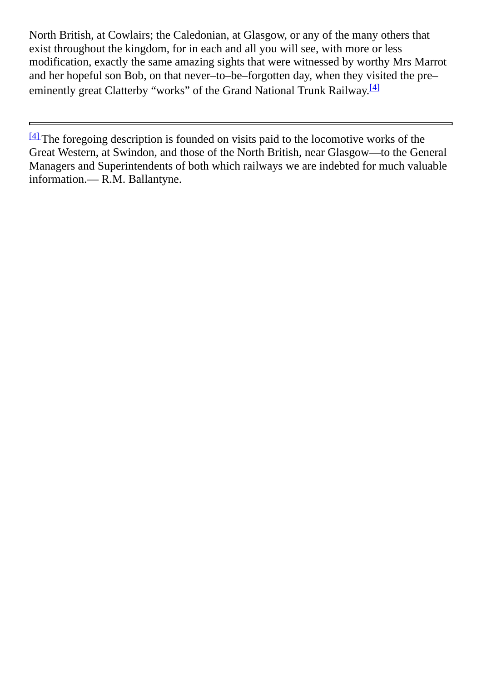North British, at Cowlairs; the Caledonian, at Glasgow, or any of the many others that exist throughout the kingdom, for in each and all you will see, with more or less modification, exactly the same amazing sights that were witnessed by worthy Mrs Marrot and her hopeful son Bob, on that never–to–be–forgotten day, when they visited the pre– eminently great Clatterby "works" of the Grand National Trunk Railway.<sup>[\[4\]](#page-64-0)</sup>

<span id="page-64-0"></span> $[4]$ The foregoing description is founded on visits paid to the locomotive works of the Great Western, at Swindon, and those of the North British, near Glasgow—to the General Managers and Superintendents of both which railways we are indebted for much valuable information.— R.M. Ballantyne.

<span id="page-64-1"></span> $\blacksquare$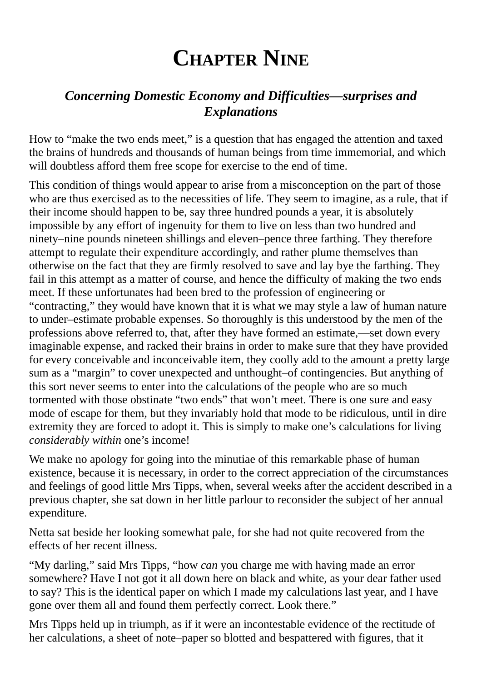# **CHAPTER NINE**

### *Concerning Domestic Economy and Difficulties—surprises and Explanations*

How to "make the two ends meet," is a question that has engaged the attention and taxed the brains of hundreds and thousands of human beings from time immemorial, and which will doubtless afford them free scope for exercise to the end of time.

This condition of things would appear to arise from a misconception on the part of those who are thus exercised as to the necessities of life. They seem to imagine, as a rule, that if their income should happen to be, say three hundred pounds a year, it is absolutely impossible by any effort of ingenuity for them to live on less than two hundred and ninety–nine pounds nineteen shillings and eleven–pence three farthing. They therefore attempt to regulate their expenditure accordingly, and rather plume themselves than otherwise on the fact that they are firmly resolved to save and lay bye the farthing. They fail in this attempt as a matter of course, and hence the difficulty of making the two ends meet. If these unfortunates had been bred to the profession of engineering or "contracting," they would have known that it is what we may style a law of human nature to under–estimate probable expenses. So thoroughly is this understood by the men of the professions above referred to, that, after they have formed an estimate,—set down every imaginable expense, and racked their brains in order to make sure that they have provided for every conceivable and inconceivable item, they coolly add to the amount a pretty large sum as a "margin" to cover unexpected and unthought–of contingencies. But anything of this sort never seems to enter into the calculations of the people who are so much tormented with those obstinate "two ends" that won't meet. There is one sure and easy mode of escape for them, but they invariably hold that mode to be ridiculous, until in dire extremity they are forced to adopt it. This is simply to make one's calculations for living *considerably within* one's income!

We make no apology for going into the minutiae of this remarkable phase of human existence, because it is necessary, in order to the correct appreciation of the circumstances and feelings of good little Mrs Tipps, when, several weeks after the accident described in a previous chapter, she sat down in her little parlour to reconsider the subject of her annual expenditure.

Netta sat beside her looking somewhat pale, for she had not quite recovered from the effects of her recent illness.

"My darling," said Mrs Tipps, "how *can* you charge me with having made an error somewhere? Have I not got it all down here on black and white, as your dear father used to say? This is the identical paper on which I made my calculations last year, and I have gone over them all and found them perfectly correct. Look there."

Mrs Tipps held up in triumph, as if it were an incontestable evidence of the rectitude of her calculations, a sheet of note–paper so blotted and bespattered with figures, that it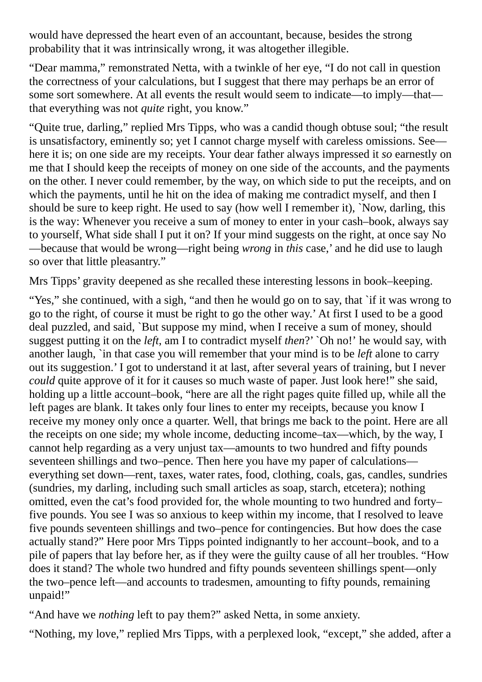would have depressed the heart even of an accountant, because, besides the strong probability that it was intrinsically wrong, it was altogether illegible.

"Dear mamma," remonstrated Netta, with a twinkle of her eye, "I do not call in question the correctness of your calculations, but I suggest that there may perhaps be an error of some sort somewhere. At all events the result would seem to indicate—to imply—that that everything was not *quite* right, you know."

"Quite true, darling," replied Mrs Tipps, who was a candid though obtuse soul; "the result is unsatisfactory, eminently so; yet I cannot charge myself with careless omissions. See here it is; on one side are my receipts. Your dear father always impressed it *so* earnestly on me that I should keep the receipts of money on one side of the accounts, and the payments on the other. I never could remember, by the way, on which side to put the receipts, and on which the payments, until he hit on the idea of making me contradict myself, and then I should be sure to keep right. He used to say (how well I remember it), `Now, darling, this is the way: Whenever you receive a sum of money to enter in your cash–book, always say to yourself, What side shall I put it on? If your mind suggests on the right, at once say No —because that would be wrong—right being *wrong* in *this* case,' and he did use to laugh so over that little pleasantry."

Mrs Tipps' gravity deepened as she recalled these interesting lessons in book–keeping.

"Yes," she continued, with a sigh, "and then he would go on to say, that `if it was wrong to go to the right, of course it must be right to go the other way.' At first I used to be a good deal puzzled, and said, `But suppose my mind, when I receive a sum of money, should suggest putting it on the *left*, am I to contradict myself *then*?' `Oh no!' he would say, with another laugh, `in that case you will remember that your mind is to be *left* alone to carry out its suggestion.' I got to understand it at last, after several years of training, but I never *could* quite approve of it for it causes so much waste of paper. Just look here!" she said, holding up a little account–book, "here are all the right pages quite filled up, while all the left pages are blank. It takes only four lines to enter my receipts, because you know I receive my money only once a quarter. Well, that brings me back to the point. Here are all the receipts on one side; my whole income, deducting income–tax—which, by the way, I cannot help regarding as a very unjust tax—amounts to two hundred and fifty pounds seventeen shillings and two–pence. Then here you have my paper of calculations everything set down—rent, taxes, water rates, food, clothing, coals, gas, candles, sundries (sundries, my darling, including such small articles as soap, starch, etcetera); nothing omitted, even the cat's food provided for, the whole mounting to two hundred and forty– five pounds. You see I was so anxious to keep within my income, that I resolved to leave five pounds seventeen shillings and two–pence for contingencies. But how does the case actually stand?" Here poor Mrs Tipps pointed indignantly to her account–book, and to a pile of papers that lay before her, as if they were the guilty cause of all her troubles. "How does it stand? The whole two hundred and fifty pounds seventeen shillings spent—only the two–pence left—and accounts to tradesmen, amounting to fifty pounds, remaining unpaid!"

"And have we *nothing* left to pay them?" asked Netta, in some anxiety.

"Nothing, my love," replied Mrs Tipps, with a perplexed look, "except," she added, after a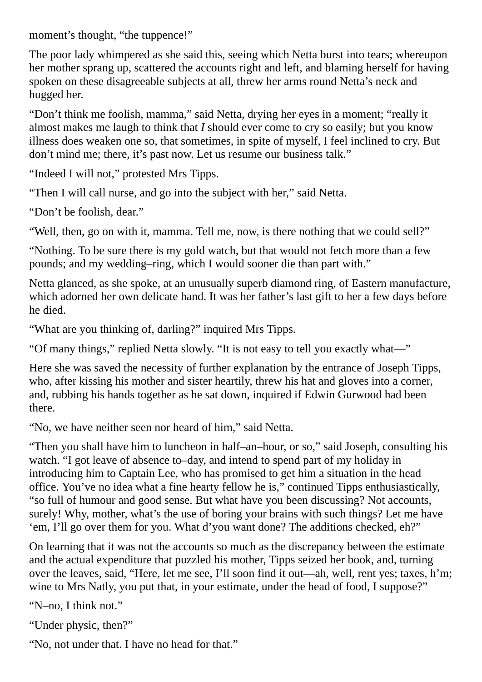moment's thought, "the tuppence!"

The poor lady whimpered as she said this, seeing which Netta burst into tears; whereupon her mother sprang up, scattered the accounts right and left, and blaming herself for having spoken on these disagreeable subjects at all, threw her arms round Netta's neck and hugged her.

"Don't think me foolish, mamma," said Netta, drying her eyes in a moment; "really it almost makes me laugh to think that *I* should ever come to cry so easily; but you know illness does weaken one so, that sometimes, in spite of myself, I feel inclined to cry. But don't mind me; there, it's past now. Let us resume our business talk."

"Indeed I will not," protested Mrs Tipps.

"Then I will call nurse, and go into the subject with her," said Netta.

"Don't be foolish, dear."

"Well, then, go on with it, mamma. Tell me, now, is there nothing that we could sell?"

"Nothing. To be sure there is my gold watch, but that would not fetch more than a few pounds; and my wedding–ring, which I would sooner die than part with."

Netta glanced, as she spoke, at an unusually superb diamond ring, of Eastern manufacture, which adorned her own delicate hand. It was her father's last gift to her a few days before he died.

"What are you thinking of, darling?" inquired Mrs Tipps.

"Of many things," replied Netta slowly. "It is not easy to tell you exactly what—"

Here she was saved the necessity of further explanation by the entrance of Joseph Tipps, who, after kissing his mother and sister heartily, threw his hat and gloves into a corner, and, rubbing his hands together as he sat down, inquired if Edwin Gurwood had been there.

"No, we have neither seen nor heard of him," said Netta.

"Then you shall have him to luncheon in half–an–hour, or so," said Joseph, consulting his watch. "I got leave of absence to–day, and intend to spend part of my holiday in introducing him to Captain Lee, who has promised to get him a situation in the head office. You've no idea what a fine hearty fellow he is," continued Tipps enthusiastically, "so full of humour and good sense. But what have you been discussing? Not accounts, surely! Why, mother, what's the use of boring your brains with such things? Let me have 'em, I'll go over them for you. What d'you want done? The additions checked, eh?"

On learning that it was not the accounts so much as the discrepancy between the estimate and the actual expenditure that puzzled his mother, Tipps seized her book, and, turning over the leaves, said, "Here, let me see, I'll soon find it out—ah, well, rent yes; taxes, h'm; wine to Mrs Natly, you put that, in your estimate, under the head of food, I suppose?"

"N–no, I think not."

"Under physic, then?"

"No, not under that. I have no head for that."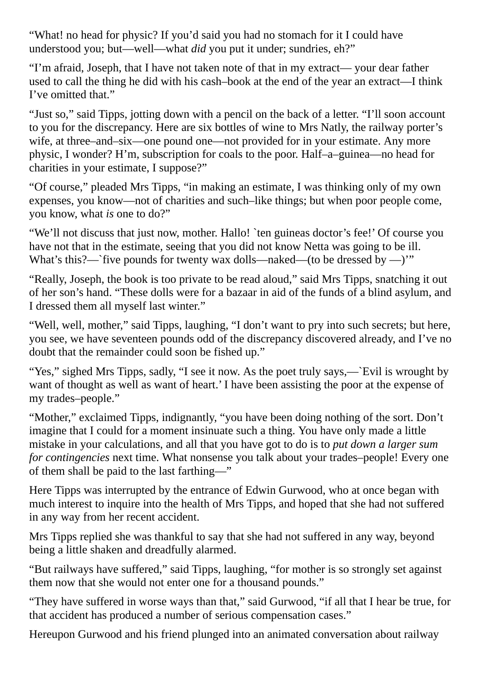"What! no head for physic? If you'd said you had no stomach for it I could have understood you; but—well—what *did* you put it under; sundries, eh?"

"I'm afraid, Joseph, that I have not taken note of that in my extract— your dear father used to call the thing he did with his cash–book at the end of the year an extract—I think I've omitted that."

"Just so," said Tipps, jotting down with a pencil on the back of a letter. "I'll soon account to you for the discrepancy. Here are six bottles of wine to Mrs Natly, the railway porter's wife, at three–and–six—one pound one—not provided for in your estimate. Any more physic, I wonder? H'm, subscription for coals to the poor. Half–a–guinea—no head for charities in your estimate, I suppose?"

"Of course," pleaded Mrs Tipps, "in making an estimate, I was thinking only of my own expenses, you know—not of charities and such–like things; but when poor people come, you know, what *is* one to do?"

"We'll not discuss that just now, mother. Hallo! `ten guineas doctor's fee!' Of course you have not that in the estimate, seeing that you did not know Netta was going to be ill. What's this?—`five pounds for twenty wax dolls—naked—(to be dressed by  $-$ )'"

"Really, Joseph, the book is too private to be read aloud," said Mrs Tipps, snatching it out of her son's hand. "These dolls were for a bazaar in aid of the funds of a blind asylum, and I dressed them all myself last winter."

"Well, well, mother," said Tipps, laughing, "I don't want to pry into such secrets; but here, you see, we have seventeen pounds odd of the discrepancy discovered already, and I've no doubt that the remainder could soon be fished up."

"Yes," sighed Mrs Tipps, sadly, "I see it now. As the poet truly says,—`Evil is wrought by want of thought as well as want of heart.' I have been assisting the poor at the expense of my trades–people."

"Mother," exclaimed Tipps, indignantly, "you have been doing nothing of the sort. Don't imagine that I could for a moment insinuate such a thing. You have only made a little mistake in your calculations, and all that you have got to do is to *put down a larger sum for contingencies* next time. What nonsense you talk about your trades–people! Every one of them shall be paid to the last farthing—"

Here Tipps was interrupted by the entrance of Edwin Gurwood, who at once began with much interest to inquire into the health of Mrs Tipps, and hoped that she had not suffered in any way from her recent accident.

Mrs Tipps replied she was thankful to say that she had not suffered in any way, beyond being a little shaken and dreadfully alarmed.

"But railways have suffered," said Tipps, laughing, "for mother is so strongly set against them now that she would not enter one for a thousand pounds."

"They have suffered in worse ways than that," said Gurwood, "if all that I hear be true, for that accident has produced a number of serious compensation cases."

Hereupon Gurwood and his friend plunged into an animated conversation about railway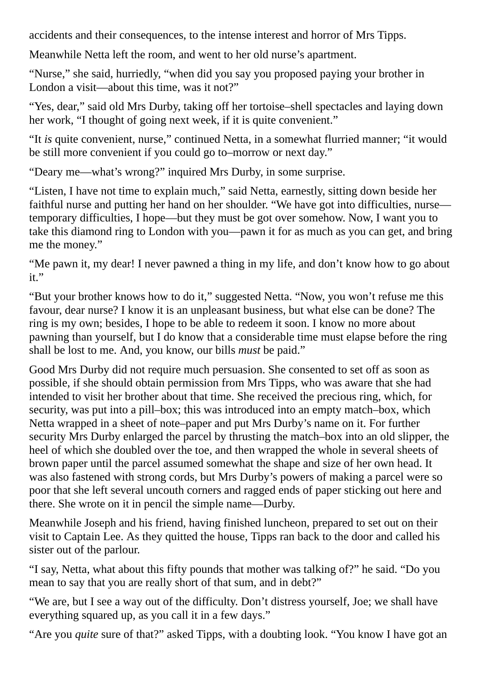accidents and their consequences, to the intense interest and horror of Mrs Tipps.

Meanwhile Netta left the room, and went to her old nurse's apartment.

"Nurse," she said, hurriedly, "when did you say you proposed paying your brother in London a visit—about this time, was it not?"

"Yes, dear," said old Mrs Durby, taking off her tortoise–shell spectacles and laying down her work, "I thought of going next week, if it is quite convenient."

"It *is* quite convenient, nurse," continued Netta, in a somewhat flurried manner; "it would be still more convenient if you could go to–morrow or next day."

"Deary me—what's wrong?" inquired Mrs Durby, in some surprise.

"Listen, I have not time to explain much," said Netta, earnestly, sitting down beside her faithful nurse and putting her hand on her shoulder. "We have got into difficulties, nurse temporary difficulties, I hope—but they must be got over somehow. Now, I want you to take this diamond ring to London with you—pawn it for as much as you can get, and bring me the money."

"Me pawn it, my dear! I never pawned a thing in my life, and don't know how to go about it."

"But your brother knows how to do it," suggested Netta. "Now, you won't refuse me this favour, dear nurse? I know it is an unpleasant business, but what else can be done? The ring is my own; besides, I hope to be able to redeem it soon. I know no more about pawning than yourself, but I do know that a considerable time must elapse before the ring shall be lost to me. And, you know, our bills *must* be paid."

Good Mrs Durby did not require much persuasion. She consented to set off as soon as possible, if she should obtain permission from Mrs Tipps, who was aware that she had intended to visit her brother about that time. She received the precious ring, which, for security, was put into a pill–box; this was introduced into an empty match–box, which Netta wrapped in a sheet of note–paper and put Mrs Durby's name on it. For further security Mrs Durby enlarged the parcel by thrusting the match–box into an old slipper, the heel of which she doubled over the toe, and then wrapped the whole in several sheets of brown paper until the parcel assumed somewhat the shape and size of her own head. It was also fastened with strong cords, but Mrs Durby's powers of making a parcel were so poor that she left several uncouth corners and ragged ends of paper sticking out here and there. She wrote on it in pencil the simple name—Durby.

Meanwhile Joseph and his friend, having finished luncheon, prepared to set out on their visit to Captain Lee. As they quitted the house, Tipps ran back to the door and called his sister out of the parlour.

"I say, Netta, what about this fifty pounds that mother was talking of?" he said. "Do you mean to say that you are really short of that sum, and in debt?"

"We are, but I see a way out of the difficulty. Don't distress yourself, Joe; we shall have everything squared up, as you call it in a few days."

"Are you *quite* sure of that?" asked Tipps, with a doubting look. "You know I have got an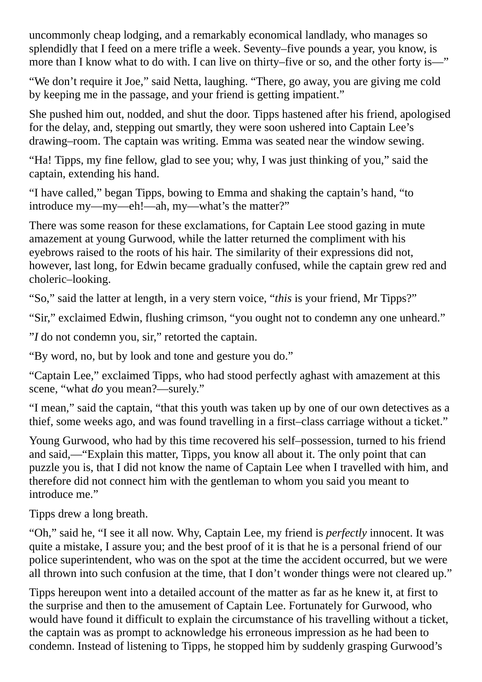uncommonly cheap lodging, and a remarkably economical landlady, who manages so splendidly that I feed on a mere trifle a week. Seventy–five pounds a year, you know, is more than I know what to do with. I can live on thirty–five or so, and the other forty is—"

"We don't require it Joe," said Netta, laughing. "There, go away, you are giving me cold by keeping me in the passage, and your friend is getting impatient."

She pushed him out, nodded, and shut the door. Tipps hastened after his friend, apologised for the delay, and, stepping out smartly, they were soon ushered into Captain Lee's drawing–room. The captain was writing. Emma was seated near the window sewing.

"Ha! Tipps, my fine fellow, glad to see you; why, I was just thinking of you," said the captain, extending his hand.

"I have called," began Tipps, bowing to Emma and shaking the captain's hand, "to introduce my—my—eh!—ah, my—what's the matter?"

There was some reason for these exclamations, for Captain Lee stood gazing in mute amazement at young Gurwood, while the latter returned the compliment with his eyebrows raised to the roots of his hair. The similarity of their expressions did not, however, last long, for Edwin became gradually confused, while the captain grew red and choleric–looking.

"So," said the latter at length, in a very stern voice, "*this* is your friend, Mr Tipps?"

"Sir," exclaimed Edwin, flushing crimson, "you ought not to condemn any one unheard."

"*I* do not condemn you, sir," retorted the captain.

"By word, no, but by look and tone and gesture you do."

"Captain Lee," exclaimed Tipps, who had stood perfectly aghast with amazement at this scene, "what *do* you mean?—surely."

"I mean," said the captain, "that this youth was taken up by one of our own detectives as a thief, some weeks ago, and was found travelling in a first–class carriage without a ticket."

Young Gurwood, who had by this time recovered his self–possession, turned to his friend and said,—"Explain this matter, Tipps, you know all about it. The only point that can puzzle you is, that I did not know the name of Captain Lee when I travelled with him, and therefore did not connect him with the gentleman to whom you said you meant to introduce me."

Tipps drew a long breath.

"Oh," said he, "I see it all now. Why, Captain Lee, my friend is *perfectly* innocent. It was quite a mistake, I assure you; and the best proof of it is that he is a personal friend of our police superintendent, who was on the spot at the time the accident occurred, but we were all thrown into such confusion at the time, that I don't wonder things were not cleared up."

Tipps hereupon went into a detailed account of the matter as far as he knew it, at first to the surprise and then to the amusement of Captain Lee. Fortunately for Gurwood, who would have found it difficult to explain the circumstance of his travelling without a ticket, the captain was as prompt to acknowledge his erroneous impression as he had been to condemn. Instead of listening to Tipps, he stopped him by suddenly grasping Gurwood's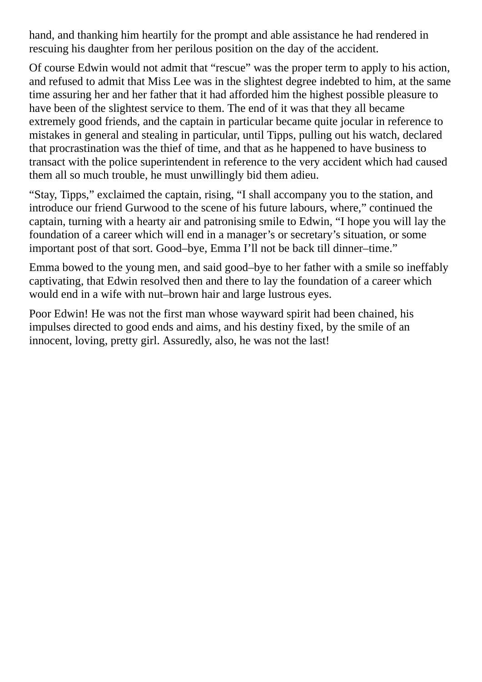hand, and thanking him heartily for the prompt and able assistance he had rendered in rescuing his daughter from her perilous position on the day of the accident.

Of course Edwin would not admit that "rescue" was the proper term to apply to his action, and refused to admit that Miss Lee was in the slightest degree indebted to him, at the same time assuring her and her father that it had afforded him the highest possible pleasure to have been of the slightest service to them. The end of it was that they all became extremely good friends, and the captain in particular became quite jocular in reference to mistakes in general and stealing in particular, until Tipps, pulling out his watch, declared that procrastination was the thief of time, and that as he happened to have business to transact with the police superintendent in reference to the very accident which had caused them all so much trouble, he must unwillingly bid them adieu.

"Stay, Tipps," exclaimed the captain, rising, "I shall accompany you to the station, and introduce our friend Gurwood to the scene of his future labours, where," continued the captain, turning with a hearty air and patronising smile to Edwin, "I hope you will lay the foundation of a career which will end in a manager's or secretary's situation, or some important post of that sort. Good–bye, Emma I'll not be back till dinner–time."

Emma bowed to the young men, and said good–bye to her father with a smile so ineffably captivating, that Edwin resolved then and there to lay the foundation of a career which would end in a wife with nut–brown hair and large lustrous eyes.

Poor Edwin! He was not the first man whose wayward spirit had been chained, his impulses directed to good ends and aims, and his destiny fixed, by the smile of an innocent, loving, pretty girl. Assuredly, also, he was not the last!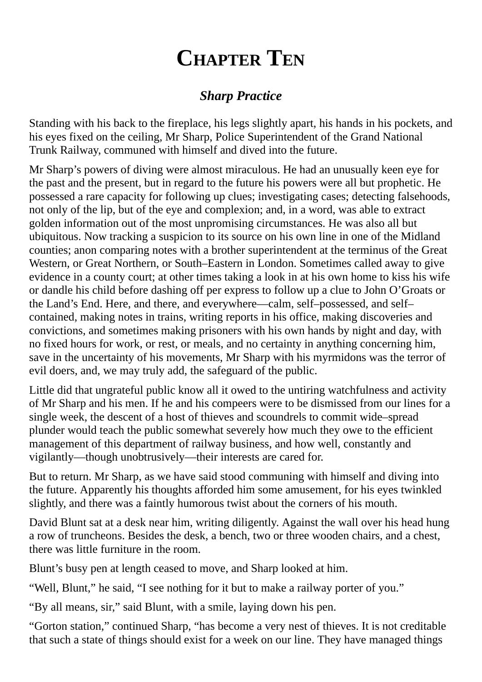# **CHAPTER TEN**

### *Sharp Practice*

Standing with his back to the fireplace, his legs slightly apart, his hands in his pockets, and his eyes fixed on the ceiling, Mr Sharp, Police Superintendent of the Grand National Trunk Railway, communed with himself and dived into the future.

Mr Sharp's powers of diving were almost miraculous. He had an unusually keen eye for the past and the present, but in regard to the future his powers were all but prophetic. He possessed a rare capacity for following up clues; investigating cases; detecting falsehoods, not only of the lip, but of the eye and complexion; and, in a word, was able to extract golden information out of the most unpromising circumstances. He was also all but ubiquitous. Now tracking a suspicion to its source on his own line in one of the Midland counties; anon comparing notes with a brother superintendent at the terminus of the Great Western, or Great Northern, or South–Eastern in London. Sometimes called away to give evidence in a county court; at other times taking a look in at his own home to kiss his wife or dandle his child before dashing off per express to follow up a clue to John O'Groats or the Land's End. Here, and there, and everywhere—calm, self–possessed, and self– contained, making notes in trains, writing reports in his office, making discoveries and convictions, and sometimes making prisoners with his own hands by night and day, with no fixed hours for work, or rest, or meals, and no certainty in anything concerning him, save in the uncertainty of his movements, Mr Sharp with his myrmidons was the terror of evil doers, and, we may truly add, the safeguard of the public.

Little did that ungrateful public know all it owed to the untiring watchfulness and activity of Mr Sharp and his men. If he and his compeers were to be dismissed from our lines for a single week, the descent of a host of thieves and scoundrels to commit wide–spread plunder would teach the public somewhat severely how much they owe to the efficient management of this department of railway business, and how well, constantly and vigilantly—though unobtrusively—their interests are cared for.

But to return. Mr Sharp, as we have said stood communing with himself and diving into the future. Apparently his thoughts afforded him some amusement, for his eyes twinkled slightly, and there was a faintly humorous twist about the corners of his mouth.

David Blunt sat at a desk near him, writing diligently. Against the wall over his head hung a row of truncheons. Besides the desk, a bench, two or three wooden chairs, and a chest, there was little furniture in the room.

Blunt's busy pen at length ceased to move, and Sharp looked at him.

"Well, Blunt," he said, "I see nothing for it but to make a railway porter of you."

"By all means, sir," said Blunt, with a smile, laying down his pen.

"Gorton station," continued Sharp, "has become a very nest of thieves. It is not creditable that such a state of things should exist for a week on our line. They have managed things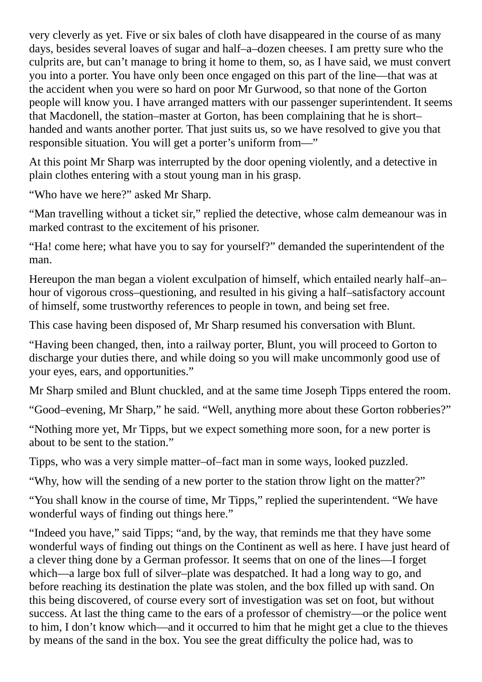very cleverly as yet. Five or six bales of cloth have disappeared in the course of as many days, besides several loaves of sugar and half–a–dozen cheeses. I am pretty sure who the culprits are, but can't manage to bring it home to them, so, as I have said, we must convert you into a porter. You have only been once engaged on this part of the line—that was at the accident when you were so hard on poor Mr Gurwood, so that none of the Gorton people will know you. I have arranged matters with our passenger superintendent. It seems that Macdonell, the station–master at Gorton, has been complaining that he is short– handed and wants another porter. That just suits us, so we have resolved to give you that responsible situation. You will get a porter's uniform from—"

At this point Mr Sharp was interrupted by the door opening violently, and a detective in plain clothes entering with a stout young man in his grasp.

"Who have we here?" asked Mr Sharp.

"Man travelling without a ticket sir," replied the detective, whose calm demeanour was in marked contrast to the excitement of his prisoner.

"Ha! come here; what have you to say for yourself?" demanded the superintendent of the man.

Hereupon the man began a violent exculpation of himself, which entailed nearly half–an– hour of vigorous cross–questioning, and resulted in his giving a half–satisfactory account of himself, some trustworthy references to people in town, and being set free.

This case having been disposed of, Mr Sharp resumed his conversation with Blunt.

"Having been changed, then, into a railway porter, Blunt, you will proceed to Gorton to discharge your duties there, and while doing so you will make uncommonly good use of your eyes, ears, and opportunities."

Mr Sharp smiled and Blunt chuckled, and at the same time Joseph Tipps entered the room.

"Good–evening, Mr Sharp," he said. "Well, anything more about these Gorton robberies?"

"Nothing more yet, Mr Tipps, but we expect something more soon, for a new porter is about to be sent to the station."

Tipps, who was a very simple matter–of–fact man in some ways, looked puzzled.

"Why, how will the sending of a new porter to the station throw light on the matter?"

"You shall know in the course of time, Mr Tipps," replied the superintendent. "We have wonderful ways of finding out things here."

"Indeed you have," said Tipps; "and, by the way, that reminds me that they have some wonderful ways of finding out things on the Continent as well as here. I have just heard of a clever thing done by a German professor. It seems that on one of the lines—I forget which—a large box full of silver–plate was despatched. It had a long way to go, and before reaching its destination the plate was stolen, and the box filled up with sand. On this being discovered, of course every sort of investigation was set on foot, but without success. At last the thing came to the ears of a professor of chemistry—or the police went to him, I don't know which—and it occurred to him that he might get a clue to the thieves by means of the sand in the box. You see the great difficulty the police had, was to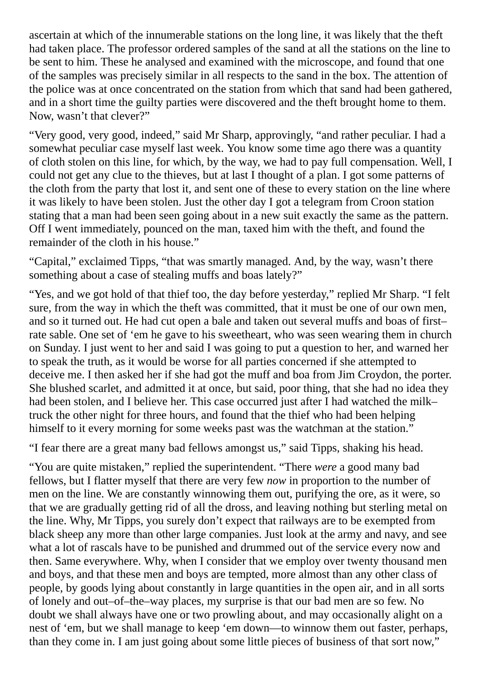ascertain at which of the innumerable stations on the long line, it was likely that the theft had taken place. The professor ordered samples of the sand at all the stations on the line to be sent to him. These he analysed and examined with the microscope, and found that one of the samples was precisely similar in all respects to the sand in the box. The attention of the police was at once concentrated on the station from which that sand had been gathered, and in a short time the guilty parties were discovered and the theft brought home to them. Now, wasn't that clever?"

"Very good, very good, indeed," said Mr Sharp, approvingly, "and rather peculiar. I had a somewhat peculiar case myself last week. You know some time ago there was a quantity of cloth stolen on this line, for which, by the way, we had to pay full compensation. Well, I could not get any clue to the thieves, but at last I thought of a plan. I got some patterns of the cloth from the party that lost it, and sent one of these to every station on the line where it was likely to have been stolen. Just the other day I got a telegram from Croon station stating that a man had been seen going about in a new suit exactly the same as the pattern. Off I went immediately, pounced on the man, taxed him with the theft, and found the remainder of the cloth in his house."

"Capital," exclaimed Tipps, "that was smartly managed. And, by the way, wasn't there something about a case of stealing muffs and boas lately?"

"Yes, and we got hold of that thief too, the day before yesterday," replied Mr Sharp. "I felt sure, from the way in which the theft was committed, that it must be one of our own men, and so it turned out. He had cut open a bale and taken out several muffs and boas of first– rate sable. One set of 'em he gave to his sweetheart, who was seen wearing them in church on Sunday. I just went to her and said I was going to put a question to her, and warned her to speak the truth, as it would be worse for all parties concerned if she attempted to deceive me. I then asked her if she had got the muff and boa from Jim Croydon, the porter. She blushed scarlet, and admitted it at once, but said, poor thing, that she had no idea they had been stolen, and I believe her. This case occurred just after I had watched the milk– truck the other night for three hours, and found that the thief who had been helping himself to it every morning for some weeks past was the watchman at the station."

"I fear there are a great many bad fellows amongst us," said Tipps, shaking his head.

"You are quite mistaken," replied the superintendent. "There *were* a good many bad fellows, but I flatter myself that there are very few *now* in proportion to the number of men on the line. We are constantly winnowing them out, purifying the ore, as it were, so that we are gradually getting rid of all the dross, and leaving nothing but sterling metal on the line. Why, Mr Tipps, you surely don't expect that railways are to be exempted from black sheep any more than other large companies. Just look at the army and navy, and see what a lot of rascals have to be punished and drummed out of the service every now and then. Same everywhere. Why, when I consider that we employ over twenty thousand men and boys, and that these men and boys are tempted, more almost than any other class of people, by goods lying about constantly in large quantities in the open air, and in all sorts of lonely and out–of–the–way places, my surprise is that our bad men are so few. No doubt we shall always have one or two prowling about, and may occasionally alight on a nest of 'em, but we shall manage to keep 'em down—to winnow them out faster, perhaps, than they come in. I am just going about some little pieces of business of that sort now,"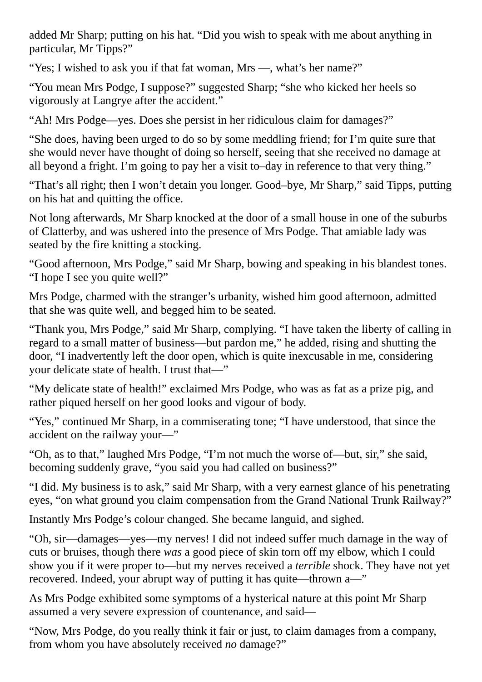added Mr Sharp; putting on his hat. "Did you wish to speak with me about anything in particular, Mr Tipps?"

"Yes; I wished to ask you if that fat woman, Mrs ―, what's her name?"

"You mean Mrs Podge, I suppose?" suggested Sharp; "she who kicked her heels so vigorously at Langrye after the accident."

"Ah! Mrs Podge—yes. Does she persist in her ridiculous claim for damages?"

"She does, having been urged to do so by some meddling friend; for I'm quite sure that she would never have thought of doing so herself, seeing that she received no damage at all beyond a fright. I'm going to pay her a visit to–day in reference to that very thing."

"That's all right; then I won't detain you longer. Good–bye, Mr Sharp," said Tipps, putting on his hat and quitting the office.

Not long afterwards, Mr Sharp knocked at the door of a small house in one of the suburbs of Clatterby, and was ushered into the presence of Mrs Podge. That amiable lady was seated by the fire knitting a stocking.

"Good afternoon, Mrs Podge," said Mr Sharp, bowing and speaking in his blandest tones. "I hope I see you quite well?"

Mrs Podge, charmed with the stranger's urbanity, wished him good afternoon, admitted that she was quite well, and begged him to be seated.

"Thank you, Mrs Podge," said Mr Sharp, complying. "I have taken the liberty of calling in regard to a small matter of business—but pardon me," he added, rising and shutting the door, "I inadvertently left the door open, which is quite inexcusable in me, considering your delicate state of health. I trust that—"

"My delicate state of health!" exclaimed Mrs Podge, who was as fat as a prize pig, and rather piqued herself on her good looks and vigour of body.

"Yes," continued Mr Sharp, in a commiserating tone; "I have understood, that since the accident on the railway your—"

"Oh, as to that," laughed Mrs Podge, "I'm not much the worse of—but, sir," she said, becoming suddenly grave, "you said you had called on business?"

"I did. My business is to ask," said Mr Sharp, with a very earnest glance of his penetrating eyes, "on what ground you claim compensation from the Grand National Trunk Railway?"

Instantly Mrs Podge's colour changed. She became languid, and sighed.

"Oh, sir—damages—yes—my nerves! I did not indeed suffer much damage in the way of cuts or bruises, though there *was* a good piece of skin torn off my elbow, which I could show you if it were proper to—but my nerves received a *terrible* shock. They have not yet recovered. Indeed, your abrupt way of putting it has quite—thrown a—"

As Mrs Podge exhibited some symptoms of a hysterical nature at this point Mr Sharp assumed a very severe expression of countenance, and said—

"Now, Mrs Podge, do you really think it fair or just, to claim damages from a company, from whom you have absolutely received *no* damage?"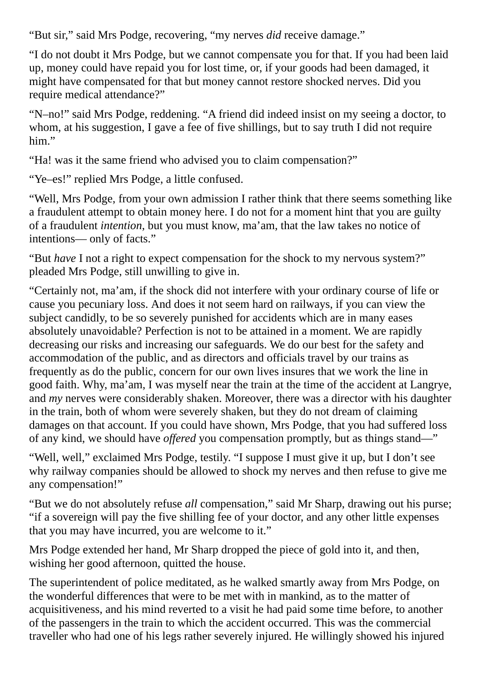"But sir," said Mrs Podge, recovering, "my nerves *did* receive damage."

"I do not doubt it Mrs Podge, but we cannot compensate you for that. If you had been laid up, money could have repaid you for lost time, or, if your goods had been damaged, it might have compensated for that but money cannot restore shocked nerves. Did you require medical attendance?"

"N–no!" said Mrs Podge, reddening. "A friend did indeed insist on my seeing a doctor, to whom, at his suggestion, I gave a fee of five shillings, but to say truth I did not require him."

"Ha! was it the same friend who advised you to claim compensation?"

"Ye–es!" replied Mrs Podge, a little confused.

"Well, Mrs Podge, from your own admission I rather think that there seems something like a fraudulent attempt to obtain money here. I do not for a moment hint that you are guilty of a fraudulent *intention*, but you must know, ma'am, that the law takes no notice of intentions— only of facts."

"But *have* I not a right to expect compensation for the shock to my nervous system?" pleaded Mrs Podge, still unwilling to give in.

"Certainly not, ma'am, if the shock did not interfere with your ordinary course of life or cause you pecuniary loss. And does it not seem hard on railways, if you can view the subject candidly, to be so severely punished for accidents which are in many eases absolutely unavoidable? Perfection is not to be attained in a moment. We are rapidly decreasing our risks and increasing our safeguards. We do our best for the safety and accommodation of the public, and as directors and officials travel by our trains as frequently as do the public, concern for our own lives insures that we work the line in good faith. Why, ma'am, I was myself near the train at the time of the accident at Langrye, and *my* nerves were considerably shaken. Moreover, there was a director with his daughter in the train, both of whom were severely shaken, but they do not dream of claiming damages on that account. If you could have shown, Mrs Podge, that you had suffered loss of any kind, we should have *offered* you compensation promptly, but as things stand—"

"Well, well," exclaimed Mrs Podge, testily. "I suppose I must give it up, but I don't see why railway companies should be allowed to shock my nerves and then refuse to give me any compensation!"

"But we do not absolutely refuse *all* compensation," said Mr Sharp, drawing out his purse; "if a sovereign will pay the five shilling fee of your doctor, and any other little expenses that you may have incurred, you are welcome to it."

Mrs Podge extended her hand, Mr Sharp dropped the piece of gold into it, and then, wishing her good afternoon, quitted the house.

The superintendent of police meditated, as he walked smartly away from Mrs Podge, on the wonderful differences that were to be met with in mankind, as to the matter of acquisitiveness, and his mind reverted to a visit he had paid some time before, to another of the passengers in the train to which the accident occurred. This was the commercial traveller who had one of his legs rather severely injured. He willingly showed his injured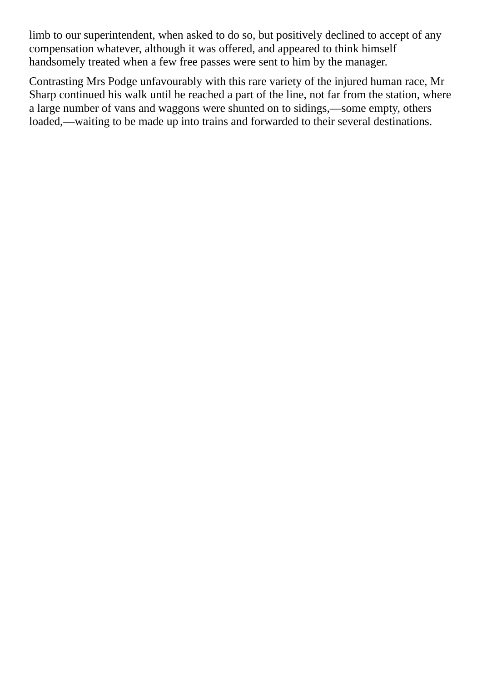limb to our superintendent, when asked to do so, but positively declined to accept of any compensation whatever, although it was offered, and appeared to think himself handsomely treated when a few free passes were sent to him by the manager.

Contrasting Mrs Podge unfavourably with this rare variety of the injured human race, Mr Sharp continued his walk until he reached a part of the line, not far from the station, where a large number of vans and waggons were shunted on to sidings,—some empty, others loaded,—waiting to be made up into trains and forwarded to their several destinations.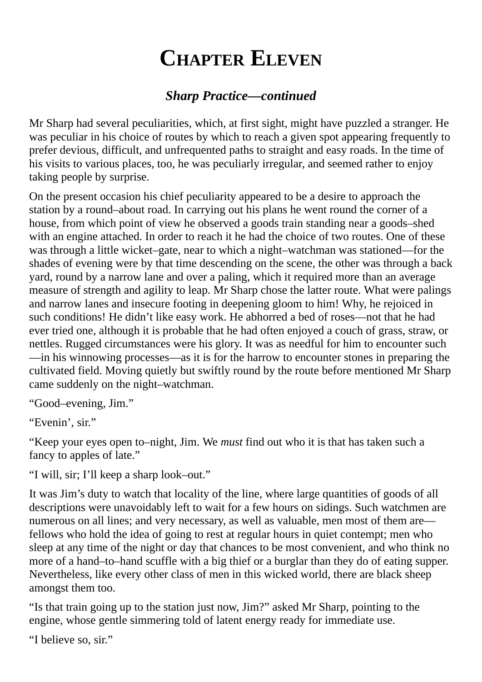# **CHAPTER ELEVEN**

### *Sharp Practice—continued*

Mr Sharp had several peculiarities, which, at first sight, might have puzzled a stranger. He was peculiar in his choice of routes by which to reach a given spot appearing frequently to prefer devious, difficult, and unfrequented paths to straight and easy roads. In the time of his visits to various places, too, he was peculiarly irregular, and seemed rather to enjoy taking people by surprise.

On the present occasion his chief peculiarity appeared to be a desire to approach the station by a round–about road. In carrying out his plans he went round the corner of a house, from which point of view he observed a goods train standing near a goods–shed with an engine attached. In order to reach it he had the choice of two routes. One of these was through a little wicket–gate, near to which a night–watchman was stationed—for the shades of evening were by that time descending on the scene, the other was through a back yard, round by a narrow lane and over a paling, which it required more than an average measure of strength and agility to leap. Mr Sharp chose the latter route. What were palings and narrow lanes and insecure footing in deepening gloom to him! Why, he rejoiced in such conditions! He didn't like easy work. He abhorred a bed of roses—not that he had ever tried one, although it is probable that he had often enjoyed a couch of grass, straw, or nettles. Rugged circumstances were his glory. It was as needful for him to encounter such —in his winnowing processes—as it is for the harrow to encounter stones in preparing the cultivated field. Moving quietly but swiftly round by the route before mentioned Mr Sharp came suddenly on the night–watchman.

"Good–evening, Jim."

"Evenin', sir."

"Keep your eyes open to–night, Jim. We *must* find out who it is that has taken such a fancy to apples of late."

"I will, sir; I'll keep a sharp look–out."

It was Jim's duty to watch that locality of the line, where large quantities of goods of all descriptions were unavoidably left to wait for a few hours on sidings. Such watchmen are numerous on all lines; and very necessary, as well as valuable, men most of them are fellows who hold the idea of going to rest at regular hours in quiet contempt; men who sleep at any time of the night or day that chances to be most convenient, and who think no more of a hand–to–hand scuffle with a big thief or a burglar than they do of eating supper. Nevertheless, like every other class of men in this wicked world, there are black sheep amongst them too.

"Is that train going up to the station just now, Jim?" asked Mr Sharp, pointing to the engine, whose gentle simmering told of latent energy ready for immediate use.

"I believe so, sir."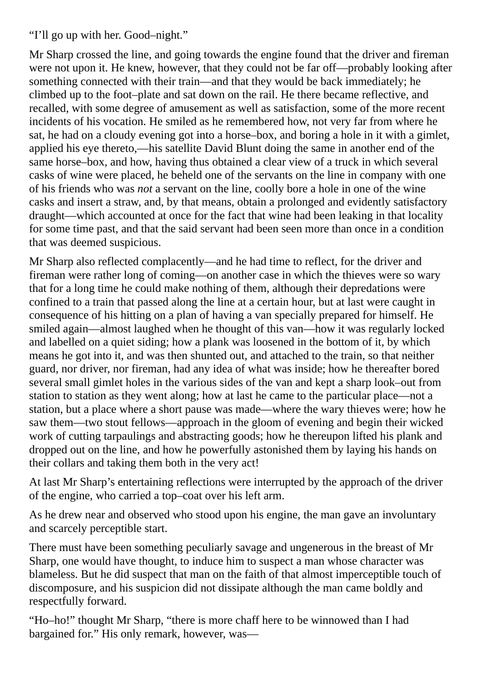"I'll go up with her. Good–night."

Mr Sharp crossed the line, and going towards the engine found that the driver and fireman were not upon it. He knew, however, that they could not be far off—probably looking after something connected with their train—and that they would be back immediately; he climbed up to the foot–plate and sat down on the rail. He there became reflective, and recalled, with some degree of amusement as well as satisfaction, some of the more recent incidents of his vocation. He smiled as he remembered how, not very far from where he sat, he had on a cloudy evening got into a horse–box, and boring a hole in it with a gimlet, applied his eye thereto,—his satellite David Blunt doing the same in another end of the same horse–box, and how, having thus obtained a clear view of a truck in which several casks of wine were placed, he beheld one of the servants on the line in company with one of his friends who was *not* a servant on the line, coolly bore a hole in one of the wine casks and insert a straw, and, by that means, obtain a prolonged and evidently satisfactory draught—which accounted at once for the fact that wine had been leaking in that locality for some time past, and that the said servant had been seen more than once in a condition that was deemed suspicious.

Mr Sharp also reflected complacently—and he had time to reflect, for the driver and fireman were rather long of coming—on another case in which the thieves were so wary that for a long time he could make nothing of them, although their depredations were confined to a train that passed along the line at a certain hour, but at last were caught in consequence of his hitting on a plan of having a van specially prepared for himself. He smiled again—almost laughed when he thought of this van—how it was regularly locked and labelled on a quiet siding; how a plank was loosened in the bottom of it, by which means he got into it, and was then shunted out, and attached to the train, so that neither guard, nor driver, nor fireman, had any idea of what was inside; how he thereafter bored several small gimlet holes in the various sides of the van and kept a sharp look–out from station to station as they went along; how at last he came to the particular place—not a station, but a place where a short pause was made—where the wary thieves were; how he saw them—two stout fellows—approach in the gloom of evening and begin their wicked work of cutting tarpaulings and abstracting goods; how he thereupon lifted his plank and dropped out on the line, and how he powerfully astonished them by laying his hands on their collars and taking them both in the very act!

At last Mr Sharp's entertaining reflections were interrupted by the approach of the driver of the engine, who carried a top–coat over his left arm.

As he drew near and observed who stood upon his engine, the man gave an involuntary and scarcely perceptible start.

There must have been something peculiarly savage and ungenerous in the breast of Mr Sharp, one would have thought, to induce him to suspect a man whose character was blameless. But he did suspect that man on the faith of that almost imperceptible touch of discomposure, and his suspicion did not dissipate although the man came boldly and respectfully forward.

"Ho–ho!" thought Mr Sharp, "there is more chaff here to be winnowed than I had bargained for." His only remark, however, was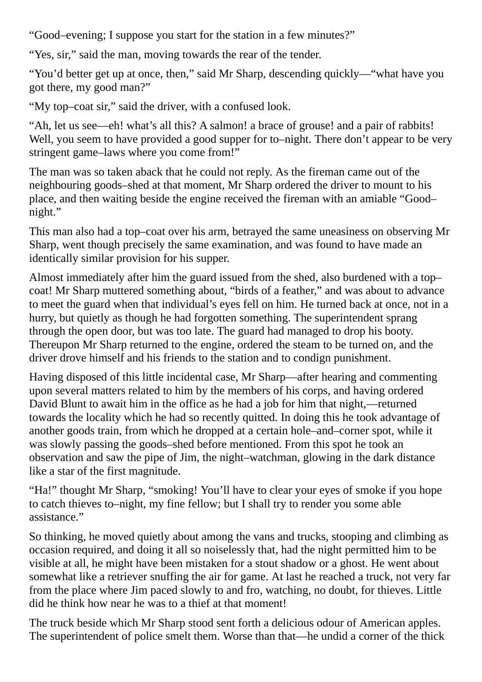"Good–evening; I suppose you start for the station in a few minutes?"

"Yes, sir," said the man, moving towards the rear of the tender.

"You'd better get up at once, then," said Mr Sharp, descending quickly—"what have you got there, my good man?"

"My top–coat sir," said the driver, with a confused look.

"Ah, let us see—eh! what's all this? A salmon! a brace of grouse! and a pair of rabbits! Well, you seem to have provided a good supper for to–night. There don't appear to be very stringent game–laws where you come from!"

The man was so taken aback that he could not reply. As the fireman came out of the neighbouring goods–shed at that moment, Mr Sharp ordered the driver to mount to his place, and then waiting beside the engine received the fireman with an amiable "Good– night."

This man also had a top–coat over his arm, betrayed the same uneasiness on observing Mr Sharp, went though precisely the same examination, and was found to have made an identically similar provision for his supper.

Almost immediately after him the guard issued from the shed, also burdened with a top– coat! Mr Sharp muttered something about, "birds of a feather," and was about to advance to meet the guard when that individual's eyes fell on him. He turned back at once, not in a hurry, but quietly as though he had forgotten something. The superintendent sprang through the open door, but was too late. The guard had managed to drop his booty. Thereupon Mr Sharp returned to the engine, ordered the steam to be turned on, and the driver drove himself and his friends to the station and to condign punishment.

Having disposed of this little incidental case, Mr Sharp—after hearing and commenting upon several matters related to him by the members of his corps, and having ordered David Blunt to await him in the office as he had a job for him that night,—returned towards the locality which he had so recently quitted. In doing this he took advantage of another goods train, from which he dropped at a certain hole–and–corner spot, while it was slowly passing the goods–shed before mentioned. From this spot he took an observation and saw the pipe of Jim, the night–watchman, glowing in the dark distance like a star of the first magnitude.

"Ha!" thought Mr Sharp, "smoking! You'll have to clear your eyes of smoke if you hope to catch thieves to–night, my fine fellow; but I shall try to render you some able assistance."

So thinking, he moved quietly about among the vans and trucks, stooping and climbing as occasion required, and doing it all so noiselessly that, had the night permitted him to be visible at all, he might have been mistaken for a stout shadow or a ghost. He went about somewhat like a retriever snuffing the air for game. At last he reached a truck, not very far from the place where Jim paced slowly to and fro, watching, no doubt, for thieves. Little did he think how near he was to a thief at that moment!

The truck beside which Mr Sharp stood sent forth a delicious odour of American apples. The superintendent of police smelt them. Worse than that—he undid a corner of the thick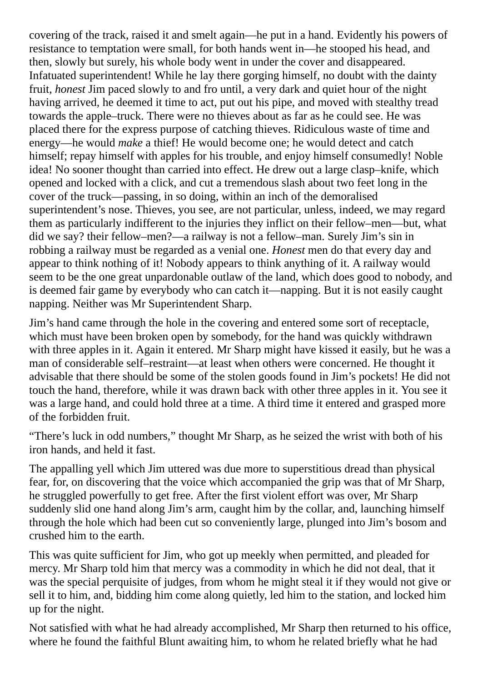covering of the track, raised it and smelt again—he put in a hand. Evidently his powers of resistance to temptation were small, for both hands went in—he stooped his head, and then, slowly but surely, his whole body went in under the cover and disappeared. Infatuated superintendent! While he lay there gorging himself, no doubt with the dainty fruit, *honest* Jim paced slowly to and fro until, a very dark and quiet hour of the night having arrived, he deemed it time to act, put out his pipe, and moved with stealthy tread towards the apple–truck. There were no thieves about as far as he could see. He was placed there for the express purpose of catching thieves. Ridiculous waste of time and energy—he would *make* a thief! He would become one; he would detect and catch himself; repay himself with apples for his trouble, and enjoy himself consumedly! Noble idea! No sooner thought than carried into effect. He drew out a large clasp–knife, which opened and locked with a click, and cut a tremendous slash about two feet long in the cover of the truck—passing, in so doing, within an inch of the demoralised superintendent's nose. Thieves, you see, are not particular, unless, indeed, we may regard them as particularly indifferent to the injuries they inflict on their fellow–men—but, what did we say? their fellow–men?—a railway is not a fellow–man. Surely Jim's sin in robbing a railway must be regarded as a venial one. *Honest* men do that every day and appear to think nothing of it! Nobody appears to think anything of it. A railway would seem to be the one great unpardonable outlaw of the land, which does good to nobody, and is deemed fair game by everybody who can catch it—napping. But it is not easily caught napping. Neither was Mr Superintendent Sharp.

Jim's hand came through the hole in the covering and entered some sort of receptacle, which must have been broken open by somebody, for the hand was quickly withdrawn with three apples in it. Again it entered. Mr Sharp might have kissed it easily, but he was a man of considerable self–restraint—at least when others were concerned. He thought it advisable that there should be some of the stolen goods found in Jim's pockets! He did not touch the hand, therefore, while it was drawn back with other three apples in it. You see it was a large hand, and could hold three at a time. A third time it entered and grasped more of the forbidden fruit.

"There's luck in odd numbers," thought Mr Sharp, as he seized the wrist with both of his iron hands, and held it fast.

The appalling yell which Jim uttered was due more to superstitious dread than physical fear, for, on discovering that the voice which accompanied the grip was that of Mr Sharp, he struggled powerfully to get free. After the first violent effort was over, Mr Sharp suddenly slid one hand along Jim's arm, caught him by the collar, and, launching himself through the hole which had been cut so conveniently large, plunged into Jim's bosom and crushed him to the earth.

This was quite sufficient for Jim, who got up meekly when permitted, and pleaded for mercy. Mr Sharp told him that mercy was a commodity in which he did not deal, that it was the special perquisite of judges, from whom he might steal it if they would not give or sell it to him, and, bidding him come along quietly, led him to the station, and locked him up for the night.

Not satisfied with what he had already accomplished, Mr Sharp then returned to his office, where he found the faithful Blunt awaiting him, to whom he related briefly what he had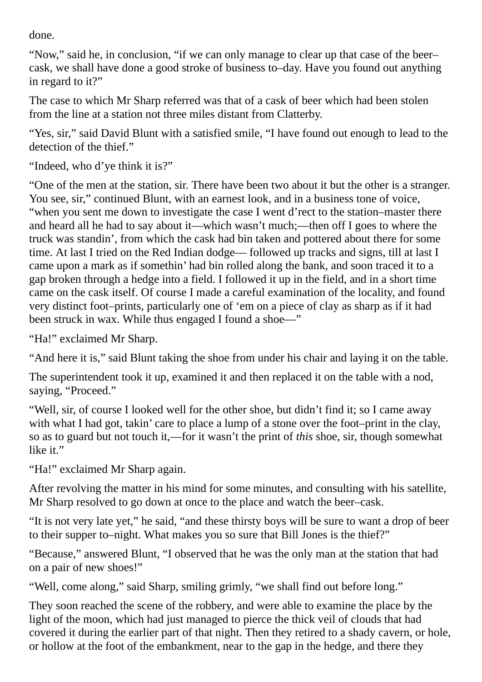done.

"Now," said he, in conclusion, "if we can only manage to clear up that case of the beer– cask, we shall have done a good stroke of business to–day. Have you found out anything in regard to it?"

The case to which Mr Sharp referred was that of a cask of beer which had been stolen from the line at a station not three miles distant from Clatterby.

"Yes, sir," said David Blunt with a satisfied smile, "I have found out enough to lead to the detection of the thief."

"Indeed, who d'ye think it is?"

"One of the men at the station, sir. There have been two about it but the other is a stranger. You see, sir," continued Blunt, with an earnest look, and in a business tone of voice, "when you sent me down to investigate the case I went d'rect to the station–master there and heard all he had to say about it—which wasn't much;—then off I goes to where the truck was standin', from which the cask had bin taken and pottered about there for some time. At last I tried on the Red Indian dodge— followed up tracks and signs, till at last I came upon a mark as if somethin' had bin rolled along the bank, and soon traced it to a gap broken through a hedge into a field. I followed it up in the field, and in a short time came on the cask itself. Of course I made a careful examination of the locality, and found very distinct foot–prints, particularly one of 'em on a piece of clay as sharp as if it had been struck in wax. While thus engaged I found a shoe—"

"Ha!" exclaimed Mr Sharp.

"And here it is," said Blunt taking the shoe from under his chair and laying it on the table.

The superintendent took it up, examined it and then replaced it on the table with a nod, saying, "Proceed."

"Well, sir, of course I looked well for the other shoe, but didn't find it; so I came away with what I had got, takin' care to place a lump of a stone over the foot–print in the clay, so as to guard but not touch it,—for it wasn't the print of *this* shoe, sir, though somewhat like it."

"Ha!" exclaimed Mr Sharp again.

After revolving the matter in his mind for some minutes, and consulting with his satellite, Mr Sharp resolved to go down at once to the place and watch the beer–cask.

"It is not very late yet," he said, "and these thirsty boys will be sure to want a drop of beer to their supper to–night. What makes you so sure that Bill Jones is the thief?"

"Because," answered Blunt, "I observed that he was the only man at the station that had on a pair of new shoes!"

"Well, come along," said Sharp, smiling grimly, "we shall find out before long."

They soon reached the scene of the robbery, and were able to examine the place by the light of the moon, which had just managed to pierce the thick veil of clouds that had covered it during the earlier part of that night. Then they retired to a shady cavern, or hole, or hollow at the foot of the embankment, near to the gap in the hedge, and there they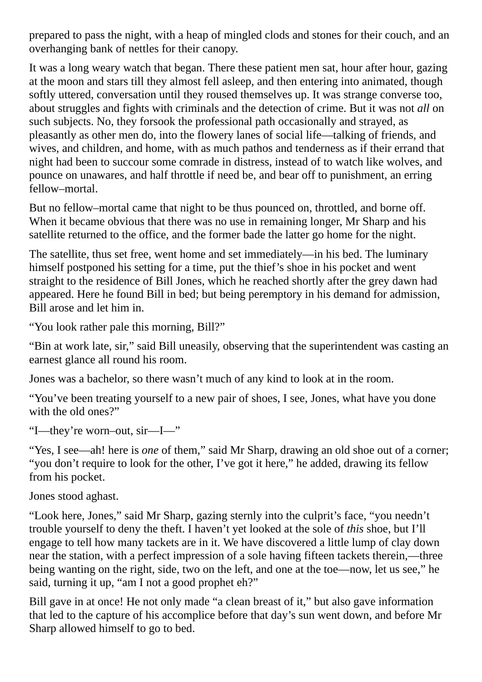prepared to pass the night, with a heap of mingled clods and stones for their couch, and an overhanging bank of nettles for their canopy.

It was a long weary watch that began. There these patient men sat, hour after hour, gazing at the moon and stars till they almost fell asleep, and then entering into animated, though softly uttered, conversation until they roused themselves up. It was strange converse too, about struggles and fights with criminals and the detection of crime. But it was not *all* on such subjects. No, they forsook the professional path occasionally and strayed, as pleasantly as other men do, into the flowery lanes of social life—talking of friends, and wives, and children, and home, with as much pathos and tenderness as if their errand that night had been to succour some comrade in distress, instead of to watch like wolves, and pounce on unawares, and half throttle if need be, and bear off to punishment, an erring fellow–mortal.

But no fellow–mortal came that night to be thus pounced on, throttled, and borne off. When it became obvious that there was no use in remaining longer, Mr Sharp and his satellite returned to the office, and the former bade the latter go home for the night.

The satellite, thus set free, went home and set immediately—in his bed. The luminary himself postponed his setting for a time, put the thief's shoe in his pocket and went straight to the residence of Bill Jones, which he reached shortly after the grey dawn had appeared. Here he found Bill in bed; but being peremptory in his demand for admission, Bill arose and let him in.

"You look rather pale this morning, Bill?"

"Bin at work late, sir," said Bill uneasily, observing that the superintendent was casting an earnest glance all round his room.

Jones was a bachelor, so there wasn't much of any kind to look at in the room.

"You've been treating yourself to a new pair of shoes, I see, Jones, what have you done with the old ones?"

"I—they're worn–out, sir—I—"

"Yes, I see—ah! here is *one* of them," said Mr Sharp, drawing an old shoe out of a corner; "you don't require to look for the other, I've got it here," he added, drawing its fellow from his pocket.

Jones stood aghast.

"Look here, Jones," said Mr Sharp, gazing sternly into the culprit's face, "you needn't trouble yourself to deny the theft. I haven't yet looked at the sole of *this* shoe, but I'll engage to tell how many tackets are in it. We have discovered a little lump of clay down near the station, with a perfect impression of a sole having fifteen tackets therein,—three being wanting on the right, side, two on the left, and one at the toe—now, let us see," he said, turning it up, "am I not a good prophet eh?"

Bill gave in at once! He not only made "a clean breast of it," but also gave information that led to the capture of his accomplice before that day's sun went down, and before Mr Sharp allowed himself to go to bed.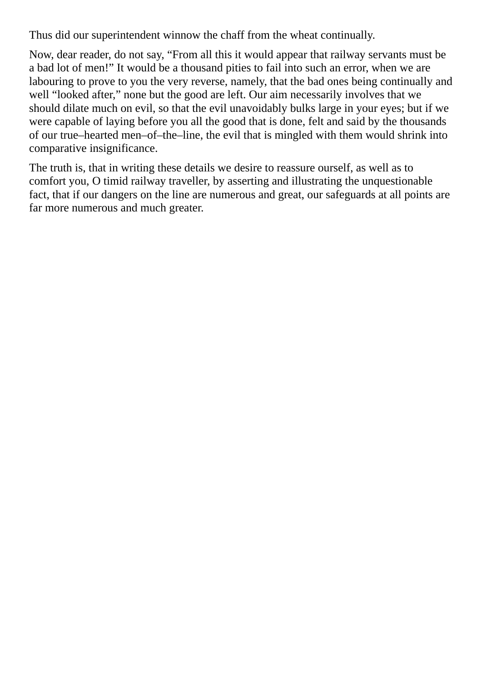Thus did our superintendent winnow the chaff from the wheat continually.

Now, dear reader, do not say, "From all this it would appear that railway servants must be a bad lot of men!" It would be a thousand pities to fail into such an error, when we are labouring to prove to you the very reverse, namely, that the bad ones being continually and well "looked after," none but the good are left. Our aim necessarily involves that we should dilate much on evil, so that the evil unavoidably bulks large in your eyes; but if we were capable of laying before you all the good that is done, felt and said by the thousands of our true–hearted men–of–the–line, the evil that is mingled with them would shrink into comparative insignificance.

The truth is, that in writing these details we desire to reassure ourself, as well as to comfort you, O timid railway traveller, by asserting and illustrating the unquestionable fact, that if our dangers on the line are numerous and great, our safeguards at all points are far more numerous and much greater.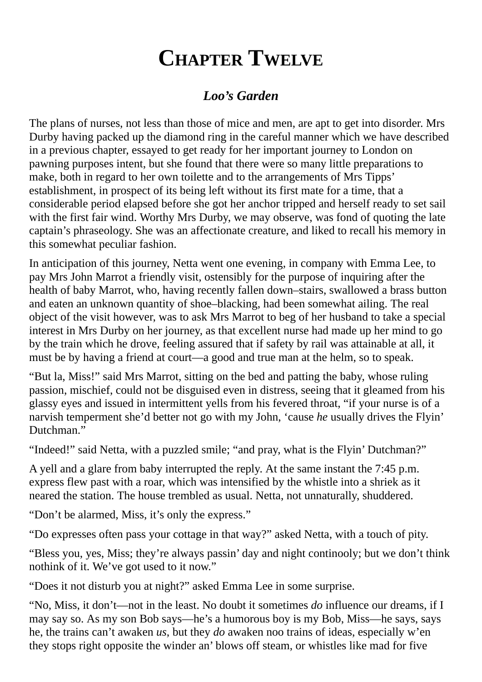## **CHAPTER TWELVE**

### *Loo's Garden*

The plans of nurses, not less than those of mice and men, are apt to get into disorder. Mrs Durby having packed up the diamond ring in the careful manner which we have described in a previous chapter, essayed to get ready for her important journey to London on pawning purposes intent, but she found that there were so many little preparations to make, both in regard to her own toilette and to the arrangements of Mrs Tipps' establishment, in prospect of its being left without its first mate for a time, that a considerable period elapsed before she got her anchor tripped and herself ready to set sail with the first fair wind. Worthy Mrs Durby, we may observe, was fond of quoting the late captain's phraseology. She was an affectionate creature, and liked to recall his memory in this somewhat peculiar fashion.

In anticipation of this journey, Netta went one evening, in company with Emma Lee, to pay Mrs John Marrot a friendly visit, ostensibly for the purpose of inquiring after the health of baby Marrot, who, having recently fallen down–stairs, swallowed a brass button and eaten an unknown quantity of shoe–blacking, had been somewhat ailing. The real object of the visit however, was to ask Mrs Marrot to beg of her husband to take a special interest in Mrs Durby on her journey, as that excellent nurse had made up her mind to go by the train which he drove, feeling assured that if safety by rail was attainable at all, it must be by having a friend at court—a good and true man at the helm, so to speak.

"But la, Miss!" said Mrs Marrot, sitting on the bed and patting the baby, whose ruling passion, mischief, could not be disguised even in distress, seeing that it gleamed from his glassy eyes and issued in intermittent yells from his fevered throat, "if your nurse is of a narvish temperment she'd better not go with my John, 'cause *he* usually drives the Flyin' Dutchman."

"Indeed!" said Netta, with a puzzled smile; "and pray, what is the Flyin' Dutchman?"

A yell and a glare from baby interrupted the reply. At the same instant the 7:45 p.m. express flew past with a roar, which was intensified by the whistle into a shriek as it neared the station. The house trembled as usual. Netta, not unnaturally, shuddered.

"Don't be alarmed, Miss, it's only the express."

"Do expresses often pass your cottage in that way?" asked Netta, with a touch of pity.

"Bless you, yes, Miss; they're always passin' day and night continooly; but we don't think nothink of it. We've got used to it now."

"Does it not disturb you at night?" asked Emma Lee in some surprise.

"No, Miss, it don't—not in the least. No doubt it sometimes *do* influence our dreams, if I may say so. As my son Bob says—he's a humorous boy is my Bob, Miss—he says, says he, the trains can't awaken *us*, but they *do* awaken noo trains of ideas, especially w'en they stops right opposite the winder an' blows off steam, or whistles like mad for five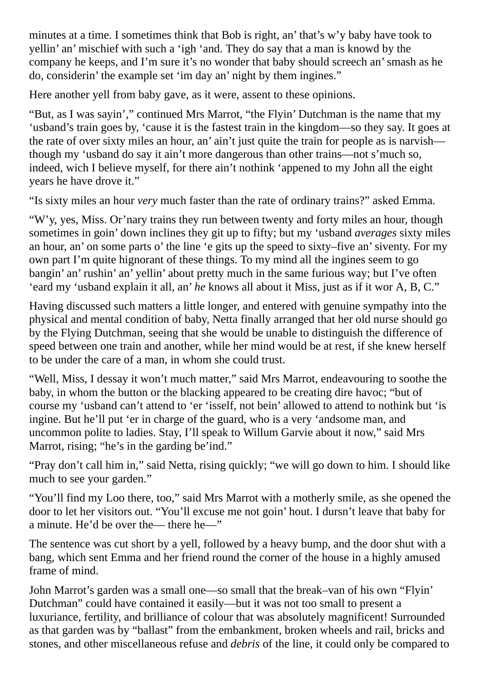minutes at a time. I sometimes think that Bob is right, an' that's w'y baby have took to yellin' an' mischief with such a 'igh 'and. They do say that a man is knowd by the company he keeps, and I'm sure it's no wonder that baby should screech an'smash as he do, considerin' the example set 'im day an' night by them ingines."

Here another yell from baby gave, as it were, assent to these opinions.

"But, as I was sayin'," continued Mrs Marrot, "the Flyin' Dutchman is the name that my 'usband's train goes by, 'cause it is the fastest train in the kingdom—so they say. It goes at the rate of over sixty miles an hour, an' ain't just quite the train for people as is narvish though my 'usband do say it ain't more dangerous than other trains—not s'much so, indeed, wich I believe myself, for there ain't nothink 'appened to my John all the eight years he have drove it."

"Is sixty miles an hour *very* much faster than the rate of ordinary trains?" asked Emma.

"W'y, yes, Miss. Or'nary trains they run between twenty and forty miles an hour, though sometimes in goin' down inclines they git up to fifty; but my 'usband *averages* sixty miles an hour, an' on some parts o' the line 'e gits up the speed to sixty–five an'siventy. For my own part I'm quite hignorant of these things. To my mind all the ingines seem to go bangin' an' rushin' an' yellin' about pretty much in the same furious way; but I've often 'eard my 'usband explain it all, an' *he* knows all about it Miss, just as if it wor A, B, C."

Having discussed such matters a little longer, and entered with genuine sympathy into the physical and mental condition of baby, Netta finally arranged that her old nurse should go by the Flying Dutchman, seeing that she would be unable to distinguish the difference of speed between one train and another, while her mind would be at rest, if she knew herself to be under the care of a man, in whom she could trust.

"Well, Miss, I dessay it won't much matter," said Mrs Marrot, endeavouring to soothe the baby, in whom the button or the blacking appeared to be creating dire havoc; "but of course my 'usband can't attend to 'er 'isself, not bein' allowed to attend to nothink but 'is ingine. But he'll put 'er in charge of the guard, who is a very 'andsome man, and uncommon polite to ladies. Stay, I'll speak to Willum Garvie about it now," said Mrs Marrot, rising; "he's in the garding be'ind."

"Pray don't call him in," said Netta, rising quickly; "we will go down to him. I should like much to see your garden."

"You'll find my Loo there, too," said Mrs Marrot with a motherly smile, as she opened the door to let her visitors out. "You'll excuse me not goin' hout. I dursn't leave that baby for a minute. He'd be over the— there he—"

The sentence was cut short by a yell, followed by a heavy bump, and the door shut with a bang, which sent Emma and her friend round the corner of the house in a highly amused frame of mind.

John Marrot's garden was a small one—so small that the break–van of his own "Flyin' Dutchman" could have contained it easily—but it was not too small to present a luxuriance, fertility, and brilliance of colour that was absolutely magnificent! Surrounded as that garden was by "ballast" from the embankment, broken wheels and rail, bricks and stones, and other miscellaneous refuse and *debris* of the line, it could only be compared to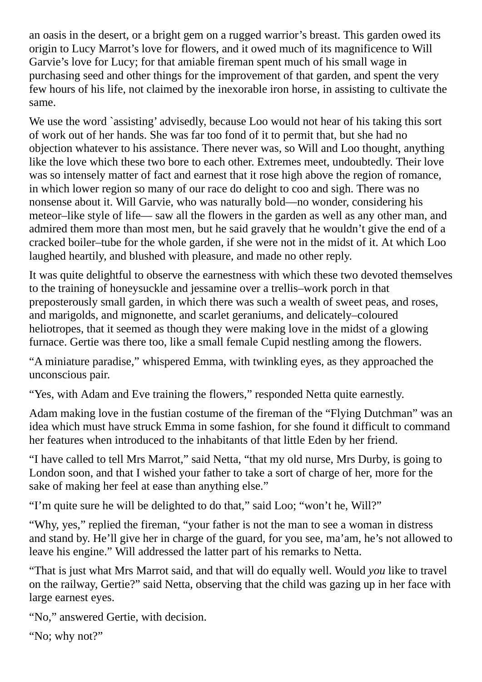an oasis in the desert, or a bright gem on a rugged warrior's breast. This garden owed its origin to Lucy Marrot's love for flowers, and it owed much of its magnificence to Will Garvie's love for Lucy; for that amiable fireman spent much of his small wage in purchasing seed and other things for the improvement of that garden, and spent the very few hours of his life, not claimed by the inexorable iron horse, in assisting to cultivate the same.

We use the word `assisting' advisedly, because Loo would not hear of his taking this sort of work out of her hands. She was far too fond of it to permit that, but she had no objection whatever to his assistance. There never was, so Will and Loo thought, anything like the love which these two bore to each other. Extremes meet, undoubtedly. Their love was so intensely matter of fact and earnest that it rose high above the region of romance, in which lower region so many of our race do delight to coo and sigh. There was no nonsense about it. Will Garvie, who was naturally bold—no wonder, considering his meteor–like style of life— saw all the flowers in the garden as well as any other man, and admired them more than most men, but he said gravely that he wouldn't give the end of a cracked boiler–tube for the whole garden, if she were not in the midst of it. At which Loo laughed heartily, and blushed with pleasure, and made no other reply.

It was quite delightful to observe the earnestness with which these two devoted themselves to the training of honeysuckle and jessamine over a trellis–work porch in that preposterously small garden, in which there was such a wealth of sweet peas, and roses, and marigolds, and mignonette, and scarlet geraniums, and delicately–coloured heliotropes, that it seemed as though they were making love in the midst of a glowing furnace. Gertie was there too, like a small female Cupid nestling among the flowers.

"A miniature paradise," whispered Emma, with twinkling eyes, as they approached the unconscious pair.

"Yes, with Adam and Eve training the flowers," responded Netta quite earnestly.

Adam making love in the fustian costume of the fireman of the "Flying Dutchman" was an idea which must have struck Emma in some fashion, for she found it difficult to command her features when introduced to the inhabitants of that little Eden by her friend.

"I have called to tell Mrs Marrot," said Netta, "that my old nurse, Mrs Durby, is going to London soon, and that I wished your father to take a sort of charge of her, more for the sake of making her feel at ease than anything else."

"I'm quite sure he will be delighted to do that," said Loo; "won't he, Will?"

"Why, yes," replied the fireman, "your father is not the man to see a woman in distress and stand by. He'll give her in charge of the guard, for you see, ma'am, he's not allowed to leave his engine." Will addressed the latter part of his remarks to Netta.

"That is just what Mrs Marrot said, and that will do equally well. Would *you* like to travel on the railway, Gertie?" said Netta, observing that the child was gazing up in her face with large earnest eyes.

"No," answered Gertie, with decision.

```
"No; why not?"
```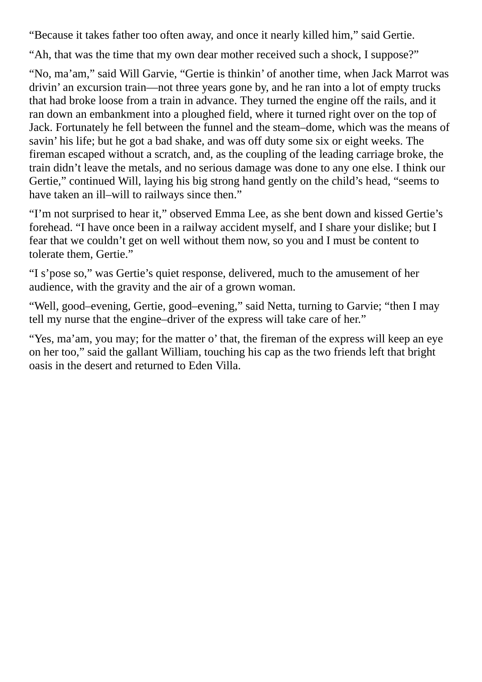"Because it takes father too often away, and once it nearly killed him," said Gertie.

"Ah, that was the time that my own dear mother received such a shock, I suppose?"

"No, ma'am," said Will Garvie, "Gertie is thinkin' of another time, when Jack Marrot was drivin' an excursion train—not three years gone by, and he ran into a lot of empty trucks that had broke loose from a train in advance. They turned the engine off the rails, and it ran down an embankment into a ploughed field, where it turned right over on the top of Jack. Fortunately he fell between the funnel and the steam–dome, which was the means of savin' his life; but he got a bad shake, and was off duty some six or eight weeks. The fireman escaped without a scratch, and, as the coupling of the leading carriage broke, the train didn't leave the metals, and no serious damage was done to any one else. I think our Gertie," continued Will, laying his big strong hand gently on the child's head, "seems to have taken an ill–will to railways since then."

"I'm not surprised to hear it," observed Emma Lee, as she bent down and kissed Gertie's forehead. "I have once been in a railway accident myself, and I share your dislike; but I fear that we couldn't get on well without them now, so you and I must be content to tolerate them, Gertie."

"I s'pose so," was Gertie's quiet response, delivered, much to the amusement of her audience, with the gravity and the air of a grown woman.

"Well, good–evening, Gertie, good–evening," said Netta, turning to Garvie; "then I may tell my nurse that the engine–driver of the express will take care of her."

"Yes, ma'am, you may; for the matter o' that, the fireman of the express will keep an eye on her too," said the gallant William, touching his cap as the two friends left that bright oasis in the desert and returned to Eden Villa.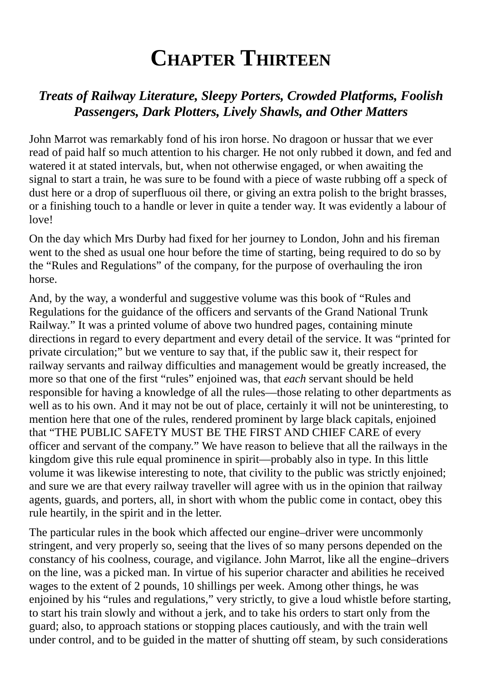# **CHAPTER THIRTEEN**

### *Treats of Railway Literature, Sleepy Porters, Crowded Platforms, Foolish Passengers, Dark Plotters, Lively Shawls, and Other Matters*

John Marrot was remarkably fond of his iron horse. No dragoon or hussar that we ever read of paid half so much attention to his charger. He not only rubbed it down, and fed and watered it at stated intervals, but, when not otherwise engaged, or when awaiting the signal to start a train, he was sure to be found with a piece of waste rubbing off a speck of dust here or a drop of superfluous oil there, or giving an extra polish to the bright brasses, or a finishing touch to a handle or lever in quite a tender way. It was evidently a labour of love!

On the day which Mrs Durby had fixed for her journey to London, John and his fireman went to the shed as usual one hour before the time of starting, being required to do so by the "Rules and Regulations" of the company, for the purpose of overhauling the iron horse.

And, by the way, a wonderful and suggestive volume was this book of "Rules and Regulations for the guidance of the officers and servants of the Grand National Trunk Railway." It was a printed volume of above two hundred pages, containing minute directions in regard to every department and every detail of the service. It was "printed for private circulation;" but we venture to say that, if the public saw it, their respect for railway servants and railway difficulties and management would be greatly increased, the more so that one of the first "rules" enjoined was, that *each* servant should be held responsible for having a knowledge of all the rules—those relating to other departments as well as to his own. And it may not be out of place, certainly it will not be uninteresting, to mention here that one of the rules, rendered prominent by large black capitals, enjoined that "THE PUBLIC SAFETY MUST BE THE FIRST AND CHIEF CARE of every officer and servant of the company." We have reason to believe that all the railways in the kingdom give this rule equal prominence in spirit—probably also in type. In this little volume it was likewise interesting to note, that civility to the public was strictly enjoined; and sure we are that every railway traveller will agree with us in the opinion that railway agents, guards, and porters, all, in short with whom the public come in contact, obey this rule heartily, in the spirit and in the letter.

The particular rules in the book which affected our engine–driver were uncommonly stringent, and very properly so, seeing that the lives of so many persons depended on the constancy of his coolness, courage, and vigilance. John Marrot, like all the engine–drivers on the line, was a picked man. In virtue of his superior character and abilities he received wages to the extent of 2 pounds, 10 shillings per week. Among other things, he was enjoined by his "rules and regulations," very strictly, to give a loud whistle before starting, to start his train slowly and without a jerk, and to take his orders to start only from the guard; also, to approach stations or stopping places cautiously, and with the train well under control, and to be guided in the matter of shutting off steam, by such considerations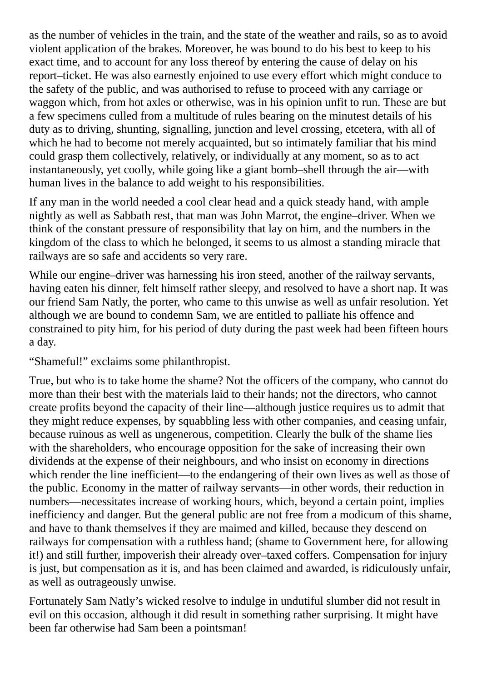as the number of vehicles in the train, and the state of the weather and rails, so as to avoid violent application of the brakes. Moreover, he was bound to do his best to keep to his exact time, and to account for any loss thereof by entering the cause of delay on his report–ticket. He was also earnestly enjoined to use every effort which might conduce to the safety of the public, and was authorised to refuse to proceed with any carriage or waggon which, from hot axles or otherwise, was in his opinion unfit to run. These are but a few specimens culled from a multitude of rules bearing on the minutest details of his duty as to driving, shunting, signalling, junction and level crossing, etcetera, with all of which he had to become not merely acquainted, but so intimately familiar that his mind could grasp them collectively, relatively, or individually at any moment, so as to act instantaneously, yet coolly, while going like a giant bomb–shell through the air—with human lives in the balance to add weight to his responsibilities.

If any man in the world needed a cool clear head and a quick steady hand, with ample nightly as well as Sabbath rest, that man was John Marrot, the engine–driver. When we think of the constant pressure of responsibility that lay on him, and the numbers in the kingdom of the class to which he belonged, it seems to us almost a standing miracle that railways are so safe and accidents so very rare.

While our engine–driver was harnessing his iron steed, another of the railway servants, having eaten his dinner, felt himself rather sleepy, and resolved to have a short nap. It was our friend Sam Natly, the porter, who came to this unwise as well as unfair resolution. Yet although we are bound to condemn Sam, we are entitled to palliate his offence and constrained to pity him, for his period of duty during the past week had been fifteen hours a day.

"Shameful!" exclaims some philanthropist.

True, but who is to take home the shame? Not the officers of the company, who cannot do more than their best with the materials laid to their hands; not the directors, who cannot create profits beyond the capacity of their line—although justice requires us to admit that they might reduce expenses, by squabbling less with other companies, and ceasing unfair, because ruinous as well as ungenerous, competition. Clearly the bulk of the shame lies with the shareholders, who encourage opposition for the sake of increasing their own dividends at the expense of their neighbours, and who insist on economy in directions which render the line inefficient—to the endangering of their own lives as well as those of the public. Economy in the matter of railway servants—in other words, their reduction in numbers—necessitates increase of working hours, which, beyond a certain point, implies inefficiency and danger. But the general public are not free from a modicum of this shame, and have to thank themselves if they are maimed and killed, because they descend on railways for compensation with a ruthless hand; (shame to Government here, for allowing it!) and still further, impoverish their already over–taxed coffers. Compensation for injury is just, but compensation as it is, and has been claimed and awarded, is ridiculously unfair, as well as outrageously unwise.

Fortunately Sam Natly's wicked resolve to indulge in undutiful slumber did not result in evil on this occasion, although it did result in something rather surprising. It might have been far otherwise had Sam been a pointsman!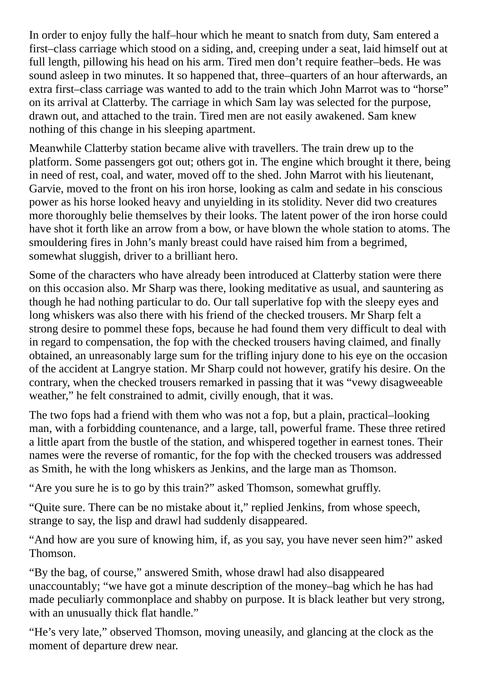In order to enjoy fully the half–hour which he meant to snatch from duty, Sam entered a first–class carriage which stood on a siding, and, creeping under a seat, laid himself out at full length, pillowing his head on his arm. Tired men don't require feather–beds. He was sound asleep in two minutes. It so happened that, three–quarters of an hour afterwards, an extra first–class carriage was wanted to add to the train which John Marrot was to "horse" on its arrival at Clatterby. The carriage in which Sam lay was selected for the purpose, drawn out, and attached to the train. Tired men are not easily awakened. Sam knew nothing of this change in his sleeping apartment.

Meanwhile Clatterby station became alive with travellers. The train drew up to the platform. Some passengers got out; others got in. The engine which brought it there, being in need of rest, coal, and water, moved off to the shed. John Marrot with his lieutenant, Garvie, moved to the front on his iron horse, looking as calm and sedate in his conscious power as his horse looked heavy and unyielding in its stolidity. Never did two creatures more thoroughly belie themselves by their looks. The latent power of the iron horse could have shot it forth like an arrow from a bow, or have blown the whole station to atoms. The smouldering fires in John's manly breast could have raised him from a begrimed, somewhat sluggish, driver to a brilliant hero.

Some of the characters who have already been introduced at Clatterby station were there on this occasion also. Mr Sharp was there, looking meditative as usual, and sauntering as though he had nothing particular to do. Our tall superlative fop with the sleepy eyes and long whiskers was also there with his friend of the checked trousers. Mr Sharp felt a strong desire to pommel these fops, because he had found them very difficult to deal with in regard to compensation, the fop with the checked trousers having claimed, and finally obtained, an unreasonably large sum for the trifling injury done to his eye on the occasion of the accident at Langrye station. Mr Sharp could not however, gratify his desire. On the contrary, when the checked trousers remarked in passing that it was "vewy disagweeable weather," he felt constrained to admit, civilly enough, that it was.

The two fops had a friend with them who was not a fop, but a plain, practical–looking man, with a forbidding countenance, and a large, tall, powerful frame. These three retired a little apart from the bustle of the station, and whispered together in earnest tones. Their names were the reverse of romantic, for the fop with the checked trousers was addressed as Smith, he with the long whiskers as Jenkins, and the large man as Thomson.

"Are you sure he is to go by this train?" asked Thomson, somewhat gruffly.

"Quite sure. There can be no mistake about it," replied Jenkins, from whose speech, strange to say, the lisp and drawl had suddenly disappeared.

"And how are you sure of knowing him, if, as you say, you have never seen him?" asked Thomson.

"By the bag, of course," answered Smith, whose drawl had also disappeared unaccountably; "we have got a minute description of the money–bag which he has had made peculiarly commonplace and shabby on purpose. It is black leather but very strong, with an unusually thick flat handle."

"He's very late," observed Thomson, moving uneasily, and glancing at the clock as the moment of departure drew near.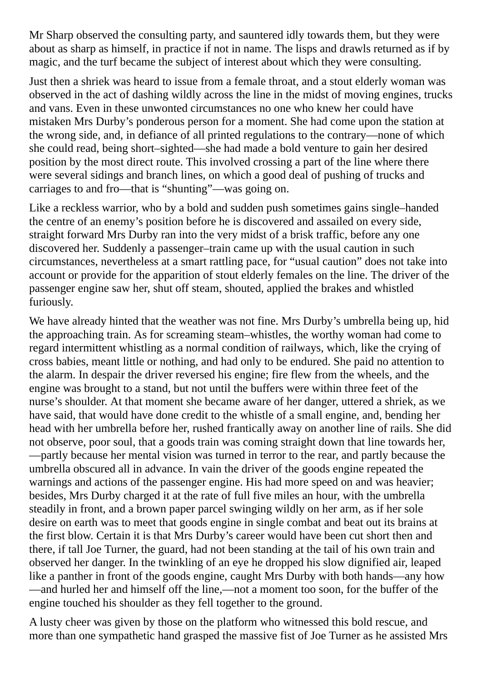Mr Sharp observed the consulting party, and sauntered idly towards them, but they were about as sharp as himself, in practice if not in name. The lisps and drawls returned as if by magic, and the turf became the subject of interest about which they were consulting.

Just then a shriek was heard to issue from a female throat, and a stout elderly woman was observed in the act of dashing wildly across the line in the midst of moving engines, trucks and vans. Even in these unwonted circumstances no one who knew her could have mistaken Mrs Durby's ponderous person for a moment. She had come upon the station at the wrong side, and, in defiance of all printed regulations to the contrary—none of which she could read, being short–sighted—she had made a bold venture to gain her desired position by the most direct route. This involved crossing a part of the line where there were several sidings and branch lines, on which a good deal of pushing of trucks and carriages to and fro—that is "shunting"—was going on.

Like a reckless warrior, who by a bold and sudden push sometimes gains single–handed the centre of an enemy's position before he is discovered and assailed on every side, straight forward Mrs Durby ran into the very midst of a brisk traffic, before any one discovered her. Suddenly a passenger–train came up with the usual caution in such circumstances, nevertheless at a smart rattling pace, for "usual caution" does not take into account or provide for the apparition of stout elderly females on the line. The driver of the passenger engine saw her, shut off steam, shouted, applied the brakes and whistled furiously.

We have already hinted that the weather was not fine. Mrs Durby's umbrella being up, hid the approaching train. As for screaming steam–whistles, the worthy woman had come to regard intermittent whistling as a normal condition of railways, which, like the crying of cross babies, meant little or nothing, and had only to be endured. She paid no attention to the alarm. In despair the driver reversed his engine; fire flew from the wheels, and the engine was brought to a stand, but not until the buffers were within three feet of the nurse's shoulder. At that moment she became aware of her danger, uttered a shriek, as we have said, that would have done credit to the whistle of a small engine, and, bending her head with her umbrella before her, rushed frantically away on another line of rails. She did not observe, poor soul, that a goods train was coming straight down that line towards her, —partly because her mental vision was turned in terror to the rear, and partly because the umbrella obscured all in advance. In vain the driver of the goods engine repeated the warnings and actions of the passenger engine. His had more speed on and was heavier; besides, Mrs Durby charged it at the rate of full five miles an hour, with the umbrella steadily in front, and a brown paper parcel swinging wildly on her arm, as if her sole desire on earth was to meet that goods engine in single combat and beat out its brains at the first blow. Certain it is that Mrs Durby's career would have been cut short then and there, if tall Joe Turner, the guard, had not been standing at the tail of his own train and observed her danger. In the twinkling of an eye he dropped his slow dignified air, leaped like a panther in front of the goods engine, caught Mrs Durby with both hands—any how —and hurled her and himself off the line,—not a moment too soon, for the buffer of the engine touched his shoulder as they fell together to the ground.

A lusty cheer was given by those on the platform who witnessed this bold rescue, and more than one sympathetic hand grasped the massive fist of Joe Turner as he assisted Mrs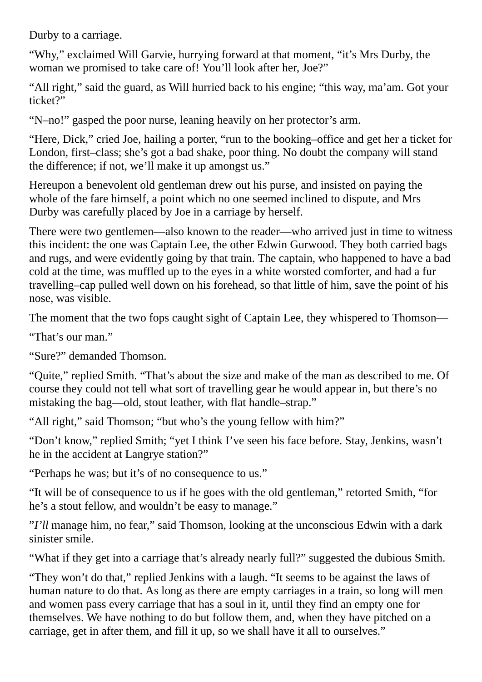Durby to a carriage.

"Why," exclaimed Will Garvie, hurrying forward at that moment, "it's Mrs Durby, the woman we promised to take care of! You'll look after her, Joe?"

"All right," said the guard, as Will hurried back to his engine; "this way, ma'am. Got your ticket?"

"N–no!" gasped the poor nurse, leaning heavily on her protector's arm.

"Here, Dick," cried Joe, hailing a porter, "run to the booking–office and get her a ticket for London, first–class; she's got a bad shake, poor thing. No doubt the company will stand the difference; if not, we'll make it up amongst us."

Hereupon a benevolent old gentleman drew out his purse, and insisted on paying the whole of the fare himself, a point which no one seemed inclined to dispute, and Mrs Durby was carefully placed by Joe in a carriage by herself.

There were two gentlemen—also known to the reader—who arrived just in time to witness this incident: the one was Captain Lee, the other Edwin Gurwood. They both carried bags and rugs, and were evidently going by that train. The captain, who happened to have a bad cold at the time, was muffled up to the eyes in a white worsted comforter, and had a fur travelling–cap pulled well down on his forehead, so that little of him, save the point of his nose, was visible.

The moment that the two fops caught sight of Captain Lee, they whispered to Thomson—

"That's our man."

"Sure?" demanded Thomson.

"Quite," replied Smith. "That's about the size and make of the man as described to me. Of course they could not tell what sort of travelling gear he would appear in, but there's no mistaking the bag—old, stout leather, with flat handle–strap."

"All right," said Thomson; "but who's the young fellow with him?"

"Don't know," replied Smith; "yet I think I've seen his face before. Stay, Jenkins, wasn't he in the accident at Langrye station?"

"Perhaps he was; but it's of no consequence to us."

"It will be of consequence to us if he goes with the old gentleman," retorted Smith, "for he's a stout fellow, and wouldn't be easy to manage."

"*I'll* manage him, no fear," said Thomson, looking at the unconscious Edwin with a dark sinister smile.

"What if they get into a carriage that's already nearly full?" suggested the dubious Smith.

"They won't do that," replied Jenkins with a laugh. "It seems to be against the laws of human nature to do that. As long as there are empty carriages in a train, so long will men and women pass every carriage that has a soul in it, until they find an empty one for themselves. We have nothing to do but follow them, and, when they have pitched on a carriage, get in after them, and fill it up, so we shall have it all to ourselves."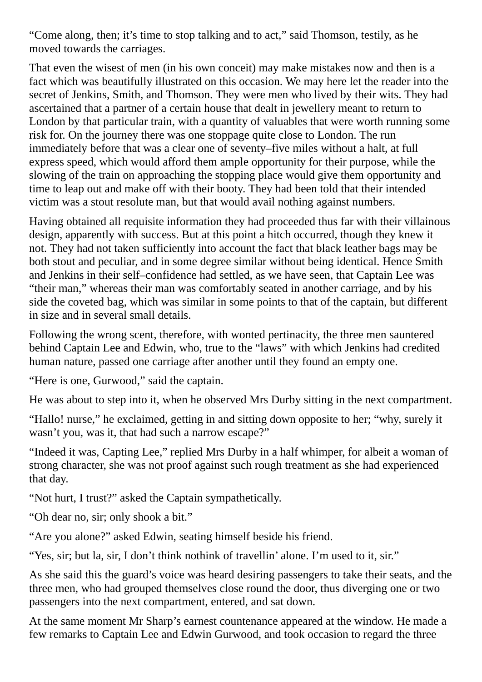"Come along, then; it's time to stop talking and to act," said Thomson, testily, as he moved towards the carriages.

That even the wisest of men (in his own conceit) may make mistakes now and then is a fact which was beautifully illustrated on this occasion. We may here let the reader into the secret of Jenkins, Smith, and Thomson. They were men who lived by their wits. They had ascertained that a partner of a certain house that dealt in jewellery meant to return to London by that particular train, with a quantity of valuables that were worth running some risk for. On the journey there was one stoppage quite close to London. The run immediately before that was a clear one of seventy–five miles without a halt, at full express speed, which would afford them ample opportunity for their purpose, while the slowing of the train on approaching the stopping place would give them opportunity and time to leap out and make off with their booty. They had been told that their intended victim was a stout resolute man, but that would avail nothing against numbers.

Having obtained all requisite information they had proceeded thus far with their villainous design, apparently with success. But at this point a hitch occurred, though they knew it not. They had not taken sufficiently into account the fact that black leather bags may be both stout and peculiar, and in some degree similar without being identical. Hence Smith and Jenkins in their self–confidence had settled, as we have seen, that Captain Lee was "their man," whereas their man was comfortably seated in another carriage, and by his side the coveted bag, which was similar in some points to that of the captain, but different in size and in several small details.

Following the wrong scent, therefore, with wonted pertinacity, the three men sauntered behind Captain Lee and Edwin, who, true to the "laws" with which Jenkins had credited human nature, passed one carriage after another until they found an empty one.

"Here is one, Gurwood," said the captain.

He was about to step into it, when he observed Mrs Durby sitting in the next compartment.

"Hallo! nurse," he exclaimed, getting in and sitting down opposite to her; "why, surely it wasn't you, was it, that had such a narrow escape?"

"Indeed it was, Capting Lee," replied Mrs Durby in a half whimper, for albeit a woman of strong character, she was not proof against such rough treatment as she had experienced that day.

"Not hurt, I trust?" asked the Captain sympathetically.

"Oh dear no, sir; only shook a bit."

"Are you alone?" asked Edwin, seating himself beside his friend.

"Yes, sir; but la, sir, I don't think nothink of travellin' alone. I'm used to it, sir."

As she said this the guard's voice was heard desiring passengers to take their seats, and the three men, who had grouped themselves close round the door, thus diverging one or two passengers into the next compartment, entered, and sat down.

At the same moment Mr Sharp's earnest countenance appeared at the window. He made a few remarks to Captain Lee and Edwin Gurwood, and took occasion to regard the three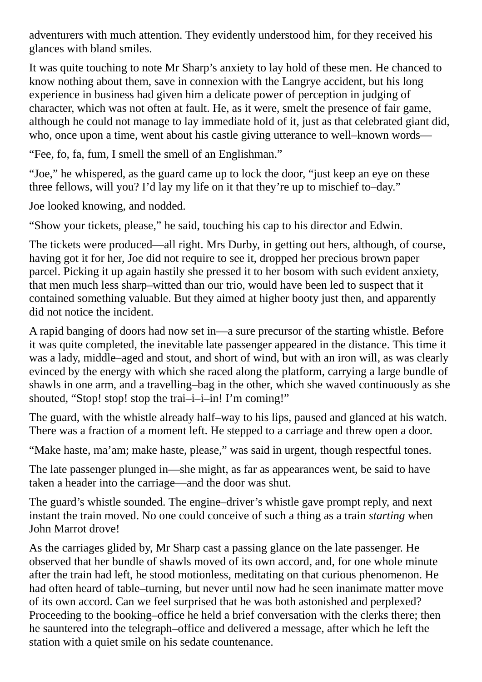adventurers with much attention. They evidently understood him, for they received his glances with bland smiles.

It was quite touching to note Mr Sharp's anxiety to lay hold of these men. He chanced to know nothing about them, save in connexion with the Langrye accident, but his long experience in business had given him a delicate power of perception in judging of character, which was not often at fault. He, as it were, smelt the presence of fair game, although he could not manage to lay immediate hold of it, just as that celebrated giant did, who, once upon a time, went about his castle giving utterance to well–known words—

"Fee, fo, fa, fum, I smell the smell of an Englishman."

"Joe," he whispered, as the guard came up to lock the door, "just keep an eye on these three fellows, will you? I'd lay my life on it that they're up to mischief to–day."

Joe looked knowing, and nodded.

"Show your tickets, please," he said, touching his cap to his director and Edwin.

The tickets were produced—all right. Mrs Durby, in getting out hers, although, of course, having got it for her, Joe did not require to see it, dropped her precious brown paper parcel. Picking it up again hastily she pressed it to her bosom with such evident anxiety, that men much less sharp–witted than our trio, would have been led to suspect that it contained something valuable. But they aimed at higher booty just then, and apparently did not notice the incident.

A rapid banging of doors had now set in—a sure precursor of the starting whistle. Before it was quite completed, the inevitable late passenger appeared in the distance. This time it was a lady, middle–aged and stout, and short of wind, but with an iron will, as was clearly evinced by the energy with which she raced along the platform, carrying a large bundle of shawls in one arm, and a travelling–bag in the other, which she waved continuously as she shouted, "Stop! stop! stop the trai-i-i-in! I'm coming!"

The guard, with the whistle already half–way to his lips, paused and glanced at his watch. There was a fraction of a moment left. He stepped to a carriage and threw open a door.

"Make haste, ma'am; make haste, please," was said in urgent, though respectful tones.

The late passenger plunged in—she might, as far as appearances went, be said to have taken a header into the carriage—and the door was shut.

The guard's whistle sounded. The engine–driver's whistle gave prompt reply, and next instant the train moved. No one could conceive of such a thing as a train *starting* when John Marrot drove!

As the carriages glided by, Mr Sharp cast a passing glance on the late passenger. He observed that her bundle of shawls moved of its own accord, and, for one whole minute after the train had left, he stood motionless, meditating on that curious phenomenon. He had often heard of table–turning, but never until now had he seen inanimate matter move of its own accord. Can we feel surprised that he was both astonished and perplexed? Proceeding to the booking–office he held a brief conversation with the clerks there; then he sauntered into the telegraph–office and delivered a message, after which he left the station with a quiet smile on his sedate countenance.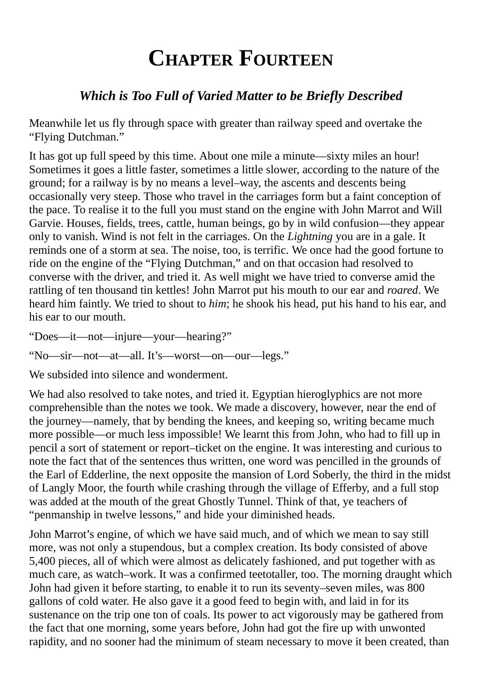# **CHAPTER FOURTEEN**

### *Which is Too Full of Varied Matter to be Briefly Described*

Meanwhile let us fly through space with greater than railway speed and overtake the "Flying Dutchman."

It has got up full speed by this time. About one mile a minute—sixty miles an hour! Sometimes it goes a little faster, sometimes a little slower, according to the nature of the ground; for a railway is by no means a level–way, the ascents and descents being occasionally very steep. Those who travel in the carriages form but a faint conception of the pace. To realise it to the full you must stand on the engine with John Marrot and Will Garvie. Houses, fields, trees, cattle, human beings, go by in wild confusion—they appear only to vanish. Wind is not felt in the carriages. On the *Lightning* you are in a gale. It reminds one of a storm at sea. The noise, too, is terrific. We once had the good fortune to ride on the engine of the "Flying Dutchman," and on that occasion had resolved to converse with the driver, and tried it. As well might we have tried to converse amid the rattling of ten thousand tin kettles! John Marrot put his mouth to our ear and *roared*. We heard him faintly. We tried to shout to *him*; he shook his head, put his hand to his ear, and his ear to our mouth.

"Does—it—not—injure—your—hearing?"

"No—sir—not—at—all. It's—worst—on—our—legs."

We subsided into silence and wonderment.

We had also resolved to take notes, and tried it. Egyptian hieroglyphics are not more comprehensible than the notes we took. We made a discovery, however, near the end of the journey—namely, that by bending the knees, and keeping so, writing became much more possible—or much less impossible! We learnt this from John, who had to fill up in pencil a sort of statement or report–ticket on the engine. It was interesting and curious to note the fact that of the sentences thus written, one word was pencilled in the grounds of the Earl of Edderline, the next opposite the mansion of Lord Soberly, the third in the midst of Langly Moor, the fourth while crashing through the village of Efferby, and a full stop was added at the mouth of the great Ghostly Tunnel. Think of that, ye teachers of "penmanship in twelve lessons," and hide your diminished heads.

John Marrot's engine, of which we have said much, and of which we mean to say still more, was not only a stupendous, but a complex creation. Its body consisted of above 5,400 pieces, all of which were almost as delicately fashioned, and put together with as much care, as watch–work. It was a confirmed teetotaller, too. The morning draught which John had given it before starting, to enable it to run its seventy–seven miles, was 800 gallons of cold water. He also gave it a good feed to begin with, and laid in for its sustenance on the trip one ton of coals. Its power to act vigorously may be gathered from the fact that one morning, some years before, John had got the fire up with unwonted rapidity, and no sooner had the minimum of steam necessary to move it been created, than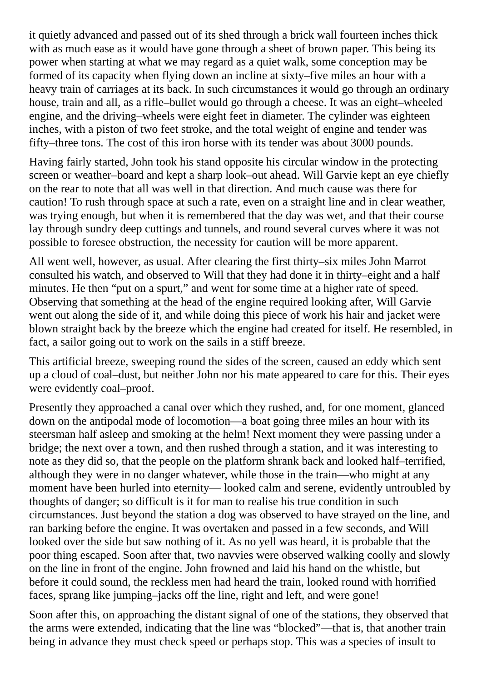it quietly advanced and passed out of its shed through a brick wall fourteen inches thick with as much ease as it would have gone through a sheet of brown paper. This being its power when starting at what we may regard as a quiet walk, some conception may be formed of its capacity when flying down an incline at sixty–five miles an hour with a heavy train of carriages at its back. In such circumstances it would go through an ordinary house, train and all, as a rifle–bullet would go through a cheese. It was an eight–wheeled engine, and the driving–wheels were eight feet in diameter. The cylinder was eighteen inches, with a piston of two feet stroke, and the total weight of engine and tender was fifty–three tons. The cost of this iron horse with its tender was about 3000 pounds.

Having fairly started, John took his stand opposite his circular window in the protecting screen or weather–board and kept a sharp look–out ahead. Will Garvie kept an eye chiefly on the rear to note that all was well in that direction. And much cause was there for caution! To rush through space at such a rate, even on a straight line and in clear weather, was trying enough, but when it is remembered that the day was wet, and that their course lay through sundry deep cuttings and tunnels, and round several curves where it was not possible to foresee obstruction, the necessity for caution will be more apparent.

All went well, however, as usual. After clearing the first thirty–six miles John Marrot consulted his watch, and observed to Will that they had done it in thirty–eight and a half minutes. He then "put on a spurt," and went for some time at a higher rate of speed. Observing that something at the head of the engine required looking after, Will Garvie went out along the side of it, and while doing this piece of work his hair and jacket were blown straight back by the breeze which the engine had created for itself. He resembled, in fact, a sailor going out to work on the sails in a stiff breeze.

This artificial breeze, sweeping round the sides of the screen, caused an eddy which sent up a cloud of coal–dust, but neither John nor his mate appeared to care for this. Their eyes were evidently coal–proof.

Presently they approached a canal over which they rushed, and, for one moment, glanced down on the antipodal mode of locomotion—a boat going three miles an hour with its steersman half asleep and smoking at the helm! Next moment they were passing under a bridge; the next over a town, and then rushed through a station, and it was interesting to note as they did so, that the people on the platform shrank back and looked half–terrified, although they were in no danger whatever, while those in the train—who might at any moment have been hurled into eternity— looked calm and serene, evidently untroubled by thoughts of danger; so difficult is it for man to realise his true condition in such circumstances. Just beyond the station a dog was observed to have strayed on the line, and ran barking before the engine. It was overtaken and passed in a few seconds, and Will looked over the side but saw nothing of it. As no yell was heard, it is probable that the poor thing escaped. Soon after that, two navvies were observed walking coolly and slowly on the line in front of the engine. John frowned and laid his hand on the whistle, but before it could sound, the reckless men had heard the train, looked round with horrified faces, sprang like jumping–jacks off the line, right and left, and were gone!

Soon after this, on approaching the distant signal of one of the stations, they observed that the arms were extended, indicating that the line was "blocked"—that is, that another train being in advance they must check speed or perhaps stop. This was a species of insult to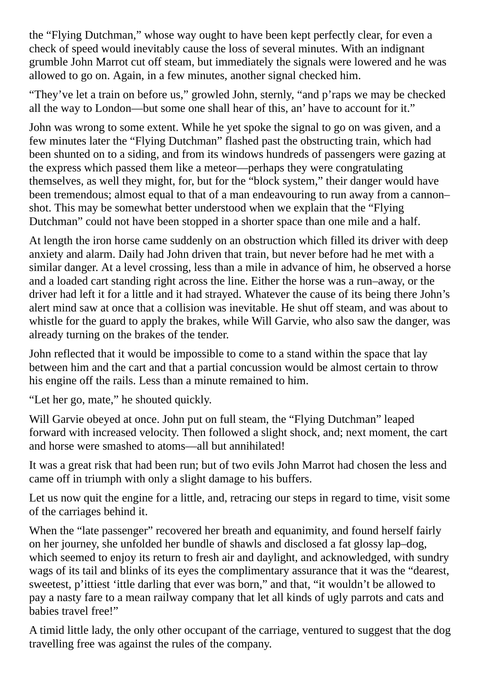the "Flying Dutchman," whose way ought to have been kept perfectly clear, for even a check of speed would inevitably cause the loss of several minutes. With an indignant grumble John Marrot cut off steam, but immediately the signals were lowered and he was allowed to go on. Again, in a few minutes, another signal checked him.

"They've let a train on before us," growled John, sternly, "and p'raps we may be checked all the way to London—but some one shall hear of this, an' have to account for it."

John was wrong to some extent. While he yet spoke the signal to go on was given, and a few minutes later the "Flying Dutchman" flashed past the obstructing train, which had been shunted on to a siding, and from its windows hundreds of passengers were gazing at the express which passed them like a meteor—perhaps they were congratulating themselves, as well they might, for, but for the "block system," their danger would have been tremendous; almost equal to that of a man endeavouring to run away from a cannon– shot. This may be somewhat better understood when we explain that the "Flying Dutchman" could not have been stopped in a shorter space than one mile and a half.

At length the iron horse came suddenly on an obstruction which filled its driver with deep anxiety and alarm. Daily had John driven that train, but never before had he met with a similar danger. At a level crossing, less than a mile in advance of him, he observed a horse and a loaded cart standing right across the line. Either the horse was a run–away, or the driver had left it for a little and it had strayed. Whatever the cause of its being there John's alert mind saw at once that a collision was inevitable. He shut off steam, and was about to whistle for the guard to apply the brakes, while Will Garvie, who also saw the danger, was already turning on the brakes of the tender.

John reflected that it would be impossible to come to a stand within the space that lay between him and the cart and that a partial concussion would be almost certain to throw his engine off the rails. Less than a minute remained to him.

"Let her go, mate," he shouted quickly.

Will Garvie obeyed at once. John put on full steam, the "Flying Dutchman" leaped forward with increased velocity. Then followed a slight shock, and; next moment, the cart and horse were smashed to atoms—all but annihilated!

It was a great risk that had been run; but of two evils John Marrot had chosen the less and came off in triumph with only a slight damage to his buffers.

Let us now quit the engine for a little, and, retracing our steps in regard to time, visit some of the carriages behind it.

When the "late passenger" recovered her breath and equanimity, and found herself fairly on her journey, she unfolded her bundle of shawls and disclosed a fat glossy lap–dog, which seemed to enjoy its return to fresh air and daylight, and acknowledged, with sundry wags of its tail and blinks of its eyes the complimentary assurance that it was the "dearest, sweetest, p'ittiest 'ittle darling that ever was born," and that, "it wouldn't be allowed to pay a nasty fare to a mean railway company that let all kinds of ugly parrots and cats and babies travel free!"

A timid little lady, the only other occupant of the carriage, ventured to suggest that the dog travelling free was against the rules of the company.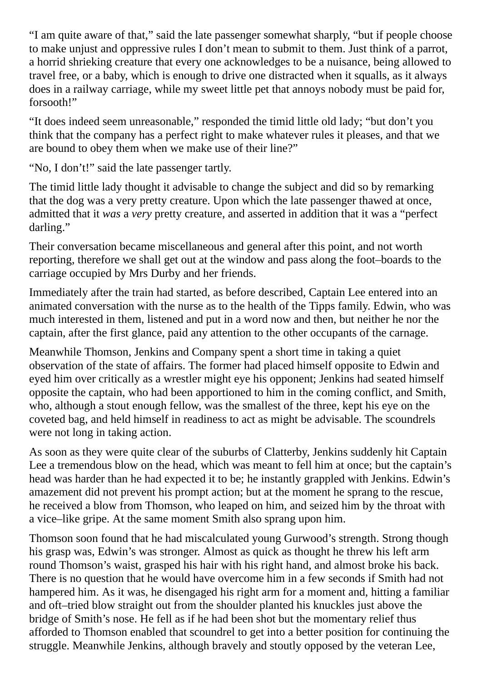"I am quite aware of that," said the late passenger somewhat sharply, "but if people choose to make unjust and oppressive rules I don't mean to submit to them. Just think of a parrot, a horrid shrieking creature that every one acknowledges to be a nuisance, being allowed to travel free, or a baby, which is enough to drive one distracted when it squalls, as it always does in a railway carriage, while my sweet little pet that annoys nobody must be paid for, forsooth!"

"It does indeed seem unreasonable," responded the timid little old lady; "but don't you think that the company has a perfect right to make whatever rules it pleases, and that we are bound to obey them when we make use of their line?"

"No, I don't!" said the late passenger tartly.

The timid little lady thought it advisable to change the subject and did so by remarking that the dog was a very pretty creature. Upon which the late passenger thawed at once, admitted that it *was* a *very* pretty creature, and asserted in addition that it was a "perfect darling."

Their conversation became miscellaneous and general after this point, and not worth reporting, therefore we shall get out at the window and pass along the foot–boards to the carriage occupied by Mrs Durby and her friends.

Immediately after the train had started, as before described, Captain Lee entered into an animated conversation with the nurse as to the health of the Tipps family. Edwin, who was much interested in them, listened and put in a word now and then, but neither he nor the captain, after the first glance, paid any attention to the other occupants of the carnage.

Meanwhile Thomson, Jenkins and Company spent a short time in taking a quiet observation of the state of affairs. The former had placed himself opposite to Edwin and eyed him over critically as a wrestler might eye his opponent; Jenkins had seated himself opposite the captain, who had been apportioned to him in the coming conflict, and Smith, who, although a stout enough fellow, was the smallest of the three, kept his eye on the coveted bag, and held himself in readiness to act as might be advisable. The scoundrels were not long in taking action.

As soon as they were quite clear of the suburbs of Clatterby, Jenkins suddenly hit Captain Lee a tremendous blow on the head, which was meant to fell him at once; but the captain's head was harder than he had expected it to be; he instantly grappled with Jenkins. Edwin's amazement did not prevent his prompt action; but at the moment he sprang to the rescue, he received a blow from Thomson, who leaped on him, and seized him by the throat with a vice–like gripe. At the same moment Smith also sprang upon him.

Thomson soon found that he had miscalculated young Gurwood's strength. Strong though his grasp was, Edwin's was stronger. Almost as quick as thought he threw his left arm round Thomson's waist, grasped his hair with his right hand, and almost broke his back. There is no question that he would have overcome him in a few seconds if Smith had not hampered him. As it was, he disengaged his right arm for a moment and, hitting a familiar and oft–tried blow straight out from the shoulder planted his knuckles just above the bridge of Smith's nose. He fell as if he had been shot but the momentary relief thus afforded to Thomson enabled that scoundrel to get into a better position for continuing the struggle. Meanwhile Jenkins, although bravely and stoutly opposed by the veteran Lee,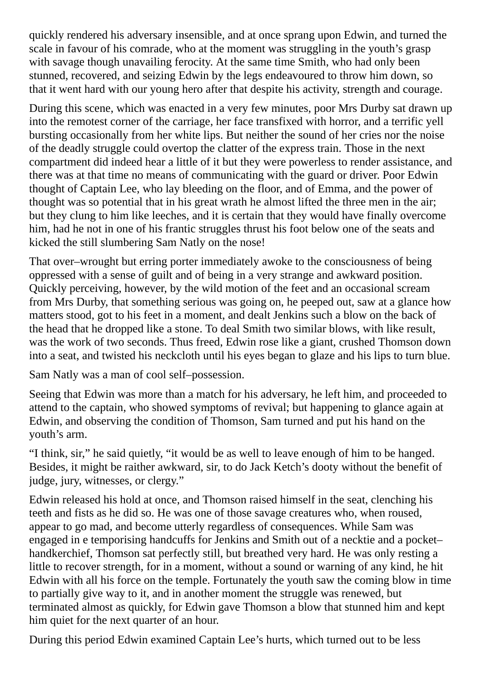quickly rendered his adversary insensible, and at once sprang upon Edwin, and turned the scale in favour of his comrade, who at the moment was struggling in the youth's grasp with savage though unavailing ferocity. At the same time Smith, who had only been stunned, recovered, and seizing Edwin by the legs endeavoured to throw him down, so that it went hard with our young hero after that despite his activity, strength and courage.

During this scene, which was enacted in a very few minutes, poor Mrs Durby sat drawn up into the remotest corner of the carriage, her face transfixed with horror, and a terrific yell bursting occasionally from her white lips. But neither the sound of her cries nor the noise of the deadly struggle could overtop the clatter of the express train. Those in the next compartment did indeed hear a little of it but they were powerless to render assistance, and there was at that time no means of communicating with the guard or driver. Poor Edwin thought of Captain Lee, who lay bleeding on the floor, and of Emma, and the power of thought was so potential that in his great wrath he almost lifted the three men in the air; but they clung to him like leeches, and it is certain that they would have finally overcome him, had he not in one of his frantic struggles thrust his foot below one of the seats and kicked the still slumbering Sam Natly on the nose!

That over–wrought but erring porter immediately awoke to the consciousness of being oppressed with a sense of guilt and of being in a very strange and awkward position. Quickly perceiving, however, by the wild motion of the feet and an occasional scream from Mrs Durby, that something serious was going on, he peeped out, saw at a glance how matters stood, got to his feet in a moment, and dealt Jenkins such a blow on the back of the head that he dropped like a stone. To deal Smith two similar blows, with like result, was the work of two seconds. Thus freed, Edwin rose like a giant, crushed Thomson down into a seat, and twisted his neckcloth until his eyes began to glaze and his lips to turn blue.

Sam Natly was a man of cool self–possession.

Seeing that Edwin was more than a match for his adversary, he left him, and proceeded to attend to the captain, who showed symptoms of revival; but happening to glance again at Edwin, and observing the condition of Thomson, Sam turned and put his hand on the youth's arm.

"I think, sir," he said quietly, "it would be as well to leave enough of him to be hanged. Besides, it might be raither awkward, sir, to do Jack Ketch's dooty without the benefit of judge, jury, witnesses, or clergy."

Edwin released his hold at once, and Thomson raised himself in the seat, clenching his teeth and fists as he did so. He was one of those savage creatures who, when roused, appear to go mad, and become utterly regardless of consequences. While Sam was engaged in e temporising handcuffs for Jenkins and Smith out of a necktie and a pocket– handkerchief, Thomson sat perfectly still, but breathed very hard. He was only resting a little to recover strength, for in a moment, without a sound or warning of any kind, he hit Edwin with all his force on the temple. Fortunately the youth saw the coming blow in time to partially give way to it, and in another moment the struggle was renewed, but terminated almost as quickly, for Edwin gave Thomson a blow that stunned him and kept him quiet for the next quarter of an hour.

During this period Edwin examined Captain Lee's hurts, which turned out to be less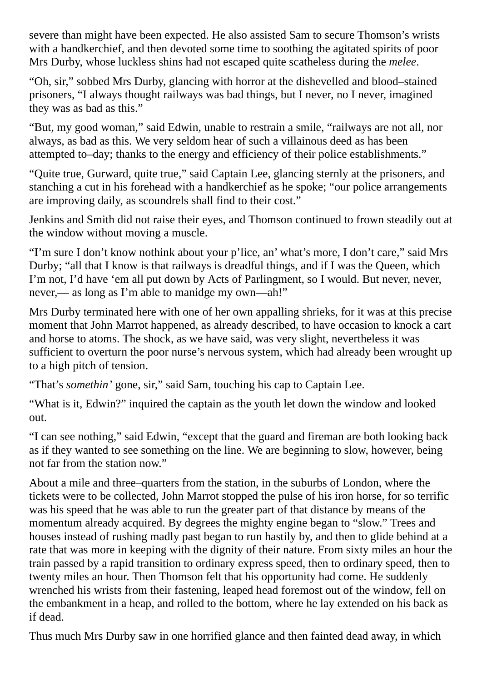severe than might have been expected. He also assisted Sam to secure Thomson's wrists with a handkerchief, and then devoted some time to soothing the agitated spirits of poor Mrs Durby, whose luckless shins had not escaped quite scatheless during the *melee*.

"Oh, sir," sobbed Mrs Durby, glancing with horror at the dishevelled and blood–stained prisoners, "I always thought railways was bad things, but I never, no I never, imagined they was as bad as this."

"But, my good woman," said Edwin, unable to restrain a smile, "railways are not all, nor always, as bad as this. We very seldom hear of such a villainous deed as has been attempted to–day; thanks to the energy and efficiency of their police establishments."

"Quite true, Gurward, quite true," said Captain Lee, glancing sternly at the prisoners, and stanching a cut in his forehead with a handkerchief as he spoke; "our police arrangements are improving daily, as scoundrels shall find to their cost."

Jenkins and Smith did not raise their eyes, and Thomson continued to frown steadily out at the window without moving a muscle.

"I'm sure I don't know nothink about your p'lice, an' what's more, I don't care," said Mrs Durby; "all that I know is that railways is dreadful things, and if I was the Queen, which I'm not, I'd have 'em all put down by Acts of Parlingment, so I would. But never, never, never,— as long as I'm able to manidge my own—ah!"

Mrs Durby terminated here with one of her own appalling shrieks, for it was at this precise moment that John Marrot happened, as already described, to have occasion to knock a cart and horse to atoms. The shock, as we have said, was very slight, nevertheless it was sufficient to overturn the poor nurse's nervous system, which had already been wrought up to a high pitch of tension.

"That's *somethin'* gone, sir," said Sam, touching his cap to Captain Lee.

"What is it, Edwin?" inquired the captain as the youth let down the window and looked out.

"I can see nothing," said Edwin, "except that the guard and fireman are both looking back as if they wanted to see something on the line. We are beginning to slow, however, being not far from the station now."

About a mile and three–quarters from the station, in the suburbs of London, where the tickets were to be collected, John Marrot stopped the pulse of his iron horse, for so terrific was his speed that he was able to run the greater part of that distance by means of the momentum already acquired. By degrees the mighty engine began to "slow." Trees and houses instead of rushing madly past began to run hastily by, and then to glide behind at a rate that was more in keeping with the dignity of their nature. From sixty miles an hour the train passed by a rapid transition to ordinary express speed, then to ordinary speed, then to twenty miles an hour. Then Thomson felt that his opportunity had come. He suddenly wrenched his wrists from their fastening, leaped head foremost out of the window, fell on the embankment in a heap, and rolled to the bottom, where he lay extended on his back as if dead.

Thus much Mrs Durby saw in one horrified glance and then fainted dead away, in which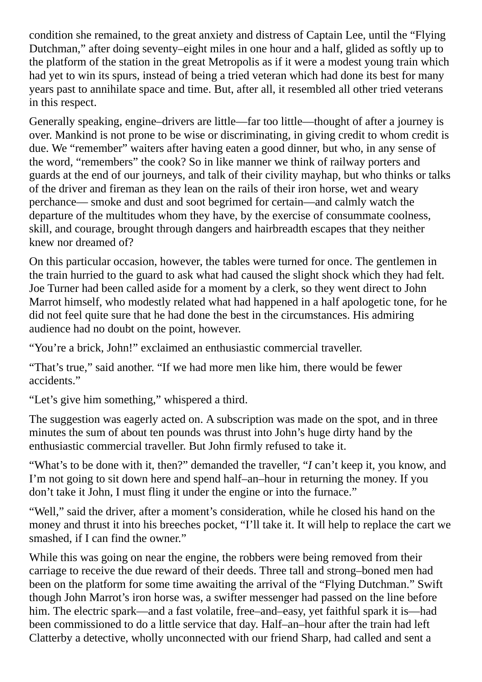condition she remained, to the great anxiety and distress of Captain Lee, until the "Flying Dutchman," after doing seventy–eight miles in one hour and a half, glided as softly up to the platform of the station in the great Metropolis as if it were a modest young train which had yet to win its spurs, instead of being a tried veteran which had done its best for many years past to annihilate space and time. But, after all, it resembled all other tried veterans in this respect.

Generally speaking, engine–drivers are little—far too little—thought of after a journey is over. Mankind is not prone to be wise or discriminating, in giving credit to whom credit is due. We "remember" waiters after having eaten a good dinner, but who, in any sense of the word, "remembers" the cook? So in like manner we think of railway porters and guards at the end of our journeys, and talk of their civility mayhap, but who thinks or talks of the driver and fireman as they lean on the rails of their iron horse, wet and weary perchance— smoke and dust and soot begrimed for certain—and calmly watch the departure of the multitudes whom they have, by the exercise of consummate coolness, skill, and courage, brought through dangers and hairbreadth escapes that they neither knew nor dreamed of?

On this particular occasion, however, the tables were turned for once. The gentlemen in the train hurried to the guard to ask what had caused the slight shock which they had felt. Joe Turner had been called aside for a moment by a clerk, so they went direct to John Marrot himself, who modestly related what had happened in a half apologetic tone, for he did not feel quite sure that he had done the best in the circumstances. His admiring audience had no doubt on the point, however.

"You're a brick, John!" exclaimed an enthusiastic commercial traveller.

"That's true," said another. "If we had more men like him, there would be fewer accidents."

"Let's give him something," whispered a third.

The suggestion was eagerly acted on. A subscription was made on the spot, and in three minutes the sum of about ten pounds was thrust into John's huge dirty hand by the enthusiastic commercial traveller. But John firmly refused to take it.

"What's to be done with it, then?" demanded the traveller, "*I* can't keep it, you know, and I'm not going to sit down here and spend half–an–hour in returning the money. If you don't take it John, I must fling it under the engine or into the furnace."

"Well," said the driver, after a moment's consideration, while he closed his hand on the money and thrust it into his breeches pocket, "I'll take it. It will help to replace the cart we smashed, if I can find the owner."

While this was going on near the engine, the robbers were being removed from their carriage to receive the due reward of their deeds. Three tall and strong–boned men had been on the platform for some time awaiting the arrival of the "Flying Dutchman." Swift though John Marrot's iron horse was, a swifter messenger had passed on the line before him. The electric spark—and a fast volatile, free–and–easy, yet faithful spark it is—had been commissioned to do a little service that day. Half–an–hour after the train had left Clatterby a detective, wholly unconnected with our friend Sharp, had called and sent a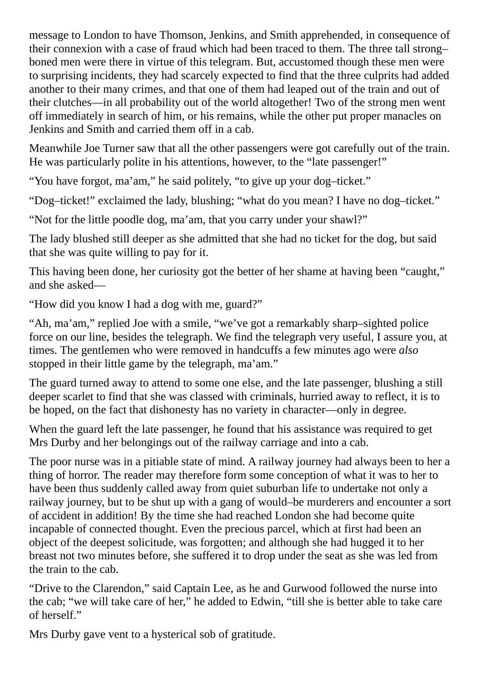message to London to have Thomson, Jenkins, and Smith apprehended, in consequence of their connexion with a case of fraud which had been traced to them. The three tall strong– boned men were there in virtue of this telegram. But, accustomed though these men were to surprising incidents, they had scarcely expected to find that the three culprits had added another to their many crimes, and that one of them had leaped out of the train and out of their clutches—in all probability out of the world altogether! Two of the strong men went off immediately in search of him, or his remains, while the other put proper manacles on Jenkins and Smith and carried them off in a cab.

Meanwhile Joe Turner saw that all the other passengers were got carefully out of the train. He was particularly polite in his attentions, however, to the "late passenger!"

"You have forgot, ma'am," he said politely, "to give up your dog–ticket."

"Dog–ticket!" exclaimed the lady, blushing; "what do you mean? I have no dog–ticket."

"Not for the little poodle dog, ma'am, that you carry under your shawl?"

The lady blushed still deeper as she admitted that she had no ticket for the dog, but said that she was quite willing to pay for it.

This having been done, her curiosity got the better of her shame at having been "caught," and she asked—

"How did you know I had a dog with me, guard?"

"Ah, ma'am," replied Joe with a smile, "we've got a remarkably sharp–sighted police force on our line, besides the telegraph. We find the telegraph very useful, I assure you, at times. The gentlemen who were removed in handcuffs a few minutes ago were *also* stopped in their little game by the telegraph, ma'am."

The guard turned away to attend to some one else, and the late passenger, blushing a still deeper scarlet to find that she was classed with criminals, hurried away to reflect, it is to be hoped, on the fact that dishonesty has no variety in character—only in degree.

When the guard left the late passenger, he found that his assistance was required to get Mrs Durby and her belongings out of the railway carriage and into a cab.

The poor nurse was in a pitiable state of mind. A railway journey had always been to her a thing of horror. The reader may therefore form some conception of what it was to her to have been thus suddenly called away from quiet suburban life to undertake not only a railway journey, but to be shut up with a gang of would–be murderers and encounter a sort of accident in addition! By the time she had reached London she had become quite incapable of connected thought. Even the precious parcel, which at first had been an object of the deepest solicitude, was forgotten; and although she had hugged it to her breast not two minutes before, she suffered it to drop under the seat as she was led from the train to the cab.

"Drive to the Clarendon," said Captain Lee, as he and Gurwood followed the nurse into the cab; "we will take care of her," he added to Edwin, "till she is better able to take care of herself."

Mrs Durby gave vent to a hysterical sob of gratitude.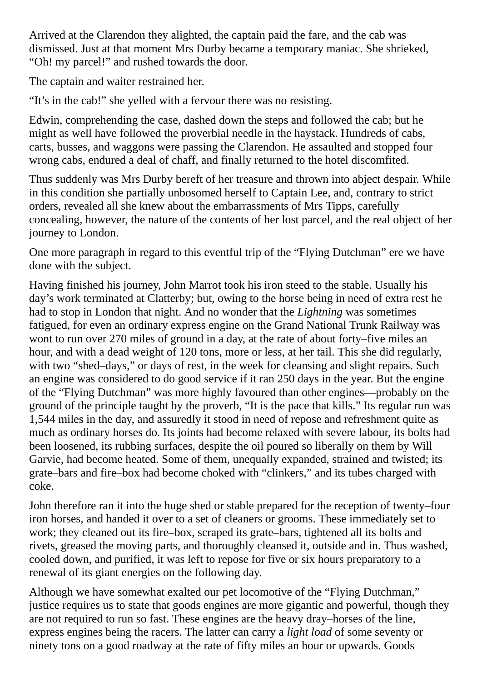Arrived at the Clarendon they alighted, the captain paid the fare, and the cab was dismissed. Just at that moment Mrs Durby became a temporary maniac. She shrieked, "Oh! my parcel!" and rushed towards the door.

The captain and waiter restrained her.

"It's in the cab!" she yelled with a fervour there was no resisting.

Edwin, comprehending the case, dashed down the steps and followed the cab; but he might as well have followed the proverbial needle in the haystack. Hundreds of cabs, carts, busses, and waggons were passing the Clarendon. He assaulted and stopped four wrong cabs, endured a deal of chaff, and finally returned to the hotel discomfited.

Thus suddenly was Mrs Durby bereft of her treasure and thrown into abject despair. While in this condition she partially unbosomed herself to Captain Lee, and, contrary to strict orders, revealed all she knew about the embarrassments of Mrs Tipps, carefully concealing, however, the nature of the contents of her lost parcel, and the real object of her journey to London.

One more paragraph in regard to this eventful trip of the "Flying Dutchman" ere we have done with the subject.

Having finished his journey, John Marrot took his iron steed to the stable. Usually his day's work terminated at Clatterby; but, owing to the horse being in need of extra rest he had to stop in London that night. And no wonder that the *Lightning* was sometimes fatigued, for even an ordinary express engine on the Grand National Trunk Railway was wont to run over 270 miles of ground in a day, at the rate of about forty–five miles an hour, and with a dead weight of 120 tons, more or less, at her tail. This she did regularly, with two "shed–days," or days of rest, in the week for cleansing and slight repairs. Such an engine was considered to do good service if it ran 250 days in the year. But the engine of the "Flying Dutchman" was more highly favoured than other engines—probably on the ground of the principle taught by the proverb, "It is the pace that kills." Its regular run was 1,544 miles in the day, and assuredly it stood in need of repose and refreshment quite as much as ordinary horses do. Its joints had become relaxed with severe labour, its bolts had been loosened, its rubbing surfaces, despite the oil poured so liberally on them by Will Garvie, had become heated. Some of them, unequally expanded, strained and twisted; its grate–bars and fire–box had become choked with "clinkers," and its tubes charged with coke.

John therefore ran it into the huge shed or stable prepared for the reception of twenty–four iron horses, and handed it over to a set of cleaners or grooms. These immediately set to work; they cleaned out its fire–box, scraped its grate–bars, tightened all its bolts and rivets, greased the moving parts, and thoroughly cleansed it, outside and in. Thus washed, cooled down, and purified, it was left to repose for five or six hours preparatory to a renewal of its giant energies on the following day.

Although we have somewhat exalted our pet locomotive of the "Flying Dutchman," justice requires us to state that goods engines are more gigantic and powerful, though they are not required to run so fast. These engines are the heavy dray–horses of the line, express engines being the racers. The latter can carry a *light load* of some seventy or ninety tons on a good roadway at the rate of fifty miles an hour or upwards. Goods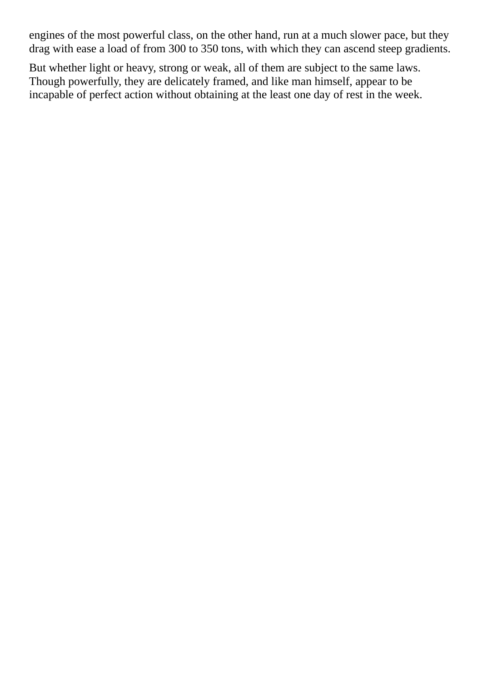engines of the most powerful class, on the other hand, run at a much slower pace, but they drag with ease a load of from 300 to 350 tons, with which they can ascend steep gradients.

But whether light or heavy, strong or weak, all of them are subject to the same laws. Though powerfully, they are delicately framed, and like man himself, appear to be incapable of perfect action without obtaining at the least one day of rest in the week.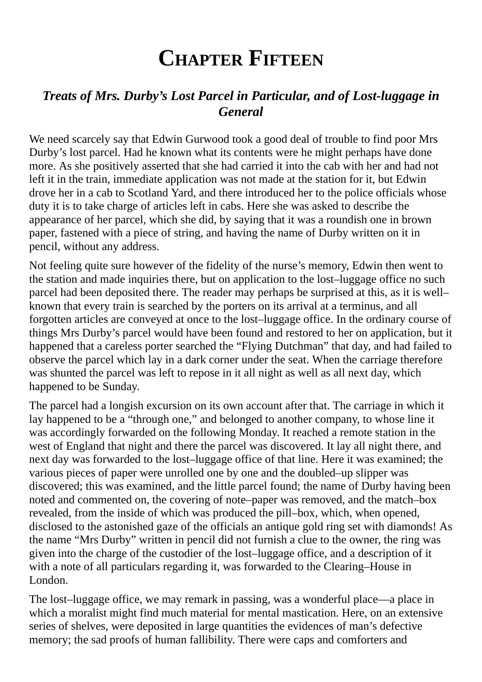## **CHAPTER FIFTEEN**

### *Treats of Mrs. Durby's Lost Parcel in Particular, and of Lost-luggage in General*

We need scarcely say that Edwin Gurwood took a good deal of trouble to find poor Mrs Durby's lost parcel. Had he known what its contents were he might perhaps have done more. As she positively asserted that she had carried it into the cab with her and had not left it in the train, immediate application was not made at the station for it, but Edwin drove her in a cab to Scotland Yard, and there introduced her to the police officials whose duty it is to take charge of articles left in cabs. Here she was asked to describe the appearance of her parcel, which she did, by saying that it was a roundish one in brown paper, fastened with a piece of string, and having the name of Durby written on it in pencil, without any address.

Not feeling quite sure however of the fidelity of the nurse's memory, Edwin then went to the station and made inquiries there, but on application to the lost–luggage office no such parcel had been deposited there. The reader may perhaps be surprised at this, as it is well– known that every train is searched by the porters on its arrival at a terminus, and all forgotten articles are conveyed at once to the lost–luggage office. In the ordinary course of things Mrs Durby's parcel would have been found and restored to her on application, but it happened that a careless porter searched the "Flying Dutchman" that day, and had failed to observe the parcel which lay in a dark corner under the seat. When the carriage therefore was shunted the parcel was left to repose in it all night as well as all next day, which happened to be Sunday.

The parcel had a longish excursion on its own account after that. The carriage in which it lay happened to be a "through one," and belonged to another company, to whose line it was accordingly forwarded on the following Monday. It reached a remote station in the west of England that night and there the parcel was discovered. It lay all night there, and next day was forwarded to the lost–luggage office of that line. Here it was examined; the various pieces of paper were unrolled one by one and the doubled–up slipper was discovered; this was examined, and the little parcel found; the name of Durby having been noted and commented on, the covering of note–paper was removed, and the match–box revealed, from the inside of which was produced the pill–box, which, when opened, disclosed to the astonished gaze of the officials an antique gold ring set with diamonds! As the name "Mrs Durby" written in pencil did not furnish a clue to the owner, the ring was given into the charge of the custodier of the lost–luggage office, and a description of it with a note of all particulars regarding it, was forwarded to the Clearing–House in London.

The lost–luggage office, we may remark in passing, was a wonderful place—a place in which a moralist might find much material for mental mastication. Here, on an extensive series of shelves, were deposited in large quantities the evidences of man's defective memory; the sad proofs of human fallibility. There were caps and comforters and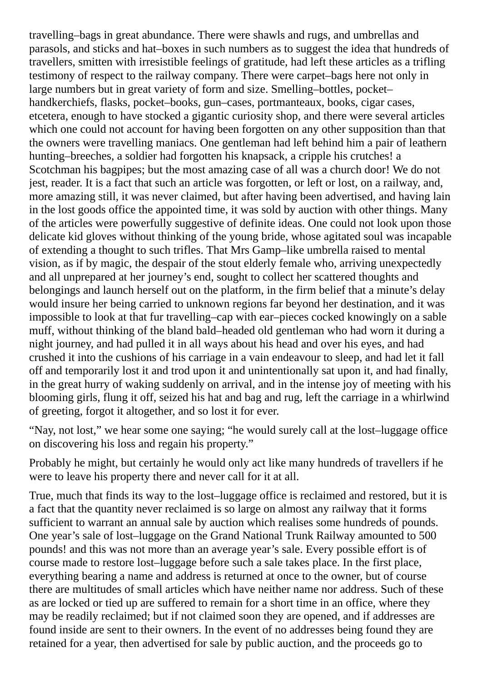travelling–bags in great abundance. There were shawls and rugs, and umbrellas and parasols, and sticks and hat–boxes in such numbers as to suggest the idea that hundreds of travellers, smitten with irresistible feelings of gratitude, had left these articles as a trifling testimony of respect to the railway company. There were carpet–bags here not only in large numbers but in great variety of form and size. Smelling–bottles, pocket– handkerchiefs, flasks, pocket–books, gun–cases, portmanteaux, books, cigar cases, etcetera, enough to have stocked a gigantic curiosity shop, and there were several articles which one could not account for having been forgotten on any other supposition than that the owners were travelling maniacs. One gentleman had left behind him a pair of leathern hunting–breeches, a soldier had forgotten his knapsack, a cripple his crutches! a Scotchman his bagpipes; but the most amazing case of all was a church door! We do not jest, reader. It is a fact that such an article was forgotten, or left or lost, on a railway, and, more amazing still, it was never claimed, but after having been advertised, and having lain in the lost goods office the appointed time, it was sold by auction with other things. Many of the articles were powerfully suggestive of definite ideas. One could not look upon those delicate kid gloves without thinking of the young bride, whose agitated soul was incapable of extending a thought to such trifles. That Mrs Gamp–like umbrella raised to mental vision, as if by magic, the despair of the stout elderly female who, arriving unexpectedly and all unprepared at her journey's end, sought to collect her scattered thoughts and belongings and launch herself out on the platform, in the firm belief that a minute's delay would insure her being carried to unknown regions far beyond her destination, and it was impossible to look at that fur travelling–cap with ear–pieces cocked knowingly on a sable muff, without thinking of the bland bald–headed old gentleman who had worn it during a night journey, and had pulled it in all ways about his head and over his eyes, and had crushed it into the cushions of his carriage in a vain endeavour to sleep, and had let it fall off and temporarily lost it and trod upon it and unintentionally sat upon it, and had finally, in the great hurry of waking suddenly on arrival, and in the intense joy of meeting with his blooming girls, flung it off, seized his hat and bag and rug, left the carriage in a whirlwind of greeting, forgot it altogether, and so lost it for ever.

"Nay, not lost," we hear some one saying; "he would surely call at the lost–luggage office on discovering his loss and regain his property."

Probably he might, but certainly he would only act like many hundreds of travellers if he were to leave his property there and never call for it at all.

True, much that finds its way to the lost–luggage office is reclaimed and restored, but it is a fact that the quantity never reclaimed is so large on almost any railway that it forms sufficient to warrant an annual sale by auction which realises some hundreds of pounds. One year's sale of lost–luggage on the Grand National Trunk Railway amounted to 500 pounds! and this was not more than an average year's sale. Every possible effort is of course made to restore lost–luggage before such a sale takes place. In the first place, everything bearing a name and address is returned at once to the owner, but of course there are multitudes of small articles which have neither name nor address. Such of these as are locked or tied up are suffered to remain for a short time in an office, where they may be readily reclaimed; but if not claimed soon they are opened, and if addresses are found inside are sent to their owners. In the event of no addresses being found they are retained for a year, then advertised for sale by public auction, and the proceeds go to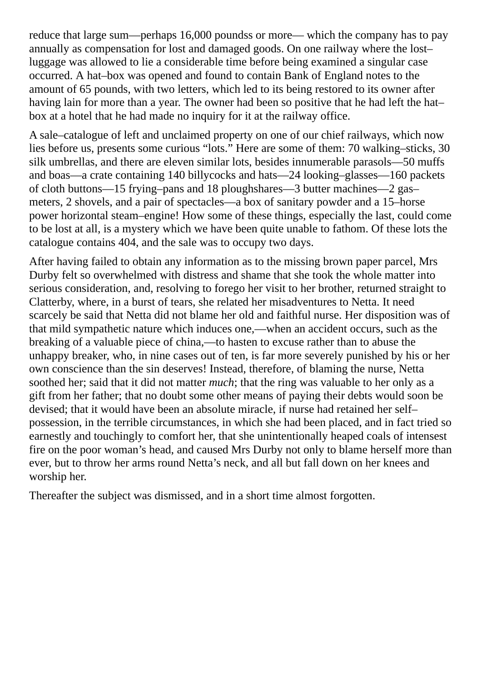reduce that large sum—perhaps 16,000 poundss or more— which the company has to pay annually as compensation for lost and damaged goods. On one railway where the lost– luggage was allowed to lie a considerable time before being examined a singular case occurred. A hat–box was opened and found to contain Bank of England notes to the amount of 65 pounds, with two letters, which led to its being restored to its owner after having lain for more than a year. The owner had been so positive that he had left the hat– box at a hotel that he had made no inquiry for it at the railway office.

A sale–catalogue of left and unclaimed property on one of our chief railways, which now lies before us, presents some curious "lots." Here are some of them: 70 walking–sticks, 30 silk umbrellas, and there are eleven similar lots, besides innumerable parasols—50 muffs and boas—a crate containing 140 billycocks and hats—24 looking–glasses—160 packets of cloth buttons—15 frying–pans and 18 ploughshares—3 butter machines—2 gas– meters, 2 shovels, and a pair of spectacles—a box of sanitary powder and a 15–horse power horizontal steam–engine! How some of these things, especially the last, could come to be lost at all, is a mystery which we have been quite unable to fathom. Of these lots the catalogue contains 404, and the sale was to occupy two days.

After having failed to obtain any information as to the missing brown paper parcel, Mrs Durby felt so overwhelmed with distress and shame that she took the whole matter into serious consideration, and, resolving to forego her visit to her brother, returned straight to Clatterby, where, in a burst of tears, she related her misadventures to Netta. It need scarcely be said that Netta did not blame her old and faithful nurse. Her disposition was of that mild sympathetic nature which induces one,—when an accident occurs, such as the breaking of a valuable piece of china,—to hasten to excuse rather than to abuse the unhappy breaker, who, in nine cases out of ten, is far more severely punished by his or her own conscience than the sin deserves! Instead, therefore, of blaming the nurse, Netta soothed her; said that it did not matter *much*; that the ring was valuable to her only as a gift from her father; that no doubt some other means of paying their debts would soon be devised; that it would have been an absolute miracle, if nurse had retained her self– possession, in the terrible circumstances, in which she had been placed, and in fact tried so earnestly and touchingly to comfort her, that she unintentionally heaped coals of intensest fire on the poor woman's head, and caused Mrs Durby not only to blame herself more than ever, but to throw her arms round Netta's neck, and all but fall down on her knees and worship her.

Thereafter the subject was dismissed, and in a short time almost forgotten.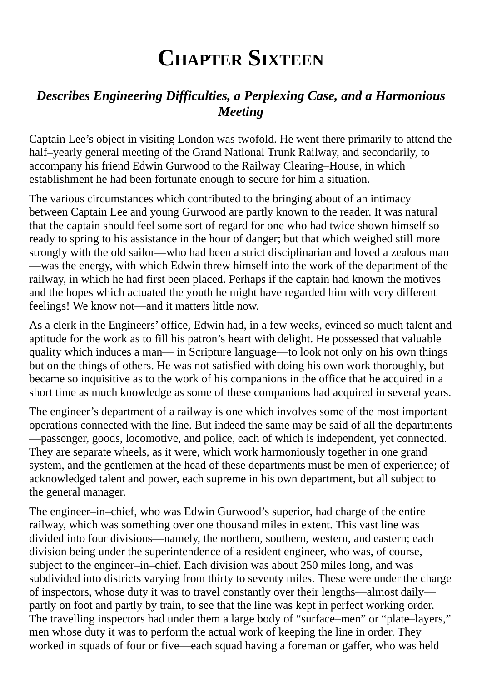### **CHAPTER SIXTEEN**

#### *Describes Engineering Difficulties, a Perplexing Case, and a Harmonious Meeting*

Captain Lee's object in visiting London was twofold. He went there primarily to attend the half–yearly general meeting of the Grand National Trunk Railway, and secondarily, to accompany his friend Edwin Gurwood to the Railway Clearing–House, in which establishment he had been fortunate enough to secure for him a situation.

The various circumstances which contributed to the bringing about of an intimacy between Captain Lee and young Gurwood are partly known to the reader. It was natural that the captain should feel some sort of regard for one who had twice shown himself so ready to spring to his assistance in the hour of danger; but that which weighed still more strongly with the old sailor—who had been a strict disciplinarian and loved a zealous man —was the energy, with which Edwin threw himself into the work of the department of the railway, in which he had first been placed. Perhaps if the captain had known the motives and the hopes which actuated the youth he might have regarded him with very different feelings! We know not—and it matters little now.

As a clerk in the Engineers' office, Edwin had, in a few weeks, evinced so much talent and aptitude for the work as to fill his patron's heart with delight. He possessed that valuable quality which induces a man— in Scripture language—to look not only on his own things but on the things of others. He was not satisfied with doing his own work thoroughly, but became so inquisitive as to the work of his companions in the office that he acquired in a short time as much knowledge as some of these companions had acquired in several years.

The engineer's department of a railway is one which involves some of the most important operations connected with the line. But indeed the same may be said of all the departments —passenger, goods, locomotive, and police, each of which is independent, yet connected. They are separate wheels, as it were, which work harmoniously together in one grand system, and the gentlemen at the head of these departments must be men of experience; of acknowledged talent and power, each supreme in his own department, but all subject to the general manager.

The engineer–in–chief, who was Edwin Gurwood's superior, had charge of the entire railway, which was something over one thousand miles in extent. This vast line was divided into four divisions—namely, the northern, southern, western, and eastern; each division being under the superintendence of a resident engineer, who was, of course, subject to the engineer–in–chief. Each division was about 250 miles long, and was subdivided into districts varying from thirty to seventy miles. These were under the charge of inspectors, whose duty it was to travel constantly over their lengths—almost daily partly on foot and partly by train, to see that the line was kept in perfect working order. The travelling inspectors had under them a large body of "surface–men" or "plate–layers," men whose duty it was to perform the actual work of keeping the line in order. They worked in squads of four or five—each squad having a foreman or gaffer, who was held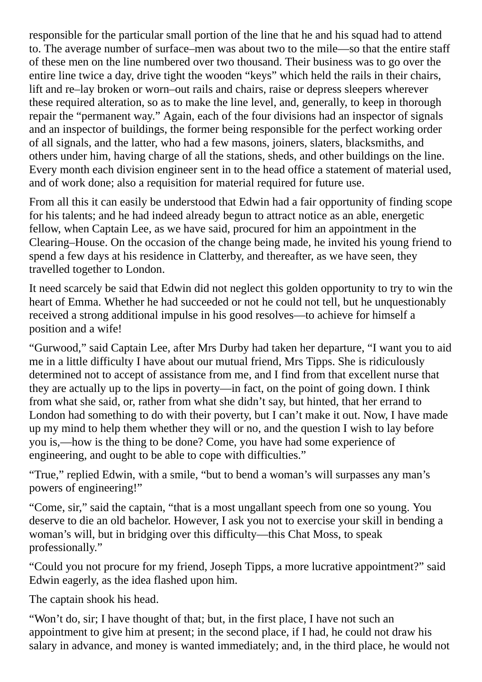responsible for the particular small portion of the line that he and his squad had to attend to. The average number of surface–men was about two to the mile—so that the entire staff of these men on the line numbered over two thousand. Their business was to go over the entire line twice a day, drive tight the wooden "keys" which held the rails in their chairs, lift and re–lay broken or worn–out rails and chairs, raise or depress sleepers wherever these required alteration, so as to make the line level, and, generally, to keep in thorough repair the "permanent way." Again, each of the four divisions had an inspector of signals and an inspector of buildings, the former being responsible for the perfect working order of all signals, and the latter, who had a few masons, joiners, slaters, blacksmiths, and others under him, having charge of all the stations, sheds, and other buildings on the line. Every month each division engineer sent in to the head office a statement of material used, and of work done; also a requisition for material required for future use.

From all this it can easily be understood that Edwin had a fair opportunity of finding scope for his talents; and he had indeed already begun to attract notice as an able, energetic fellow, when Captain Lee, as we have said, procured for him an appointment in the Clearing–House. On the occasion of the change being made, he invited his young friend to spend a few days at his residence in Clatterby, and thereafter, as we have seen, they travelled together to London.

It need scarcely be said that Edwin did not neglect this golden opportunity to try to win the heart of Emma. Whether he had succeeded or not he could not tell, but he unquestionably received a strong additional impulse in his good resolves—to achieve for himself a position and a wife!

"Gurwood," said Captain Lee, after Mrs Durby had taken her departure, "I want you to aid me in a little difficulty I have about our mutual friend, Mrs Tipps. She is ridiculously determined not to accept of assistance from me, and I find from that excellent nurse that they are actually up to the lips in poverty—in fact, on the point of going down. I think from what she said, or, rather from what she didn't say, but hinted, that her errand to London had something to do with their poverty, but I can't make it out. Now, I have made up my mind to help them whether they will or no, and the question I wish to lay before you is,—how is the thing to be done? Come, you have had some experience of engineering, and ought to be able to cope with difficulties."

"True," replied Edwin, with a smile, "but to bend a woman's will surpasses any man's powers of engineering!"

"Come, sir," said the captain, "that is a most ungallant speech from one so young. You deserve to die an old bachelor. However, I ask you not to exercise your skill in bending a woman's will, but in bridging over this difficulty—this Chat Moss, to speak professionally."

"Could you not procure for my friend, Joseph Tipps, a more lucrative appointment?" said Edwin eagerly, as the idea flashed upon him.

The captain shook his head.

"Won't do, sir; I have thought of that; but, in the first place, I have not such an appointment to give him at present; in the second place, if I had, he could not draw his salary in advance, and money is wanted immediately; and, in the third place, he would not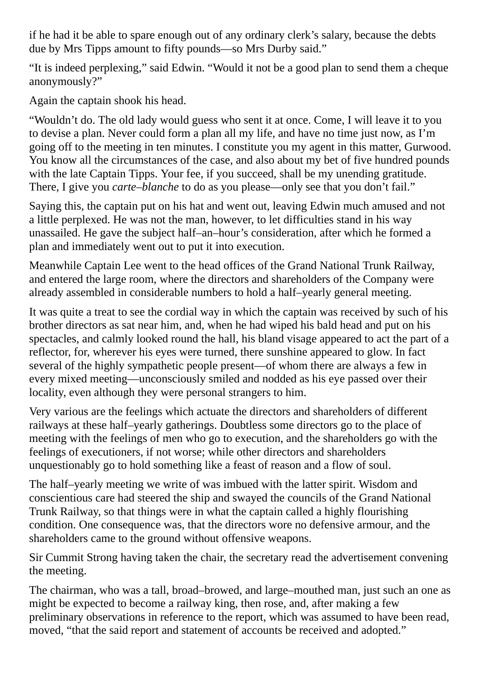if he had it be able to spare enough out of any ordinary clerk's salary, because the debts due by Mrs Tipps amount to fifty pounds—so Mrs Durby said."

"It is indeed perplexing," said Edwin. "Would it not be a good plan to send them a cheque anonymously?"

Again the captain shook his head.

"Wouldn't do. The old lady would guess who sent it at once. Come, I will leave it to you to devise a plan. Never could form a plan all my life, and have no time just now, as I'm going off to the meeting in ten minutes. I constitute you my agent in this matter, Gurwood. You know all the circumstances of the case, and also about my bet of five hundred pounds with the late Captain Tipps. Your fee, if you succeed, shall be my unending gratitude. There, I give you *carte–blanche* to do as you please—only see that you don't fail."

Saying this, the captain put on his hat and went out, leaving Edwin much amused and not a little perplexed. He was not the man, however, to let difficulties stand in his way unassailed. He gave the subject half–an–hour's consideration, after which he formed a plan and immediately went out to put it into execution.

Meanwhile Captain Lee went to the head offices of the Grand National Trunk Railway, and entered the large room, where the directors and shareholders of the Company were already assembled in considerable numbers to hold a half–yearly general meeting.

It was quite a treat to see the cordial way in which the captain was received by such of his brother directors as sat near him, and, when he had wiped his bald head and put on his spectacles, and calmly looked round the hall, his bland visage appeared to act the part of a reflector, for, wherever his eyes were turned, there sunshine appeared to glow. In fact several of the highly sympathetic people present—of whom there are always a few in every mixed meeting—unconsciously smiled and nodded as his eye passed over their locality, even although they were personal strangers to him.

Very various are the feelings which actuate the directors and shareholders of different railways at these half–yearly gatherings. Doubtless some directors go to the place of meeting with the feelings of men who go to execution, and the shareholders go with the feelings of executioners, if not worse; while other directors and shareholders unquestionably go to hold something like a feast of reason and a flow of soul.

The half–yearly meeting we write of was imbued with the latter spirit. Wisdom and conscientious care had steered the ship and swayed the councils of the Grand National Trunk Railway, so that things were in what the captain called a highly flourishing condition. One consequence was, that the directors wore no defensive armour, and the shareholders came to the ground without offensive weapons.

Sir Cummit Strong having taken the chair, the secretary read the advertisement convening the meeting.

The chairman, who was a tall, broad–browed, and large–mouthed man, just such an one as might be expected to become a railway king, then rose, and, after making a few preliminary observations in reference to the report, which was assumed to have been read, moved, "that the said report and statement of accounts be received and adopted."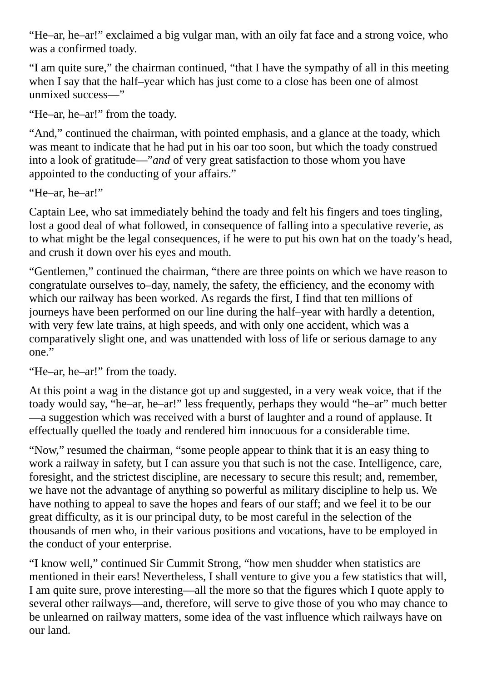"He–ar, he–ar!" exclaimed a big vulgar man, with an oily fat face and a strong voice, who was a confirmed toady.

"I am quite sure," the chairman continued, "that I have the sympathy of all in this meeting when I say that the half–year which has just come to a close has been one of almost unmixed success—"

"He–ar, he–ar!" from the toady.

"And," continued the chairman, with pointed emphasis, and a glance at the toady, which was meant to indicate that he had put in his oar too soon, but which the toady construed into a look of gratitude—"*and* of very great satisfaction to those whom you have appointed to the conducting of your affairs."

"He–ar, he–ar!"

Captain Lee, who sat immediately behind the toady and felt his fingers and toes tingling, lost a good deal of what followed, in consequence of falling into a speculative reverie, as to what might be the legal consequences, if he were to put his own hat on the toady's head, and crush it down over his eyes and mouth.

"Gentlemen," continued the chairman, "there are three points on which we have reason to congratulate ourselves to–day, namely, the safety, the efficiency, and the economy with which our railway has been worked. As regards the first, I find that ten millions of journeys have been performed on our line during the half–year with hardly a detention, with very few late trains, at high speeds, and with only one accident, which was a comparatively slight one, and was unattended with loss of life or serious damage to any one."

"He–ar, he–ar!" from the toady.

At this point a wag in the distance got up and suggested, in a very weak voice, that if the toady would say, "he–ar, he–ar!" less frequently, perhaps they would "he–ar" much better —a suggestion which was received with a burst of laughter and a round of applause. It effectually quelled the toady and rendered him innocuous for a considerable time.

"Now," resumed the chairman, "some people appear to think that it is an easy thing to work a railway in safety, but I can assure you that such is not the case. Intelligence, care, foresight, and the strictest discipline, are necessary to secure this result; and, remember, we have not the advantage of anything so powerful as military discipline to help us. We have nothing to appeal to save the hopes and fears of our staff; and we feel it to be our great difficulty, as it is our principal duty, to be most careful in the selection of the thousands of men who, in their various positions and vocations, have to be employed in the conduct of your enterprise.

"I know well," continued Sir Cummit Strong, "how men shudder when statistics are mentioned in their ears! Nevertheless, I shall venture to give you a few statistics that will, I am quite sure, prove interesting—all the more so that the figures which I quote apply to several other railways—and, therefore, will serve to give those of you who may chance to be unlearned on railway matters, some idea of the vast influence which railways have on our land.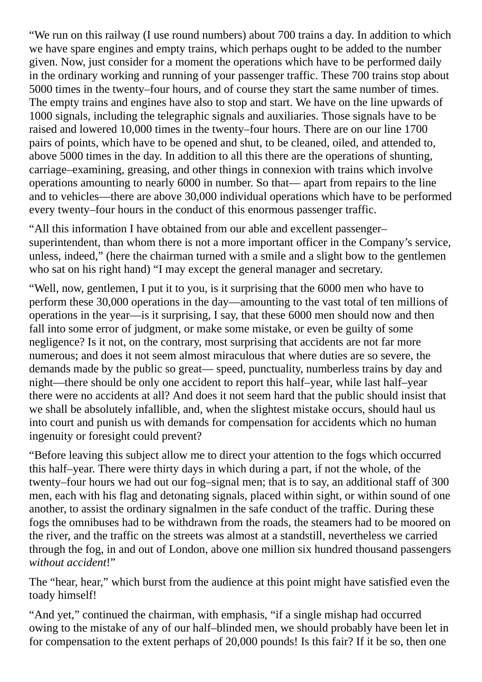"We run on this railway (I use round numbers) about 700 trains a day. In addition to which we have spare engines and empty trains, which perhaps ought to be added to the number given. Now, just consider for a moment the operations which have to be performed daily in the ordinary working and running of your passenger traffic. These 700 trains stop about 5000 times in the twenty–four hours, and of course they start the same number of times. The empty trains and engines have also to stop and start. We have on the line upwards of 1000 signals, including the telegraphic signals and auxiliaries. Those signals have to be raised and lowered 10,000 times in the twenty–four hours. There are on our line 1700 pairs of points, which have to be opened and shut, to be cleaned, oiled, and attended to, above 5000 times in the day. In addition to all this there are the operations of shunting, carriage–examining, greasing, and other things in connexion with trains which involve operations amounting to nearly 6000 in number. So that— apart from repairs to the line and to vehicles—there are above 30,000 individual operations which have to be performed every twenty–four hours in the conduct of this enormous passenger traffic.

"All this information I have obtained from our able and excellent passenger– superintendent, than whom there is not a more important officer in the Company's service, unless, indeed," (here the chairman turned with a smile and a slight bow to the gentlemen who sat on his right hand) "I may except the general manager and secretary.

"Well, now, gentlemen, I put it to you, is it surprising that the 6000 men who have to perform these 30,000 operations in the day—amounting to the vast total of ten millions of operations in the year—is it surprising, I say, that these 6000 men should now and then fall into some error of judgment, or make some mistake, or even be guilty of some negligence? Is it not, on the contrary, most surprising that accidents are not far more numerous; and does it not seem almost miraculous that where duties are so severe, the demands made by the public so great— speed, punctuality, numberless trains by day and night—there should be only one accident to report this half–year, while last half–year there were no accidents at all? And does it not seem hard that the public should insist that we shall be absolutely infallible, and, when the slightest mistake occurs, should haul us into court and punish us with demands for compensation for accidents which no human ingenuity or foresight could prevent?

"Before leaving this subject allow me to direct your attention to the fogs which occurred this half–year. There were thirty days in which during a part, if not the whole, of the twenty–four hours we had out our fog–signal men; that is to say, an additional staff of 300 men, each with his flag and detonating signals, placed within sight, or within sound of one another, to assist the ordinary signalmen in the safe conduct of the traffic. During these fogs the omnibuses had to be withdrawn from the roads, the steamers had to be moored on the river, and the traffic on the streets was almost at a standstill, nevertheless we carried through the fog, in and out of London, above one million six hundred thousand passengers *without accident*!"

The "hear, hear," which burst from the audience at this point might have satisfied even the toady himself!

"And yet," continued the chairman, with emphasis, "if a single mishap had occurred owing to the mistake of any of our half–blinded men, we should probably have been let in for compensation to the extent perhaps of 20,000 pounds! Is this fair? If it be so, then one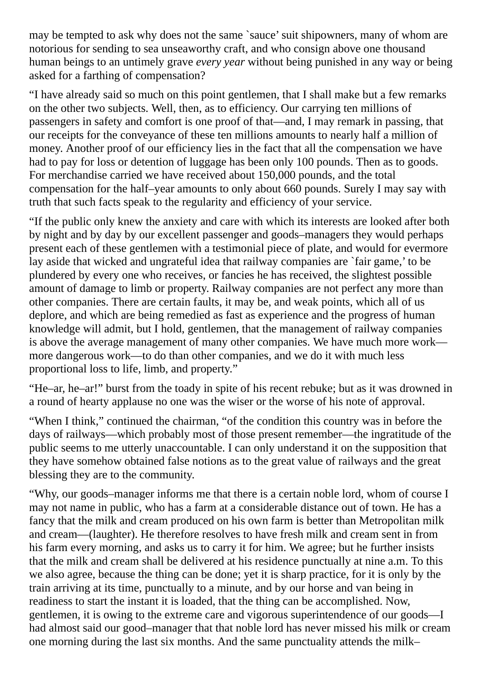may be tempted to ask why does not the same `sauce' suit shipowners, many of whom are notorious for sending to sea unseaworthy craft, and who consign above one thousand human beings to an untimely grave *every year* without being punished in any way or being asked for a farthing of compensation?

"I have already said so much on this point gentlemen, that I shall make but a few remarks on the other two subjects. Well, then, as to efficiency. Our carrying ten millions of passengers in safety and comfort is one proof of that—and, I may remark in passing, that our receipts for the conveyance of these ten millions amounts to nearly half a million of money. Another proof of our efficiency lies in the fact that all the compensation we have had to pay for loss or detention of luggage has been only 100 pounds. Then as to goods. For merchandise carried we have received about 150,000 pounds, and the total compensation for the half–year amounts to only about 660 pounds. Surely I may say with truth that such facts speak to the regularity and efficiency of your service.

"If the public only knew the anxiety and care with which its interests are looked after both by night and by day by our excellent passenger and goods–managers they would perhaps present each of these gentlemen with a testimonial piece of plate, and would for evermore lay aside that wicked and ungrateful idea that railway companies are `fair game,' to be plundered by every one who receives, or fancies he has received, the slightest possible amount of damage to limb or property. Railway companies are not perfect any more than other companies. There are certain faults, it may be, and weak points, which all of us deplore, and which are being remedied as fast as experience and the progress of human knowledge will admit, but I hold, gentlemen, that the management of railway companies is above the average management of many other companies. We have much more work more dangerous work—to do than other companies, and we do it with much less proportional loss to life, limb, and property."

"He–ar, he–ar!" burst from the toady in spite of his recent rebuke; but as it was drowned in a round of hearty applause no one was the wiser or the worse of his note of approval.

"When I think," continued the chairman, "of the condition this country was in before the days of railways—which probably most of those present remember—the ingratitude of the public seems to me utterly unaccountable. I can only understand it on the supposition that they have somehow obtained false notions as to the great value of railways and the great blessing they are to the community.

"Why, our goods–manager informs me that there is a certain noble lord, whom of course I may not name in public, who has a farm at a considerable distance out of town. He has a fancy that the milk and cream produced on his own farm is better than Metropolitan milk and cream—(laughter). He therefore resolves to have fresh milk and cream sent in from his farm every morning, and asks us to carry it for him. We agree; but he further insists that the milk and cream shall be delivered at his residence punctually at nine a.m. To this we also agree, because the thing can be done; yet it is sharp practice, for it is only by the train arriving at its time, punctually to a minute, and by our horse and van being in readiness to start the instant it is loaded, that the thing can be accomplished. Now, gentlemen, it is owing to the extreme care and vigorous superintendence of our goods—I had almost said our good–manager that that noble lord has never missed his milk or cream one morning during the last six months. And the same punctuality attends the milk–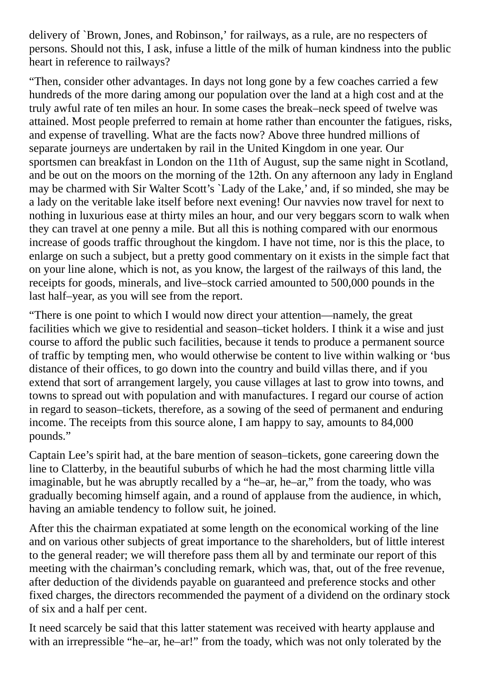delivery of `Brown, Jones, and Robinson,' for railways, as a rule, are no respecters of persons. Should not this, I ask, infuse a little of the milk of human kindness into the public heart in reference to railways?

"Then, consider other advantages. In days not long gone by a few coaches carried a few hundreds of the more daring among our population over the land at a high cost and at the truly awful rate of ten miles an hour. In some cases the break–neck speed of twelve was attained. Most people preferred to remain at home rather than encounter the fatigues, risks, and expense of travelling. What are the facts now? Above three hundred millions of separate journeys are undertaken by rail in the United Kingdom in one year. Our sportsmen can breakfast in London on the 11th of August, sup the same night in Scotland, and be out on the moors on the morning of the 12th. On any afternoon any lady in England may be charmed with Sir Walter Scott's `Lady of the Lake,' and, if so minded, she may be a lady on the veritable lake itself before next evening! Our navvies now travel for next to nothing in luxurious ease at thirty miles an hour, and our very beggars scorn to walk when they can travel at one penny a mile. But all this is nothing compared with our enormous increase of goods traffic throughout the kingdom. I have not time, nor is this the place, to enlarge on such a subject, but a pretty good commentary on it exists in the simple fact that on your line alone, which is not, as you know, the largest of the railways of this land, the receipts for goods, minerals, and live–stock carried amounted to 500,000 pounds in the last half–year, as you will see from the report.

"There is one point to which I would now direct your attention—namely, the great facilities which we give to residential and season–ticket holders. I think it a wise and just course to afford the public such facilities, because it tends to produce a permanent source of traffic by tempting men, who would otherwise be content to live within walking or 'bus distance of their offices, to go down into the country and build villas there, and if you extend that sort of arrangement largely, you cause villages at last to grow into towns, and towns to spread out with population and with manufactures. I regard our course of action in regard to season–tickets, therefore, as a sowing of the seed of permanent and enduring income. The receipts from this source alone, I am happy to say, amounts to 84,000 pounds."

Captain Lee's spirit had, at the bare mention of season–tickets, gone careering down the line to Clatterby, in the beautiful suburbs of which he had the most charming little villa imaginable, but he was abruptly recalled by a "he–ar, he–ar," from the toady, who was gradually becoming himself again, and a round of applause from the audience, in which, having an amiable tendency to follow suit, he joined.

After this the chairman expatiated at some length on the economical working of the line and on various other subjects of great importance to the shareholders, but of little interest to the general reader; we will therefore pass them all by and terminate our report of this meeting with the chairman's concluding remark, which was, that, out of the free revenue, after deduction of the dividends payable on guaranteed and preference stocks and other fixed charges, the directors recommended the payment of a dividend on the ordinary stock of six and a half per cent.

It need scarcely be said that this latter statement was received with hearty applause and with an irrepressible "he–ar, he–ar!" from the toady, which was not only tolerated by the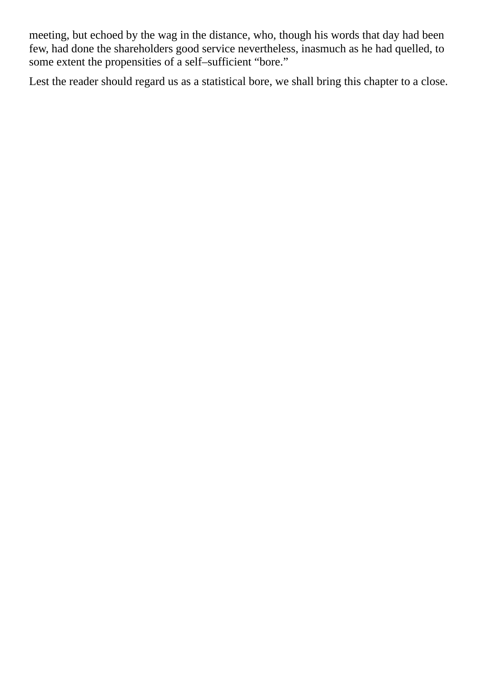meeting, but echoed by the wag in the distance, who, though his words that day had been few, had done the shareholders good service nevertheless, inasmuch as he had quelled, to some extent the propensities of a self–sufficient "bore."

Lest the reader should regard us as a statistical bore, we shall bring this chapter to a close.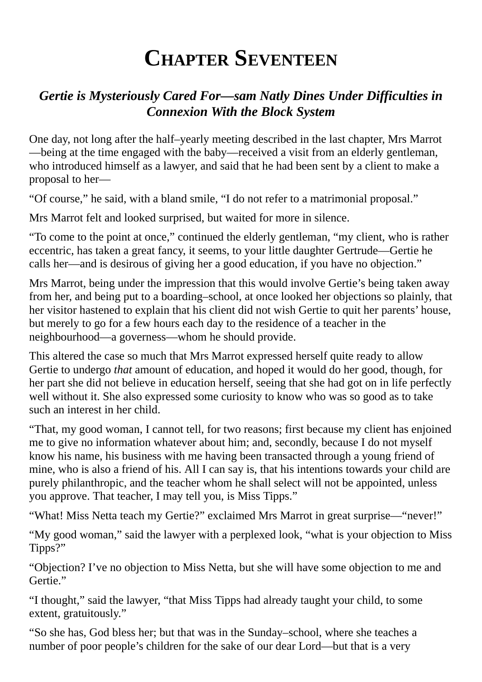# **CHAPTER SEVENTEEN**

### *Gertie is Mysteriously Cared For—sam Natly Dines Under Difficulties in Connexion With the Block System*

One day, not long after the half–yearly meeting described in the last chapter, Mrs Marrot —being at the time engaged with the baby—received a visit from an elderly gentleman, who introduced himself as a lawyer, and said that he had been sent by a client to make a proposal to her—

"Of course," he said, with a bland smile, "I do not refer to a matrimonial proposal."

Mrs Marrot felt and looked surprised, but waited for more in silence.

"To come to the point at once," continued the elderly gentleman, "my client, who is rather eccentric, has taken a great fancy, it seems, to your little daughter Gertrude—Gertie he calls her—and is desirous of giving her a good education, if you have no objection."

Mrs Marrot, being under the impression that this would involve Gertie's being taken away from her, and being put to a boarding–school, at once looked her objections so plainly, that her visitor hastened to explain that his client did not wish Gertie to quit her parents' house, but merely to go for a few hours each day to the residence of a teacher in the neighbourhood—a governess—whom he should provide.

This altered the case so much that Mrs Marrot expressed herself quite ready to allow Gertie to undergo *that* amount of education, and hoped it would do her good, though, for her part she did not believe in education herself, seeing that she had got on in life perfectly well without it. She also expressed some curiosity to know who was so good as to take such an interest in her child.

"That, my good woman, I cannot tell, for two reasons; first because my client has enjoined me to give no information whatever about him; and, secondly, because I do not myself know his name, his business with me having been transacted through a young friend of mine, who is also a friend of his. All I can say is, that his intentions towards your child are purely philanthropic, and the teacher whom he shall select will not be appointed, unless you approve. That teacher, I may tell you, is Miss Tipps."

"What! Miss Netta teach my Gertie?" exclaimed Mrs Marrot in great surprise—"never!"

"My good woman," said the lawyer with a perplexed look, "what is your objection to Miss Tipps?"

"Objection? I've no objection to Miss Netta, but she will have some objection to me and Gertie."

"I thought," said the lawyer, "that Miss Tipps had already taught your child, to some extent, gratuitously."

"So she has, God bless her; but that was in the Sunday–school, where she teaches a number of poor people's children for the sake of our dear Lord—but that is a very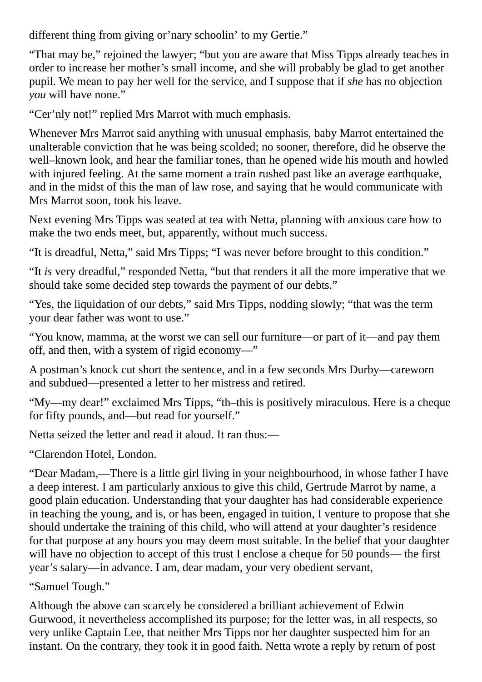different thing from giving or'nary schoolin' to my Gertie."

"That may be," rejoined the lawyer; "but you are aware that Miss Tipps already teaches in order to increase her mother's small income, and she will probably be glad to get another pupil. We mean to pay her well for the service, and I suppose that if *she* has no objection *you* will have none."

"Cer'nly not!" replied Mrs Marrot with much emphasis.

Whenever Mrs Marrot said anything with unusual emphasis, baby Marrot entertained the unalterable conviction that he was being scolded; no sooner, therefore, did he observe the well–known look, and hear the familiar tones, than he opened wide his mouth and howled with injured feeling. At the same moment a train rushed past like an average earthquake, and in the midst of this the man of law rose, and saying that he would communicate with Mrs Marrot soon, took his leave.

Next evening Mrs Tipps was seated at tea with Netta, planning with anxious care how to make the two ends meet, but, apparently, without much success.

"It is dreadful, Netta," said Mrs Tipps; "I was never before brought to this condition."

"It *is* very dreadful," responded Netta, "but that renders it all the more imperative that we should take some decided step towards the payment of our debts."

"Yes, the liquidation of our debts," said Mrs Tipps, nodding slowly; "that was the term your dear father was wont to use."

"You know, mamma, at the worst we can sell our furniture—or part of it—and pay them off, and then, with a system of rigid economy—"

A postman's knock cut short the sentence, and in a few seconds Mrs Durby—careworn and subdued—presented a letter to her mistress and retired.

"My—my dear!" exclaimed Mrs Tipps, "th–this is positively miraculous. Here is a cheque for fifty pounds, and—but read for yourself."

Netta seized the letter and read it aloud. It ran thus:—

"Clarendon Hotel, London.

"Dear Madam,—There is a little girl living in your neighbourhood, in whose father I have a deep interest. I am particularly anxious to give this child, Gertrude Marrot by name, a good plain education. Understanding that your daughter has had considerable experience in teaching the young, and is, or has been, engaged in tuition, I venture to propose that she should undertake the training of this child, who will attend at your daughter's residence for that purpose at any hours you may deem most suitable. In the belief that your daughter will have no objection to accept of this trust I enclose a cheque for 50 pounds— the first year's salary—in advance. I am, dear madam, your very obedient servant,

"Samuel Tough."

Although the above can scarcely be considered a brilliant achievement of Edwin Gurwood, it nevertheless accomplished its purpose; for the letter was, in all respects, so very unlike Captain Lee, that neither Mrs Tipps nor her daughter suspected him for an instant. On the contrary, they took it in good faith. Netta wrote a reply by return of post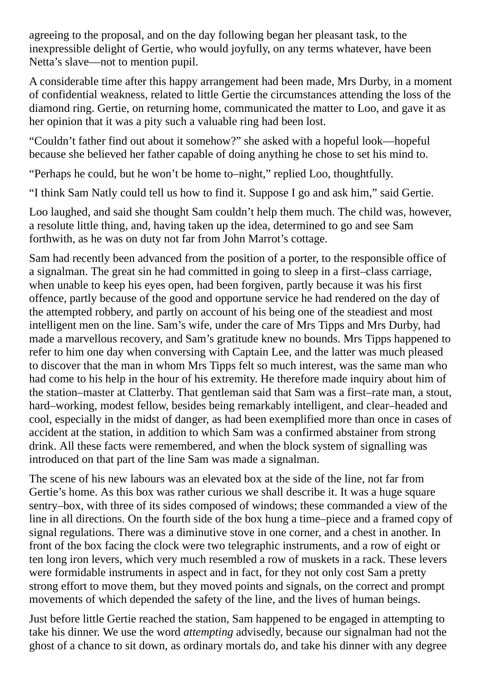agreeing to the proposal, and on the day following began her pleasant task, to the inexpressible delight of Gertie, who would joyfully, on any terms whatever, have been Netta's slave—not to mention pupil.

A considerable time after this happy arrangement had been made, Mrs Durby, in a moment of confidential weakness, related to little Gertie the circumstances attending the loss of the diamond ring. Gertie, on returning home, communicated the matter to Loo, and gave it as her opinion that it was a pity such a valuable ring had been lost.

"Couldn't father find out about it somehow?" she asked with a hopeful look—hopeful because she believed her father capable of doing anything he chose to set his mind to.

"Perhaps he could, but he won't be home to–night," replied Loo, thoughtfully.

"I think Sam Natly could tell us how to find it. Suppose I go and ask him," said Gertie.

Loo laughed, and said she thought Sam couldn't help them much. The child was, however, a resolute little thing, and, having taken up the idea, determined to go and see Sam forthwith, as he was on duty not far from John Marrot's cottage.

Sam had recently been advanced from the position of a porter, to the responsible office of a signalman. The great sin he had committed in going to sleep in a first–class carriage, when unable to keep his eyes open, had been forgiven, partly because it was his first offence, partly because of the good and opportune service he had rendered on the day of the attempted robbery, and partly on account of his being one of the steadiest and most intelligent men on the line. Sam's wife, under the care of Mrs Tipps and Mrs Durby, had made a marvellous recovery, and Sam's gratitude knew no bounds. Mrs Tipps happened to refer to him one day when conversing with Captain Lee, and the latter was much pleased to discover that the man in whom Mrs Tipps felt so much interest, was the same man who had come to his help in the hour of his extremity. He therefore made inquiry about him of the station–master at Clatterby. That gentleman said that Sam was a first–rate man, a stout, hard–working, modest fellow, besides being remarkably intelligent, and clear–headed and cool, especially in the midst of danger, as had been exemplified more than once in cases of accident at the station, in addition to which Sam was a confirmed abstainer from strong drink. All these facts were remembered, and when the block system of signalling was introduced on that part of the line Sam was made a signalman.

The scene of his new labours was an elevated box at the side of the line, not far from Gertie's home. As this box was rather curious we shall describe it. It was a huge square sentry–box, with three of its sides composed of windows; these commanded a view of the line in all directions. On the fourth side of the box hung a time–piece and a framed copy of signal regulations. There was a diminutive stove in one corner, and a chest in another. In front of the box facing the clock were two telegraphic instruments, and a row of eight or ten long iron levers, which very much resembled a row of muskets in a rack. These levers were formidable instruments in aspect and in fact, for they not only cost Sam a pretty strong effort to move them, but they moved points and signals, on the correct and prompt movements of which depended the safety of the line, and the lives of human beings.

Just before little Gertie reached the station, Sam happened to be engaged in attempting to take his dinner. We use the word *attempting* advisedly, because our signalman had not the ghost of a chance to sit down, as ordinary mortals do, and take his dinner with any degree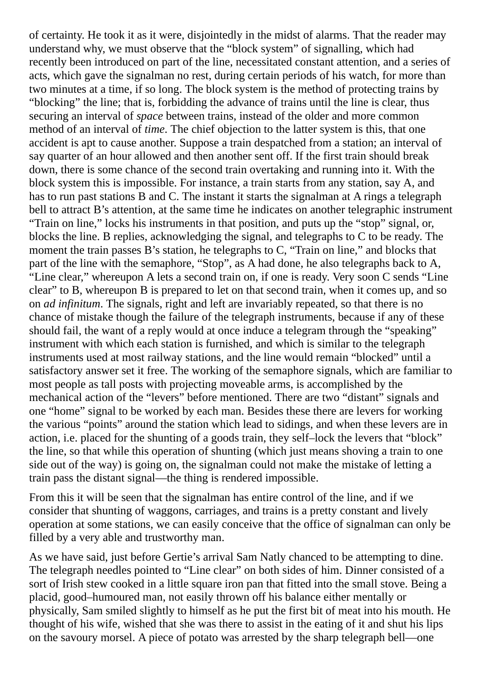of certainty. He took it as it were, disjointedly in the midst of alarms. That the reader may understand why, we must observe that the "block system" of signalling, which had recently been introduced on part of the line, necessitated constant attention, and a series of acts, which gave the signalman no rest, during certain periods of his watch, for more than two minutes at a time, if so long. The block system is the method of protecting trains by "blocking" the line; that is, forbidding the advance of trains until the line is clear, thus securing an interval of *space* between trains, instead of the older and more common method of an interval of *time*. The chief objection to the latter system is this, that one accident is apt to cause another. Suppose a train despatched from a station; an interval of say quarter of an hour allowed and then another sent off. If the first train should break down, there is some chance of the second train overtaking and running into it. With the block system this is impossible. For instance, a train starts from any station, say A, and has to run past stations B and C. The instant it starts the signalman at A rings a telegraph bell to attract B's attention, at the same time he indicates on another telegraphic instrument "Train on line," locks his instruments in that position, and puts up the "stop" signal, or, blocks the line. B replies, acknowledging the signal, and telegraphs to C to be ready. The moment the train passes B's station, he telegraphs to C, "Train on line," and blocks that part of the line with the semaphore, "Stop", as A had done, he also telegraphs back to A, "Line clear," whereupon A lets a second train on, if one is ready. Very soon C sends "Line clear" to B, whereupon B is prepared to let on that second train, when it comes up, and so on *ad infinitum*. The signals, right and left are invariably repeated, so that there is no chance of mistake though the failure of the telegraph instruments, because if any of these should fail, the want of a reply would at once induce a telegram through the "speaking" instrument with which each station is furnished, and which is similar to the telegraph instruments used at most railway stations, and the line would remain "blocked" until a satisfactory answer set it free. The working of the semaphore signals, which are familiar to most people as tall posts with projecting moveable arms, is accomplished by the mechanical action of the "levers" before mentioned. There are two "distant" signals and one "home" signal to be worked by each man. Besides these there are levers for working the various "points" around the station which lead to sidings, and when these levers are in action, i.e. placed for the shunting of a goods train, they self–lock the levers that "block" the line, so that while this operation of shunting (which just means shoving a train to one side out of the way) is going on, the signalman could not make the mistake of letting a train pass the distant signal—the thing is rendered impossible.

From this it will be seen that the signalman has entire control of the line, and if we consider that shunting of waggons, carriages, and trains is a pretty constant and lively operation at some stations, we can easily conceive that the office of signalman can only be filled by a very able and trustworthy man.

As we have said, just before Gertie's arrival Sam Natly chanced to be attempting to dine. The telegraph needles pointed to "Line clear" on both sides of him. Dinner consisted of a sort of Irish stew cooked in a little square iron pan that fitted into the small stove. Being a placid, good–humoured man, not easily thrown off his balance either mentally or physically, Sam smiled slightly to himself as he put the first bit of meat into his mouth. He thought of his wife, wished that she was there to assist in the eating of it and shut his lips on the savoury morsel. A piece of potato was arrested by the sharp telegraph bell—one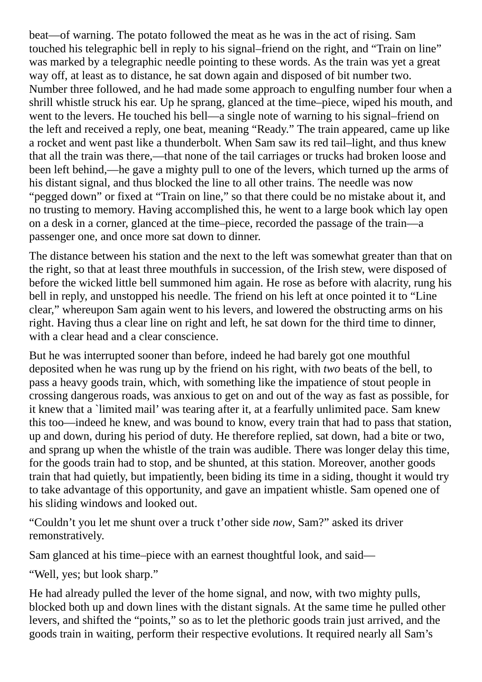beat—of warning. The potato followed the meat as he was in the act of rising. Sam touched his telegraphic bell in reply to his signal–friend on the right, and "Train on line" was marked by a telegraphic needle pointing to these words. As the train was yet a great way off, at least as to distance, he sat down again and disposed of bit number two. Number three followed, and he had made some approach to engulfing number four when a shrill whistle struck his ear. Up he sprang, glanced at the time–piece, wiped his mouth, and went to the levers. He touched his bell—a single note of warning to his signal–friend on the left and received a reply, one beat, meaning "Ready." The train appeared, came up like a rocket and went past like a thunderbolt. When Sam saw its red tail–light, and thus knew that all the train was there,—that none of the tail carriages or trucks had broken loose and been left behind,—he gave a mighty pull to one of the levers, which turned up the arms of his distant signal, and thus blocked the line to all other trains. The needle was now "pegged down" or fixed at "Train on line," so that there could be no mistake about it, and no trusting to memory. Having accomplished this, he went to a large book which lay open on a desk in a corner, glanced at the time–piece, recorded the passage of the train—a passenger one, and once more sat down to dinner.

The distance between his station and the next to the left was somewhat greater than that on the right, so that at least three mouthfuls in succession, of the Irish stew, were disposed of before the wicked little bell summoned him again. He rose as before with alacrity, rung his bell in reply, and unstopped his needle. The friend on his left at once pointed it to "Line clear," whereupon Sam again went to his levers, and lowered the obstructing arms on his right. Having thus a clear line on right and left, he sat down for the third time to dinner, with a clear head and a clear conscience.

But he was interrupted sooner than before, indeed he had barely got one mouthful deposited when he was rung up by the friend on his right, with *two* beats of the bell, to pass a heavy goods train, which, with something like the impatience of stout people in crossing dangerous roads, was anxious to get on and out of the way as fast as possible, for it knew that a `limited mail' was tearing after it, at a fearfully unlimited pace. Sam knew this too—indeed he knew, and was bound to know, every train that had to pass that station, up and down, during his period of duty. He therefore replied, sat down, had a bite or two, and sprang up when the whistle of the train was audible. There was longer delay this time, for the goods train had to stop, and be shunted, at this station. Moreover, another goods train that had quietly, but impatiently, been biding its time in a siding, thought it would try to take advantage of this opportunity, and gave an impatient whistle. Sam opened one of his sliding windows and looked out.

"Couldn't you let me shunt over a truck t'other side *now*, Sam?" asked its driver remonstratively.

Sam glanced at his time–piece with an earnest thoughtful look, and said—

"Well, yes; but look sharp."

He had already pulled the lever of the home signal, and now, with two mighty pulls, blocked both up and down lines with the distant signals. At the same time he pulled other levers, and shifted the "points," so as to let the plethoric goods train just arrived, and the goods train in waiting, perform their respective evolutions. It required nearly all Sam's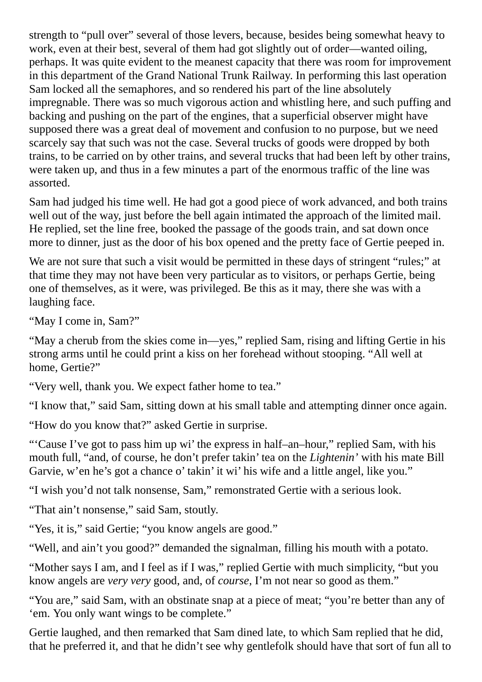strength to "pull over" several of those levers, because, besides being somewhat heavy to work, even at their best, several of them had got slightly out of order—wanted oiling, perhaps. It was quite evident to the meanest capacity that there was room for improvement in this department of the Grand National Trunk Railway. In performing this last operation Sam locked all the semaphores, and so rendered his part of the line absolutely impregnable. There was so much vigorous action and whistling here, and such puffing and backing and pushing on the part of the engines, that a superficial observer might have supposed there was a great deal of movement and confusion to no purpose, but we need scarcely say that such was not the case. Several trucks of goods were dropped by both trains, to be carried on by other trains, and several trucks that had been left by other trains, were taken up, and thus in a few minutes a part of the enormous traffic of the line was assorted.

Sam had judged his time well. He had got a good piece of work advanced, and both trains well out of the way, just before the bell again intimated the approach of the limited mail. He replied, set the line free, booked the passage of the goods train, and sat down once more to dinner, just as the door of his box opened and the pretty face of Gertie peeped in.

We are not sure that such a visit would be permitted in these days of stringent "rules;" at that time they may not have been very particular as to visitors, or perhaps Gertie, being one of themselves, as it were, was privileged. Be this as it may, there she was with a laughing face.

"May I come in, Sam?"

"May a cherub from the skies come in—yes," replied Sam, rising and lifting Gertie in his strong arms until he could print a kiss on her forehead without stooping. "All well at home, Gertie?"

"Very well, thank you. We expect father home to tea."

"I know that," said Sam, sitting down at his small table and attempting dinner once again.

"How do you know that?" asked Gertie in surprise.

"'Cause I've got to pass him up wi' the express in half–an–hour," replied Sam, with his mouth full, "and, of course, he don't prefer takin' tea on the *Lightenin'* with his mate Bill Garvie, w'en he's got a chance o' takin' it wi' his wife and a little angel, like you."

"I wish you'd not talk nonsense, Sam," remonstrated Gertie with a serious look.

"That ain't nonsense," said Sam, stoutly.

"Yes, it is," said Gertie; "you know angels are good."

"Well, and ain't you good?" demanded the signalman, filling his mouth with a potato.

"Mother says I am, and I feel as if I was," replied Gertie with much simplicity, "but you know angels are *very very* good, and, of *course*, I'm not near so good as them."

"You are," said Sam, with an obstinate snap at a piece of meat; "you're better than any of 'em. You only want wings to be complete."

Gertie laughed, and then remarked that Sam dined late, to which Sam replied that he did, that he preferred it, and that he didn't see why gentlefolk should have that sort of fun all to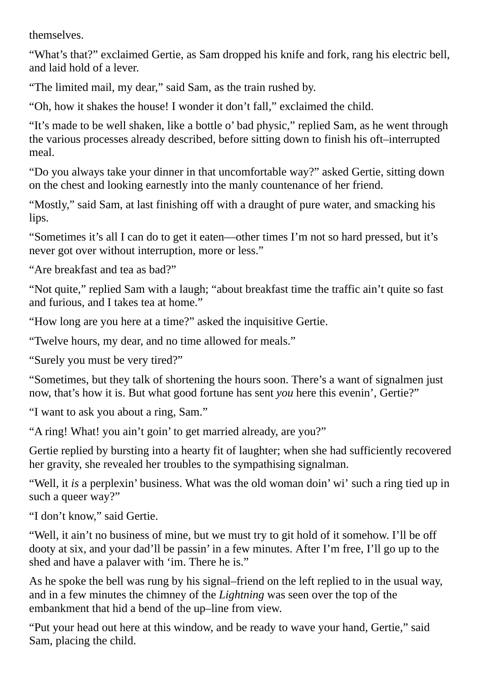themselves.

"What's that?" exclaimed Gertie, as Sam dropped his knife and fork, rang his electric bell, and laid hold of a lever.

"The limited mail, my dear," said Sam, as the train rushed by.

"Oh, how it shakes the house! I wonder it don't fall," exclaimed the child.

"It's made to be well shaken, like a bottle o' bad physic," replied Sam, as he went through the various processes already described, before sitting down to finish his oft–interrupted meal.

"Do you always take your dinner in that uncomfortable way?" asked Gertie, sitting down on the chest and looking earnestly into the manly countenance of her friend.

"Mostly," said Sam, at last finishing off with a draught of pure water, and smacking his lips.

"Sometimes it's all I can do to get it eaten—other times I'm not so hard pressed, but it's never got over without interruption, more or less."

"Are breakfast and tea as bad?"

"Not quite," replied Sam with a laugh; "about breakfast time the traffic ain't quite so fast and furious, and I takes tea at home."

"How long are you here at a time?" asked the inquisitive Gertie.

"Twelve hours, my dear, and no time allowed for meals."

"Surely you must be very tired?"

"Sometimes, but they talk of shortening the hours soon. There's a want of signalmen just now, that's how it is. But what good fortune has sent *you* here this evenin', Gertie?"

"I want to ask you about a ring, Sam."

"A ring! What! you ain't goin' to get married already, are you?"

Gertie replied by bursting into a hearty fit of laughter; when she had sufficiently recovered her gravity, she revealed her troubles to the sympathising signalman.

"Well, it *is* a perplexin' business. What was the old woman doin' wi' such a ring tied up in such a queer way?"

"I don't know," said Gertie.

"Well, it ain't no business of mine, but we must try to git hold of it somehow. I'll be off dooty at six, and your dad'll be passin' in a few minutes. After I'm free, I'll go up to the shed and have a palaver with 'im. There he is."

As he spoke the bell was rung by his signal–friend on the left replied to in the usual way, and in a few minutes the chimney of the *Lightning* was seen over the top of the embankment that hid a bend of the up–line from view.

"Put your head out here at this window, and be ready to wave your hand, Gertie," said Sam, placing the child.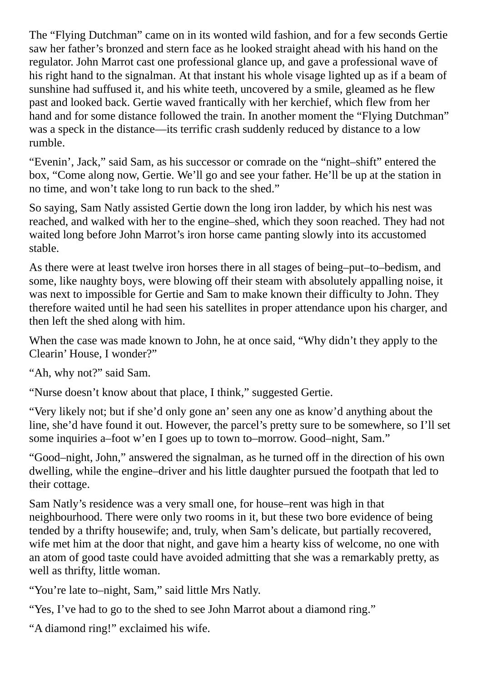The "Flying Dutchman" came on in its wonted wild fashion, and for a few seconds Gertie saw her father's bronzed and stern face as he looked straight ahead with his hand on the regulator. John Marrot cast one professional glance up, and gave a professional wave of his right hand to the signalman. At that instant his whole visage lighted up as if a beam of sunshine had suffused it, and his white teeth, uncovered by a smile, gleamed as he flew past and looked back. Gertie waved frantically with her kerchief, which flew from her hand and for some distance followed the train. In another moment the "Flying Dutchman" was a speck in the distance—its terrific crash suddenly reduced by distance to a low rumble.

"Evenin', Jack," said Sam, as his successor or comrade on the "night–shift" entered the box, "Come along now, Gertie. We'll go and see your father. He'll be up at the station in no time, and won't take long to run back to the shed."

So saying, Sam Natly assisted Gertie down the long iron ladder, by which his nest was reached, and walked with her to the engine–shed, which they soon reached. They had not waited long before John Marrot's iron horse came panting slowly into its accustomed stable.

As there were at least twelve iron horses there in all stages of being–put–to–bedism, and some, like naughty boys, were blowing off their steam with absolutely appalling noise, it was next to impossible for Gertie and Sam to make known their difficulty to John. They therefore waited until he had seen his satellites in proper attendance upon his charger, and then left the shed along with him.

When the case was made known to John, he at once said, "Why didn't they apply to the Clearin' House, I wonder?"

"Ah, why not?" said Sam.

"Nurse doesn't know about that place, I think," suggested Gertie.

"Very likely not; but if she'd only gone an'seen any one as know'd anything about the line, she'd have found it out. However, the parcel's pretty sure to be somewhere, so I'll set some inquiries a–foot w'en I goes up to town to–morrow. Good–night, Sam."

"Good–night, John," answered the signalman, as he turned off in the direction of his own dwelling, while the engine–driver and his little daughter pursued the footpath that led to their cottage.

Sam Natly's residence was a very small one, for house–rent was high in that neighbourhood. There were only two rooms in it, but these two bore evidence of being tended by a thrifty housewife; and, truly, when Sam's delicate, but partially recovered, wife met him at the door that night, and gave him a hearty kiss of welcome, no one with an atom of good taste could have avoided admitting that she was a remarkably pretty, as well as thrifty, little woman.

"You're late to–night, Sam," said little Mrs Natly.

"Yes, I've had to go to the shed to see John Marrot about a diamond ring."

"A diamond ring!" exclaimed his wife.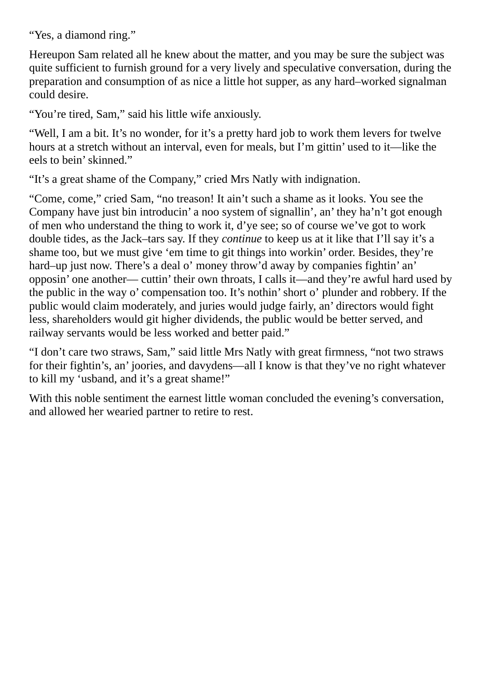"Yes, a diamond ring."

Hereupon Sam related all he knew about the matter, and you may be sure the subject was quite sufficient to furnish ground for a very lively and speculative conversation, during the preparation and consumption of as nice a little hot supper, as any hard–worked signalman could desire.

"You're tired, Sam," said his little wife anxiously.

"Well, I am a bit. It's no wonder, for it's a pretty hard job to work them levers for twelve hours at a stretch without an interval, even for meals, but I'm gittin' used to it—like the eels to bein' skinned."

"It's a great shame of the Company," cried Mrs Natly with indignation.

"Come, come," cried Sam, "no treason! It ain't such a shame as it looks. You see the Company have just bin introducin' a noo system of signallin', an' they ha'n't got enough of men who understand the thing to work it, d'ye see; so of course we've got to work double tides, as the Jack–tars say. If they *continue* to keep us at it like that I'll say it's a shame too, but we must give 'em time to git things into workin' order. Besides, they're hard–up just now. There's a deal o' money throw'd away by companies fightin' an' opposin' one another— cuttin' their own throats, I calls it—and they're awful hard used by the public in the way o' compensation too. It's nothin'short o' plunder and robbery. If the public would claim moderately, and juries would judge fairly, an' directors would fight less, shareholders would git higher dividends, the public would be better served, and railway servants would be less worked and better paid."

"I don't care two straws, Sam," said little Mrs Natly with great firmness, "not two straws for their fightin's, an' joories, and davydens—all I know is that they've no right whatever to kill my 'usband, and it's a great shame!"

With this noble sentiment the earnest little woman concluded the evening's conversation, and allowed her wearied partner to retire to rest.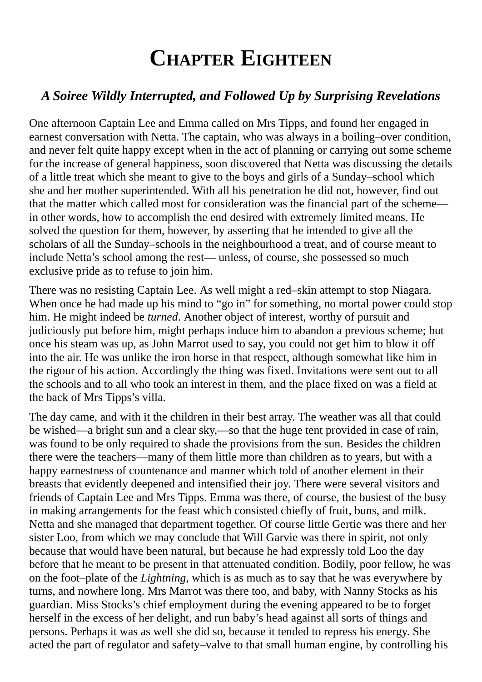## **CHAPTER EIGHTEEN**

#### *A Soiree Wildly Interrupted, and Followed Up by Surprising Revelations*

One afternoon Captain Lee and Emma called on Mrs Tipps, and found her engaged in earnest conversation with Netta. The captain, who was always in a boiling–over condition, and never felt quite happy except when in the act of planning or carrying out some scheme for the increase of general happiness, soon discovered that Netta was discussing the details of a little treat which she meant to give to the boys and girls of a Sunday–school which she and her mother superintended. With all his penetration he did not, however, find out that the matter which called most for consideration was the financial part of the scheme in other words, how to accomplish the end desired with extremely limited means. He solved the question for them, however, by asserting that he intended to give all the scholars of all the Sunday–schools in the neighbourhood a treat, and of course meant to include Netta's school among the rest— unless, of course, she possessed so much exclusive pride as to refuse to join him.

There was no resisting Captain Lee. As well might a red–skin attempt to stop Niagara. When once he had made up his mind to "go in" for something, no mortal power could stop him. He might indeed be *turned*. Another object of interest, worthy of pursuit and judiciously put before him, might perhaps induce him to abandon a previous scheme; but once his steam was up, as John Marrot used to say, you could not get him to blow it off into the air. He was unlike the iron horse in that respect, although somewhat like him in the rigour of his action. Accordingly the thing was fixed. Invitations were sent out to all the schools and to all who took an interest in them, and the place fixed on was a field at the back of Mrs Tipps's villa.

The day came, and with it the children in their best array. The weather was all that could be wished—a bright sun and a clear sky,—so that the huge tent provided in case of rain, was found to be only required to shade the provisions from the sun. Besides the children there were the teachers—many of them little more than children as to years, but with a happy earnestness of countenance and manner which told of another element in their breasts that evidently deepened and intensified their joy. There were several visitors and friends of Captain Lee and Mrs Tipps. Emma was there, of course, the busiest of the busy in making arrangements for the feast which consisted chiefly of fruit, buns, and milk. Netta and she managed that department together. Of course little Gertie was there and her sister Loo, from which we may conclude that Will Garvie was there in spirit, not only because that would have been natural, but because he had expressly told Loo the day before that he meant to be present in that attenuated condition. Bodily, poor fellow, he was on the foot–plate of the *Lightning*, which is as much as to say that he was everywhere by turns, and nowhere long. Mrs Marrot was there too, and baby, with Nanny Stocks as his guardian. Miss Stocks's chief employment during the evening appeared to be to forget herself in the excess of her delight, and run baby's head against all sorts of things and persons. Perhaps it was as well she did so, because it tended to repress his energy. She acted the part of regulator and safety–valve to that small human engine, by controlling his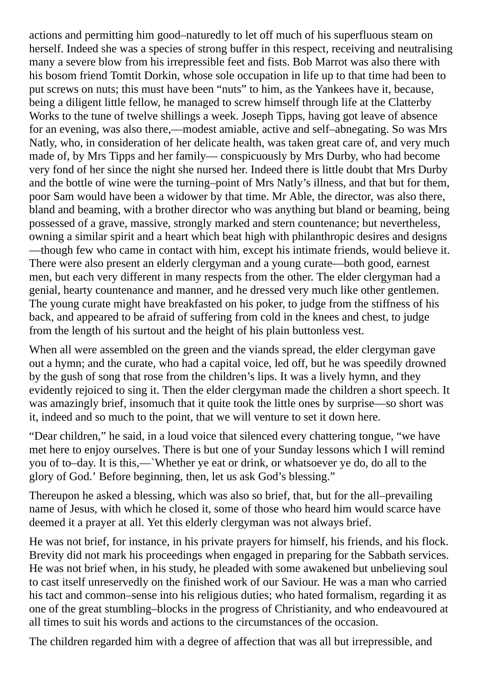actions and permitting him good–naturedly to let off much of his superfluous steam on herself. Indeed she was a species of strong buffer in this respect, receiving and neutralising many a severe blow from his irrepressible feet and fists. Bob Marrot was also there with his bosom friend Tomtit Dorkin, whose sole occupation in life up to that time had been to put screws on nuts; this must have been "nuts" to him, as the Yankees have it, because, being a diligent little fellow, he managed to screw himself through life at the Clatterby Works to the tune of twelve shillings a week. Joseph Tipps, having got leave of absence for an evening, was also there,—modest amiable, active and self–abnegating. So was Mrs Natly, who, in consideration of her delicate health, was taken great care of, and very much made of, by Mrs Tipps and her family— conspicuously by Mrs Durby, who had become very fond of her since the night she nursed her. Indeed there is little doubt that Mrs Durby and the bottle of wine were the turning–point of Mrs Natly's illness, and that but for them, poor Sam would have been a widower by that time. Mr Able, the director, was also there, bland and beaming, with a brother director who was anything but bland or beaming, being possessed of a grave, massive, strongly marked and stern countenance; but nevertheless, owning a similar spirit and a heart which beat high with philanthropic desires and designs —though few who came in contact with him, except his intimate friends, would believe it. There were also present an elderly clergyman and a young curate—both good, earnest men, but each very different in many respects from the other. The elder clergyman had a genial, hearty countenance and manner, and he dressed very much like other gentlemen. The young curate might have breakfasted on his poker, to judge from the stiffness of his back, and appeared to be afraid of suffering from cold in the knees and chest, to judge from the length of his surtout and the height of his plain buttonless vest.

When all were assembled on the green and the viands spread, the elder clergyman gave out a hymn; and the curate, who had a capital voice, led off, but he was speedily drowned by the gush of song that rose from the children's lips. It was a lively hymn, and they evidently rejoiced to sing it. Then the elder clergyman made the children a short speech. It was amazingly brief, insomuch that it quite took the little ones by surprise—so short was it, indeed and so much to the point, that we will venture to set it down here.

"Dear children," he said, in a loud voice that silenced every chattering tongue, "we have met here to enjoy ourselves. There is but one of your Sunday lessons which I will remind you of to–day. It is this,—`Whether ye eat or drink, or whatsoever ye do, do all to the glory of God.' Before beginning, then, let us ask God's blessing."

Thereupon he asked a blessing, which was also so brief, that, but for the all–prevailing name of Jesus, with which he closed it, some of those who heard him would scarce have deemed it a prayer at all. Yet this elderly clergyman was not always brief.

He was not brief, for instance, in his private prayers for himself, his friends, and his flock. Brevity did not mark his proceedings when engaged in preparing for the Sabbath services. He was not brief when, in his study, he pleaded with some awakened but unbelieving soul to cast itself unreservedly on the finished work of our Saviour. He was a man who carried his tact and common–sense into his religious duties; who hated formalism, regarding it as one of the great stumbling–blocks in the progress of Christianity, and who endeavoured at all times to suit his words and actions to the circumstances of the occasion.

The children regarded him with a degree of affection that was all but irrepressible, and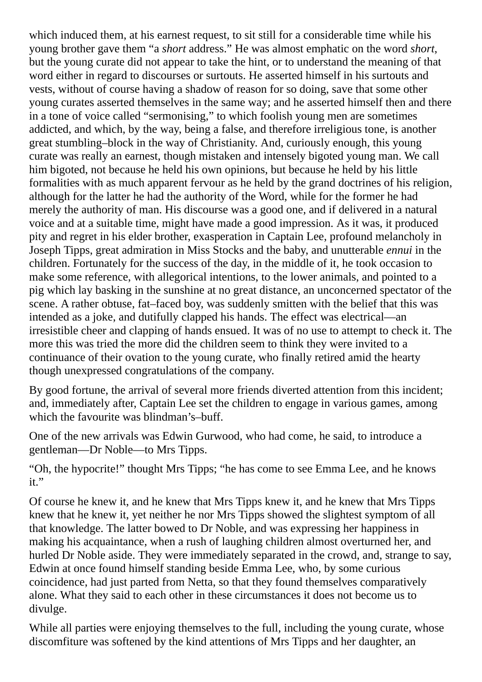which induced them, at his earnest request, to sit still for a considerable time while his young brother gave them "a *short* address." He was almost emphatic on the word *short*, but the young curate did not appear to take the hint, or to understand the meaning of that word either in regard to discourses or surtouts. He asserted himself in his surtouts and vests, without of course having a shadow of reason for so doing, save that some other young curates asserted themselves in the same way; and he asserted himself then and there in a tone of voice called "sermonising," to which foolish young men are sometimes addicted, and which, by the way, being a false, and therefore irreligious tone, is another great stumbling–block in the way of Christianity. And, curiously enough, this young curate was really an earnest, though mistaken and intensely bigoted young man. We call him bigoted, not because he held his own opinions, but because he held by his little formalities with as much apparent fervour as he held by the grand doctrines of his religion, although for the latter he had the authority of the Word, while for the former he had merely the authority of man. His discourse was a good one, and if delivered in a natural voice and at a suitable time, might have made a good impression. As it was, it produced pity and regret in his elder brother, exasperation in Captain Lee, profound melancholy in Joseph Tipps, great admiration in Miss Stocks and the baby, and unutterable *ennui* in the children. Fortunately for the success of the day, in the middle of it, he took occasion to make some reference, with allegorical intentions, to the lower animals, and pointed to a pig which lay basking in the sunshine at no great distance, an unconcerned spectator of the scene. A rather obtuse, fat–faced boy, was suddenly smitten with the belief that this was intended as a joke, and dutifully clapped his hands. The effect was electrical—an irresistible cheer and clapping of hands ensued. It was of no use to attempt to check it. The more this was tried the more did the children seem to think they were invited to a continuance of their ovation to the young curate, who finally retired amid the hearty though unexpressed congratulations of the company.

By good fortune, the arrival of several more friends diverted attention from this incident; and, immediately after, Captain Lee set the children to engage in various games, among which the favourite was blindman's–buff.

One of the new arrivals was Edwin Gurwood, who had come, he said, to introduce a gentleman—Dr Noble—to Mrs Tipps.

"Oh, the hypocrite!" thought Mrs Tipps; "he has come to see Emma Lee, and he knows it."

Of course he knew it, and he knew that Mrs Tipps knew it, and he knew that Mrs Tipps knew that he knew it, yet neither he nor Mrs Tipps showed the slightest symptom of all that knowledge. The latter bowed to Dr Noble, and was expressing her happiness in making his acquaintance, when a rush of laughing children almost overturned her, and hurled Dr Noble aside. They were immediately separated in the crowd, and, strange to say, Edwin at once found himself standing beside Emma Lee, who, by some curious coincidence, had just parted from Netta, so that they found themselves comparatively alone. What they said to each other in these circumstances it does not become us to divulge.

While all parties were enjoving themselves to the full, including the young curate, whose discomfiture was softened by the kind attentions of Mrs Tipps and her daughter, an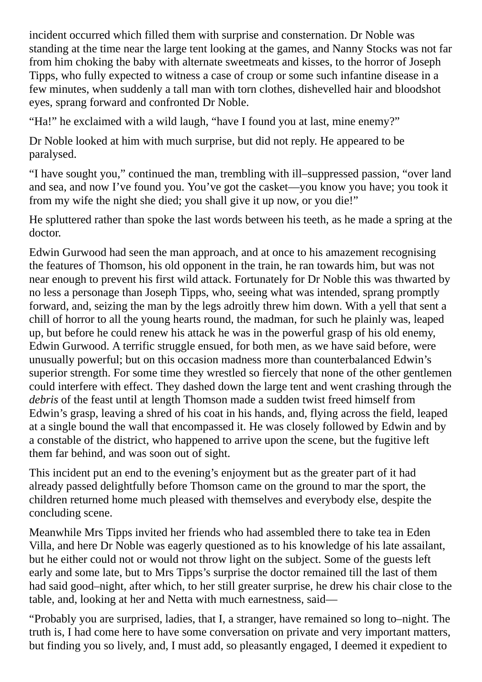incident occurred which filled them with surprise and consternation. Dr Noble was standing at the time near the large tent looking at the games, and Nanny Stocks was not far from him choking the baby with alternate sweetmeats and kisses, to the horror of Joseph Tipps, who fully expected to witness a case of croup or some such infantine disease in a few minutes, when suddenly a tall man with torn clothes, dishevelled hair and bloodshot eyes, sprang forward and confronted Dr Noble.

"Ha!" he exclaimed with a wild laugh, "have I found you at last, mine enemy?"

Dr Noble looked at him with much surprise, but did not reply. He appeared to be paralysed.

"I have sought you," continued the man, trembling with ill–suppressed passion, "over land and sea, and now I've found you. You've got the casket—you know you have; you took it from my wife the night she died; you shall give it up now, or you die!"

He spluttered rather than spoke the last words between his teeth, as he made a spring at the doctor.

Edwin Gurwood had seen the man approach, and at once to his amazement recognising the features of Thomson, his old opponent in the train, he ran towards him, but was not near enough to prevent his first wild attack. Fortunately for Dr Noble this was thwarted by no less a personage than Joseph Tipps, who, seeing what was intended, sprang promptly forward, and, seizing the man by the legs adroitly threw him down. With a yell that sent a chill of horror to all the young hearts round, the madman, for such he plainly was, leaped up, but before he could renew his attack he was in the powerful grasp of his old enemy, Edwin Gurwood. A terrific struggle ensued, for both men, as we have said before, were unusually powerful; but on this occasion madness more than counterbalanced Edwin's superior strength. For some time they wrestled so fiercely that none of the other gentlemen could interfere with effect. They dashed down the large tent and went crashing through the *debris* of the feast until at length Thomson made a sudden twist freed himself from Edwin's grasp, leaving a shred of his coat in his hands, and, flying across the field, leaped at a single bound the wall that encompassed it. He was closely followed by Edwin and by a constable of the district, who happened to arrive upon the scene, but the fugitive left them far behind, and was soon out of sight.

This incident put an end to the evening's enjoyment but as the greater part of it had already passed delightfully before Thomson came on the ground to mar the sport, the children returned home much pleased with themselves and everybody else, despite the concluding scene.

Meanwhile Mrs Tipps invited her friends who had assembled there to take tea in Eden Villa, and here Dr Noble was eagerly questioned as to his knowledge of his late assailant, but he either could not or would not throw light on the subject. Some of the guests left early and some late, but to Mrs Tipps's surprise the doctor remained till the last of them had said good–night, after which, to her still greater surprise, he drew his chair close to the table, and, looking at her and Netta with much earnestness, said—

"Probably you are surprised, ladies, that I, a stranger, have remained so long to–night. The truth is, I had come here to have some conversation on private and very important matters, but finding you so lively, and, I must add, so pleasantly engaged, I deemed it expedient to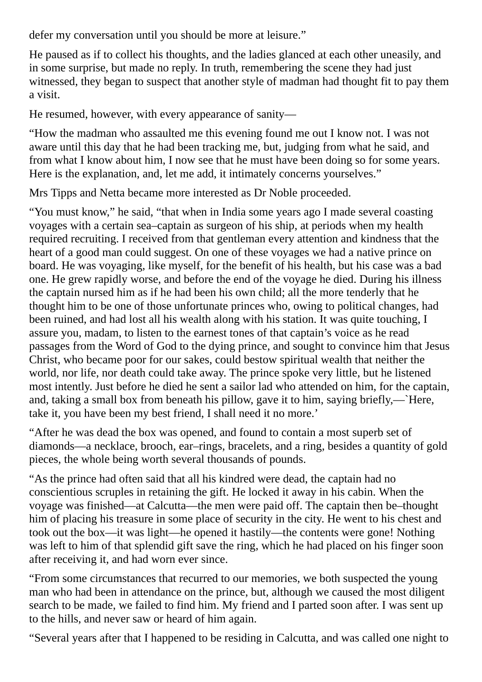defer my conversation until you should be more at leisure."

He paused as if to collect his thoughts, and the ladies glanced at each other uneasily, and in some surprise, but made no reply. In truth, remembering the scene they had just witnessed, they began to suspect that another style of madman had thought fit to pay them a visit.

He resumed, however, with every appearance of sanity—

"How the madman who assaulted me this evening found me out I know not. I was not aware until this day that he had been tracking me, but, judging from what he said, and from what I know about him, I now see that he must have been doing so for some years. Here is the explanation, and, let me add, it intimately concerns yourselves."

Mrs Tipps and Netta became more interested as Dr Noble proceeded.

"You must know," he said, "that when in India some years ago I made several coasting voyages with a certain sea–captain as surgeon of his ship, at periods when my health required recruiting. I received from that gentleman every attention and kindness that the heart of a good man could suggest. On one of these voyages we had a native prince on board. He was voyaging, like myself, for the benefit of his health, but his case was a bad one. He grew rapidly worse, and before the end of the voyage he died. During his illness the captain nursed him as if he had been his own child; all the more tenderly that he thought him to be one of those unfortunate princes who, owing to political changes, had been ruined, and had lost all his wealth along with his station. It was quite touching, I assure you, madam, to listen to the earnest tones of that captain's voice as he read passages from the Word of God to the dying prince, and sought to convince him that Jesus Christ, who became poor for our sakes, could bestow spiritual wealth that neither the world, nor life, nor death could take away. The prince spoke very little, but he listened most intently. Just before he died he sent a sailor lad who attended on him, for the captain, and, taking a small box from beneath his pillow, gave it to him, saying briefly,—`Here, take it, you have been my best friend, I shall need it no more.'

"After he was dead the box was opened, and found to contain a most superb set of diamonds—a necklace, brooch, ear–rings, bracelets, and a ring, besides a quantity of gold pieces, the whole being worth several thousands of pounds.

"As the prince had often said that all his kindred were dead, the captain had no conscientious scruples in retaining the gift. He locked it away in his cabin. When the voyage was finished—at Calcutta—the men were paid off. The captain then be–thought him of placing his treasure in some place of security in the city. He went to his chest and took out the box—it was light—he opened it hastily—the contents were gone! Nothing was left to him of that splendid gift save the ring, which he had placed on his finger soon after receiving it, and had worn ever since.

"From some circumstances that recurred to our memories, we both suspected the young man who had been in attendance on the prince, but, although we caused the most diligent search to be made, we failed to find him. My friend and I parted soon after. I was sent up to the hills, and never saw or heard of him again.

"Several years after that I happened to be residing in Calcutta, and was called one night to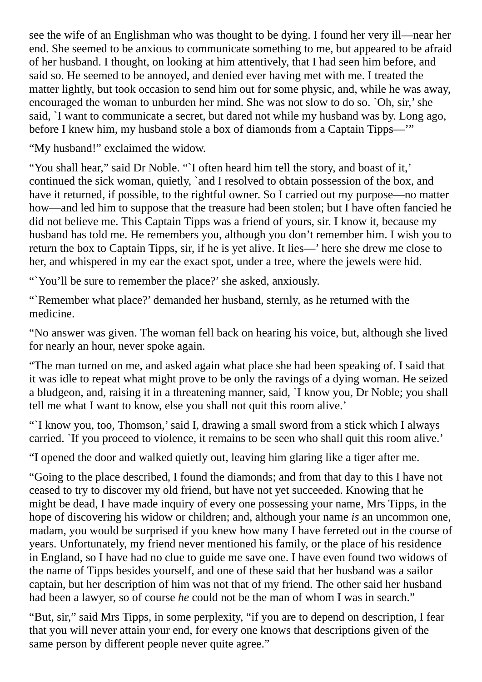see the wife of an Englishman who was thought to be dying. I found her very ill—near her end. She seemed to be anxious to communicate something to me, but appeared to be afraid of her husband. I thought, on looking at him attentively, that I had seen him before, and said so. He seemed to be annoyed, and denied ever having met with me. I treated the matter lightly, but took occasion to send him out for some physic, and, while he was away, encouraged the woman to unburden her mind. She was not slow to do so. `Oh, sir,'she said, `I want to communicate a secret, but dared not while my husband was by. Long ago, before I knew him, my husband stole a box of diamonds from a Captain Tipps—'"

"My husband!" exclaimed the widow.

"You shall hear," said Dr Noble. "`I often heard him tell the story, and boast of it,' continued the sick woman, quietly, `and I resolved to obtain possession of the box, and have it returned, if possible, to the rightful owner. So I carried out my purpose—no matter how—and led him to suppose that the treasure had been stolen; but I have often fancied he did not believe me. This Captain Tipps was a friend of yours, sir. I know it, because my husband has told me. He remembers you, although you don't remember him. I wish you to return the box to Captain Tipps, sir, if he is yet alive. It lies—' here she drew me close to her, and whispered in my ear the exact spot, under a tree, where the jewels were hid.

"You'll be sure to remember the place?' she asked, anxiously.

"`Remember what place?' demanded her husband, sternly, as he returned with the medicine.

"No answer was given. The woman fell back on hearing his voice, but, although she lived for nearly an hour, never spoke again.

"The man turned on me, and asked again what place she had been speaking of. I said that it was idle to repeat what might prove to be only the ravings of a dying woman. He seized a bludgeon, and, raising it in a threatening manner, said, `I know you, Dr Noble; you shall tell me what I want to know, else you shall not quit this room alive.'

"`I know you, too, Thomson,'said I, drawing a small sword from a stick which I always carried. `If you proceed to violence, it remains to be seen who shall quit this room alive.'

"I opened the door and walked quietly out, leaving him glaring like a tiger after me.

"Going to the place described, I found the diamonds; and from that day to this I have not ceased to try to discover my old friend, but have not yet succeeded. Knowing that he might be dead, I have made inquiry of every one possessing your name, Mrs Tipps, in the hope of discovering his widow or children; and, although your name *is* an uncommon one, madam, you would be surprised if you knew how many I have ferreted out in the course of years. Unfortunately, my friend never mentioned his family, or the place of his residence in England, so I have had no clue to guide me save one. I have even found two widows of the name of Tipps besides yourself, and one of these said that her husband was a sailor captain, but her description of him was not that of my friend. The other said her husband had been a lawyer, so of course *he* could not be the man of whom I was in search."

"But, sir," said Mrs Tipps, in some perplexity, "if you are to depend on description, I fear that you will never attain your end, for every one knows that descriptions given of the same person by different people never quite agree."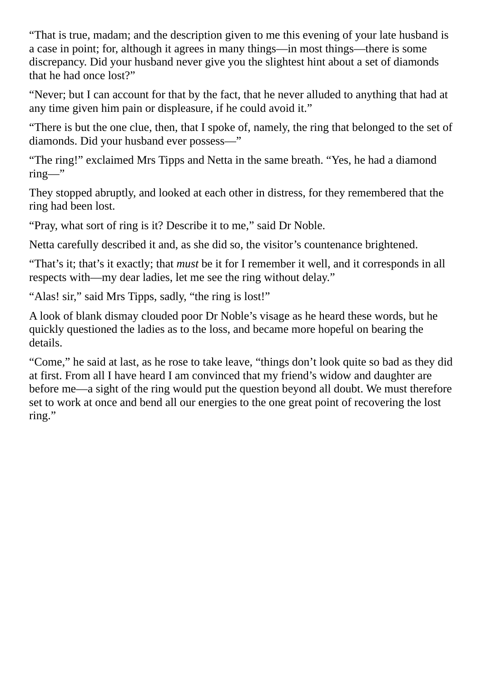"That is true, madam; and the description given to me this evening of your late husband is a case in point; for, although it agrees in many things—in most things—there is some discrepancy. Did your husband never give you the slightest hint about a set of diamonds that he had once lost?"

"Never; but I can account for that by the fact, that he never alluded to anything that had at any time given him pain or displeasure, if he could avoid it."

"There is but the one clue, then, that I spoke of, namely, the ring that belonged to the set of diamonds. Did your husband ever possess—"

"The ring!" exclaimed Mrs Tipps and Netta in the same breath. "Yes, he had a diamond ring—"

They stopped abruptly, and looked at each other in distress, for they remembered that the ring had been lost.

"Pray, what sort of ring is it? Describe it to me," said Dr Noble.

Netta carefully described it and, as she did so, the visitor's countenance brightened.

"That's it; that's it exactly; that *must* be it for I remember it well, and it corresponds in all respects with—my dear ladies, let me see the ring without delay."

"Alas! sir," said Mrs Tipps, sadly, "the ring is lost!"

A look of blank dismay clouded poor Dr Noble's visage as he heard these words, but he quickly questioned the ladies as to the loss, and became more hopeful on bearing the details.

"Come," he said at last, as he rose to take leave, "things don't look quite so bad as they did at first. From all I have heard I am convinced that my friend's widow and daughter are before me—a sight of the ring would put the question beyond all doubt. We must therefore set to work at once and bend all our energies to the one great point of recovering the lost ring."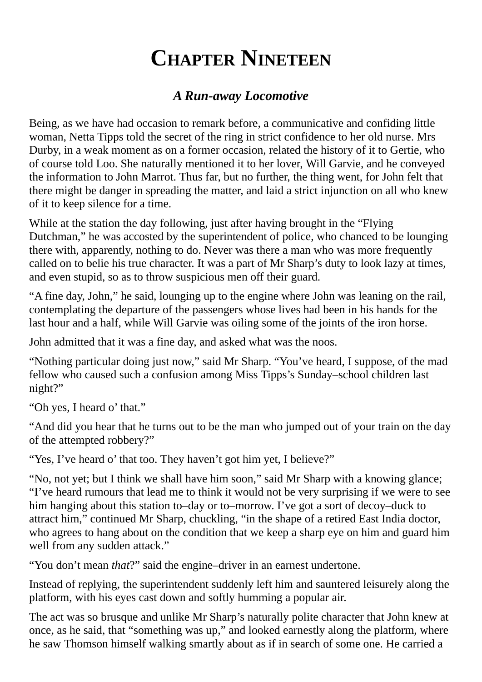# **CHAPTER NINETEEN**

### *A Run-away Locomotive*

Being, as we have had occasion to remark before, a communicative and confiding little woman, Netta Tipps told the secret of the ring in strict confidence to her old nurse. Mrs Durby, in a weak moment as on a former occasion, related the history of it to Gertie, who of course told Loo. She naturally mentioned it to her lover, Will Garvie, and he conveyed the information to John Marrot. Thus far, but no further, the thing went, for John felt that there might be danger in spreading the matter, and laid a strict injunction on all who knew of it to keep silence for a time.

While at the station the day following, just after having brought in the "Flying Dutchman," he was accosted by the superintendent of police, who chanced to be lounging there with, apparently, nothing to do. Never was there a man who was more frequently called on to belie his true character. It was a part of Mr Sharp's duty to look lazy at times, and even stupid, so as to throw suspicious men off their guard.

"A fine day, John," he said, lounging up to the engine where John was leaning on the rail, contemplating the departure of the passengers whose lives had been in his hands for the last hour and a half, while Will Garvie was oiling some of the joints of the iron horse.

John admitted that it was a fine day, and asked what was the noos.

"Nothing particular doing just now," said Mr Sharp. "You've heard, I suppose, of the mad fellow who caused such a confusion among Miss Tipps's Sunday–school children last night?"

"Oh yes, I heard o' that."

"And did you hear that he turns out to be the man who jumped out of your train on the day of the attempted robbery?"

"Yes, I've heard o' that too. They haven't got him yet, I believe?"

"No, not yet; but I think we shall have him soon," said Mr Sharp with a knowing glance; "I've heard rumours that lead me to think it would not be very surprising if we were to see him hanging about this station to–day or to–morrow. I've got a sort of decoy–duck to attract him," continued Mr Sharp, chuckling, "in the shape of a retired East India doctor, who agrees to hang about on the condition that we keep a sharp eye on him and guard him well from any sudden attack."

"You don't mean *that*?" said the engine–driver in an earnest undertone.

Instead of replying, the superintendent suddenly left him and sauntered leisurely along the platform, with his eyes cast down and softly humming a popular air.

The act was so brusque and unlike Mr Sharp's naturally polite character that John knew at once, as he said, that "something was up," and looked earnestly along the platform, where he saw Thomson himself walking smartly about as if in search of some one. He carried a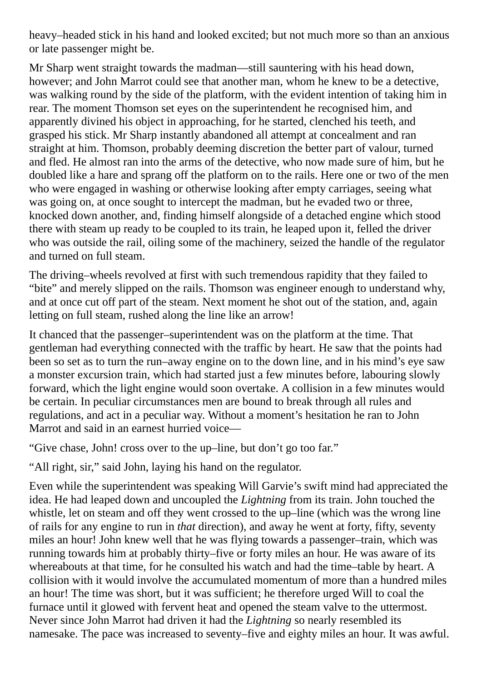heavy–headed stick in his hand and looked excited; but not much more so than an anxious or late passenger might be.

Mr Sharp went straight towards the madman—still sauntering with his head down, however; and John Marrot could see that another man, whom he knew to be a detective, was walking round by the side of the platform, with the evident intention of taking him in rear. The moment Thomson set eyes on the superintendent he recognised him, and apparently divined his object in approaching, for he started, clenched his teeth, and grasped his stick. Mr Sharp instantly abandoned all attempt at concealment and ran straight at him. Thomson, probably deeming discretion the better part of valour, turned and fled. He almost ran into the arms of the detective, who now made sure of him, but he doubled like a hare and sprang off the platform on to the rails. Here one or two of the men who were engaged in washing or otherwise looking after empty carriages, seeing what was going on, at once sought to intercept the madman, but he evaded two or three, knocked down another, and, finding himself alongside of a detached engine which stood there with steam up ready to be coupled to its train, he leaped upon it, felled the driver who was outside the rail, oiling some of the machinery, seized the handle of the regulator and turned on full steam.

The driving–wheels revolved at first with such tremendous rapidity that they failed to "bite" and merely slipped on the rails. Thomson was engineer enough to understand why, and at once cut off part of the steam. Next moment he shot out of the station, and, again letting on full steam, rushed along the line like an arrow!

It chanced that the passenger–superintendent was on the platform at the time. That gentleman had everything connected with the traffic by heart. He saw that the points had been so set as to turn the run–away engine on to the down line, and in his mind's eye saw a monster excursion train, which had started just a few minutes before, labouring slowly forward, which the light engine would soon overtake. A collision in a few minutes would be certain. In peculiar circumstances men are bound to break through all rules and regulations, and act in a peculiar way. Without a moment's hesitation he ran to John Marrot and said in an earnest hurried voice—

"Give chase, John! cross over to the up–line, but don't go too far."

"All right, sir," said John, laying his hand on the regulator.

Even while the superintendent was speaking Will Garvie's swift mind had appreciated the idea. He had leaped down and uncoupled the *Lightning* from its train. John touched the whistle, let on steam and off they went crossed to the up–line (which was the wrong line of rails for any engine to run in *that* direction), and away he went at forty, fifty, seventy miles an hour! John knew well that he was flying towards a passenger–train, which was running towards him at probably thirty–five or forty miles an hour. He was aware of its whereabouts at that time, for he consulted his watch and had the time–table by heart. A collision with it would involve the accumulated momentum of more than a hundred miles an hour! The time was short, but it was sufficient; he therefore urged Will to coal the furnace until it glowed with fervent heat and opened the steam valve to the uttermost. Never since John Marrot had driven it had the *Lightning* so nearly resembled its namesake. The pace was increased to seventy–five and eighty miles an hour. It was awful.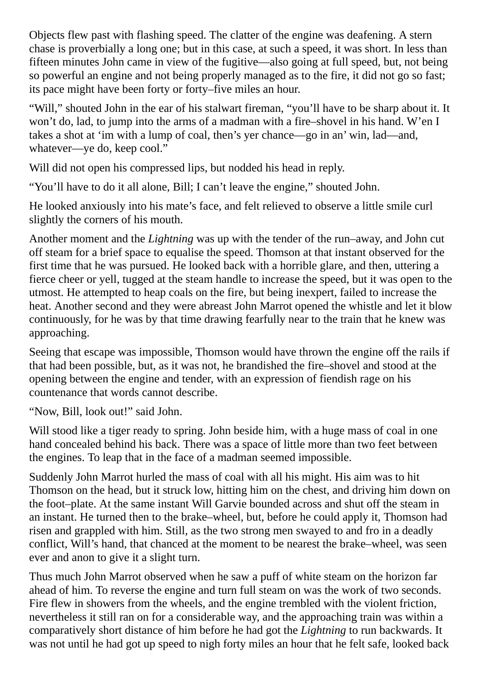Objects flew past with flashing speed. The clatter of the engine was deafening. A stern chase is proverbially a long one; but in this case, at such a speed, it was short. In less than fifteen minutes John came in view of the fugitive—also going at full speed, but, not being so powerful an engine and not being properly managed as to the fire, it did not go so fast; its pace might have been forty or forty–five miles an hour.

"Will," shouted John in the ear of his stalwart fireman, "you'll have to be sharp about it. It won't do, lad, to jump into the arms of a madman with a fire–shovel in his hand. W'en I takes a shot at 'im with a lump of coal, then's yer chance—go in an' win, lad—and, whatever—ye do, keep cool."

Will did not open his compressed lips, but nodded his head in reply.

"You'll have to do it all alone, Bill; I can't leave the engine," shouted John.

He looked anxiously into his mate's face, and felt relieved to observe a little smile curl slightly the corners of his mouth.

Another moment and the *Lightning* was up with the tender of the run–away, and John cut off steam for a brief space to equalise the speed. Thomson at that instant observed for the first time that he was pursued. He looked back with a horrible glare, and then, uttering a fierce cheer or yell, tugged at the steam handle to increase the speed, but it was open to the utmost. He attempted to heap coals on the fire, but being inexpert, failed to increase the heat. Another second and they were abreast John Marrot opened the whistle and let it blow continuously, for he was by that time drawing fearfully near to the train that he knew was approaching.

Seeing that escape was impossible, Thomson would have thrown the engine off the rails if that had been possible, but, as it was not, he brandished the fire–shovel and stood at the opening between the engine and tender, with an expression of fiendish rage on his countenance that words cannot describe.

"Now, Bill, look out!" said John.

Will stood like a tiger ready to spring. John beside him, with a huge mass of coal in one hand concealed behind his back. There was a space of little more than two feet between the engines. To leap that in the face of a madman seemed impossible.

Suddenly John Marrot hurled the mass of coal with all his might. His aim was to hit Thomson on the head, but it struck low, hitting him on the chest, and driving him down on the foot–plate. At the same instant Will Garvie bounded across and shut off the steam in an instant. He turned then to the brake–wheel, but, before he could apply it, Thomson had risen and grappled with him. Still, as the two strong men swayed to and fro in a deadly conflict, Will's hand, that chanced at the moment to be nearest the brake–wheel, was seen ever and anon to give it a slight turn.

Thus much John Marrot observed when he saw a puff of white steam on the horizon far ahead of him. To reverse the engine and turn full steam on was the work of two seconds. Fire flew in showers from the wheels, and the engine trembled with the violent friction, nevertheless it still ran on for a considerable way, and the approaching train was within a comparatively short distance of him before he had got the *Lightning* to run backwards. It was not until he had got up speed to nigh forty miles an hour that he felt safe, looked back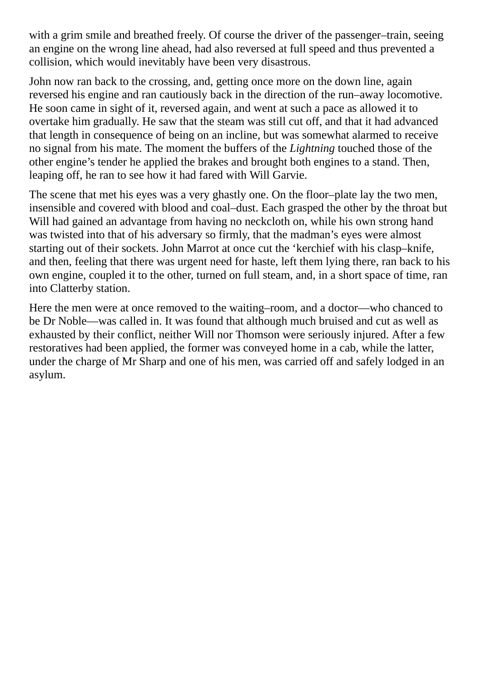with a grim smile and breathed freely. Of course the driver of the passenger–train, seeing an engine on the wrong line ahead, had also reversed at full speed and thus prevented a collision, which would inevitably have been very disastrous.

John now ran back to the crossing, and, getting once more on the down line, again reversed his engine and ran cautiously back in the direction of the run–away locomotive. He soon came in sight of it, reversed again, and went at such a pace as allowed it to overtake him gradually. He saw that the steam was still cut off, and that it had advanced that length in consequence of being on an incline, but was somewhat alarmed to receive no signal from his mate. The moment the buffers of the *Lightning* touched those of the other engine's tender he applied the brakes and brought both engines to a stand. Then, leaping off, he ran to see how it had fared with Will Garvie.

The scene that met his eyes was a very ghastly one. On the floor–plate lay the two men, insensible and covered with blood and coal–dust. Each grasped the other by the throat but Will had gained an advantage from having no neckcloth on, while his own strong hand was twisted into that of his adversary so firmly, that the madman's eyes were almost starting out of their sockets. John Marrot at once cut the 'kerchief with his clasp–knife, and then, feeling that there was urgent need for haste, left them lying there, ran back to his own engine, coupled it to the other, turned on full steam, and, in a short space of time, ran into Clatterby station.

Here the men were at once removed to the waiting–room, and a doctor—who chanced to be Dr Noble—was called in. It was found that although much bruised and cut as well as exhausted by their conflict, neither Will nor Thomson were seriously injured. After a few restoratives had been applied, the former was conveyed home in a cab, while the latter, under the charge of Mr Sharp and one of his men, was carried off and safely lodged in an asylum.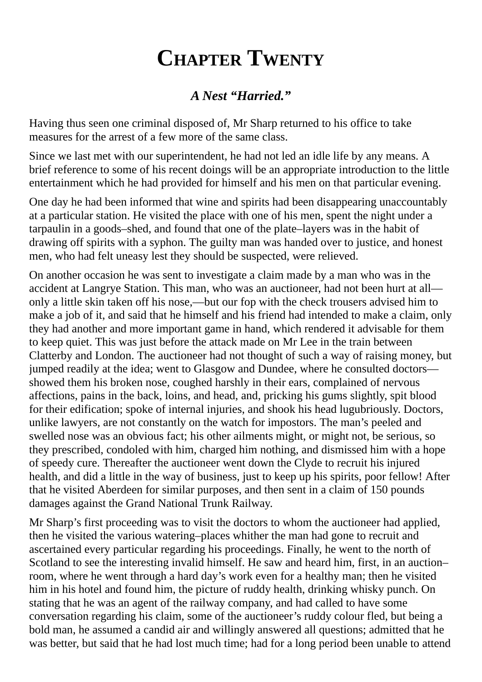### **CHAPTER TWENTY**

### *A Nest "Harried."*

Having thus seen one criminal disposed of, Mr Sharp returned to his office to take measures for the arrest of a few more of the same class.

Since we last met with our superintendent, he had not led an idle life by any means. A brief reference to some of his recent doings will be an appropriate introduction to the little entertainment which he had provided for himself and his men on that particular evening.

One day he had been informed that wine and spirits had been disappearing unaccountably at a particular station. He visited the place with one of his men, spent the night under a tarpaulin in a goods–shed, and found that one of the plate–layers was in the habit of drawing off spirits with a syphon. The guilty man was handed over to justice, and honest men, who had felt uneasy lest they should be suspected, were relieved.

On another occasion he was sent to investigate a claim made by a man who was in the accident at Langrye Station. This man, who was an auctioneer, had not been hurt at all only a little skin taken off his nose,—but our fop with the check trousers advised him to make a job of it, and said that he himself and his friend had intended to make a claim, only they had another and more important game in hand, which rendered it advisable for them to keep quiet. This was just before the attack made on Mr Lee in the train between Clatterby and London. The auctioneer had not thought of such a way of raising money, but jumped readily at the idea; went to Glasgow and Dundee, where he consulted doctors showed them his broken nose, coughed harshly in their ears, complained of nervous affections, pains in the back, loins, and head, and, pricking his gums slightly, spit blood for their edification; spoke of internal injuries, and shook his head lugubriously. Doctors, unlike lawyers, are not constantly on the watch for impostors. The man's peeled and swelled nose was an obvious fact; his other ailments might, or might not, be serious, so they prescribed, condoled with him, charged him nothing, and dismissed him with a hope of speedy cure. Thereafter the auctioneer went down the Clyde to recruit his injured health, and did a little in the way of business, just to keep up his spirits, poor fellow! After that he visited Aberdeen for similar purposes, and then sent in a claim of 150 pounds damages against the Grand National Trunk Railway.

Mr Sharp's first proceeding was to visit the doctors to whom the auctioneer had applied, then he visited the various watering–places whither the man had gone to recruit and ascertained every particular regarding his proceedings. Finally, he went to the north of Scotland to see the interesting invalid himself. He saw and heard him, first, in an auction– room, where he went through a hard day's work even for a healthy man; then he visited him in his hotel and found him, the picture of ruddy health, drinking whisky punch. On stating that he was an agent of the railway company, and had called to have some conversation regarding his claim, some of the auctioneer's ruddy colour fled, but being a bold man, he assumed a candid air and willingly answered all questions; admitted that he was better, but said that he had lost much time; had for a long period been unable to attend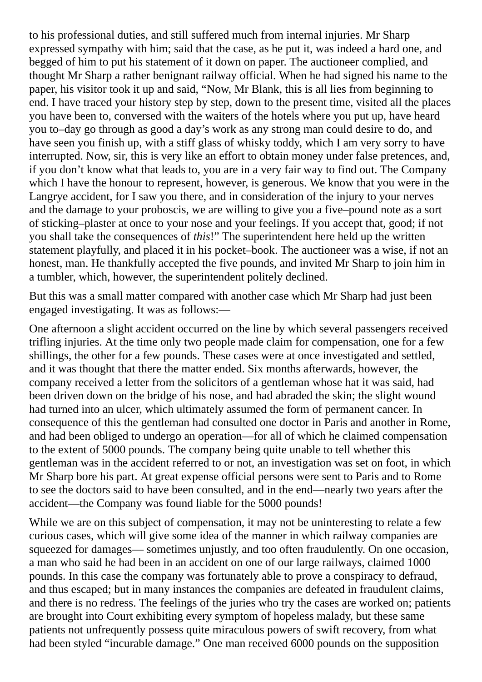to his professional duties, and still suffered much from internal injuries. Mr Sharp expressed sympathy with him; said that the case, as he put it, was indeed a hard one, and begged of him to put his statement of it down on paper. The auctioneer complied, and thought Mr Sharp a rather benignant railway official. When he had signed his name to the paper, his visitor took it up and said, "Now, Mr Blank, this is all lies from beginning to end. I have traced your history step by step, down to the present time, visited all the places you have been to, conversed with the waiters of the hotels where you put up, have heard you to–day go through as good a day's work as any strong man could desire to do, and have seen you finish up, with a stiff glass of whisky toddy, which I am very sorry to have interrupted. Now, sir, this is very like an effort to obtain money under false pretences, and, if you don't know what that leads to, you are in a very fair way to find out. The Company which I have the honour to represent, however, is generous. We know that you were in the Langrye accident, for I saw you there, and in consideration of the injury to your nerves and the damage to your proboscis, we are willing to give you a five–pound note as a sort of sticking–plaster at once to your nose and your feelings. If you accept that, good; if not you shall take the consequences of *this*!" The superintendent here held up the written statement playfully, and placed it in his pocket–book. The auctioneer was a wise, if not an honest, man. He thankfully accepted the five pounds, and invited Mr Sharp to join him in a tumbler, which, however, the superintendent politely declined.

But this was a small matter compared with another case which Mr Sharp had just been engaged investigating. It was as follows:—

One afternoon a slight accident occurred on the line by which several passengers received trifling injuries. At the time only two people made claim for compensation, one for a few shillings, the other for a few pounds. These cases were at once investigated and settled, and it was thought that there the matter ended. Six months afterwards, however, the company received a letter from the solicitors of a gentleman whose hat it was said, had been driven down on the bridge of his nose, and had abraded the skin; the slight wound had turned into an ulcer, which ultimately assumed the form of permanent cancer. In consequence of this the gentleman had consulted one doctor in Paris and another in Rome, and had been obliged to undergo an operation—for all of which he claimed compensation to the extent of 5000 pounds. The company being quite unable to tell whether this gentleman was in the accident referred to or not, an investigation was set on foot, in which Mr Sharp bore his part. At great expense official persons were sent to Paris and to Rome to see the doctors said to have been consulted, and in the end—nearly two years after the accident—the Company was found liable for the 5000 pounds!

While we are on this subject of compensation, it may not be uninteresting to relate a few curious cases, which will give some idea of the manner in which railway companies are squeezed for damages— sometimes unjustly, and too often fraudulently. On one occasion, a man who said he had been in an accident on one of our large railways, claimed 1000 pounds. In this case the company was fortunately able to prove a conspiracy to defraud, and thus escaped; but in many instances the companies are defeated in fraudulent claims, and there is no redress. The feelings of the juries who try the cases are worked on; patients are brought into Court exhibiting every symptom of hopeless malady, but these same patients not unfrequently possess quite miraculous powers of swift recovery, from what had been styled "incurable damage." One man received 6000 pounds on the supposition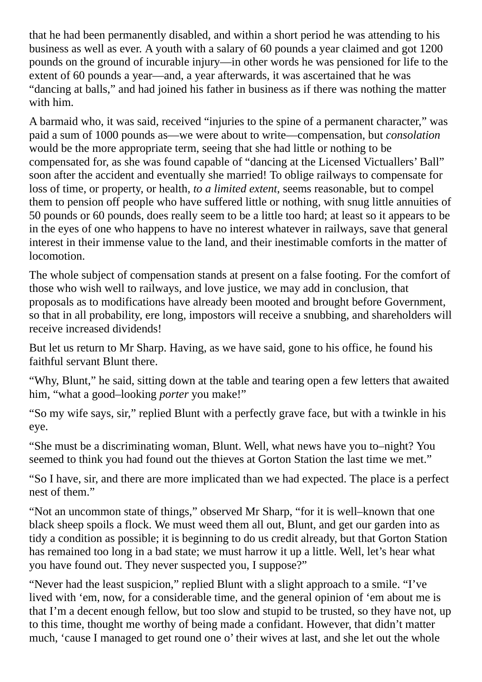that he had been permanently disabled, and within a short period he was attending to his business as well as ever. A youth with a salary of 60 pounds a year claimed and got 1200 pounds on the ground of incurable injury—in other words he was pensioned for life to the extent of 60 pounds a year—and, a year afterwards, it was ascertained that he was "dancing at balls," and had joined his father in business as if there was nothing the matter with him.

A barmaid who, it was said, received "injuries to the spine of a permanent character," was paid a sum of 1000 pounds as—we were about to write—compensation, but *consolation* would be the more appropriate term, seeing that she had little or nothing to be compensated for, as she was found capable of "dancing at the Licensed Victuallers' Ball" soon after the accident and eventually she married! To oblige railways to compensate for loss of time, or property, or health, *to a limited extent*, seems reasonable, but to compel them to pension off people who have suffered little or nothing, with snug little annuities of 50 pounds or 60 pounds, does really seem to be a little too hard; at least so it appears to be in the eyes of one who happens to have no interest whatever in railways, save that general interest in their immense value to the land, and their inestimable comforts in the matter of locomotion.

The whole subject of compensation stands at present on a false footing. For the comfort of those who wish well to railways, and love justice, we may add in conclusion, that proposals as to modifications have already been mooted and brought before Government, so that in all probability, ere long, impostors will receive a snubbing, and shareholders will receive increased dividends!

But let us return to Mr Sharp. Having, as we have said, gone to his office, he found his faithful servant Blunt there.

"Why, Blunt," he said, sitting down at the table and tearing open a few letters that awaited him, "what a good–looking *porter* you make!"

"So my wife says, sir," replied Blunt with a perfectly grave face, but with a twinkle in his eye.

"She must be a discriminating woman, Blunt. Well, what news have you to–night? You seemed to think you had found out the thieves at Gorton Station the last time we met."

"So I have, sir, and there are more implicated than we had expected. The place is a perfect nest of them."

"Not an uncommon state of things," observed Mr Sharp, "for it is well–known that one black sheep spoils a flock. We must weed them all out, Blunt, and get our garden into as tidy a condition as possible; it is beginning to do us credit already, but that Gorton Station has remained too long in a bad state; we must harrow it up a little. Well, let's hear what you have found out. They never suspected you, I suppose?"

"Never had the least suspicion," replied Blunt with a slight approach to a smile. "I've lived with 'em, now, for a considerable time, and the general opinion of 'em about me is that I'm a decent enough fellow, but too slow and stupid to be trusted, so they have not, up to this time, thought me worthy of being made a confidant. However, that didn't matter much, 'cause I managed to get round one o' their wives at last, and she let out the whole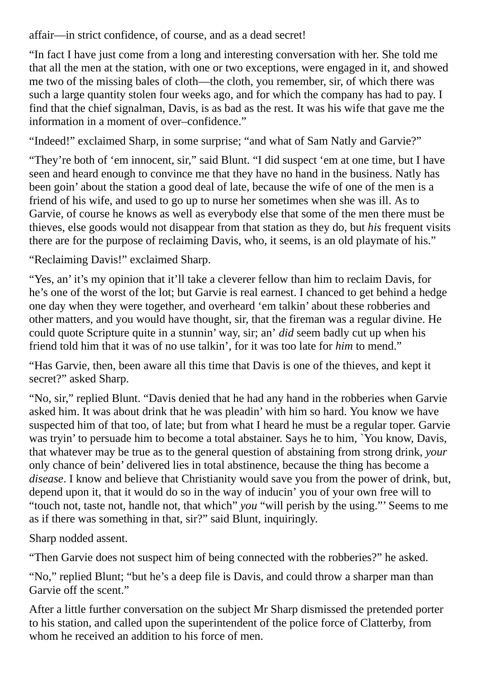affair—in strict confidence, of course, and as a dead secret!

"In fact I have just come from a long and interesting conversation with her. She told me that all the men at the station, with one or two exceptions, were engaged in it, and showed me two of the missing bales of cloth—the cloth, you remember, sir, of which there was such a large quantity stolen four weeks ago, and for which the company has had to pay. I find that the chief signalman, Davis, is as bad as the rest. It was his wife that gave me the information in a moment of over–confidence."

"Indeed!" exclaimed Sharp, in some surprise; "and what of Sam Natly and Garvie?"

"They're both of 'em innocent, sir," said Blunt. "I did suspect 'em at one time, but I have seen and heard enough to convince me that they have no hand in the business. Natly has been goin' about the station a good deal of late, because the wife of one of the men is a friend of his wife, and used to go up to nurse her sometimes when she was ill. As to Garvie, of course he knows as well as everybody else that some of the men there must be thieves, else goods would not disappear from that station as they do, but *his* frequent visits there are for the purpose of reclaiming Davis, who, it seems, is an old playmate of his."

"Reclaiming Davis!" exclaimed Sharp.

"Yes, an' it's my opinion that it'll take a cleverer fellow than him to reclaim Davis, for he's one of the worst of the lot; but Garvie is real earnest. I chanced to get behind a hedge one day when they were together, and overheard 'em talkin' about these robberies and other matters, and you would have thought, sir, that the fireman was a regular divine. He could quote Scripture quite in a stunnin' way, sir; an' *did* seem badly cut up when his friend told him that it was of no use talkin', for it was too late for *him* to mend."

"Has Garvie, then, been aware all this time that Davis is one of the thieves, and kept it secret?" asked Sharp.

"No, sir," replied Blunt. "Davis denied that he had any hand in the robberies when Garvie asked him. It was about drink that he was pleadin' with him so hard. You know we have suspected him of that too, of late; but from what I heard he must be a regular toper. Garvie was tryin' to persuade him to become a total abstainer. Says he to him, `You know, Davis, that whatever may be true as to the general question of abstaining from strong drink, *your* only chance of bein' delivered lies in total abstinence, because the thing has become a *disease*. I know and believe that Christianity would save you from the power of drink, but, depend upon it, that it would do so in the way of inducin' you of your own free will to "touch not, taste not, handle not, that which" *you* "will perish by the using."' Seems to me as if there was something in that, sir?" said Blunt, inquiringly.

Sharp nodded assent.

"Then Garvie does not suspect him of being connected with the robberies?" he asked.

"No," replied Blunt; "but he's a deep file is Davis, and could throw a sharper man than Garvie off the scent."

After a little further conversation on the subject Mr Sharp dismissed the pretended porter to his station, and called upon the superintendent of the police force of Clatterby, from whom he received an addition to his force of men.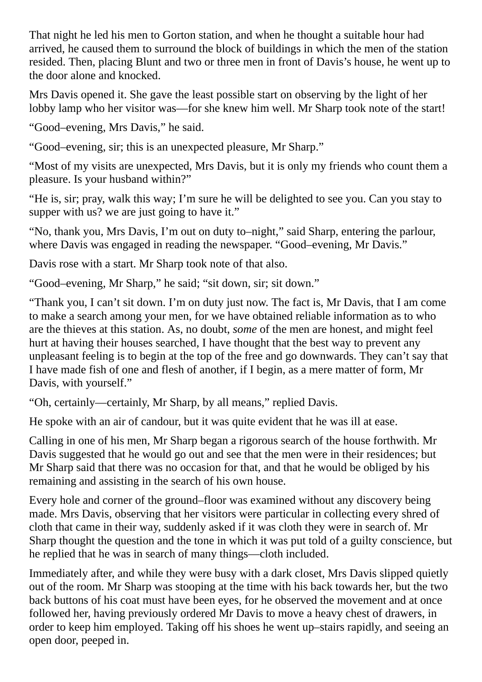That night he led his men to Gorton station, and when he thought a suitable hour had arrived, he caused them to surround the block of buildings in which the men of the station resided. Then, placing Blunt and two or three men in front of Davis's house, he went up to the door alone and knocked.

Mrs Davis opened it. She gave the least possible start on observing by the light of her lobby lamp who her visitor was—for she knew him well. Mr Sharp took note of the start!

"Good–evening, Mrs Davis," he said.

"Good–evening, sir; this is an unexpected pleasure, Mr Sharp."

"Most of my visits are unexpected, Mrs Davis, but it is only my friends who count them a pleasure. Is your husband within?"

"He is, sir; pray, walk this way; I'm sure he will be delighted to see you. Can you stay to supper with us? we are just going to have it."

"No, thank you, Mrs Davis, I'm out on duty to–night," said Sharp, entering the parlour, where Davis was engaged in reading the newspaper. "Good-evening, Mr Davis."

Davis rose with a start. Mr Sharp took note of that also.

"Good–evening, Mr Sharp," he said; "sit down, sir; sit down."

"Thank you, I can't sit down. I'm on duty just now. The fact is, Mr Davis, that I am come to make a search among your men, for we have obtained reliable information as to who are the thieves at this station. As, no doubt, *some* of the men are honest, and might feel hurt at having their houses searched, I have thought that the best way to prevent any unpleasant feeling is to begin at the top of the free and go downwards. They can't say that I have made fish of one and flesh of another, if I begin, as a mere matter of form, Mr Davis, with yourself."

"Oh, certainly—certainly, Mr Sharp, by all means," replied Davis.

He spoke with an air of candour, but it was quite evident that he was ill at ease.

Calling in one of his men, Mr Sharp began a rigorous search of the house forthwith. Mr Davis suggested that he would go out and see that the men were in their residences; but Mr Sharp said that there was no occasion for that, and that he would be obliged by his remaining and assisting in the search of his own house.

Every hole and corner of the ground–floor was examined without any discovery being made. Mrs Davis, observing that her visitors were particular in collecting every shred of cloth that came in their way, suddenly asked if it was cloth they were in search of. Mr Sharp thought the question and the tone in which it was put told of a guilty conscience, but he replied that he was in search of many things—cloth included.

Immediately after, and while they were busy with a dark closet, Mrs Davis slipped quietly out of the room. Mr Sharp was stooping at the time with his back towards her, but the two back buttons of his coat must have been eyes, for he observed the movement and at once followed her, having previously ordered Mr Davis to move a heavy chest of drawers, in order to keep him employed. Taking off his shoes he went up–stairs rapidly, and seeing an open door, peeped in.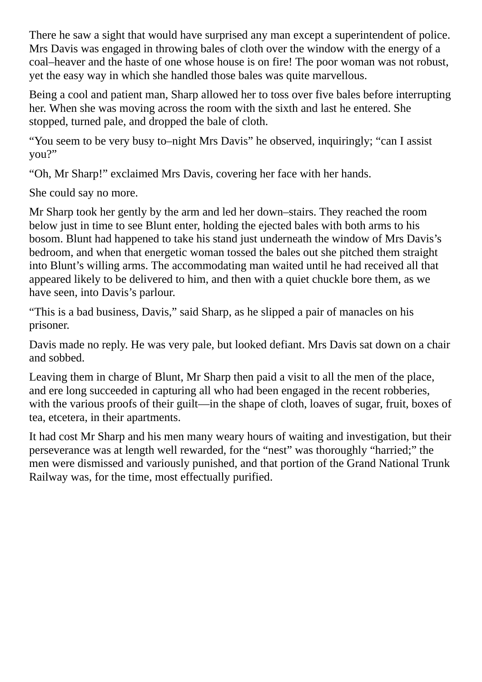There he saw a sight that would have surprised any man except a superintendent of police. Mrs Davis was engaged in throwing bales of cloth over the window with the energy of a coal–heaver and the haste of one whose house is on fire! The poor woman was not robust, yet the easy way in which she handled those bales was quite marvellous.

Being a cool and patient man, Sharp allowed her to toss over five bales before interrupting her. When she was moving across the room with the sixth and last he entered. She stopped, turned pale, and dropped the bale of cloth.

"You seem to be very busy to–night Mrs Davis" he observed, inquiringly; "can I assist you?"

"Oh, Mr Sharp!" exclaimed Mrs Davis, covering her face with her hands.

She could say no more.

Mr Sharp took her gently by the arm and led her down–stairs. They reached the room below just in time to see Blunt enter, holding the ejected bales with both arms to his bosom. Blunt had happened to take his stand just underneath the window of Mrs Davis's bedroom, and when that energetic woman tossed the bales out she pitched them straight into Blunt's willing arms. The accommodating man waited until he had received all that appeared likely to be delivered to him, and then with a quiet chuckle bore them, as we have seen, into Davis's parlour.

"This is a bad business, Davis," said Sharp, as he slipped a pair of manacles on his prisoner.

Davis made no reply. He was very pale, but looked defiant. Mrs Davis sat down on a chair and sobbed.

Leaving them in charge of Blunt, Mr Sharp then paid a visit to all the men of the place, and ere long succeeded in capturing all who had been engaged in the recent robberies, with the various proofs of their guilt—in the shape of cloth, loaves of sugar, fruit, boxes of tea, etcetera, in their apartments.

It had cost Mr Sharp and his men many weary hours of waiting and investigation, but their perseverance was at length well rewarded, for the "nest" was thoroughly "harried;" the men were dismissed and variously punished, and that portion of the Grand National Trunk Railway was, for the time, most effectually purified.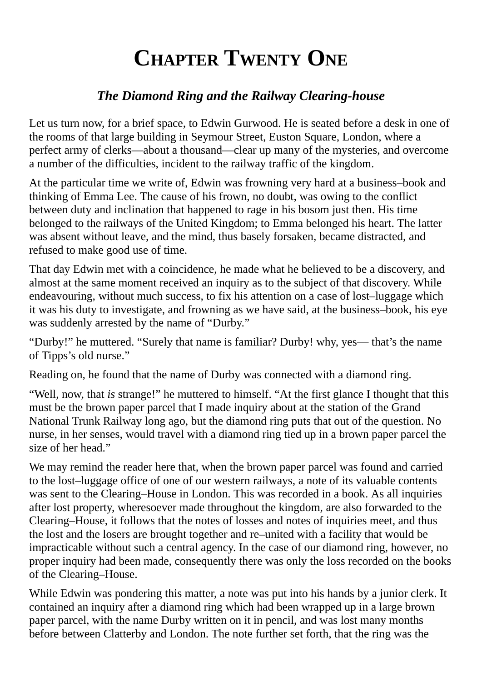# **CHAPTER TWENTY ONE**

#### *The Diamond Ring and the Railway Clearing-house*

Let us turn now, for a brief space, to Edwin Gurwood. He is seated before a desk in one of the rooms of that large building in Seymour Street, Euston Square, London, where a perfect army of clerks—about a thousand—clear up many of the mysteries, and overcome a number of the difficulties, incident to the railway traffic of the kingdom.

At the particular time we write of, Edwin was frowning very hard at a business–book and thinking of Emma Lee. The cause of his frown, no doubt, was owing to the conflict between duty and inclination that happened to rage in his bosom just then. His time belonged to the railways of the United Kingdom; to Emma belonged his heart. The latter was absent without leave, and the mind, thus basely forsaken, became distracted, and refused to make good use of time.

That day Edwin met with a coincidence, he made what he believed to be a discovery, and almost at the same moment received an inquiry as to the subject of that discovery. While endeavouring, without much success, to fix his attention on a case of lost–luggage which it was his duty to investigate, and frowning as we have said, at the business–book, his eye was suddenly arrested by the name of "Durby."

"Durby!" he muttered. "Surely that name is familiar? Durby! why, yes— that's the name of Tipps's old nurse."

Reading on, he found that the name of Durby was connected with a diamond ring.

"Well, now, that *is* strange!" he muttered to himself. "At the first glance I thought that this must be the brown paper parcel that I made inquiry about at the station of the Grand National Trunk Railway long ago, but the diamond ring puts that out of the question. No nurse, in her senses, would travel with a diamond ring tied up in a brown paper parcel the size of her head."

We may remind the reader here that, when the brown paper parcel was found and carried to the lost–luggage office of one of our western railways, a note of its valuable contents was sent to the Clearing–House in London. This was recorded in a book. As all inquiries after lost property, wheresoever made throughout the kingdom, are also forwarded to the Clearing–House, it follows that the notes of losses and notes of inquiries meet, and thus the lost and the losers are brought together and re–united with a facility that would be impracticable without such a central agency. In the case of our diamond ring, however, no proper inquiry had been made, consequently there was only the loss recorded on the books of the Clearing–House.

While Edwin was pondering this matter, a note was put into his hands by a junior clerk. It contained an inquiry after a diamond ring which had been wrapped up in a large brown paper parcel, with the name Durby written on it in pencil, and was lost many months before between Clatterby and London. The note further set forth, that the ring was the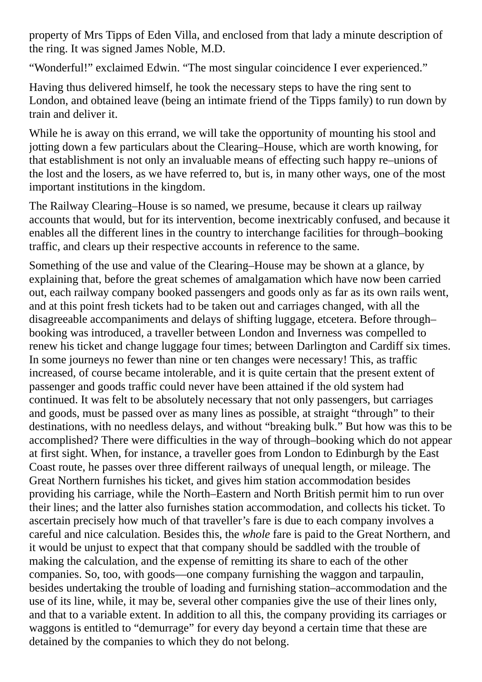property of Mrs Tipps of Eden Villa, and enclosed from that lady a minute description of the ring. It was signed James Noble, M.D.

"Wonderful!" exclaimed Edwin. "The most singular coincidence I ever experienced."

Having thus delivered himself, he took the necessary steps to have the ring sent to London, and obtained leave (being an intimate friend of the Tipps family) to run down by train and deliver it.

While he is away on this errand, we will take the opportunity of mounting his stool and jotting down a few particulars about the Clearing–House, which are worth knowing, for that establishment is not only an invaluable means of effecting such happy re–unions of the lost and the losers, as we have referred to, but is, in many other ways, one of the most important institutions in the kingdom.

The Railway Clearing–House is so named, we presume, because it clears up railway accounts that would, but for its intervention, become inextricably confused, and because it enables all the different lines in the country to interchange facilities for through–booking traffic, and clears up their respective accounts in reference to the same.

Something of the use and value of the Clearing–House may be shown at a glance, by explaining that, before the great schemes of amalgamation which have now been carried out, each railway company booked passengers and goods only as far as its own rails went, and at this point fresh tickets had to be taken out and carriages changed, with all the disagreeable accompaniments and delays of shifting luggage, etcetera. Before through– booking was introduced, a traveller between London and Inverness was compelled to renew his ticket and change luggage four times; between Darlington and Cardiff six times. In some journeys no fewer than nine or ten changes were necessary! This, as traffic increased, of course became intolerable, and it is quite certain that the present extent of passenger and goods traffic could never have been attained if the old system had continued. It was felt to be absolutely necessary that not only passengers, but carriages and goods, must be passed over as many lines as possible, at straight "through" to their destinations, with no needless delays, and without "breaking bulk." But how was this to be accomplished? There were difficulties in the way of through–booking which do not appear at first sight. When, for instance, a traveller goes from London to Edinburgh by the East Coast route, he passes over three different railways of unequal length, or mileage. The Great Northern furnishes his ticket, and gives him station accommodation besides providing his carriage, while the North–Eastern and North British permit him to run over their lines; and the latter also furnishes station accommodation, and collects his ticket. To ascertain precisely how much of that traveller's fare is due to each company involves a careful and nice calculation. Besides this, the *whole* fare is paid to the Great Northern, and it would be unjust to expect that that company should be saddled with the trouble of making the calculation, and the expense of remitting its share to each of the other companies. So, too, with goods—one company furnishing the waggon and tarpaulin, besides undertaking the trouble of loading and furnishing station–accommodation and the use of its line, while, it may be, several other companies give the use of their lines only, and that to a variable extent. In addition to all this, the company providing its carriages or waggons is entitled to "demurrage" for every day beyond a certain time that these are detained by the companies to which they do not belong.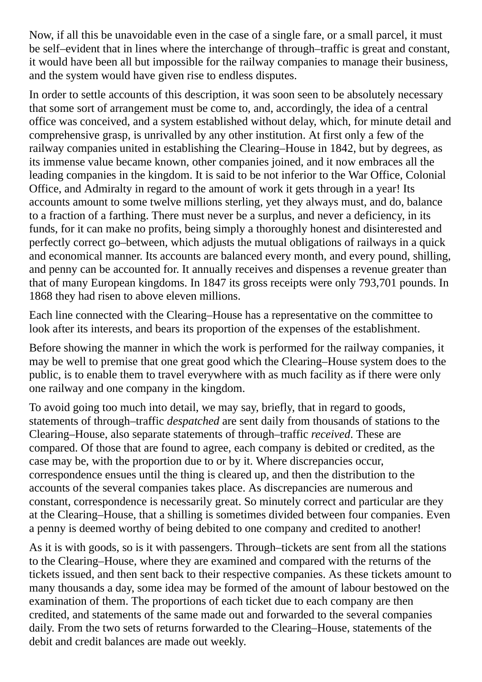Now, if all this be unavoidable even in the case of a single fare, or a small parcel, it must be self–evident that in lines where the interchange of through–traffic is great and constant, it would have been all but impossible for the railway companies to manage their business, and the system would have given rise to endless disputes.

In order to settle accounts of this description, it was soon seen to be absolutely necessary that some sort of arrangement must be come to, and, accordingly, the idea of a central office was conceived, and a system established without delay, which, for minute detail and comprehensive grasp, is unrivalled by any other institution. At first only a few of the railway companies united in establishing the Clearing–House in 1842, but by degrees, as its immense value became known, other companies joined, and it now embraces all the leading companies in the kingdom. It is said to be not inferior to the War Office, Colonial Office, and Admiralty in regard to the amount of work it gets through in a year! Its accounts amount to some twelve millions sterling, yet they always must, and do, balance to a fraction of a farthing. There must never be a surplus, and never a deficiency, in its funds, for it can make no profits, being simply a thoroughly honest and disinterested and perfectly correct go–between, which adjusts the mutual obligations of railways in a quick and economical manner. Its accounts are balanced every month, and every pound, shilling, and penny can be accounted for. It annually receives and dispenses a revenue greater than that of many European kingdoms. In 1847 its gross receipts were only 793,701 pounds. In 1868 they had risen to above eleven millions.

Each line connected with the Clearing–House has a representative on the committee to look after its interests, and bears its proportion of the expenses of the establishment.

Before showing the manner in which the work is performed for the railway companies, it may be well to premise that one great good which the Clearing–House system does to the public, is to enable them to travel everywhere with as much facility as if there were only one railway and one company in the kingdom.

To avoid going too much into detail, we may say, briefly, that in regard to goods, statements of through–traffic *despatched* are sent daily from thousands of stations to the Clearing–House, also separate statements of through–traffic *received*. These are compared. Of those that are found to agree, each company is debited or credited, as the case may be, with the proportion due to or by it. Where discrepancies occur, correspondence ensues until the thing is cleared up, and then the distribution to the accounts of the several companies takes place. As discrepancies are numerous and constant, correspondence is necessarily great. So minutely correct and particular are they at the Clearing–House, that a shilling is sometimes divided between four companies. Even a penny is deemed worthy of being debited to one company and credited to another!

As it is with goods, so is it with passengers. Through–tickets are sent from all the stations to the Clearing–House, where they are examined and compared with the returns of the tickets issued, and then sent back to their respective companies. As these tickets amount to many thousands a day, some idea may be formed of the amount of labour bestowed on the examination of them. The proportions of each ticket due to each company are then credited, and statements of the same made out and forwarded to the several companies daily. From the two sets of returns forwarded to the Clearing–House, statements of the debit and credit balances are made out weekly.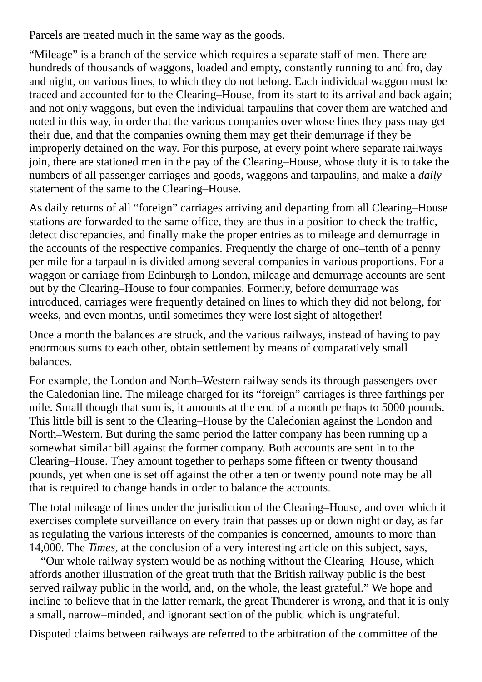Parcels are treated much in the same way as the goods.

"Mileage" is a branch of the service which requires a separate staff of men. There are hundreds of thousands of waggons, loaded and empty, constantly running to and fro, day and night, on various lines, to which they do not belong. Each individual waggon must be traced and accounted for to the Clearing–House, from its start to its arrival and back again; and not only waggons, but even the individual tarpaulins that cover them are watched and noted in this way, in order that the various companies over whose lines they pass may get their due, and that the companies owning them may get their demurrage if they be improperly detained on the way. For this purpose, at every point where separate railways join, there are stationed men in the pay of the Clearing–House, whose duty it is to take the numbers of all passenger carriages and goods, waggons and tarpaulins, and make a *daily* statement of the same to the Clearing–House.

As daily returns of all "foreign" carriages arriving and departing from all Clearing–House stations are forwarded to the same office, they are thus in a position to check the traffic, detect discrepancies, and finally make the proper entries as to mileage and demurrage in the accounts of the respective companies. Frequently the charge of one–tenth of a penny per mile for a tarpaulin is divided among several companies in various proportions. For a waggon or carriage from Edinburgh to London, mileage and demurrage accounts are sent out by the Clearing–House to four companies. Formerly, before demurrage was introduced, carriages were frequently detained on lines to which they did not belong, for weeks, and even months, until sometimes they were lost sight of altogether!

Once a month the balances are struck, and the various railways, instead of having to pay enormous sums to each other, obtain settlement by means of comparatively small balances.

For example, the London and North–Western railway sends its through passengers over the Caledonian line. The mileage charged for its "foreign" carriages is three farthings per mile. Small though that sum is, it amounts at the end of a month perhaps to 5000 pounds. This little bill is sent to the Clearing–House by the Caledonian against the London and North–Western. But during the same period the latter company has been running up a somewhat similar bill against the former company. Both accounts are sent in to the Clearing–House. They amount together to perhaps some fifteen or twenty thousand pounds, yet when one is set off against the other a ten or twenty pound note may be all that is required to change hands in order to balance the accounts.

The total mileage of lines under the jurisdiction of the Clearing–House, and over which it exercises complete surveillance on every train that passes up or down night or day, as far as regulating the various interests of the companies is concerned, amounts to more than 14,000. The *Times*, at the conclusion of a very interesting article on this subject, says, —"Our whole railway system would be as nothing without the Clearing–House, which affords another illustration of the great truth that the British railway public is the best served railway public in the world, and, on the whole, the least grateful." We hope and incline to believe that in the latter remark, the great Thunderer is wrong, and that it is only a small, narrow–minded, and ignorant section of the public which is ungrateful.

Disputed claims between railways are referred to the arbitration of the committee of the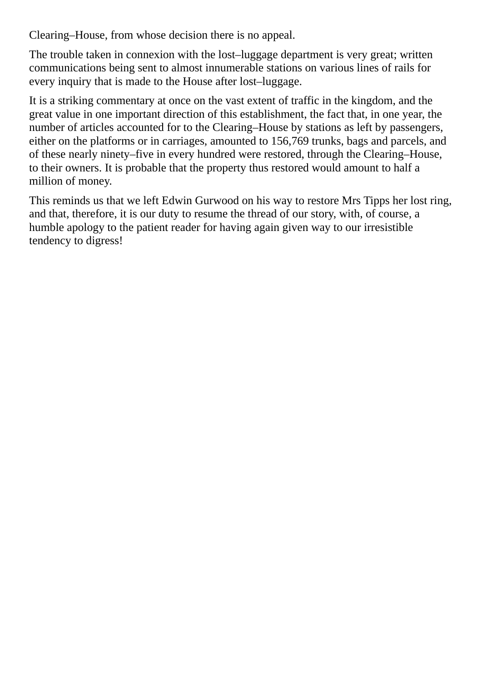Clearing–House, from whose decision there is no appeal.

The trouble taken in connexion with the lost–luggage department is very great; written communications being sent to almost innumerable stations on various lines of rails for every inquiry that is made to the House after lost–luggage.

It is a striking commentary at once on the vast extent of traffic in the kingdom, and the great value in one important direction of this establishment, the fact that, in one year, the number of articles accounted for to the Clearing–House by stations as left by passengers, either on the platforms or in carriages, amounted to 156,769 trunks, bags and parcels, and of these nearly ninety–five in every hundred were restored, through the Clearing–House, to their owners. It is probable that the property thus restored would amount to half a million of money.

This reminds us that we left Edwin Gurwood on his way to restore Mrs Tipps her lost ring, and that, therefore, it is our duty to resume the thread of our story, with, of course, a humble apology to the patient reader for having again given way to our irresistible tendency to digress!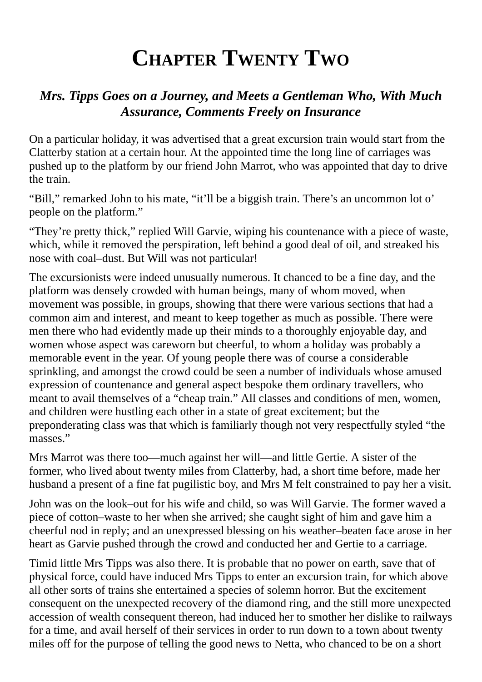# **CHAPTER TWENTY TWO**

### *Mrs. Tipps Goes on a Journey, and Meets a Gentleman Who, With Much Assurance, Comments Freely on Insurance*

On a particular holiday, it was advertised that a great excursion train would start from the Clatterby station at a certain hour. At the appointed time the long line of carriages was pushed up to the platform by our friend John Marrot, who was appointed that day to drive the train.

"Bill," remarked John to his mate, "it'll be a biggish train. There's an uncommon lot o' people on the platform."

"They're pretty thick," replied Will Garvie, wiping his countenance with a piece of waste, which, while it removed the perspiration, left behind a good deal of oil, and streaked his nose with coal–dust. But Will was not particular!

The excursionists were indeed unusually numerous. It chanced to be a fine day, and the platform was densely crowded with human beings, many of whom moved, when movement was possible, in groups, showing that there were various sections that had a common aim and interest, and meant to keep together as much as possible. There were men there who had evidently made up their minds to a thoroughly enjoyable day, and women whose aspect was careworn but cheerful, to whom a holiday was probably a memorable event in the year. Of young people there was of course a considerable sprinkling, and amongst the crowd could be seen a number of individuals whose amused expression of countenance and general aspect bespoke them ordinary travellers, who meant to avail themselves of a "cheap train." All classes and conditions of men, women, and children were hustling each other in a state of great excitement; but the preponderating class was that which is familiarly though not very respectfully styled "the masses."

Mrs Marrot was there too—much against her will—and little Gertie. A sister of the former, who lived about twenty miles from Clatterby, had, a short time before, made her husband a present of a fine fat pugilistic boy, and Mrs M felt constrained to pay her a visit.

John was on the look–out for his wife and child, so was Will Garvie. The former waved a piece of cotton–waste to her when she arrived; she caught sight of him and gave him a cheerful nod in reply; and an unexpressed blessing on his weather–beaten face arose in her heart as Garvie pushed through the crowd and conducted her and Gertie to a carriage.

Timid little Mrs Tipps was also there. It is probable that no power on earth, save that of physical force, could have induced Mrs Tipps to enter an excursion train, for which above all other sorts of trains she entertained a species of solemn horror. But the excitement consequent on the unexpected recovery of the diamond ring, and the still more unexpected accession of wealth consequent thereon, had induced her to smother her dislike to railways for a time, and avail herself of their services in order to run down to a town about twenty miles off for the purpose of telling the good news to Netta, who chanced to be on a short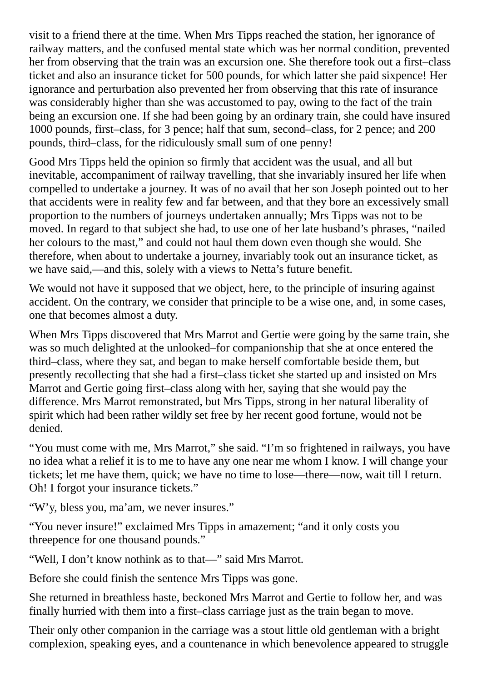visit to a friend there at the time. When Mrs Tipps reached the station, her ignorance of railway matters, and the confused mental state which was her normal condition, prevented her from observing that the train was an excursion one. She therefore took out a first–class ticket and also an insurance ticket for 500 pounds, for which latter she paid sixpence! Her ignorance and perturbation also prevented her from observing that this rate of insurance was considerably higher than she was accustomed to pay, owing to the fact of the train being an excursion one. If she had been going by an ordinary train, she could have insured 1000 pounds, first–class, for 3 pence; half that sum, second–class, for 2 pence; and 200 pounds, third–class, for the ridiculously small sum of one penny!

Good Mrs Tipps held the opinion so firmly that accident was the usual, and all but inevitable, accompaniment of railway travelling, that she invariably insured her life when compelled to undertake a journey. It was of no avail that her son Joseph pointed out to her that accidents were in reality few and far between, and that they bore an excessively small proportion to the numbers of journeys undertaken annually; Mrs Tipps was not to be moved. In regard to that subject she had, to use one of her late husband's phrases, "nailed her colours to the mast," and could not haul them down even though she would. She therefore, when about to undertake a journey, invariably took out an insurance ticket, as we have said,—and this, solely with a views to Netta's future benefit.

We would not have it supposed that we object, here, to the principle of insuring against accident. On the contrary, we consider that principle to be a wise one, and, in some cases, one that becomes almost a duty.

When Mrs Tipps discovered that Mrs Marrot and Gertie were going by the same train, she was so much delighted at the unlooked–for companionship that she at once entered the third–class, where they sat, and began to make herself comfortable beside them, but presently recollecting that she had a first–class ticket she started up and insisted on Mrs Marrot and Gertie going first–class along with her, saying that she would pay the difference. Mrs Marrot remonstrated, but Mrs Tipps, strong in her natural liberality of spirit which had been rather wildly set free by her recent good fortune, would not be denied.

"You must come with me, Mrs Marrot," she said. "I'm so frightened in railways, you have no idea what a relief it is to me to have any one near me whom I know. I will change your tickets; let me have them, quick; we have no time to lose—there—now, wait till I return. Oh! I forgot your insurance tickets."

"W'y, bless you, ma'am, we never insures."

"You never insure!" exclaimed Mrs Tipps in amazement; "and it only costs you threepence for one thousand pounds."

"Well, I don't know nothink as to that—" said Mrs Marrot.

Before she could finish the sentence Mrs Tipps was gone.

She returned in breathless haste, beckoned Mrs Marrot and Gertie to follow her, and was finally hurried with them into a first–class carriage just as the train began to move.

Their only other companion in the carriage was a stout little old gentleman with a bright complexion, speaking eyes, and a countenance in which benevolence appeared to struggle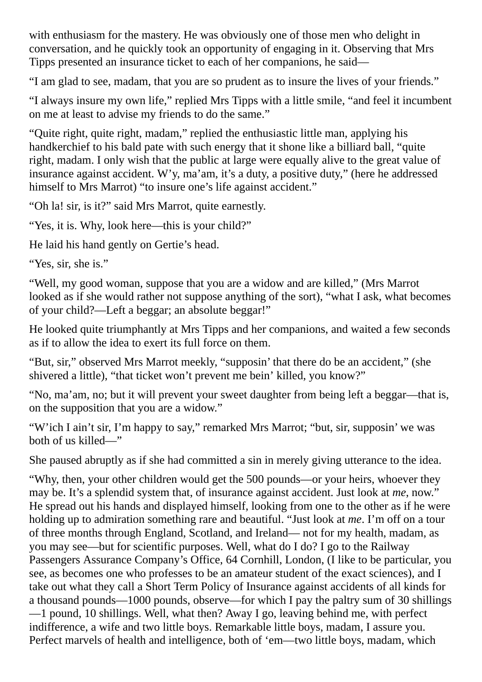with enthusiasm for the mastery. He was obviously one of those men who delight in conversation, and he quickly took an opportunity of engaging in it. Observing that Mrs Tipps presented an insurance ticket to each of her companions, he said—

"I am glad to see, madam, that you are so prudent as to insure the lives of your friends."

"I always insure my own life," replied Mrs Tipps with a little smile, "and feel it incumbent on me at least to advise my friends to do the same."

"Quite right, quite right, madam," replied the enthusiastic little man, applying his handkerchief to his bald pate with such energy that it shone like a billiard ball. "quite right, madam. I only wish that the public at large were equally alive to the great value of insurance against accident. W'y, ma'am, it's a duty, a positive duty," (here he addressed himself to Mrs Marrot) "to insure one's life against accident."

"Oh la! sir, is it?" said Mrs Marrot, quite earnestly.

"Yes, it is. Why, look here—this is your child?"

He laid his hand gently on Gertie's head.

"Yes, sir, she is."

"Well, my good woman, suppose that you are a widow and are killed," (Mrs Marrot looked as if she would rather not suppose anything of the sort), "what I ask, what becomes of your child?—Left a beggar; an absolute beggar!"

He looked quite triumphantly at Mrs Tipps and her companions, and waited a few seconds as if to allow the idea to exert its full force on them.

"But, sir," observed Mrs Marrot meekly, "supposin' that there do be an accident," (she shivered a little), "that ticket won't prevent me bein' killed, you know?"

"No, ma'am, no; but it will prevent your sweet daughter from being left a beggar—that is, on the supposition that you are a widow."

"W'ich I ain't sir, I'm happy to say," remarked Mrs Marrot; "but, sir, supposin' we was both of us killed—"

She paused abruptly as if she had committed a sin in merely giving utterance to the idea.

"Why, then, your other children would get the 500 pounds—or your heirs, whoever they may be. It's a splendid system that, of insurance against accident. Just look at *me*, now." He spread out his hands and displayed himself, looking from one to the other as if he were holding up to admiration something rare and beautiful. "Just look at *me*. I'm off on a tour of three months through England, Scotland, and Ireland— not for my health, madam, as you may see—but for scientific purposes. Well, what do I do? I go to the Railway Passengers Assurance Company's Office, 64 Cornhill, London, (I like to be particular, you see, as becomes one who professes to be an amateur student of the exact sciences), and I take out what they call a Short Term Policy of Insurance against accidents of all kinds for a thousand pounds—1000 pounds, observe—for which I pay the paltry sum of 30 shillings —1 pound, 10 shillings. Well, what then? Away I go, leaving behind me, with perfect indifference, a wife and two little boys. Remarkable little boys, madam, I assure you. Perfect marvels of health and intelligence, both of 'em—two little boys, madam, which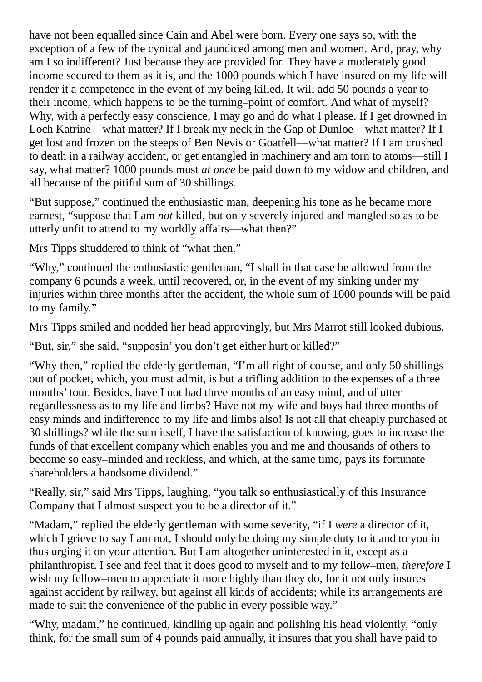have not been equalled since Cain and Abel were born. Every one says so, with the exception of a few of the cynical and jaundiced among men and women. And, pray, why am I so indifferent? Just because they are provided for. They have a moderately good income secured to them as it is, and the 1000 pounds which I have insured on my life will render it a competence in the event of my being killed. It will add 50 pounds a year to their income, which happens to be the turning–point of comfort. And what of myself? Why, with a perfectly easy conscience, I may go and do what I please. If I get drowned in Loch Katrine—what matter? If I break my neck in the Gap of Dunloe—what matter? If I get lost and frozen on the steeps of Ben Nevis or Goatfell—what matter? If I am crushed to death in a railway accident, or get entangled in machinery and am torn to atoms—still I say, what matter? 1000 pounds must *at once* be paid down to my widow and children, and all because of the pitiful sum of 30 shillings.

"But suppose," continued the enthusiastic man, deepening his tone as he became more earnest, "suppose that I am *not* killed, but only severely injured and mangled so as to be utterly unfit to attend to my worldly affairs—what then?"

Mrs Tipps shuddered to think of "what then."

"Why," continued the enthusiastic gentleman, "I shall in that case be allowed from the company 6 pounds a week, until recovered, or, in the event of my sinking under my injuries within three months after the accident, the whole sum of 1000 pounds will be paid to my family."

Mrs Tipps smiled and nodded her head approvingly, but Mrs Marrot still looked dubious.

"But, sir," she said, "supposin' you don't get either hurt or killed?"

"Why then," replied the elderly gentleman, "I'm all right of course, and only 50 shillings out of pocket, which, you must admit, is but a trifling addition to the expenses of a three months' tour. Besides, have I not had three months of an easy mind, and of utter regardlessness as to my life and limbs? Have not my wife and boys had three months of easy minds and indifference to my life and limbs also! Is not all that cheaply purchased at 30 shillings? while the sum itself, I have the satisfaction of knowing, goes to increase the funds of that excellent company which enables you and me and thousands of others to become so easy–minded and reckless, and which, at the same time, pays its fortunate shareholders a handsome dividend."

"Really, sir," said Mrs Tipps, laughing, "you talk so enthusiastically of this Insurance Company that I almost suspect you to be a director of it."

"Madam," replied the elderly gentleman with some severity, "if I *were* a director of it, which I grieve to say I am not, I should only be doing my simple duty to it and to you in thus urging it on your attention. But I am altogether uninterested in it, except as a philanthropist. I see and feel that it does good to myself and to my fellow–men, *therefore* I wish my fellow–men to appreciate it more highly than they do, for it not only insures against accident by railway, but against all kinds of accidents; while its arrangements are made to suit the convenience of the public in every possible way."

"Why, madam," he continued, kindling up again and polishing his head violently, "only think, for the small sum of 4 pounds paid annually, it insures that you shall have paid to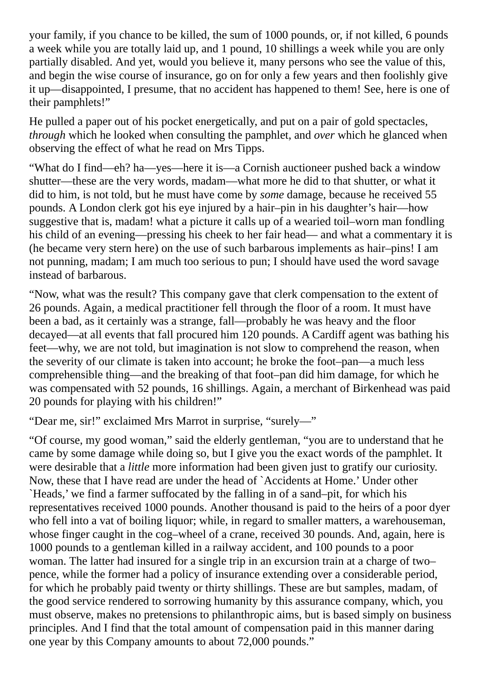your family, if you chance to be killed, the sum of 1000 pounds, or, if not killed, 6 pounds a week while you are totally laid up, and 1 pound, 10 shillings a week while you are only partially disabled. And yet, would you believe it, many persons who see the value of this, and begin the wise course of insurance, go on for only a few years and then foolishly give it up—disappointed, I presume, that no accident has happened to them! See, here is one of their pamphlets!"

He pulled a paper out of his pocket energetically, and put on a pair of gold spectacles, *through* which he looked when consulting the pamphlet, and *over* which he glanced when observing the effect of what he read on Mrs Tipps.

"What do I find—eh? ha—yes—here it is—a Cornish auctioneer pushed back a window shutter—these are the very words, madam—what more he did to that shutter, or what it did to him, is not told, but he must have come by *some* damage, because he received 55 pounds. A London clerk got his eye injured by a hair–pin in his daughter's hair—how suggestive that is, madam! what a picture it calls up of a wearied toil–worn man fondling his child of an evening—pressing his cheek to her fair head— and what a commentary it is (he became very stern here) on the use of such barbarous implements as hair–pins! I am not punning, madam; I am much too serious to pun; I should have used the word savage instead of barbarous.

"Now, what was the result? This company gave that clerk compensation to the extent of 26 pounds. Again, a medical practitioner fell through the floor of a room. It must have been a bad, as it certainly was a strange, fall—probably he was heavy and the floor decayed—at all events that fall procured him 120 pounds. A Cardiff agent was bathing his feet—why, we are not told, but imagination is not slow to comprehend the reason, when the severity of our climate is taken into account; he broke the foot–pan—a much less comprehensible thing—and the breaking of that foot–pan did him damage, for which he was compensated with 52 pounds, 16 shillings. Again, a merchant of Birkenhead was paid 20 pounds for playing with his children!"

"Dear me, sir!" exclaimed Mrs Marrot in surprise, "surely—"

"Of course, my good woman," said the elderly gentleman, "you are to understand that he came by some damage while doing so, but I give you the exact words of the pamphlet. It were desirable that a *little* more information had been given just to gratify our curiosity. Now, these that I have read are under the head of `Accidents at Home.' Under other `Heads,' we find a farmer suffocated by the falling in of a sand–pit, for which his representatives received 1000 pounds. Another thousand is paid to the heirs of a poor dyer who fell into a vat of boiling liquor; while, in regard to smaller matters, a warehouseman, whose finger caught in the cog–wheel of a crane, received 30 pounds. And, again, here is 1000 pounds to a gentleman killed in a railway accident, and 100 pounds to a poor woman. The latter had insured for a single trip in an excursion train at a charge of two– pence, while the former had a policy of insurance extending over a considerable period, for which he probably paid twenty or thirty shillings. These are but samples, madam, of the good service rendered to sorrowing humanity by this assurance company, which, you must observe, makes no pretensions to philanthropic aims, but is based simply on business principles. And I find that the total amount of compensation paid in this manner daring one year by this Company amounts to about 72,000 pounds."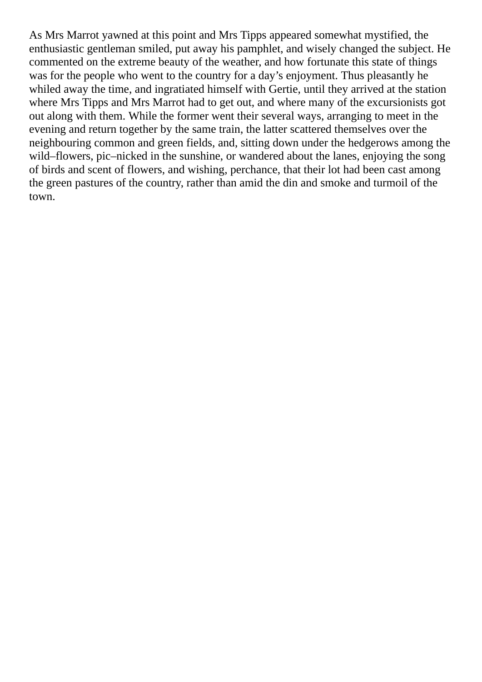As Mrs Marrot yawned at this point and Mrs Tipps appeared somewhat mystified, the enthusiastic gentleman smiled, put away his pamphlet, and wisely changed the subject. He commented on the extreme beauty of the weather, and how fortunate this state of things was for the people who went to the country for a day's enjoyment. Thus pleasantly he whiled away the time, and ingratiated himself with Gertie, until they arrived at the station where Mrs Tipps and Mrs Marrot had to get out, and where many of the excursionists got out along with them. While the former went their several ways, arranging to meet in the evening and return together by the same train, the latter scattered themselves over the neighbouring common and green fields, and, sitting down under the hedgerows among the wild–flowers, pic–nicked in the sunshine, or wandered about the lanes, enjoying the song of birds and scent of flowers, and wishing, perchance, that their lot had been cast among the green pastures of the country, rather than amid the din and smoke and turmoil of the town.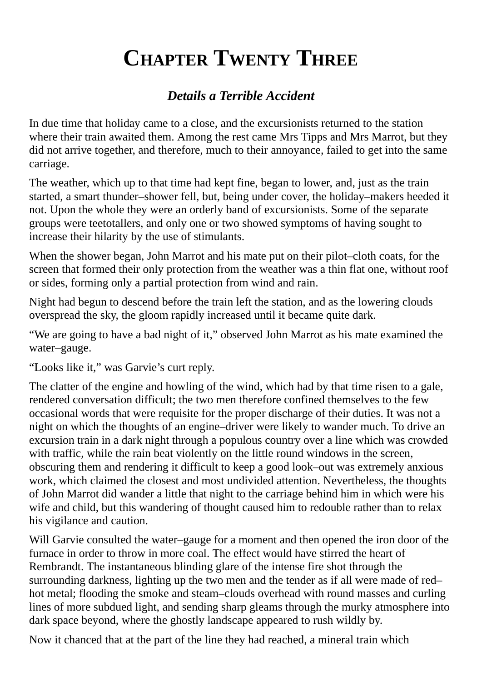# **CHAPTER TWENTY THREE**

### *Details a Terrible Accident*

In due time that holiday came to a close, and the excursionists returned to the station where their train awaited them. Among the rest came Mrs Tipps and Mrs Marrot, but they did not arrive together, and therefore, much to their annoyance, failed to get into the same carriage.

The weather, which up to that time had kept fine, began to lower, and, just as the train started, a smart thunder–shower fell, but, being under cover, the holiday–makers heeded it not. Upon the whole they were an orderly band of excursionists. Some of the separate groups were teetotallers, and only one or two showed symptoms of having sought to increase their hilarity by the use of stimulants.

When the shower began, John Marrot and his mate put on their pilot–cloth coats, for the screen that formed their only protection from the weather was a thin flat one, without roof or sides, forming only a partial protection from wind and rain.

Night had begun to descend before the train left the station, and as the lowering clouds overspread the sky, the gloom rapidly increased until it became quite dark.

"We are going to have a bad night of it," observed John Marrot as his mate examined the water–gauge.

"Looks like it," was Garvie's curt reply.

The clatter of the engine and howling of the wind, which had by that time risen to a gale, rendered conversation difficult; the two men therefore confined themselves to the few occasional words that were requisite for the proper discharge of their duties. It was not a night on which the thoughts of an engine–driver were likely to wander much. To drive an excursion train in a dark night through a populous country over a line which was crowded with traffic, while the rain beat violently on the little round windows in the screen, obscuring them and rendering it difficult to keep a good look–out was extremely anxious work, which claimed the closest and most undivided attention. Nevertheless, the thoughts of John Marrot did wander a little that night to the carriage behind him in which were his wife and child, but this wandering of thought caused him to redouble rather than to relax his vigilance and caution.

Will Garvie consulted the water–gauge for a moment and then opened the iron door of the furnace in order to throw in more coal. The effect would have stirred the heart of Rembrandt. The instantaneous blinding glare of the intense fire shot through the surrounding darkness, lighting up the two men and the tender as if all were made of red– hot metal; flooding the smoke and steam–clouds overhead with round masses and curling lines of more subdued light, and sending sharp gleams through the murky atmosphere into dark space beyond, where the ghostly landscape appeared to rush wildly by.

Now it chanced that at the part of the line they had reached, a mineral train which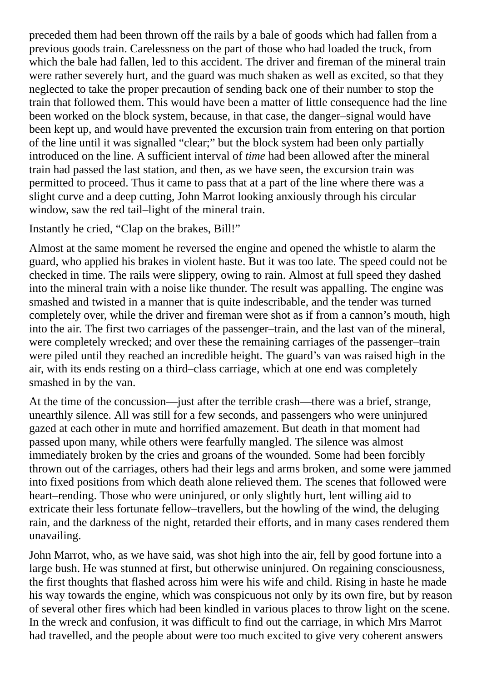preceded them had been thrown off the rails by a bale of goods which had fallen from a previous goods train. Carelessness on the part of those who had loaded the truck, from which the bale had fallen, led to this accident. The driver and fireman of the mineral train were rather severely hurt, and the guard was much shaken as well as excited, so that they neglected to take the proper precaution of sending back one of their number to stop the train that followed them. This would have been a matter of little consequence had the line been worked on the block system, because, in that case, the danger–signal would have been kept up, and would have prevented the excursion train from entering on that portion of the line until it was signalled "clear;" but the block system had been only partially introduced on the line. A sufficient interval of *time* had been allowed after the mineral train had passed the last station, and then, as we have seen, the excursion train was permitted to proceed. Thus it came to pass that at a part of the line where there was a slight curve and a deep cutting, John Marrot looking anxiously through his circular window, saw the red tail–light of the mineral train.

Instantly he cried, "Clap on the brakes, Bill!"

Almost at the same moment he reversed the engine and opened the whistle to alarm the guard, who applied his brakes in violent haste. But it was too late. The speed could not be checked in time. The rails were slippery, owing to rain. Almost at full speed they dashed into the mineral train with a noise like thunder. The result was appalling. The engine was smashed and twisted in a manner that is quite indescribable, and the tender was turned completely over, while the driver and fireman were shot as if from a cannon's mouth, high into the air. The first two carriages of the passenger–train, and the last van of the mineral, were completely wrecked; and over these the remaining carriages of the passenger–train were piled until they reached an incredible height. The guard's van was raised high in the air, with its ends resting on a third–class carriage, which at one end was completely smashed in by the van.

At the time of the concussion—just after the terrible crash—there was a brief, strange, unearthly silence. All was still for a few seconds, and passengers who were uninjured gazed at each other in mute and horrified amazement. But death in that moment had passed upon many, while others were fearfully mangled. The silence was almost immediately broken by the cries and groans of the wounded. Some had been forcibly thrown out of the carriages, others had their legs and arms broken, and some were jammed into fixed positions from which death alone relieved them. The scenes that followed were heart–rending. Those who were uninjured, or only slightly hurt, lent willing aid to extricate their less fortunate fellow–travellers, but the howling of the wind, the deluging rain, and the darkness of the night, retarded their efforts, and in many cases rendered them unavailing.

John Marrot, who, as we have said, was shot high into the air, fell by good fortune into a large bush. He was stunned at first, but otherwise uninjured. On regaining consciousness, the first thoughts that flashed across him were his wife and child. Rising in haste he made his way towards the engine, which was conspicuous not only by its own fire, but by reason of several other fires which had been kindled in various places to throw light on the scene. In the wreck and confusion, it was difficult to find out the carriage, in which Mrs Marrot had travelled, and the people about were too much excited to give very coherent answers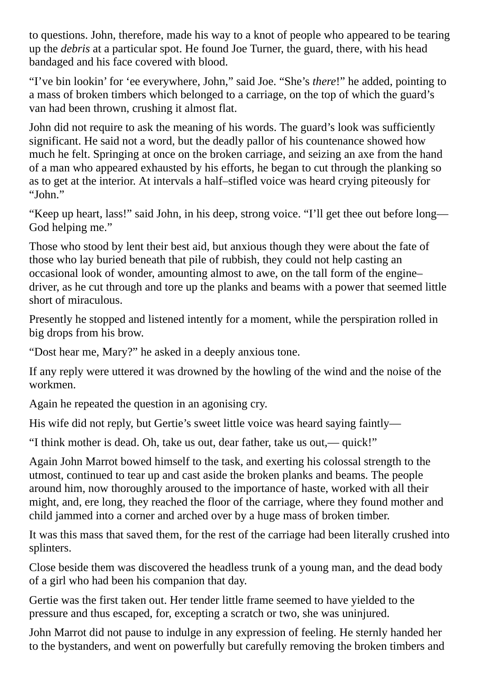to questions. John, therefore, made his way to a knot of people who appeared to be tearing up the *debris* at a particular spot. He found Joe Turner, the guard, there, with his head bandaged and his face covered with blood.

"I've bin lookin' for 'ee everywhere, John," said Joe. "She's *there*!" he added, pointing to a mass of broken timbers which belonged to a carriage, on the top of which the guard's van had been thrown, crushing it almost flat.

John did not require to ask the meaning of his words. The guard's look was sufficiently significant. He said not a word, but the deadly pallor of his countenance showed how much he felt. Springing at once on the broken carriage, and seizing an axe from the hand of a man who appeared exhausted by his efforts, he began to cut through the planking so as to get at the interior. At intervals a half–stifled voice was heard crying piteously for "John."

"Keep up heart, lass!" said John, in his deep, strong voice. "I'll get thee out before long— God helping me."

Those who stood by lent their best aid, but anxious though they were about the fate of those who lay buried beneath that pile of rubbish, they could not help casting an occasional look of wonder, amounting almost to awe, on the tall form of the engine– driver, as he cut through and tore up the planks and beams with a power that seemed little short of miraculous.

Presently he stopped and listened intently for a moment, while the perspiration rolled in big drops from his brow.

"Dost hear me, Mary?" he asked in a deeply anxious tone.

If any reply were uttered it was drowned by the howling of the wind and the noise of the workmen.

Again he repeated the question in an agonising cry.

His wife did not reply, but Gertie's sweet little voice was heard saying faintly—

"I think mother is dead. Oh, take us out, dear father, take us out,— quick!"

Again John Marrot bowed himself to the task, and exerting his colossal strength to the utmost, continued to tear up and cast aside the broken planks and beams. The people around him, now thoroughly aroused to the importance of haste, worked with all their might, and, ere long, they reached the floor of the carriage, where they found mother and child jammed into a corner and arched over by a huge mass of broken timber.

It was this mass that saved them, for the rest of the carriage had been literally crushed into splinters.

Close beside them was discovered the headless trunk of a young man, and the dead body of a girl who had been his companion that day.

Gertie was the first taken out. Her tender little frame seemed to have yielded to the pressure and thus escaped, for, excepting a scratch or two, she was uninjured.

John Marrot did not pause to indulge in any expression of feeling. He sternly handed her to the bystanders, and went on powerfully but carefully removing the broken timbers and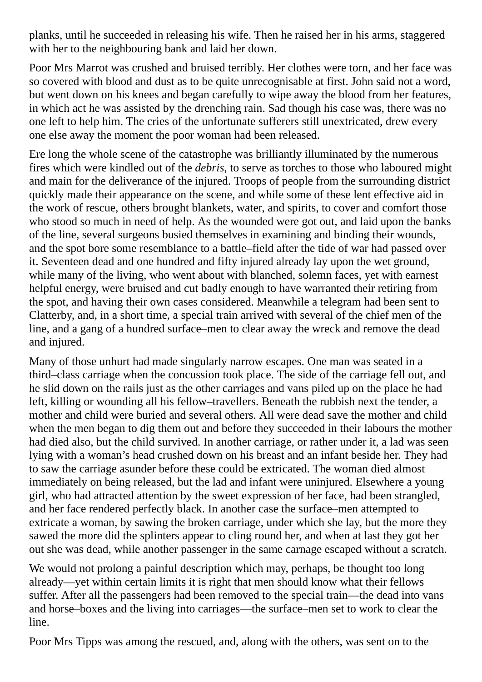planks, until he succeeded in releasing his wife. Then he raised her in his arms, staggered with her to the neighbouring bank and laid her down.

Poor Mrs Marrot was crushed and bruised terribly. Her clothes were torn, and her face was so covered with blood and dust as to be quite unrecognisable at first. John said not a word, but went down on his knees and began carefully to wipe away the blood from her features, in which act he was assisted by the drenching rain. Sad though his case was, there was no one left to help him. The cries of the unfortunate sufferers still unextricated, drew every one else away the moment the poor woman had been released.

Ere long the whole scene of the catastrophe was brilliantly illuminated by the numerous fires which were kindled out of the *debris*, to serve as torches to those who laboured might and main for the deliverance of the injured. Troops of people from the surrounding district quickly made their appearance on the scene, and while some of these lent effective aid in the work of rescue, others brought blankets, water, and spirits, to cover and comfort those who stood so much in need of help. As the wounded were got out, and laid upon the banks of the line, several surgeons busied themselves in examining and binding their wounds, and the spot bore some resemblance to a battle–field after the tide of war had passed over it. Seventeen dead and one hundred and fifty injured already lay upon the wet ground, while many of the living, who went about with blanched, solemn faces, yet with earnest helpful energy, were bruised and cut badly enough to have warranted their retiring from the spot, and having their own cases considered. Meanwhile a telegram had been sent to Clatterby, and, in a short time, a special train arrived with several of the chief men of the line, and a gang of a hundred surface–men to clear away the wreck and remove the dead and injured.

Many of those unhurt had made singularly narrow escapes. One man was seated in a third–class carriage when the concussion took place. The side of the carriage fell out, and he slid down on the rails just as the other carriages and vans piled up on the place he had left, killing or wounding all his fellow–travellers. Beneath the rubbish next the tender, a mother and child were buried and several others. All were dead save the mother and child when the men began to dig them out and before they succeeded in their labours the mother had died also, but the child survived. In another carriage, or rather under it, a lad was seen lying with a woman's head crushed down on his breast and an infant beside her. They had to saw the carriage asunder before these could be extricated. The woman died almost immediately on being released, but the lad and infant were uninjured. Elsewhere a young girl, who had attracted attention by the sweet expression of her face, had been strangled, and her face rendered perfectly black. In another case the surface–men attempted to extricate a woman, by sawing the broken carriage, under which she lay, but the more they sawed the more did the splinters appear to cling round her, and when at last they got her out she was dead, while another passenger in the same carnage escaped without a scratch.

We would not prolong a painful description which may, perhaps, be thought too long already—yet within certain limits it is right that men should know what their fellows suffer. After all the passengers had been removed to the special train—the dead into vans and horse–boxes and the living into carriages—the surface–men set to work to clear the line.

Poor Mrs Tipps was among the rescued, and, along with the others, was sent on to the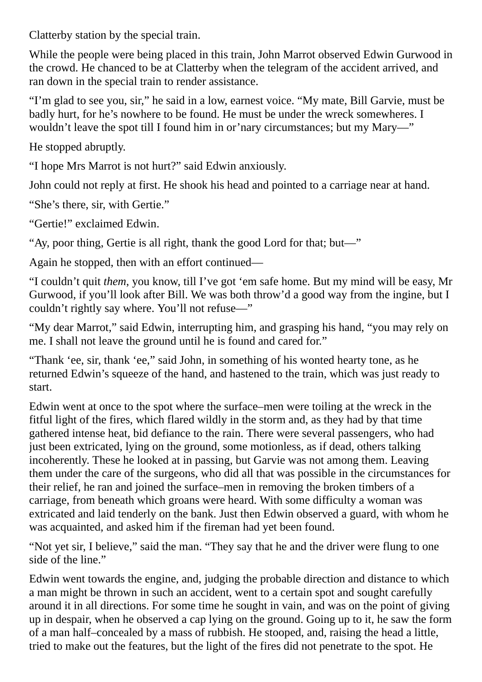Clatterby station by the special train.

While the people were being placed in this train, John Marrot observed Edwin Gurwood in the crowd. He chanced to be at Clatterby when the telegram of the accident arrived, and ran down in the special train to render assistance.

"I'm glad to see you, sir," he said in a low, earnest voice. "My mate, Bill Garvie, must be badly hurt, for he's nowhere to be found. He must be under the wreck somewheres. I wouldn't leave the spot till I found him in or'nary circumstances; but my Mary—"

He stopped abruptly.

"I hope Mrs Marrot is not hurt?" said Edwin anxiously.

John could not reply at first. He shook his head and pointed to a carriage near at hand.

"She's there, sir, with Gertie."

"Gertie!" exclaimed Edwin.

"Ay, poor thing, Gertie is all right, thank the good Lord for that; but—"

Again he stopped, then with an effort continued—

"I couldn't quit *them*, you know, till I've got 'em safe home. But my mind will be easy, Mr Gurwood, if you'll look after Bill. We was both throw'd a good way from the ingine, but I couldn't rightly say where. You'll not refuse—"

"My dear Marrot," said Edwin, interrupting him, and grasping his hand, "you may rely on me. I shall not leave the ground until he is found and cared for."

"Thank 'ee, sir, thank 'ee," said John, in something of his wonted hearty tone, as he returned Edwin's squeeze of the hand, and hastened to the train, which was just ready to start.

Edwin went at once to the spot where the surface–men were toiling at the wreck in the fitful light of the fires, which flared wildly in the storm and, as they had by that time gathered intense heat, bid defiance to the rain. There were several passengers, who had just been extricated, lying on the ground, some motionless, as if dead, others talking incoherently. These he looked at in passing, but Garvie was not among them. Leaving them under the care of the surgeons, who did all that was possible in the circumstances for their relief, he ran and joined the surface–men in removing the broken timbers of a carriage, from beneath which groans were heard. With some difficulty a woman was extricated and laid tenderly on the bank. Just then Edwin observed a guard, with whom he was acquainted, and asked him if the fireman had yet been found.

"Not yet sir, I believe," said the man. "They say that he and the driver were flung to one side of the line."

Edwin went towards the engine, and, judging the probable direction and distance to which a man might be thrown in such an accident, went to a certain spot and sought carefully around it in all directions. For some time he sought in vain, and was on the point of giving up in despair, when he observed a cap lying on the ground. Going up to it, he saw the form of a man half–concealed by a mass of rubbish. He stooped, and, raising the head a little, tried to make out the features, but the light of the fires did not penetrate to the spot. He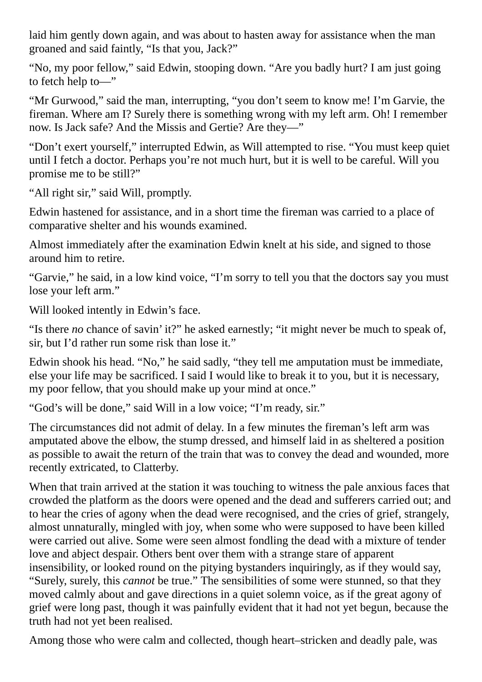laid him gently down again, and was about to hasten away for assistance when the man groaned and said faintly, "Is that you, Jack?"

"No, my poor fellow," said Edwin, stooping down. "Are you badly hurt? I am just going to fetch help to—"

"Mr Gurwood," said the man, interrupting, "you don't seem to know me! I'm Garvie, the fireman. Where am I? Surely there is something wrong with my left arm. Oh! I remember now. Is Jack safe? And the Missis and Gertie? Are they—"

"Don't exert yourself," interrupted Edwin, as Will attempted to rise. "You must keep quiet until I fetch a doctor. Perhaps you're not much hurt, but it is well to be careful. Will you promise me to be still?"

"All right sir," said Will, promptly.

Edwin hastened for assistance, and in a short time the fireman was carried to a place of comparative shelter and his wounds examined.

Almost immediately after the examination Edwin knelt at his side, and signed to those around him to retire.

"Garvie," he said, in a low kind voice, "I'm sorry to tell you that the doctors say you must lose your left arm."

Will looked intently in Edwin's face.

"Is there *no* chance of savin' it?" he asked earnestly; "it might never be much to speak of, sir, but I'd rather run some risk than lose it."

Edwin shook his head. "No," he said sadly, "they tell me amputation must be immediate, else your life may be sacrificed. I said I would like to break it to you, but it is necessary, my poor fellow, that you should make up your mind at once."

"God's will be done," said Will in a low voice; "I'm ready, sir."

The circumstances did not admit of delay. In a few minutes the fireman's left arm was amputated above the elbow, the stump dressed, and himself laid in as sheltered a position as possible to await the return of the train that was to convey the dead and wounded, more recently extricated, to Clatterby.

When that train arrived at the station it was touching to witness the pale anxious faces that crowded the platform as the doors were opened and the dead and sufferers carried out; and to hear the cries of agony when the dead were recognised, and the cries of grief, strangely, almost unnaturally, mingled with joy, when some who were supposed to have been killed were carried out alive. Some were seen almost fondling the dead with a mixture of tender love and abject despair. Others bent over them with a strange stare of apparent insensibility, or looked round on the pitying bystanders inquiringly, as if they would say, "Surely, surely, this *cannot* be true." The sensibilities of some were stunned, so that they moved calmly about and gave directions in a quiet solemn voice, as if the great agony of grief were long past, though it was painfully evident that it had not yet begun, because the truth had not yet been realised.

Among those who were calm and collected, though heart–stricken and deadly pale, was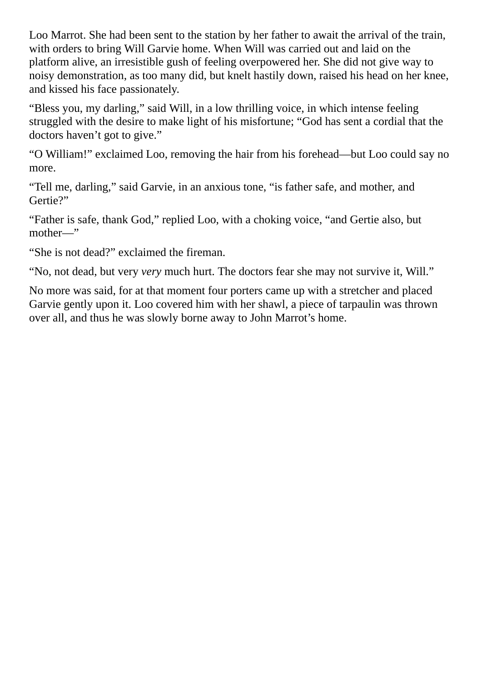Loo Marrot. She had been sent to the station by her father to await the arrival of the train, with orders to bring Will Garvie home. When Will was carried out and laid on the platform alive, an irresistible gush of feeling overpowered her. She did not give way to noisy demonstration, as too many did, but knelt hastily down, raised his head on her knee, and kissed his face passionately.

"Bless you, my darling," said Will, in a low thrilling voice, in which intense feeling struggled with the desire to make light of his misfortune; "God has sent a cordial that the doctors haven't got to give."

"O William!" exclaimed Loo, removing the hair from his forehead—but Loo could say no more.

"Tell me, darling," said Garvie, in an anxious tone, "is father safe, and mother, and Gertie?"

"Father is safe, thank God," replied Loo, with a choking voice, "and Gertie also, but mother—"

"She is not dead?" exclaimed the fireman.

"No, not dead, but very *very* much hurt. The doctors fear she may not survive it, Will."

No more was said, for at that moment four porters came up with a stretcher and placed Garvie gently upon it. Loo covered him with her shawl, a piece of tarpaulin was thrown over all, and thus he was slowly borne away to John Marrot's home.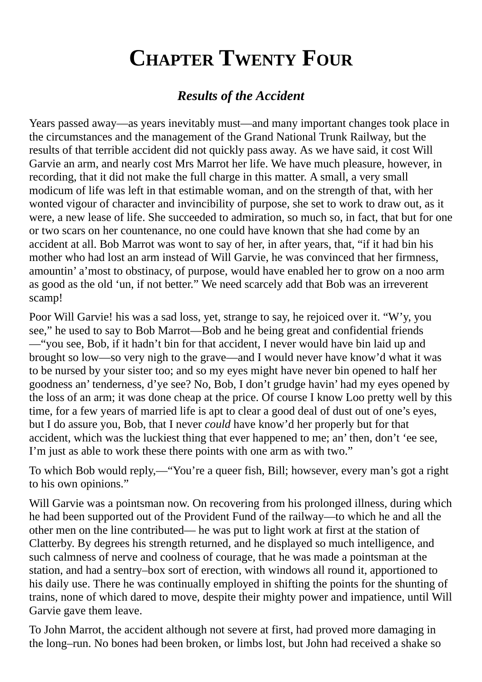## **CHAPTER TWENTY FOUR**

### *Results of the Accident*

Years passed away—as years inevitably must—and many important changes took place in the circumstances and the management of the Grand National Trunk Railway, but the results of that terrible accident did not quickly pass away. As we have said, it cost Will Garvie an arm, and nearly cost Mrs Marrot her life. We have much pleasure, however, in recording, that it did not make the full charge in this matter. A small, a very small modicum of life was left in that estimable woman, and on the strength of that, with her wonted vigour of character and invincibility of purpose, she set to work to draw out, as it were, a new lease of life. She succeeded to admiration, so much so, in fact, that but for one or two scars on her countenance, no one could have known that she had come by an accident at all. Bob Marrot was wont to say of her, in after years, that, "if it had bin his mother who had lost an arm instead of Will Garvie, he was convinced that her firmness, amountin' a'most to obstinacy, of purpose, would have enabled her to grow on a noo arm as good as the old 'un, if not better." We need scarcely add that Bob was an irreverent scamp!

Poor Will Garvie! his was a sad loss, yet, strange to say, he rejoiced over it. "W'y, you see," he used to say to Bob Marrot—Bob and he being great and confidential friends —"you see, Bob, if it hadn't bin for that accident, I never would have bin laid up and brought so low—so very nigh to the grave—and I would never have know'd what it was to be nursed by your sister too; and so my eyes might have never bin opened to half her goodness an' tenderness, d'ye see? No, Bob, I don't grudge havin' had my eyes opened by the loss of an arm; it was done cheap at the price. Of course I know Loo pretty well by this time, for a few years of married life is apt to clear a good deal of dust out of one's eyes, but I do assure you, Bob, that I never *could* have know'd her properly but for that accident, which was the luckiest thing that ever happened to me; an' then, don't 'ee see, I'm just as able to work these there points with one arm as with two."

To which Bob would reply,—"You're a queer fish, Bill; howsever, every man's got a right to his own opinions."

Will Garvie was a pointsman now. On recovering from his prolonged illness, during which he had been supported out of the Provident Fund of the railway—to which he and all the other men on the line contributed— he was put to light work at first at the station of Clatterby. By degrees his strength returned, and he displayed so much intelligence, and such calmness of nerve and coolness of courage, that he was made a pointsman at the station, and had a sentry–box sort of erection, with windows all round it, apportioned to his daily use. There he was continually employed in shifting the points for the shunting of trains, none of which dared to move, despite their mighty power and impatience, until Will Garvie gave them leave.

To John Marrot, the accident although not severe at first, had proved more damaging in the long–run. No bones had been broken, or limbs lost, but John had received a shake so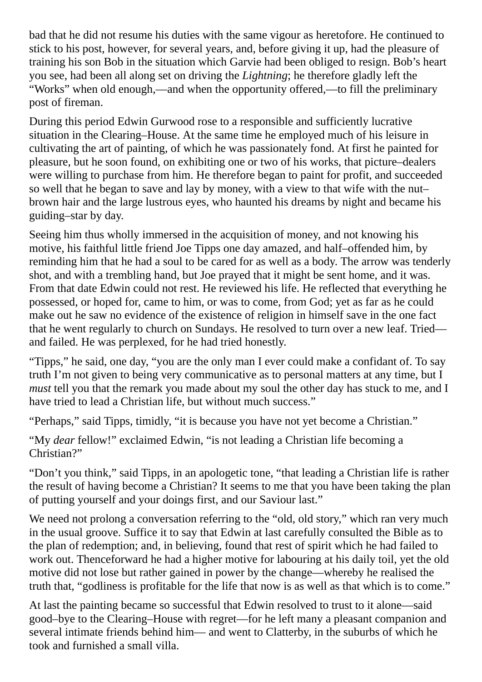bad that he did not resume his duties with the same vigour as heretofore. He continued to stick to his post, however, for several years, and, before giving it up, had the pleasure of training his son Bob in the situation which Garvie had been obliged to resign. Bob's heart you see, had been all along set on driving the *Lightning*; he therefore gladly left the "Works" when old enough,—and when the opportunity offered,—to fill the preliminary post of fireman.

During this period Edwin Gurwood rose to a responsible and sufficiently lucrative situation in the Clearing–House. At the same time he employed much of his leisure in cultivating the art of painting, of which he was passionately fond. At first he painted for pleasure, but he soon found, on exhibiting one or two of his works, that picture–dealers were willing to purchase from him. He therefore began to paint for profit, and succeeded so well that he began to save and lay by money, with a view to that wife with the nut– brown hair and the large lustrous eyes, who haunted his dreams by night and became his guiding–star by day.

Seeing him thus wholly immersed in the acquisition of money, and not knowing his motive, his faithful little friend Joe Tipps one day amazed, and half–offended him, by reminding him that he had a soul to be cared for as well as a body. The arrow was tenderly shot, and with a trembling hand, but Joe prayed that it might be sent home, and it was. From that date Edwin could not rest. He reviewed his life. He reflected that everything he possessed, or hoped for, came to him, or was to come, from God; yet as far as he could make out he saw no evidence of the existence of religion in himself save in the one fact that he went regularly to church on Sundays. He resolved to turn over a new leaf. Tried and failed. He was perplexed, for he had tried honestly.

"Tipps," he said, one day, "you are the only man I ever could make a confidant of. To say truth I'm not given to being very communicative as to personal matters at any time, but I *must* tell you that the remark you made about my soul the other day has stuck to me, and I have tried to lead a Christian life, but without much success."

"Perhaps," said Tipps, timidly, "it is because you have not yet become a Christian."

"My *dear* fellow!" exclaimed Edwin, "is not leading a Christian life becoming a Christian?"

"Don't you think," said Tipps, in an apologetic tone, "that leading a Christian life is rather the result of having become a Christian? It seems to me that you have been taking the plan of putting yourself and your doings first, and our Saviour last."

We need not prolong a conversation referring to the "old, old story," which ran very much in the usual groove. Suffice it to say that Edwin at last carefully consulted the Bible as to the plan of redemption; and, in believing, found that rest of spirit which he had failed to work out. Thenceforward he had a higher motive for labouring at his daily toil, yet the old motive did not lose but rather gained in power by the change—whereby he realised the truth that, "godliness is profitable for the life that now is as well as that which is to come."

At last the painting became so successful that Edwin resolved to trust to it alone—said good–bye to the Clearing–House with regret—for he left many a pleasant companion and several intimate friends behind him— and went to Clatterby, in the suburbs of which he took and furnished a small villa.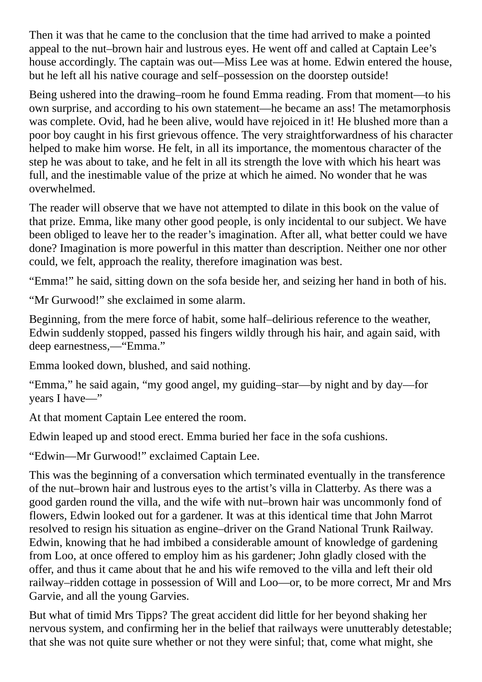Then it was that he came to the conclusion that the time had arrived to make a pointed appeal to the nut–brown hair and lustrous eyes. He went off and called at Captain Lee's house accordingly. The captain was out—Miss Lee was at home. Edwin entered the house, but he left all his native courage and self–possession on the doorstep outside!

Being ushered into the drawing–room he found Emma reading. From that moment—to his own surprise, and according to his own statement—he became an ass! The metamorphosis was complete. Ovid, had he been alive, would have rejoiced in it! He blushed more than a poor boy caught in his first grievous offence. The very straightforwardness of his character helped to make him worse. He felt, in all its importance, the momentous character of the step he was about to take, and he felt in all its strength the love with which his heart was full, and the inestimable value of the prize at which he aimed. No wonder that he was overwhelmed.

The reader will observe that we have not attempted to dilate in this book on the value of that prize. Emma, like many other good people, is only incidental to our subject. We have been obliged to leave her to the reader's imagination. After all, what better could we have done? Imagination is more powerful in this matter than description. Neither one nor other could, we felt, approach the reality, therefore imagination was best.

"Emma!" he said, sitting down on the sofa beside her, and seizing her hand in both of his.

"Mr Gurwood!" she exclaimed in some alarm.

Beginning, from the mere force of habit, some half–delirious reference to the weather, Edwin suddenly stopped, passed his fingers wildly through his hair, and again said, with deep earnestness,—"Emma."

Emma looked down, blushed, and said nothing.

"Emma," he said again, "my good angel, my guiding–star—by night and by day—for years I have—"

At that moment Captain Lee entered the room.

Edwin leaped up and stood erect. Emma buried her face in the sofa cushions.

"Edwin—Mr Gurwood!" exclaimed Captain Lee.

This was the beginning of a conversation which terminated eventually in the transference of the nut–brown hair and lustrous eyes to the artist's villa in Clatterby. As there was a good garden round the villa, and the wife with nut–brown hair was uncommonly fond of flowers, Edwin looked out for a gardener. It was at this identical time that John Marrot resolved to resign his situation as engine–driver on the Grand National Trunk Railway. Edwin, knowing that he had imbibed a considerable amount of knowledge of gardening from Loo, at once offered to employ him as his gardener; John gladly closed with the offer, and thus it came about that he and his wife removed to the villa and left their old railway–ridden cottage in possession of Will and Loo—or, to be more correct, Mr and Mrs Garvie, and all the young Garvies.

But what of timid Mrs Tipps? The great accident did little for her beyond shaking her nervous system, and confirming her in the belief that railways were unutterably detestable; that she was not quite sure whether or not they were sinful; that, come what might, she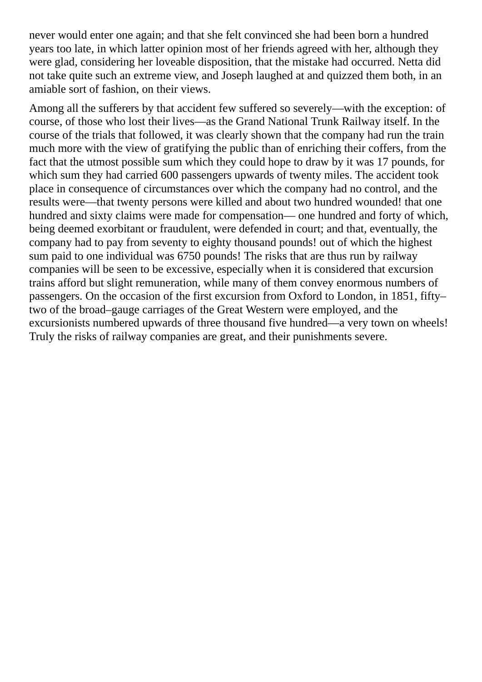never would enter one again; and that she felt convinced she had been born a hundred years too late, in which latter opinion most of her friends agreed with her, although they were glad, considering her loveable disposition, that the mistake had occurred. Netta did not take quite such an extreme view, and Joseph laughed at and quizzed them both, in an amiable sort of fashion, on their views.

Among all the sufferers by that accident few suffered so severely—with the exception: of course, of those who lost their lives—as the Grand National Trunk Railway itself. In the course of the trials that followed, it was clearly shown that the company had run the train much more with the view of gratifying the public than of enriching their coffers, from the fact that the utmost possible sum which they could hope to draw by it was 17 pounds, for which sum they had carried 600 passengers upwards of twenty miles. The accident took place in consequence of circumstances over which the company had no control, and the results were—that twenty persons were killed and about two hundred wounded! that one hundred and sixty claims were made for compensation— one hundred and forty of which, being deemed exorbitant or fraudulent, were defended in court; and that, eventually, the company had to pay from seventy to eighty thousand pounds! out of which the highest sum paid to one individual was 6750 pounds! The risks that are thus run by railway companies will be seen to be excessive, especially when it is considered that excursion trains afford but slight remuneration, while many of them convey enormous numbers of passengers. On the occasion of the first excursion from Oxford to London, in 1851, fifty– two of the broad–gauge carriages of the Great Western were employed, and the excursionists numbered upwards of three thousand five hundred—a very town on wheels! Truly the risks of railway companies are great, and their punishments severe.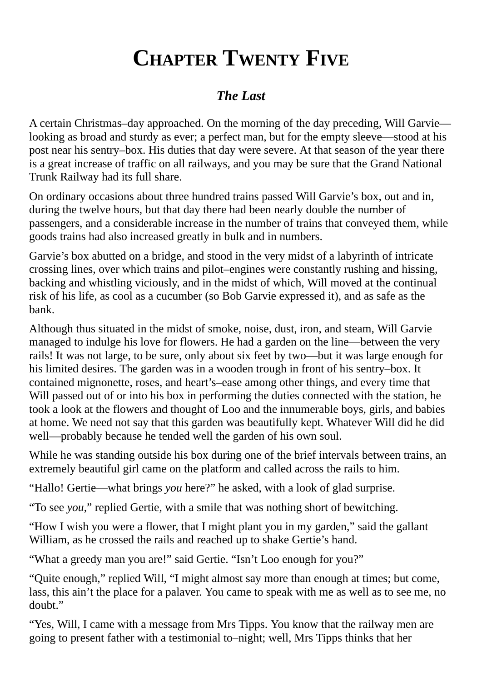# **CHAPTER TWENTY FIVE**

### *The Last*

A certain Christmas–day approached. On the morning of the day preceding, Will Garvie looking as broad and sturdy as ever; a perfect man, but for the empty sleeve—stood at his post near his sentry–box. His duties that day were severe. At that season of the year there is a great increase of traffic on all railways, and you may be sure that the Grand National Trunk Railway had its full share.

On ordinary occasions about three hundred trains passed Will Garvie's box, out and in, during the twelve hours, but that day there had been nearly double the number of passengers, and a considerable increase in the number of trains that conveyed them, while goods trains had also increased greatly in bulk and in numbers.

Garvie's box abutted on a bridge, and stood in the very midst of a labyrinth of intricate crossing lines, over which trains and pilot–engines were constantly rushing and hissing, backing and whistling viciously, and in the midst of which, Will moved at the continual risk of his life, as cool as a cucumber (so Bob Garvie expressed it), and as safe as the bank.

Although thus situated in the midst of smoke, noise, dust, iron, and steam, Will Garvie managed to indulge his love for flowers. He had a garden on the line—between the very rails! It was not large, to be sure, only about six feet by two—but it was large enough for his limited desires. The garden was in a wooden trough in front of his sentry–box. It contained mignonette, roses, and heart's–ease among other things, and every time that Will passed out of or into his box in performing the duties connected with the station, he took a look at the flowers and thought of Loo and the innumerable boys, girls, and babies at home. We need not say that this garden was beautifully kept. Whatever Will did he did well—probably because he tended well the garden of his own soul.

While he was standing outside his box during one of the brief intervals between trains, an extremely beautiful girl came on the platform and called across the rails to him.

"Hallo! Gertie—what brings *you* here?" he asked, with a look of glad surprise.

"To see *you*," replied Gertie, with a smile that was nothing short of bewitching.

"How I wish you were a flower, that I might plant you in my garden," said the gallant William, as he crossed the rails and reached up to shake Gertie's hand.

"What a greedy man you are!" said Gertie. "Isn't Loo enough for you?"

"Quite enough," replied Will, "I might almost say more than enough at times; but come, lass, this ain't the place for a palaver. You came to speak with me as well as to see me, no doubt."

"Yes, Will, I came with a message from Mrs Tipps. You know that the railway men are going to present father with a testimonial to–night; well, Mrs Tipps thinks that her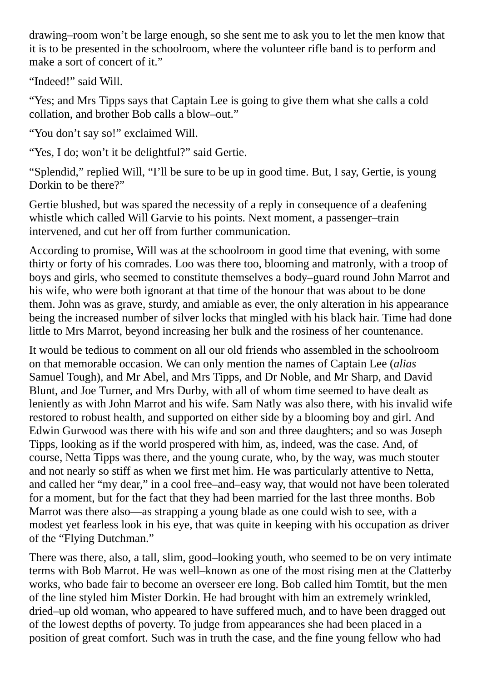drawing–room won't be large enough, so she sent me to ask you to let the men know that it is to be presented in the schoolroom, where the volunteer rifle band is to perform and make a sort of concert of it."

"Indeed!" said Will.

"Yes; and Mrs Tipps says that Captain Lee is going to give them what she calls a cold collation, and brother Bob calls a blow–out."

"You don't say so!" exclaimed Will.

"Yes, I do; won't it be delightful?" said Gertie.

"Splendid," replied Will, "I'll be sure to be up in good time. But, I say, Gertie, is young Dorkin to be there?"

Gertie blushed, but was spared the necessity of a reply in consequence of a deafening whistle which called Will Garvie to his points. Next moment, a passenger–train intervened, and cut her off from further communication.

According to promise, Will was at the schoolroom in good time that evening, with some thirty or forty of his comrades. Loo was there too, blooming and matronly, with a troop of boys and girls, who seemed to constitute themselves a body–guard round John Marrot and his wife, who were both ignorant at that time of the honour that was about to be done them. John was as grave, sturdy, and amiable as ever, the only alteration in his appearance being the increased number of silver locks that mingled with his black hair. Time had done little to Mrs Marrot, beyond increasing her bulk and the rosiness of her countenance.

It would be tedious to comment on all our old friends who assembled in the schoolroom on that memorable occasion. We can only mention the names of Captain Lee (*alias* Samuel Tough), and Mr Abel, and Mrs Tipps, and Dr Noble, and Mr Sharp, and David Blunt, and Joe Turner, and Mrs Durby, with all of whom time seemed to have dealt as leniently as with John Marrot and his wife. Sam Natly was also there, with his invalid wife restored to robust health, and supported on either side by a blooming boy and girl. And Edwin Gurwood was there with his wife and son and three daughters; and so was Joseph Tipps, looking as if the world prospered with him, as, indeed, was the case. And, of course, Netta Tipps was there, and the young curate, who, by the way, was much stouter and not nearly so stiff as when we first met him. He was particularly attentive to Netta, and called her "my dear," in a cool free–and–easy way, that would not have been tolerated for a moment, but for the fact that they had been married for the last three months. Bob Marrot was there also—as strapping a young blade as one could wish to see, with a modest yet fearless look in his eye, that was quite in keeping with his occupation as driver of the "Flying Dutchman."

There was there, also, a tall, slim, good–looking youth, who seemed to be on very intimate terms with Bob Marrot. He was well–known as one of the most rising men at the Clatterby works, who bade fair to become an overseer ere long. Bob called him Tomtit, but the men of the line styled him Mister Dorkin. He had brought with him an extremely wrinkled, dried–up old woman, who appeared to have suffered much, and to have been dragged out of the lowest depths of poverty. To judge from appearances she had been placed in a position of great comfort. Such was in truth the case, and the fine young fellow who had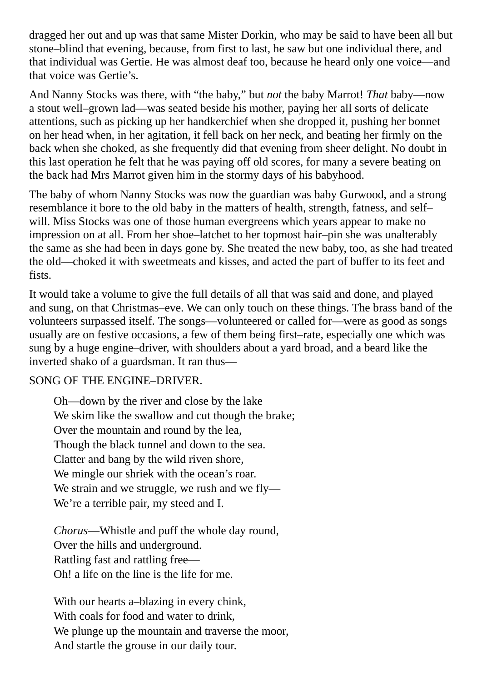dragged her out and up was that same Mister Dorkin, who may be said to have been all but stone–blind that evening, because, from first to last, he saw but one individual there, and that individual was Gertie. He was almost deaf too, because he heard only one voice—and that voice was Gertie's.

And Nanny Stocks was there, with "the baby," but *not* the baby Marrot! *That* baby—now a stout well–grown lad—was seated beside his mother, paying her all sorts of delicate attentions, such as picking up her handkerchief when she dropped it, pushing her bonnet on her head when, in her agitation, it fell back on her neck, and beating her firmly on the back when she choked, as she frequently did that evening from sheer delight. No doubt in this last operation he felt that he was paying off old scores, for many a severe beating on the back had Mrs Marrot given him in the stormy days of his babyhood.

The baby of whom Nanny Stocks was now the guardian was baby Gurwood, and a strong resemblance it bore to the old baby in the matters of health, strength, fatness, and self– will. Miss Stocks was one of those human evergreens which years appear to make no impression on at all. From her shoe–latchet to her topmost hair–pin she was unalterably the same as she had been in days gone by. She treated the new baby, too, as she had treated the old—choked it with sweetmeats and kisses, and acted the part of buffer to its feet and fists.

It would take a volume to give the full details of all that was said and done, and played and sung, on that Christmas–eve. We can only touch on these things. The brass band of the volunteers surpassed itself. The songs—volunteered or called for—were as good as songs usually are on festive occasions, a few of them being first–rate, especially one which was sung by a huge engine–driver, with shoulders about a yard broad, and a beard like the inverted shako of a guardsman. It ran thus—

#### SONG OF THE ENGINE–DRIVER.

Oh—down by the river and close by the lake We skim like the swallow and cut though the brake; Over the mountain and round by the lea, Though the black tunnel and down to the sea. Clatter and bang by the wild riven shore, We mingle our shriek with the ocean's roar. We strain and we struggle, we rush and we fly-We're a terrible pair, my steed and I.

*Chorus*—Whistle and puff the whole day round, Over the hills and underground. Rattling fast and rattling free— Oh! a life on the line is the life for me.

With our hearts a–blazing in every chink, With coals for food and water to drink. We plunge up the mountain and traverse the moor, And startle the grouse in our daily tour.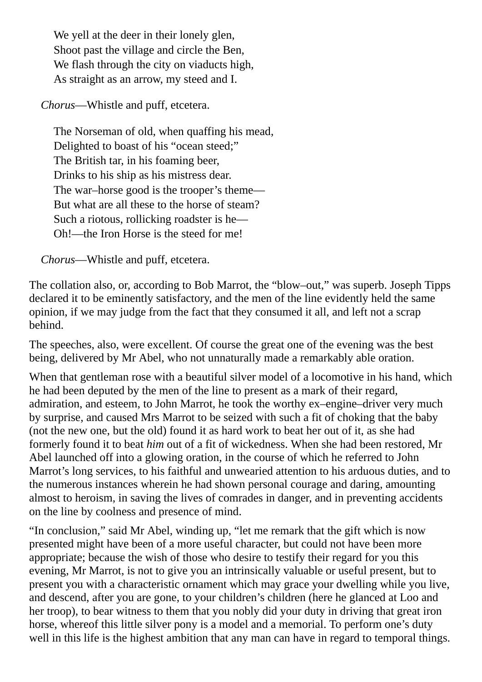We yell at the deer in their lonely glen, Shoot past the village and circle the Ben, We flash through the city on viaducts high, As straight as an arrow, my steed and I.

*Chorus*—Whistle and puff, etcetera.

The Norseman of old, when quaffing his mead, Delighted to boast of his "ocean steed;" The British tar, in his foaming beer, Drinks to his ship as his mistress dear. The war–horse good is the trooper's theme— But what are all these to the horse of steam? Such a riotous, rollicking roadster is he— Oh!—the Iron Horse is the steed for me!

*Chorus*—Whistle and puff, etcetera.

The collation also, or, according to Bob Marrot, the "blow–out," was superb. Joseph Tipps declared it to be eminently satisfactory, and the men of the line evidently held the same opinion, if we may judge from the fact that they consumed it all, and left not a scrap behind.

The speeches, also, were excellent. Of course the great one of the evening was the best being, delivered by Mr Abel, who not unnaturally made a remarkably able oration.

When that gentleman rose with a beautiful silver model of a locomotive in his hand, which he had been deputed by the men of the line to present as a mark of their regard, admiration, and esteem, to John Marrot, he took the worthy ex–engine–driver very much by surprise, and caused Mrs Marrot to be seized with such a fit of choking that the baby (not the new one, but the old) found it as hard work to beat her out of it, as she had formerly found it to beat *him* out of a fit of wickedness. When she had been restored, Mr Abel launched off into a glowing oration, in the course of which he referred to John Marrot's long services, to his faithful and unwearied attention to his arduous duties, and to the numerous instances wherein he had shown personal courage and daring, amounting almost to heroism, in saving the lives of comrades in danger, and in preventing accidents on the line by coolness and presence of mind.

"In conclusion," said Mr Abel, winding up, "let me remark that the gift which is now presented might have been of a more useful character, but could not have been more appropriate; because the wish of those who desire to testify their regard for you this evening, Mr Marrot, is not to give you an intrinsically valuable or useful present, but to present you with a characteristic ornament which may grace your dwelling while you live, and descend, after you are gone, to your children's children (here he glanced at Loo and her troop), to bear witness to them that you nobly did your duty in driving that great iron horse, whereof this little silver pony is a model and a memorial. To perform one's duty well in this life is the highest ambition that any man can have in regard to temporal things.